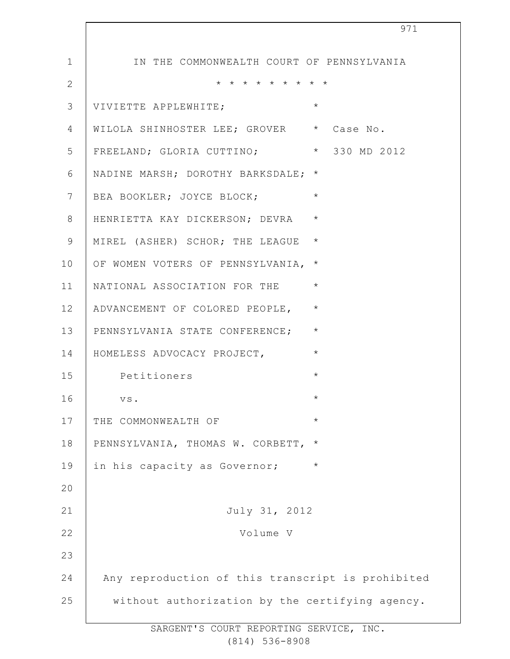| 971                                               |
|---------------------------------------------------|
| IN THE COMMONWEALTH COURT OF PENNSYLVANIA         |
| * * * * * * * * *                                 |
| $\star$<br>VIVIETTE APPLEWHITE;                   |
| WILOLA SHINHOSTER LEE; GROVER * Case No.          |
| FREELAND; GLORIA CUTTINO; * 330 MD 2012           |
| NADINE MARSH; DOROTHY BARKSDALE; *                |
| $\star$<br>BEA BOOKLER; JOYCE BLOCK;              |
| $\star$<br>HENRIETTA KAY DICKERSON; DEVRA         |
| $\star$<br>MIREL (ASHER) SCHOR; THE LEAGUE        |
| OF WOMEN VOTERS OF PENNSYLVANIA,<br>$^\star$      |
| $\star$<br>NATIONAL ASSOCIATION FOR THE           |
| $\star$<br>ADVANCEMENT OF COLORED PEOPLE,         |
| $\star$<br>PENNSYLVANIA STATE CONFERENCE;         |
| $\star$<br>HOMELESS ADVOCACY PROJECT,             |
| $\star$<br>Petitioners                            |
| VS.<br>$^\star$                                   |
| $\star$<br>THE COMMONWEALTH OF                    |
| PENNSYLVANIA, THOMAS W. CORBETT,<br>$\star$       |
| in his capacity as Governor;<br>$\star$           |
|                                                   |
| July 31, 2012                                     |
| Volume V                                          |
|                                                   |
| Any reproduction of this transcript is prohibited |
| without authorization by the certifying agency.   |
|                                                   |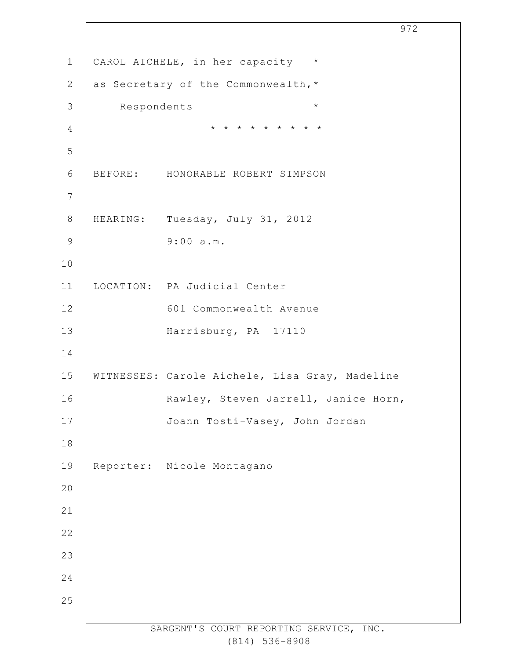SARGENT'S COURT REPORTING SERVICE, INC. CAROL AICHELE, in her capacity \* as Secretary of the Commonwealth,\* Respondents \* \* \* \* \* \* \* \* \* \* BEFORE: HONORABLE ROBERT SIMPSON HEARING: Tuesday, July 31, 2012 9:00 a.m. LOCATION: PA Judicial Center 601 Commonwealth Avenue Harrisburg, PA 17110 WITNESSES: Carole Aichele, Lisa Gray, Madeline Rawley, Steven Jarrell, Janice Horn, Joann Tosti-Vasey, John Jordan Reporter: Nicole Montagano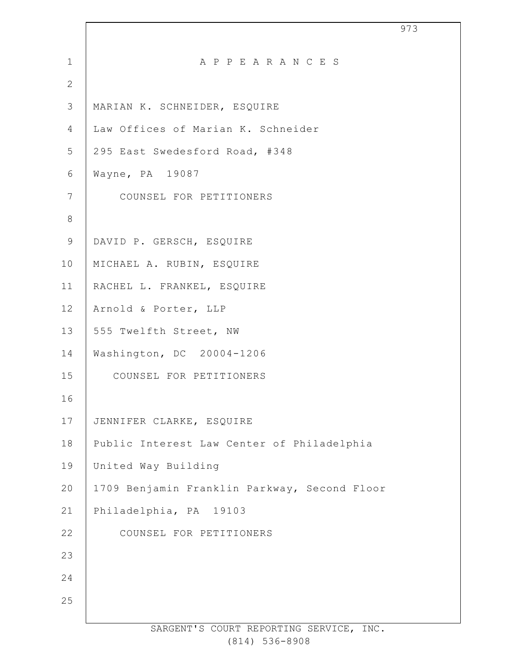| $\mathbf 1$    | A P P E A R A N C E S                        |
|----------------|----------------------------------------------|
| $\overline{2}$ |                                              |
| 3              | MARIAN K. SCHNEIDER, ESQUIRE                 |
| 4              | Law Offices of Marian K. Schneider           |
| 5              | 295 East Swedesford Road, #348               |
| 6              | Wayne, PA 19087                              |
| $\overline{7}$ | COUNSEL FOR PETITIONERS                      |
| $\,8\,$        |                                              |
| 9              | DAVID P. GERSCH, ESQUIRE                     |
| 10             | MICHAEL A. RUBIN, ESQUIRE                    |
| 11             | RACHEL L. FRANKEL, ESQUIRE                   |
| 12             | Arnold & Porter, LLP                         |
| 13             | 555 Twelfth Street, NW                       |
| 14             | Washington, DC 20004-1206                    |
| 15             | COUNSEL FOR PETITIONERS                      |
| 16             |                                              |
| 17             | JENNIFER CLARKE, ESQUIRE                     |
| $18\,$         | Public Interest Law Center of Philadelphia   |
| 19             | United Way Building                          |
| 20             | 1709 Benjamin Franklin Parkway, Second Floor |
| 21             | Philadelphia, PA 19103                       |
| 22             | COUNSEL FOR PETITIONERS                      |
| 23             |                                              |
| 24             |                                              |
| 25             |                                              |
|                |                                              |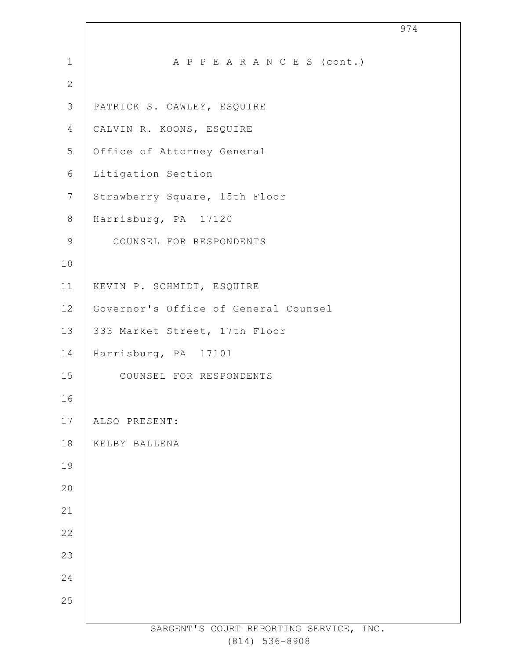| $\mathbf{1}$    | A P P E A R A N C E S (cont.)           |
|-----------------|-----------------------------------------|
| 2               |                                         |
| 3               | PATRICK S. CAWLEY, ESQUIRE              |
| 4               | CALVIN R. KOONS, ESQUIRE                |
| 5               | Office of Attorney General              |
| 6               | Litigation Section                      |
| $7\phantom{.0}$ | Strawberry Square, 15th Floor           |
| 8               | Harrisburg, PA 17120                    |
| 9               | COUNSEL FOR RESPONDENTS                 |
| 10              |                                         |
| 11              | KEVIN P. SCHMIDT, ESQUIRE               |
| 12              | Governor's Office of General Counsel    |
| 13              | 333 Market Street, 17th Floor           |
| 14              | Harrisburg, PA 17101                    |
| 15              | COUNSEL FOR RESPONDENTS                 |
| 16              |                                         |
| 17              | ALSO PRESENT:                           |
| 18              | KELBY BALLENA                           |
| 19              |                                         |
| 20              |                                         |
| 21              |                                         |
| 22              |                                         |
| 23              |                                         |
| 24              |                                         |
| 25              |                                         |
|                 | SARGENT'S COURT REPORTING SERVICE, INC. |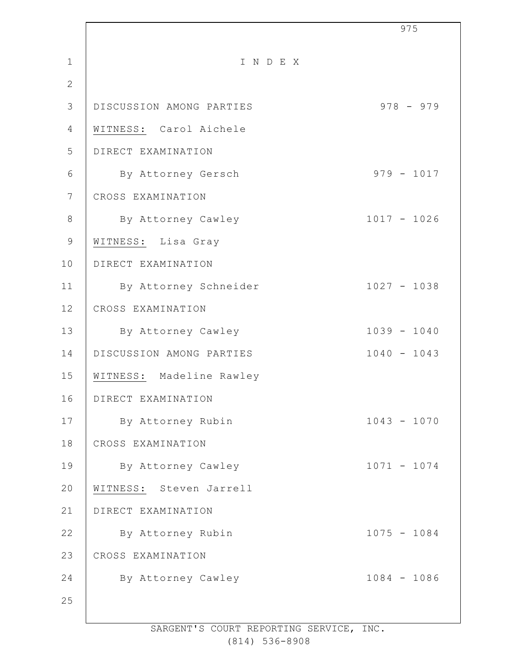|                |                          | 975           |
|----------------|--------------------------|---------------|
| $\mathbf{1}$   | INDEX                    |               |
| $\mathbf{2}$   |                          |               |
| 3              | DISCUSSION AMONG PARTIES | $978 - 979$   |
| 4              | WITNESS: Carol Aichele   |               |
| 5              | DIRECT EXAMINATION       |               |
| 6              | By Attorney Gersch       | $979 - 1017$  |
| $7\phantom{.}$ | CROSS EXAMINATION        |               |
| $\,8\,$        | By Attorney Cawley       | $1017 - 1026$ |
| 9              | WITNESS: Lisa Gray       |               |
| 10             | DIRECT EXAMINATION       |               |
| 11             | By Attorney Schneider    | $1027 - 1038$ |
| 12             | CROSS EXAMINATION        |               |
| 13             | By Attorney Cawley       | $1039 - 1040$ |
| 14             | DISCUSSION AMONG PARTIES | $1040 - 1043$ |
| 15             | WITNESS: Madeline Rawley |               |
| 16             | DIRECT EXAMINATION       |               |
| 17             | By Attorney Rubin        | $1043 - 1070$ |
| 18             | CROSS EXAMINATION        |               |
| 19             | By Attorney Cawley       | $1071 - 1074$ |
| 20             | WITNESS: Steven Jarrell  |               |
| 21             | DIRECT EXAMINATION       |               |
| 22             | By Attorney Rubin        | $1075 - 1084$ |
| 23             | CROSS EXAMINATION        |               |
| 24             | By Attorney Cawley       | $1084 - 1086$ |
| 25             |                          |               |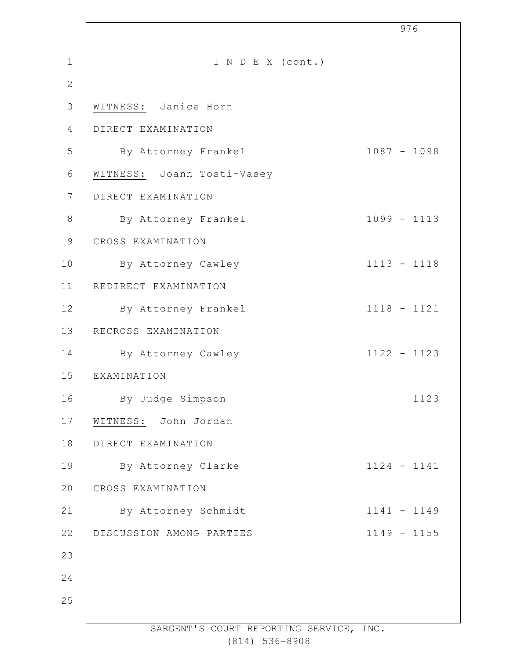|                |                            | 976           |
|----------------|----------------------------|---------------|
| $\mathbf{1}$   | I N D E X (cont.)          |               |
| $\mathbf{2}$   |                            |               |
| 3              | WITNESS: Janice Horn       |               |
| 4              | DIRECT EXAMINATION         |               |
| 5              | By Attorney Frankel        | $1087 - 1098$ |
| 6              | WITNESS: Joann Tosti-Vasey |               |
| $7\phantom{.}$ | DIRECT EXAMINATION         |               |
| $\,8\,$        | By Attorney Frankel        | $1099 - 1113$ |
| $\mathsf 9$    | CROSS EXAMINATION          |               |
| 10             | By Attorney Cawley         | $1113 - 1118$ |
| 11             | REDIRECT EXAMINATION       |               |
| 12             | By Attorney Frankel        | $1118 - 1121$ |
| 13             | RECROSS EXAMINATION        |               |
| 14             | By Attorney Cawley         | $1122 - 1123$ |
| 15             | EXAMINATION                |               |
| 16             | By Judge Simpson           | 1123          |
| 17             | WITNESS: John Jordan       |               |
| 18             | DIRECT EXAMINATION         |               |
| 19             | By Attorney Clarke         | $1124 - 1141$ |
| 20             | CROSS EXAMINATION          |               |
| 21             | By Attorney Schmidt        | $1141 - 1149$ |
| 22             | DISCUSSION AMONG PARTIES   | $1149 - 1155$ |
| 23             |                            |               |
| 24             |                            |               |
| 25             |                            |               |
|                |                            |               |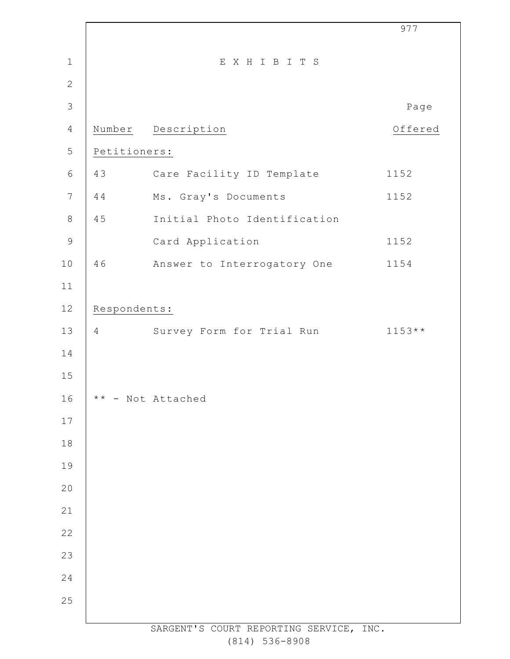|                |                 |                                         | 977      |
|----------------|-----------------|-----------------------------------------|----------|
| $\mathbf 1$    |                 | EXHIBITS                                |          |
| $\mathbf{2}$   |                 |                                         |          |
| $\mathfrak{Z}$ |                 |                                         | Page     |
| $\overline{4}$ |                 | Number Description                      | Offered  |
| 5              | Petitioners:    |                                         |          |
| $\epsilon$     | 43              | Care Facility ID Template               | 1152     |
| $\overline{7}$ | 44              | Ms. Gray's Documents                    | 1152     |
| $\,8\,$        | 45              | Initial Photo Identification            |          |
| $\mathcal{G}$  |                 | Card Application                        | 1152     |
| $10$           | 46              | Answer to Interrogatory One             | 1154     |
| 11             |                 |                                         |          |
| $12$           | Respondents:    |                                         |          |
| 13             | $4\overline{ }$ | Survey Form for Trial Run               | $1153**$ |
| 14             |                 |                                         |          |
| 15             |                 |                                         |          |
| 16             |                 | ** - Not Attached                       |          |
| $17$           |                 |                                         |          |
| 18             |                 |                                         |          |
| 19             |                 |                                         |          |
| 20             |                 |                                         |          |
| 21             |                 |                                         |          |
| 22             |                 |                                         |          |
| 23             |                 |                                         |          |
| 24             |                 |                                         |          |
| 25             |                 |                                         |          |
|                |                 | SARGENT'S COURT REPORTING SERVICE, INC. |          |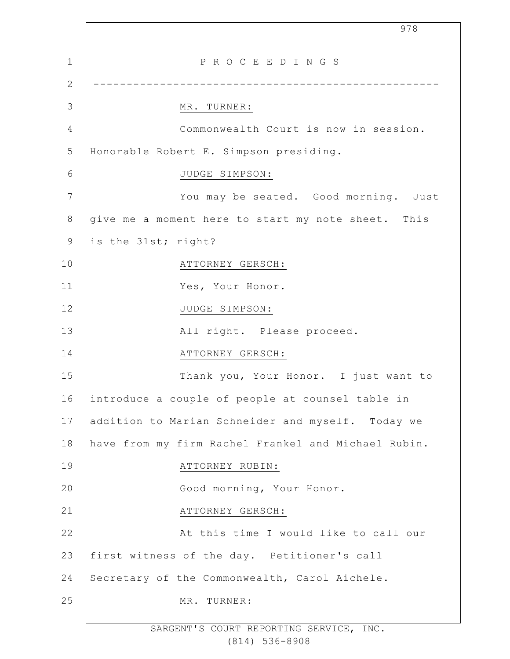1 2 3 4 5 6 7 8 9 10 11 12 13 14 15 16 17 18 19  $20$ 21 22 23 24 25 978 P R O C E E D I N G S ---------------------------------------------------- MR. TURNER: Commonwealth Court is now in session. Honorable Robert E. Simpson presiding. JUDGE SIMPSON: You may be seated. Good morning. Just give me a moment here to start my note sheet. This is the 31st; right? ATTORNEY GERSCH: Yes, Your Honor. JUDGE SIMPSON: All right. Please proceed. ATTORNEY GERSCH: Thank you, Your Honor. I just want to introduce a couple of people at counsel table in addition to Marian Schneider and myself. Today we have from my firm Rachel Frankel and Michael Rubin. ATTORNEY RUBIN: Good morning, Your Honor. ATTORNEY GERSCH: At this time I would like to call our first witness of the day. Petitioner's call Secretary of the Commonwealth, Carol Aichele. MR. TURNER: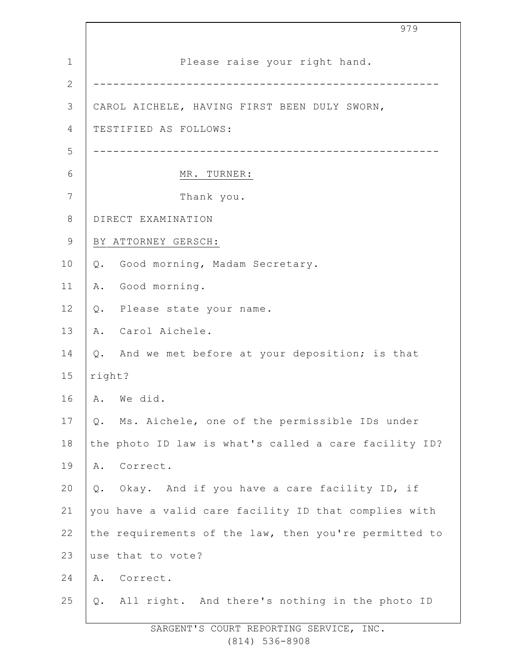1 2 3 4 5 6 7 8 9 10 11 12 13 14 15 16 17 18 19 20 21 22 23 24 25 Please raise your right hand. ---------------------------------------------------- CAROL AICHELE, HAVING FIRST BEEN DULY SWORN, TESTIFIED AS FOLLOWS: ---------------------------------------------------- MR. TURNER: Thank you. DIRECT EXAMINATION BY ATTORNEY GERSCH: Q. Good morning, Madam Secretary. A. Good morning. Q. Please state your name. A. Carol Aichele. Q. And we met before at your deposition; is that right? A. We did. Q. Ms. Aichele, one of the permissible IDs under the photo ID law is what's called a care facility ID? A. Correct. Q. Okay. And if you have a care facility ID, if you have a valid care facility ID that complies with the requirements of the law, then you're permitted to use that to vote? A. Correct. Q. All right. And there's nothing in the photo ID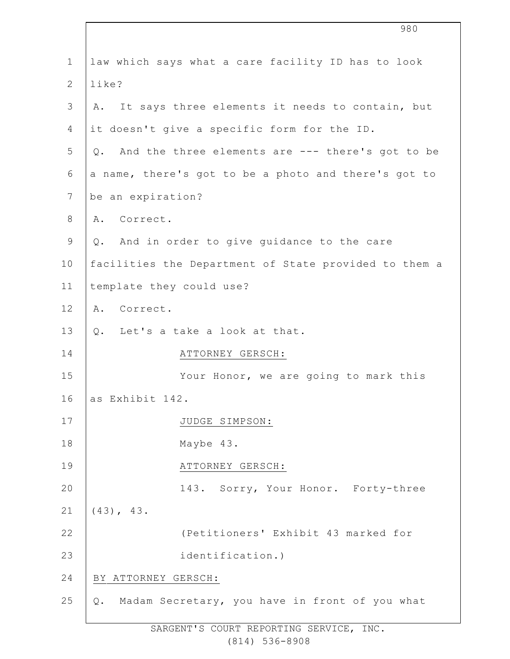|                | 980                                                   |
|----------------|-------------------------------------------------------|
| $\mathbf{1}$   | law which says what a care facility ID has to look    |
| $\mathbf{2}$   | like?                                                 |
| $\mathfrak{Z}$ | It says three elements it needs to contain, but<br>Α. |
| 4              | it doesn't give a specific form for the ID.           |
| 5              | Q. And the three elements are --- there's got to be   |
| 6              | a name, there's got to be a photo and there's got to  |
| $\overline{7}$ | be an expiration?                                     |
| $8\,$          | Correct.<br>Α.                                        |
| $\mathsf 9$    | Q. And in order to give guidance to the care          |
| 10             | facilities the Department of State provided to them a |
| 11             | template they could use?                              |
| 12             | Α.<br>Correct.                                        |
| 13             | Q. Let's a take a look at that.                       |
| 14             | ATTORNEY GERSCH:                                      |
| 15             | Your Honor, we are going to mark this                 |
| 16             | as Exhibit 142.                                       |
| 17             | JUDGE SIMPSON:                                        |
| 18             | Maybe 43.                                             |
| 19             | ATTORNEY GERSCH:                                      |
| 20             | 143. Sorry, Your Honor. Forty-three                   |
| 21             | $(43)$ , $43$ .                                       |
| 22             | (Petitioners' Exhibit 43 marked for                   |
| 23             | identification.)                                      |
| 24             | BY ATTORNEY GERSCH:                                   |
| 25             | Madam Secretary, you have in front of you what<br>Q.  |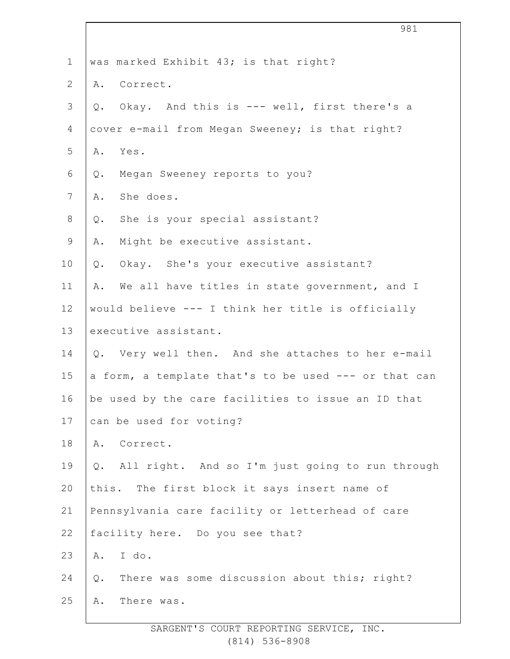| $\mathbf 1$    | was marked Exhibit 43; is that right?                 |
|----------------|-------------------------------------------------------|
| $\overline{2}$ | A. Correct.                                           |
| 3              | Okay. And this is --- well, first there's a<br>Q.     |
| 4              | cover e-mail from Megan Sweeney; is that right?       |
| 5              | A. Yes.                                               |
| 6              | Megan Sweeney reports to you?<br>Q.                   |
| 7              | She does.<br>Α.                                       |
| $8\,$          | She is your special assistant?<br>$Q$ .               |
| $\mathsf 9$    | Might be executive assistant.<br>Α.                   |
| 10             | Okay. She's your executive assistant?<br>Q.           |
| 11             | We all have titles in state government, and I<br>Α.   |
| 12             | would believe --- I think her title is officially     |
| 13             | executive assistant.                                  |
| 14             | Q. Very well then. And she attaches to her e-mail     |
| 15             | a form, a template that's to be used --- or that can  |
| 16             | be used by the care facilities to issue an ID that    |
| 17             | can be used for voting?                               |
| 18             | Correct.<br>Α.                                        |
| 19             | Q. All right. And so I'm just going to run through    |
| 20             | this. The first block it says insert name of          |
| 21             | Pennsylvania care facility or letterhead of care      |
| 22             | facility here. Do you see that?                       |
| 23             | I do.<br>A.                                           |
| 24             | There was some discussion about this; right?<br>$Q$ . |
| 25             | There was.<br>Α.                                      |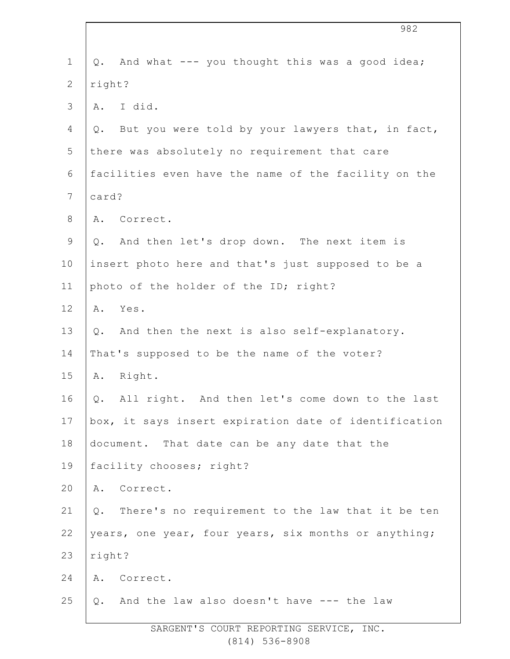| $\mathbf 1$    | And what --- you thought this was a good idea;<br>Q.   |  |
|----------------|--------------------------------------------------------|--|
| $\overline{2}$ | right?                                                 |  |
| 3              | A. I did.                                              |  |
| 4              | But you were told by your lawyers that, in fact,<br>Q. |  |
| 5              | there was absolutely no requirement that care          |  |
| 6              | facilities even have the name of the facility on the   |  |
| $7\phantom{.}$ | card?                                                  |  |
| $8\,$          | Correct.<br>Α.                                         |  |
| $\mathsf 9$    | Q. And then let's drop down. The next item is          |  |
| 10             | insert photo here and that's just supposed to be a     |  |
| 11             | photo of the holder of the ID; right?                  |  |
| 12             | Yes.<br>Α.                                             |  |
| 13             | And then the next is also self-explanatory.<br>Q.      |  |
| 14             | That's supposed to be the name of the voter?           |  |
| 15             | Right.<br>Α.                                           |  |
| 16             | All right. And then let's come down to the last<br>Q.  |  |
| 17             | box, it says insert expiration date of identification  |  |
| 18             | document. That date can be any date that the           |  |
| 19             | facility chooses; right?                               |  |
| 20             | A. Correct.                                            |  |
| 21             | There's no requirement to the law that it be ten<br>Q. |  |
| 22             | years, one year, four years, six months or anything;   |  |
| 23             | right?                                                 |  |
| 24             | A. Correct.                                            |  |
| 25             | Q. And the law also doesn't have --- the law           |  |
|                |                                                        |  |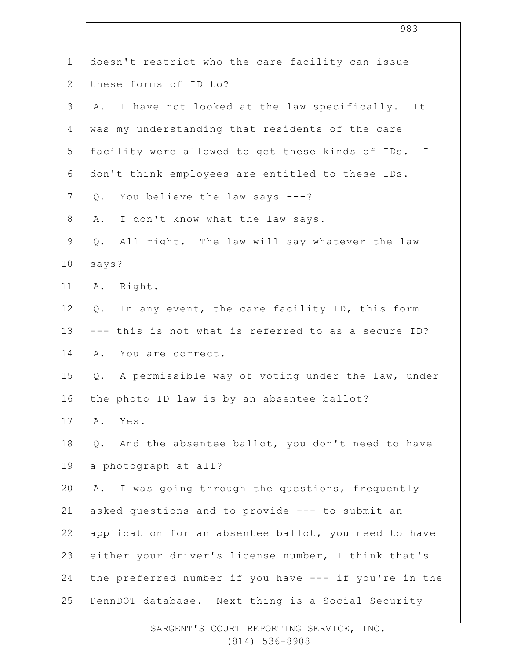| $\mathbf 1$   | doesn't restrict who the care facility can issue          |
|---------------|-----------------------------------------------------------|
| $\mathbf{2}$  | these forms of ID to?                                     |
| $\mathcal{S}$ | I have not looked at the law specifically.<br>Α.<br>It    |
| 4             | was my understanding that residents of the care           |
| 5             | facility were allowed to get these kinds of IDs. I        |
| 6             | don't think employees are entitled to these IDs.          |
| 7             | You believe the law says ---?<br>$Q$ .                    |
| $8\,$         | I don't know what the law says.<br>Α.                     |
| $\mathsf 9$   | All right. The law will say whatever the law<br>Q.        |
| 10            | says?                                                     |
| 11            | Right.<br>Α.                                              |
| 12            | In any event, the care facility ID, this form<br>$Q$ .    |
| 13            | --- this is not what is referred to as a secure ID?       |
| 14            | You are correct.<br>Α.                                    |
| 15            | A permissible way of voting under the law, under<br>$Q$ . |
| 16            | the photo ID law is by an absentee ballot?                |
| 17            | Yes.<br>Α.                                                |
| 18            | And the absentee ballot, you don't need to have<br>$Q$ .  |
| 19            | a photograph at all?                                      |
| 20            | I was going through the questions, frequently<br>Α.       |
| 21            | asked questions and to provide --- to submit an           |
| 22            | application for an absentee ballot, you need to have      |
| 23            | either your driver's license number, I think that's       |
| 24            | the preferred number if you have --- if you're in the     |
| 25            | PennDOT database. Next thing is a Social Security         |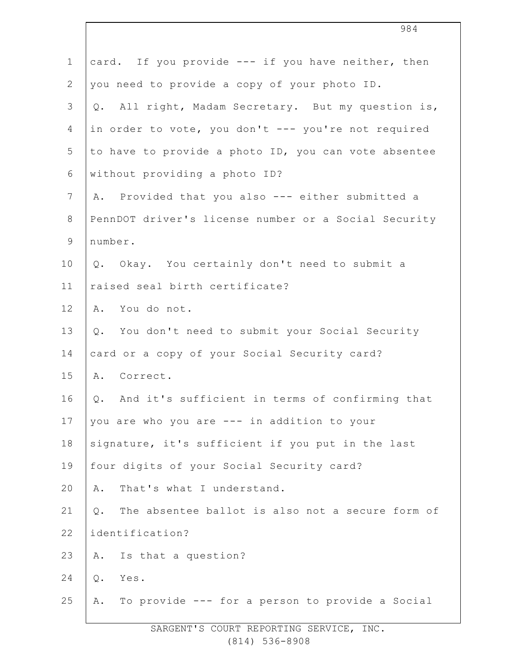| $\mathbf 1$      | card. If you provide --- if you have neither, then        |
|------------------|-----------------------------------------------------------|
| $\mathbf{2}$     | you need to provide a copy of your photo ID.              |
| $\mathfrak{Z}$   | All right, Madam Secretary. But my question is,<br>Q.     |
| $\overline{4}$   | in order to vote, you don't --- you're not required       |
| 5                | to have to provide a photo ID, you can vote absentee      |
| 6                | without providing a photo ID?                             |
| $\boldsymbol{7}$ | A. Provided that you also --- either submitted a          |
| $\,8\,$          | PennDOT driver's license number or a Social Security      |
| $\mathsf 9$      | number.                                                   |
| 10               | Q. Okay. You certainly don't need to submit a             |
| 11               | raised seal birth certificate?                            |
| 12               | A. You do not.                                            |
| 13               | Q. You don't need to submit your Social Security          |
| 14               | card or a copy of your Social Security card?              |
| 15               | A. Correct.                                               |
| 16               | Q. And it's sufficient in terms of confirming that        |
| 17               | you are who you are --- in addition to your               |
| 18               | signature, it's sufficient if you put in the last         |
| 19               | four digits of your Social Security card?                 |
| 20               | That's what I understand.<br>A.                           |
| 21               | The absentee ballot is also not a secure form of<br>$Q$ . |
| 22               | identification?                                           |
| 23               | Is that a question?<br>Α.                                 |
| 24               | Yes.<br>$Q$ .                                             |
| 25               | To provide --- for a person to provide a Social<br>Α.     |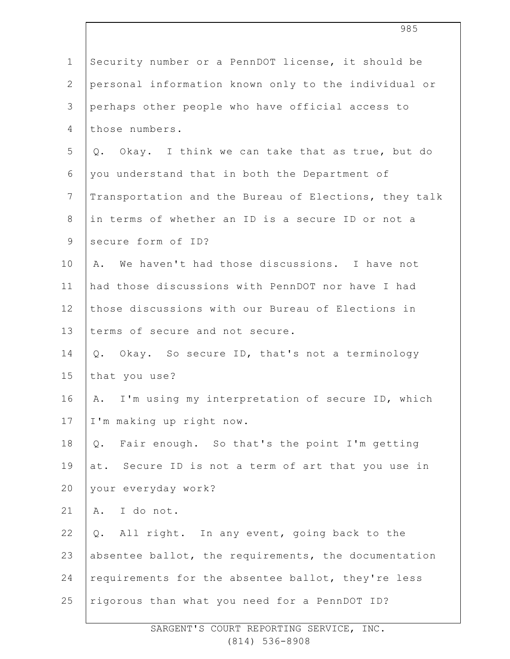| $\mathbf 1$    | Security number or a PennDOT license, it should be    |
|----------------|-------------------------------------------------------|
| $\mathbf{2}$   | personal information known only to the individual or  |
| 3              | perhaps other people who have official access to      |
| 4              | those numbers.                                        |
| 5              | Q. Okay. I think we can take that as true, but do     |
| 6              | you understand that in both the Department of         |
| $\overline{7}$ | Transportation and the Bureau of Elections, they talk |
| $8\,$          | in terms of whether an ID is a secure ID or not a     |
| $\mathsf 9$    | secure form of ID?                                    |
| 10             | We haven't had those discussions. I have not<br>Α.    |
| 11             | had those discussions with PennDOT nor have I had     |
| 12             | those discussions with our Bureau of Elections in     |
| 13             | terms of secure and not secure.                       |
| 14             | Okay. So secure ID, that's not a terminology<br>Q.    |
| 15             | that you use?                                         |
| 16             | I'm using my interpretation of secure ID, which<br>Α. |
| 17             | I'm making up right now.                              |
| 18             | Fair enough. So that's the point I'm getting<br>Q.    |
| 19             | at. Secure ID is not a term of art that you use in    |
| 20             | your everyday work?                                   |
| 21             | A. I do not.                                          |
| 22             | All right. In any event, going back to the<br>Q.      |
| 23             | absentee ballot, the requirements, the documentation  |
| 24             | requirements for the absentee ballot, they're less    |
| 25             | rigorous than what you need for a PennDOT ID?         |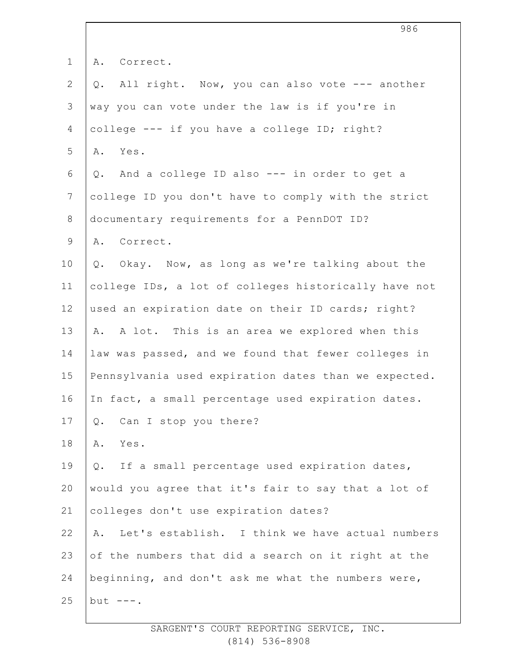| $\mathbf 1$     | A. Correct.                                           |
|-----------------|-------------------------------------------------------|
| $\mathbf{2}$    | All right. Now, you can also vote --- another<br>Q.   |
| $\mathfrak{Z}$  | way you can vote under the law is if you're in        |
| $\overline{4}$  | college --- if you have a college ID; right?          |
| 5               | Yes.<br>Α.                                            |
| 6               | Q. And a college ID also --- in order to get a        |
| $7\phantom{.0}$ | college ID you don't have to comply with the strict   |
| $8\,$           | documentary requirements for a PennDOT ID?            |
| $\mathsf 9$     | A. Correct.                                           |
| 10              | Q. Okay. Now, as long as we're talking about the      |
| 11              | college IDs, a lot of colleges historically have not  |
| 12              | used an expiration date on their ID cards; right?     |
| 13              | A. A lot. This is an area we explored when this       |
| 14              | law was passed, and we found that fewer colleges in   |
| 15              | Pennsylvania used expiration dates than we expected.  |
| 16              | In fact, a small percentage used expiration dates.    |
| 17              | Can I stop you there?<br>Q.                           |
| 18              | Α.<br>Yes.                                            |
| 19              | If a small percentage used expiration dates,<br>$Q$ . |
| 20              | would you agree that it's fair to say that a lot of   |
| 21              | colleges don't use expiration dates?                  |
| 22              | Let's establish. I think we have actual numbers<br>Α. |
| 23              | of the numbers that did a search on it right at the   |
| 24              | beginning, and don't ask me what the numbers were,    |
| 25              | but $---$ .                                           |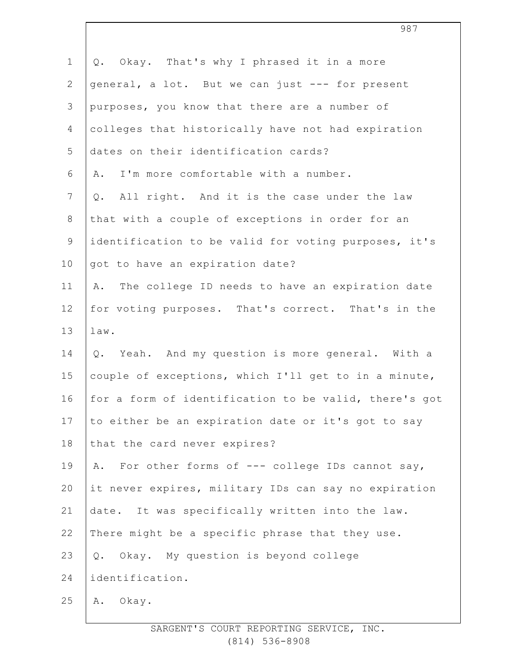| $\mathbf 1$    | Okay. That's why I phrased it in a more<br>Q.         |
|----------------|-------------------------------------------------------|
| $\mathbf{2}$   | general, a lot. But we can just --- for present       |
| 3              | purposes, you know that there are a number of         |
| $\overline{4}$ | colleges that historically have not had expiration    |
| 5              | dates on their identification cards?                  |
| 6              | I'm more comfortable with a number.<br>Α.             |
| $\overline{7}$ | All right. And it is the case under the law<br>Q.     |
| $8\,$          | that with a couple of exceptions in order for an      |
| $\mathsf 9$    | identification to be valid for voting purposes, it's  |
| 10             | got to have an expiration date?                       |
| 11             | The college ID needs to have an expiration date<br>Α. |
| 12             | for voting purposes. That's correct. That's in the    |
| 13             | $law$ .                                               |
| 14             | Q. Yeah. And my question is more general. With a      |
| 15             | couple of exceptions, which I'll get to in a minute,  |
| 16             | for a form of identification to be valid, there's got |
| 17             | to either be an expiration date or it's got to say    |
| 18             | that the card never expires?                          |
| 19             | For other forms of --- college IDs cannot say,<br>Α.  |
| 20             | it never expires, military IDs can say no expiration  |
| 21             | date. It was specifically written into the law.       |
| 22             | There might be a specific phrase that they use.       |
| 23             | Okay. My question is beyond college<br>$\mathsf{Q}$ . |
| 24             | identification.                                       |
| 25             | Okay.<br>Α.                                           |
|                |                                                       |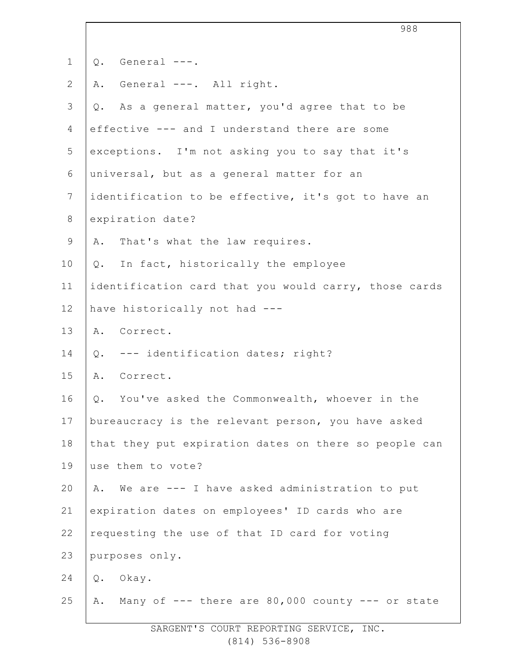| $\mathbf 1$    | General ---.<br>$Q$ .                                      |
|----------------|------------------------------------------------------------|
| $\overline{2}$ | General ---. All right.<br>Α.                              |
| 3              | As a general matter, you'd agree that to be<br>Q.          |
| 4              | effective --- and I understand there are some              |
| 5              | exceptions. I'm not asking you to say that it's            |
| 6              | universal, but as a general matter for an                  |
| 7              | identification to be effective, it's got to have an        |
| 8              | expiration date?                                           |
| $\mathsf 9$    | That's what the law requires.<br>Α.                        |
| 10             | In fact, historically the employee<br>Q.                   |
| 11             | identification card that you would carry, those cards      |
| 12             | have historically not had ---                              |
| 13             | A. Correct.                                                |
| 14             | --- identification dates; right?<br>Q.                     |
| 15             | Correct.<br>Α.                                             |
| 16             | Q. You've asked the Commonwealth, whoever in the           |
| 17             | bureaucracy is the relevant person, you have asked         |
| 18             | that they put expiration dates on there so people can      |
| 19             | use them to vote?                                          |
| 20             | We are --- I have asked administration to put<br>Α.        |
| 21             | expiration dates on employees' ID cards who are            |
| 22             | requesting the use of that ID card for voting              |
| 23             | purposes only.                                             |
| 24             | Okay.<br>Q.                                                |
| 25             | Many of $---$ there are 80,000 county $---$ or state<br>Α. |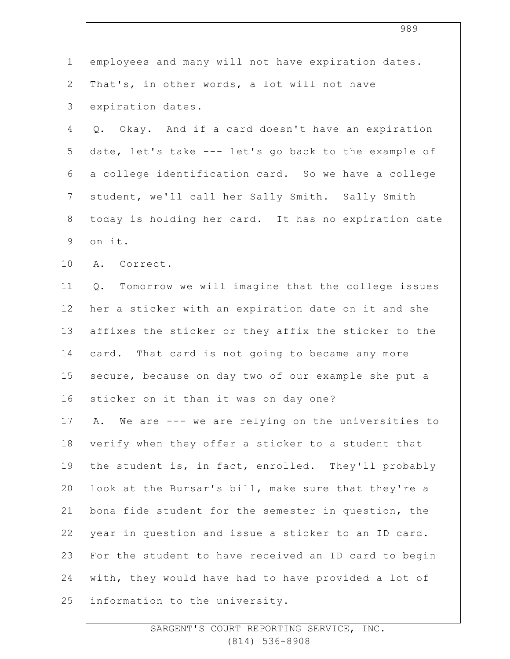|                | 989                                                    |
|----------------|--------------------------------------------------------|
| $\mathbf 1$    | employees and many will not have expiration dates.     |
| $\mathbf{2}$   | That's, in other words, a lot will not have            |
| 3              | expiration dates.                                      |
| $\overline{4}$ | Okay. And if a card doesn't have an expiration<br>Q.   |
| 5              | date, let's take --- let's go back to the example of   |
| 6              | a college identification card. So we have a college    |
| $7\phantom{.}$ | student, we'll call her Sally Smith. Sally Smith       |
| $8\,$          | today is holding her card. It has no expiration date   |
| $\mathcal{G}$  | on it.                                                 |
| 10             | Correct.<br>Α.                                         |
| 11             | Q. Tomorrow we will imagine that the college issues    |
| 12             | her a sticker with an expiration date on it and she    |
| 13             | affixes the sticker or they affix the sticker to the   |
| 14             | card. That card is not going to became any more        |
| 15             | secure, because on day two of our example she put a    |
| 16             | sticker on it than it was on day one?                  |
| 17             | We are --- we are relying on the universities to<br>Α. |
| 18             | verify when they offer a sticker to a student that     |
| 19             | the student is, in fact, enrolled. They'll probably    |
| 20             | look at the Bursar's bill, make sure that they're a    |
| 21             | bona fide student for the semester in question, the    |
| 22             | year in question and issue a sticker to an ID card.    |
| 23             | For the student to have received an ID card to begin   |
| 24             | with, they would have had to have provided a lot of    |
| 25             | information to the university.                         |

SARGENT'S COURT REPORTING SERVICE, INC. (814) 536-8908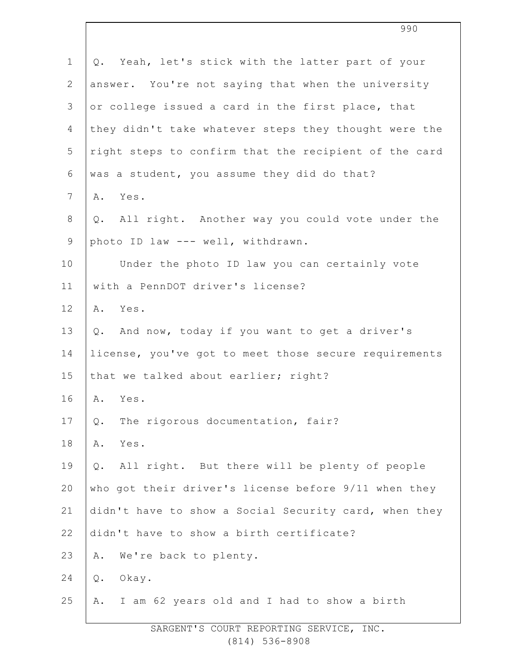| $\mathbf 1$    | Q. Yeah, let's stick with the latter part of your      |
|----------------|--------------------------------------------------------|
| $\overline{2}$ | answer. You're not saying that when the university     |
| 3              | or college issued a card in the first place, that      |
| 4              | they didn't take whatever steps they thought were the  |
| 5              | right steps to confirm that the recipient of the card  |
| 6              | was a student, you assume they did do that?            |
| 7              | Yes.<br>Α.                                             |
| $8\,$          | All right. Another way you could vote under the<br>Q.  |
| $\mathsf 9$    | photo ID law --- well, withdrawn.                      |
| 10             | Under the photo ID law you can certainly vote          |
| 11             | with a PennDOT driver's license?                       |
| 12             | A. Yes.                                                |
| 13             | And now, today if you want to get a driver's<br>Q.     |
| 14             | license, you've got to meet those secure requirements  |
| 15             | that we talked about earlier; right?                   |
| 16             | A. Yes.                                                |
| 17             | The rigorous documentation, fair?<br>$Q$ .             |
| 18             | Α.<br>Yes.                                             |
| 19             | All right. But there will be plenty of people<br>$Q$ . |
| 20             | who got their driver's license before 9/11 when they   |
| 21             | didn't have to show a Social Security card, when they  |
| 22             | didn't have to show a birth certificate?               |
| 23             | We're back to plenty.<br>Α.                            |
| 24             | $Q$ .<br>Okay.                                         |
| 25             | I am 62 years old and I had to show a birth<br>Α.      |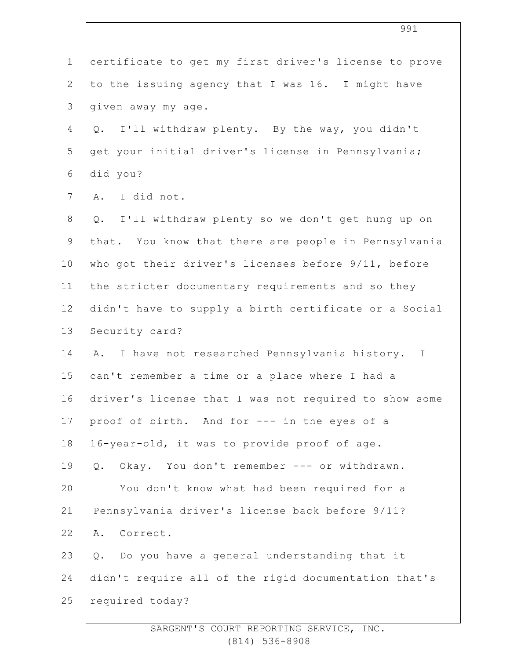| $\mathbf 1$    | certificate to get my first driver's license to prove |
|----------------|-------------------------------------------------------|
| $\overline{2}$ | to the issuing agency that I was 16. I might have     |
| $\mathfrak{Z}$ | given away my age.                                    |
| $\overline{4}$ | Q. I'll withdraw plenty. By the way, you didn't       |
| 5              | get your initial driver's license in Pennsylvania;    |
| 6              | did you?                                              |
| $\overline{7}$ | A. I did not.                                         |
| $8\,$          | Q. I'll withdraw plenty so we don't get hung up on    |
| $\mathsf 9$    | that. You know that there are people in Pennsylvania  |
| 10             | who got their driver's licenses before 9/11, before   |
| 11             | the stricter documentary requirements and so they     |
| 12             | didn't have to supply a birth certificate or a Social |
| 13             | Security card?                                        |
| 14             | I have not researched Pennsylvania history. I<br>Α.   |
| 15             | can't remember a time or a place where I had a        |
| 16             | driver's license that I was not required to show some |
| 17             | proof of birth. And for --- in the eyes of a          |
| 18             | 16-year-old, it was to provide proof of age.          |
| 19             | Okay. You don't remember --- or withdrawn.<br>Q.      |
| 20             | You don't know what had been required for a           |
| 21             | Pennsylvania driver's license back before 9/11?       |
| 22             | Correct.<br>Α.                                        |
| 23             | Do you have a general understanding that it<br>Q.     |
| 24             | didn't require all of the rigid documentation that's  |
| 25             | required today?                                       |
|                |                                                       |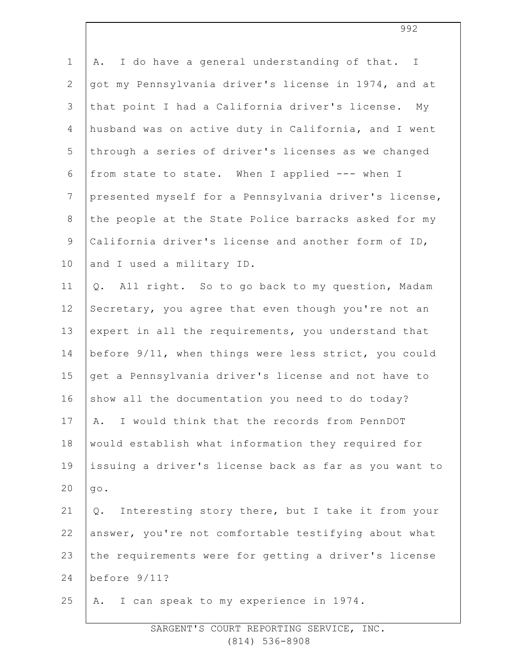| I do have a general understanding of that. I<br>Α.     |
|--------------------------------------------------------|
| got my Pennsylvania driver's license in 1974, and at   |
| that point I had a California driver's license.<br>Мy  |
| husband was on active duty in California, and I went   |
| through a series of driver's licenses as we changed    |
| from state to state. When I applied --- when I         |
| presented myself for a Pennsylvania driver's license,  |
| the people at the State Police barracks asked for my   |
| California driver's license and another form of ID,    |
| and I used a military ID.                              |
| Q. All right. So to go back to my question, Madam      |
| Secretary, you agree that even though you're not an    |
| expert in all the requirements, you understand that    |
| before 9/11, when things were less strict, you could   |
| get a Pennsylvania driver's license and not have to    |
| show all the documentation you need to do today?       |
| I would think that the records from PennDOT<br>Α.      |
| would establish what information they required for     |
| issuing a driver's license back as far as you want to  |
| $q \circ$ .                                            |
| Interesting story there, but I take it from your<br>Q. |
| answer, you're not comfortable testifying about what   |
| the requirements were for getting a driver's license   |
| before 9/11?                                           |
| I can speak to my experience in 1974.<br>Α.            |
|                                                        |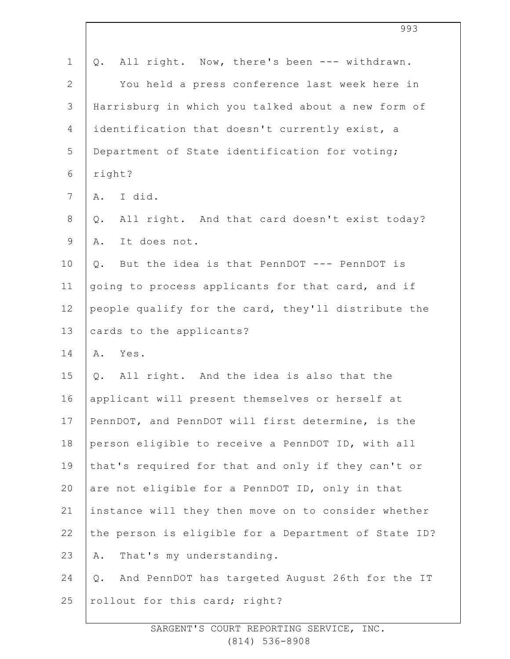| $\mathbf 1$    | All right. Now, there's been --- withdrawn.<br>Q.      |
|----------------|--------------------------------------------------------|
| $\overline{2}$ | You held a press conference last week here in          |
| $\mathcal{S}$  | Harrisburg in which you talked about a new form of     |
| 4              | identification that doesn't currently exist, a         |
| 5              | Department of State identification for voting;         |
| 6              | right?                                                 |
| 7              | I did.<br>A.                                           |
| 8              | All right. And that card doesn't exist today?<br>$Q$ . |
| 9              | It does not.<br>Α.                                     |
| 10             | But the idea is that PennDOT --- PennDOT is<br>Q.      |
| 11             | going to process applicants for that card, and if      |
| 12             | people qualify for the card, they'll distribute the    |
| 13             | cards to the applicants?                               |
| 14             | A. Yes.                                                |
| 15             | All right. And the idea is also that the<br>Q.         |
| 16             | applicant will present themselves or herself at        |
| 17             | PennDOT, and PennDOT will first determine, is the      |
| 18             | person eligible to receive a PennDOT ID, with all      |
| 19             | that's required for that and only if they can't or     |
| 20             | are not eligible for a PennDOT ID, only in that        |
| 21             | instance will they then move on to consider whether    |
| 22             | the person is eligible for a Department of State ID?   |
| 23             | That's my understanding.<br>Α.                         |
| 24             | And PennDOT has targeted August 26th for the IT<br>Q.  |
| 25             | rollout for this card; right?                          |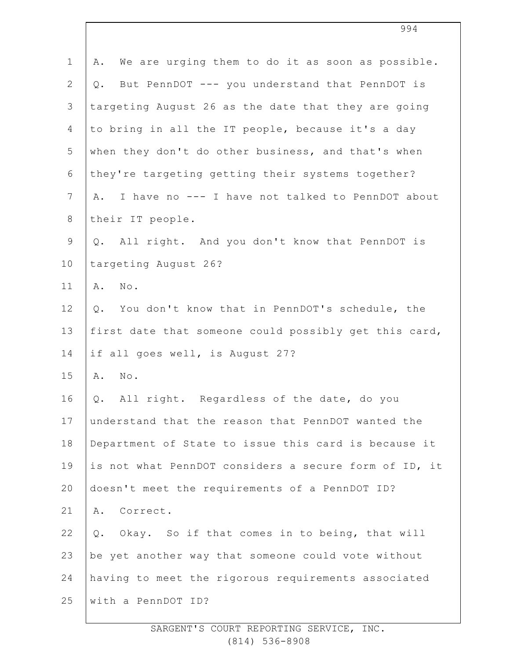| $\mathbf 1$     | We are urging them to do it as soon as possible.<br>Α. |
|-----------------|--------------------------------------------------------|
| $\mathbf{2}$    | But PennDOT --- you understand that PennDOT is<br>Q.   |
| 3               | targeting August 26 as the date that they are going    |
| $\overline{4}$  | to bring in all the IT people, because it's a day      |
| 5               | when they don't do other business, and that's when     |
| 6               | they're targeting getting their systems together?      |
| $7\phantom{.0}$ | I have no --- I have not talked to PennDOT about<br>Α. |
| $\,8\,$         | their IT people.                                       |
| $\mathsf 9$     | Q. All right. And you don't know that PennDOT is       |
| 10              | targeting August 26?                                   |
| 11              | $\texttt{No}$ .<br>Α.                                  |
| 12              | You don't know that in PennDOT's schedule, the<br>Q.   |
| 13              | first date that someone could possibly get this card,  |
| 14              | if all goes well, is August 27?                        |
| 15              | $\texttt{No}$ .<br>Α.                                  |
| 16              | All right. Regardless of the date, do you<br>Q.        |
| 17              | understand that the reason that PennDOT wanted the     |
| 18              | Department of State to issue this card is because it   |
| 19              | is not what PennDOT considers a secure form of ID, it  |
| 20              | doesn't meet the requirements of a PennDOT ID?         |
| 21              | A. Correct.                                            |
| 22              | Okay. So if that comes in to being, that will<br>Q.    |
| 23              | be yet another way that someone could vote without     |
| 24              | having to meet the rigorous requirements associated    |
| 25              | with a PennDOT ID?                                     |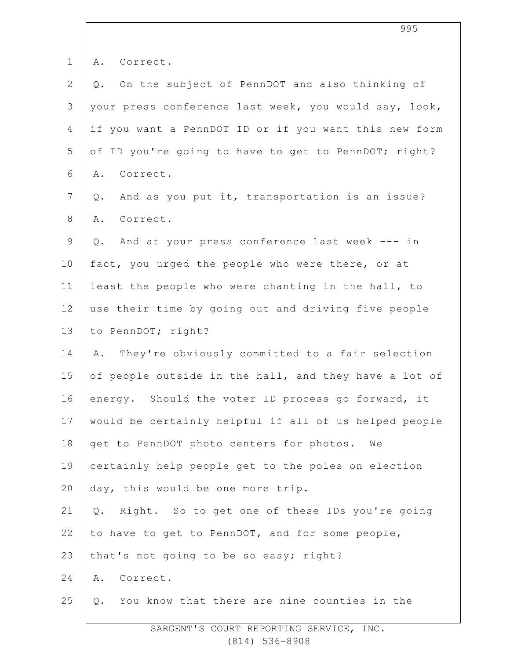| $\mathbf 1$    | Α.<br>Correct.                                        |
|----------------|-------------------------------------------------------|
| $\overline{2}$ | On the subject of PennDOT and also thinking of<br>Q.  |
| 3              | your press conference last week, you would say, look, |
| 4              | if you want a PennDOT ID or if you want this new form |
| 5              | of ID you're going to have to get to PennDOT; right?  |
| 6              | Correct.<br>Α.                                        |
| $\overline{7}$ | And as you put it, transportation is an issue?<br>Q.  |
| 8              | Correct.<br>Α.                                        |
| $\mathsf 9$    | And at your press conference last week --- in<br>Q.   |
| 10             | fact, you urged the people who were there, or at      |
| 11             | least the people who were chanting in the hall, to    |
| 12             | use their time by going out and driving five people   |
| 13             | to PennDOT; right?                                    |
| 14             | They're obviously committed to a fair selection<br>Α. |
| 15             | of people outside in the hall, and they have a lot of |
| 16             | energy. Should the voter ID process go forward, it    |
| 17             | would be certainly helpful if all of us helped people |
| 18             | get to PennDOT photo centers for photos. We           |
| 19             | certainly help people get to the poles on election    |
| 20             | day, this would be one more trip.                     |
| 21             | Q. Right. So to get one of these IDs you're going     |
| 22             | to have to get to PennDOT, and for some people,       |
| 23             | that's not going to be so easy; right?                |
| 24             | Correct.<br>Α.                                        |
| 25             | You know that there are nine counties in the<br>Q.    |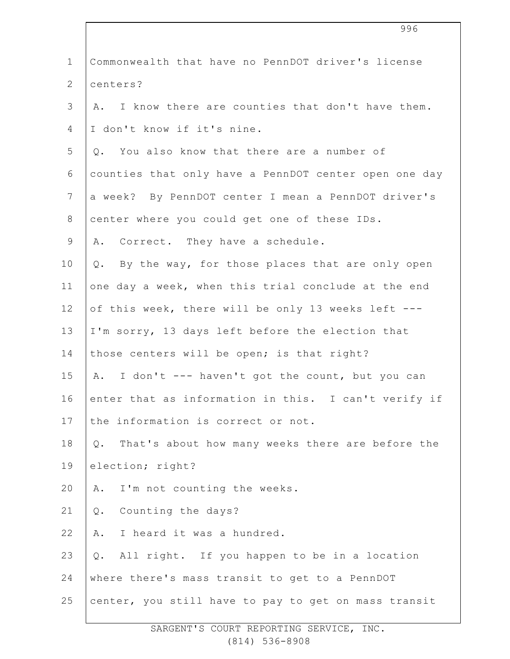| $\mathbf 1$  | Commonwealth that have no PennDOT driver's license        |
|--------------|-----------------------------------------------------------|
| $\mathbf{2}$ | centers?                                                  |
| 3            | A. I know there are counties that don't have them.        |
| 4            | I don't know if it's nine.                                |
| 5            | Q. You also know that there are a number of               |
| 6            | counties that only have a PennDOT center open one day     |
| 7            | a week? By PennDOT center I mean a PennDOT driver's       |
| 8            | center where you could get one of these IDs.              |
| $\mathsf 9$  | A. Correct. They have a schedule.                         |
| 10           | By the way, for those places that are only open<br>Q.     |
| 11           | one day a week, when this trial conclude at the end       |
| 12           | of this week, there will be only 13 weeks left ---        |
| 13           | I'm sorry, 13 days left before the election that          |
| 14           | those centers will be open; is that right?                |
| 15           | A. I don't --- haven't got the count, but you can         |
| 16           | enter that as information in this. I can't verify if      |
| 17           | the information is correct or not.                        |
| 18           | That's about how many weeks there are before the<br>$Q$ . |
| 19           | election; right?                                          |
| 20           | I'm not counting the weeks.<br>Α.                         |
| 21           | Counting the days?<br>$Q$ .                               |
| 22           | I heard it was a hundred.<br>Α.                           |
| 23           | All right. If you happen to be in a location<br>Q.        |
| 24           | where there's mass transit to get to a PennDOT            |
| 25           | center, you still have to pay to get on mass transit      |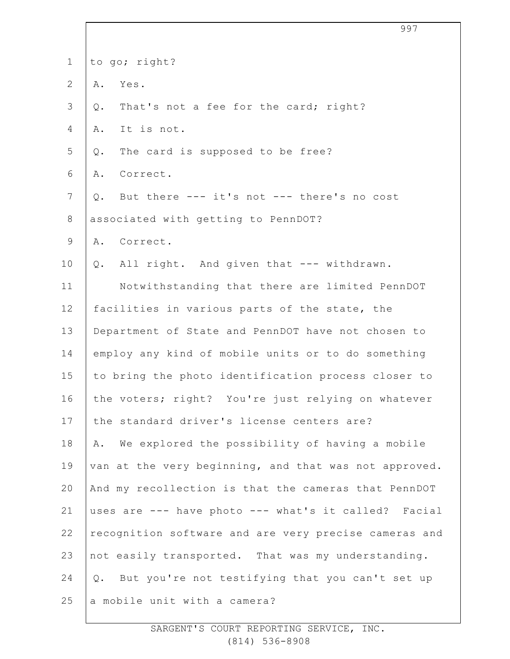|                | 997                                                   |
|----------------|-------------------------------------------------------|
| $\mathbf 1$    | to go; right?                                         |
| $\overline{2}$ | Yes.<br>Α.                                            |
| 3              | That's not a fee for the card; right?<br>$Q$ .        |
| 4              | It is not.<br>Α.                                      |
| 5              | The card is supposed to be free?<br>Q.                |
| 6              | Correct.<br>Α.                                        |
| $\overline{7}$ | But there --- it's not --- there's no cost<br>Q.      |
| $8\,$          | associated with getting to PennDOT?                   |
| $\mathsf 9$    | A. Correct.                                           |
| 10             | All right. And given that --- withdrawn.<br>Q.        |
| 11             | Notwithstanding that there are limited PennDOT        |
| 12             | facilities in various parts of the state, the         |
| 13             | Department of State and PennDOT have not chosen to    |
| 14             | employ any kind of mobile units or to do something    |
| 15             | to bring the photo identification process closer to   |
| 16             | the voters; right? You're just relying on whatever    |
| 17             | the standard driver's license centers are?            |
| 18             | We explored the possibility of having a mobile<br>Α.  |
| 19             | van at the very beginning, and that was not approved. |
| 20             | And my recollection is that the cameras that PennDOT  |
| 21             | uses are --- have photo --- what's it called? Facial  |
| 22             | recognition software and are very precise cameras and |
| 23             | not easily transported. That was my understanding.    |
| 24             | But you're not testifying that you can't set up<br>Q. |
| 25             | a mobile unit with a camera?                          |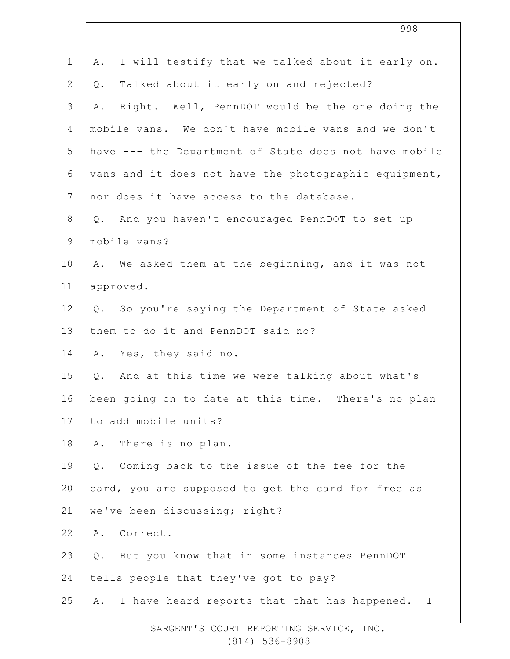| $\mathbf 1$     | I will testify that we talked about it early on.<br>Α. |
|-----------------|--------------------------------------------------------|
| $\mathbf{2}$    | Talked about it early on and rejected?<br>Q.           |
| 3               | Right. Well, PennDOT would be the one doing the<br>Α.  |
| 4               | mobile vans. We don't have mobile vans and we don't    |
| 5               | have --- the Department of State does not have mobile  |
| 6               | vans and it does not have the photographic equipment,  |
| $7\phantom{.0}$ | nor does it have access to the database.               |
| $8\,$           | Q. And you haven't encouraged PennDOT to set up        |
| $\mathsf 9$     | mobile vans?                                           |
| 10              | A. We asked them at the beginning, and it was not      |
| 11              | approved.                                              |
| 12              | Q. So you're saying the Department of State asked      |
| 13              | them to do it and PennDOT said no?                     |
| 14              | A. Yes, they said no.                                  |
| 15              | And at this time we were talking about what's<br>Q.    |
| 16              | been going on to date at this time. There's no plan    |
| 17              | to add mobile units?                                   |
| 18              | There is no plan.<br>Α.                                |
| 19              | Coming back to the issue of the fee for the<br>Q.      |
| 20              | card, you are supposed to get the card for free as     |
| 21              | we've been discussing; right?                          |
| 22              | Correct.<br>Α.                                         |
| 23              | But you know that in some instances PennDOT<br>Q.      |
| 24              | tells people that they've got to pay?                  |
| 25              | I have heard reports that that has happened. I<br>Α.   |
|                 |                                                        |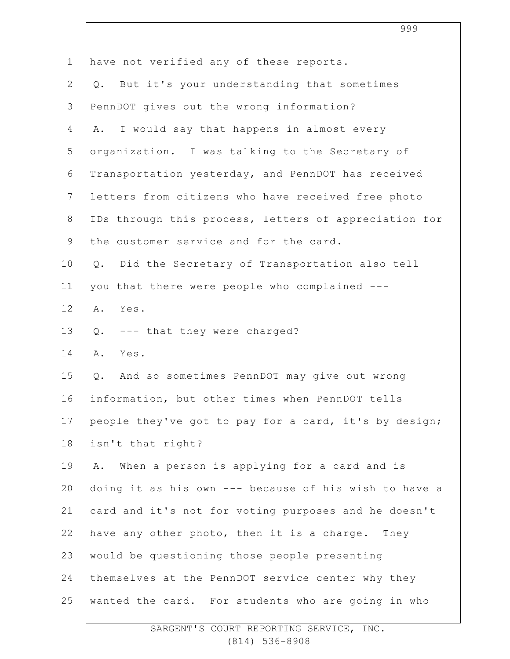|                | 999                                                   |
|----------------|-------------------------------------------------------|
| $\mathbf 1$    | have not verified any of these reports.               |
| $\mathbf{2}$   | But it's your understanding that sometimes<br>Q.      |
| 3              | PennDOT gives out the wrong information?              |
| 4              | I would say that happens in almost every<br>Α.        |
| 5              | organization. I was talking to the Secretary of       |
| 6              | Transportation yesterday, and PennDOT has received    |
| $7\phantom{.}$ | letters from citizens who have received free photo    |
| $8\,$          | IDs through this process, letters of appreciation for |
| $\mathsf 9$    | the customer service and for the card.                |
| 10             | Did the Secretary of Transportation also tell<br>Q.   |
| 11             | you that there were people who complained ---         |
| 12             | Yes.<br>Α.                                            |
| 13             | --- that they were charged?<br>Q.                     |
| 14             | Α.<br>Yes.                                            |
| 15             | Q. And so sometimes PennDOT may give out wrong        |
| 16             | information, but other times when PennDOT tells       |
| 17             | people they've got to pay for a card, it's by design; |
| 18             | isn't that right?                                     |
| 19             | When a person is applying for a card and is<br>Α.     |
| 20             | doing it as his own --- because of his wish to have a |
| 21             | card and it's not for voting purposes and he doesn't  |
| 22             | have any other photo, then it is a charge. They       |
| 23             | would be questioning those people presenting          |
| 24             | themselves at the PennDOT service center why they     |
| 25             | wanted the card. For students who are going in who    |

SARGENT'S COURT REPORTING SERVICE, INC. (814) 536-8908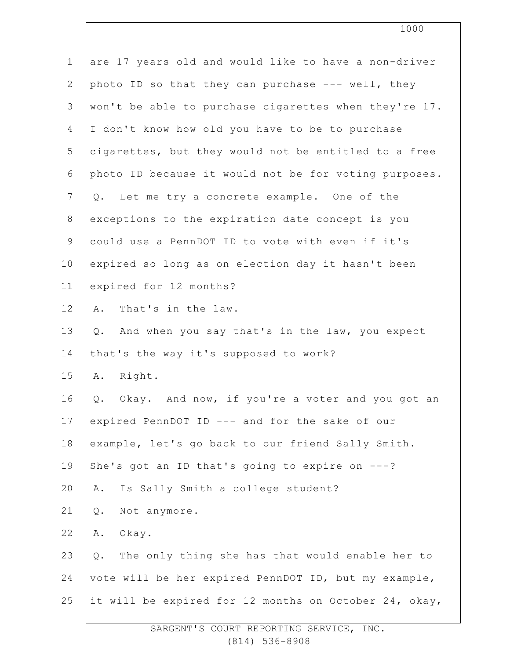| $\mathbf 1$    | are 17 years old and would like to have a non-driver     |
|----------------|----------------------------------------------------------|
| $\overline{2}$ | photo ID so that they can purchase --- well, they        |
| 3              | won't be able to purchase cigarettes when they're 17.    |
| $\overline{4}$ | I don't know how old you have to be to purchase          |
| 5              | cigarettes, but they would not be entitled to a free     |
| 6              | photo ID because it would not be for voting purposes.    |
| $\overline{7}$ | Q. Let me try a concrete example. One of the             |
| $8\,$          | exceptions to the expiration date concept is you         |
| $\overline{9}$ | could use a PennDOT ID to vote with even if it's         |
| 10             | expired so long as on election day it hasn't been        |
| 11             | expired for 12 months?                                   |
| 12             | That's in the law.<br>Α.                                 |
| 13             | And when you say that's in the law, you expect<br>Q.     |
| 14             | that's the way it's supposed to work?                    |
| 15             | Right.<br>Α.                                             |
| 16             | Okay. And now, if you're a voter and you got an<br>Q.    |
| 17             | expired PennDOT ID --- and for the sake of our           |
| 18             | example, let's go back to our friend Sally Smith.        |
| 19             | She's got an ID that's going to expire on ---?           |
| 20             | Is Sally Smith a college student?<br>Α.                  |
| 21             | Not anymore.<br>Q.                                       |
| 22             | Okay.<br>Α.                                              |
| 23             | The only thing she has that would enable her to<br>$Q$ . |
| 24             | vote will be her expired PennDOT ID, but my example,     |
| 25             | it will be expired for 12 months on October 24, okay,    |
|                |                                                          |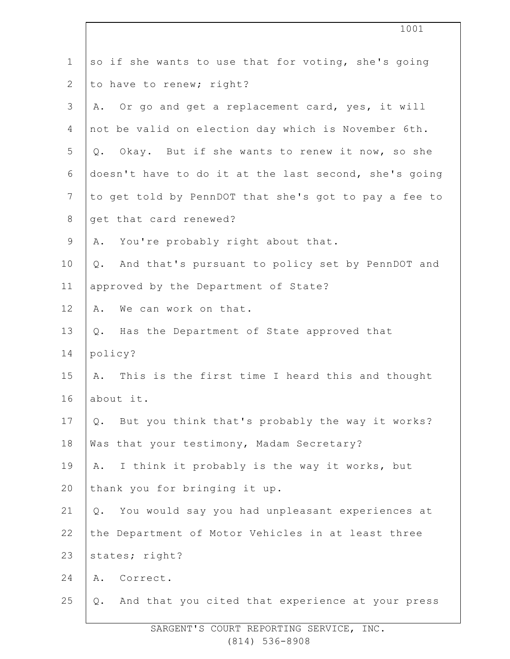|                | 1001                                                             |
|----------------|------------------------------------------------------------------|
| $\mathbf 1$    | so if she wants to use that for voting, she's going              |
| $\overline{2}$ | to have to renew; right?                                         |
| 3              | Or go and get a replacement card, yes, it will<br>Α.             |
| 4              | not be valid on election day which is November 6th.              |
| 5              | Q. Okay. But if she wants to renew it now, so she                |
| 6              | doesn't have to do it at the last second, she's going            |
| $\overline{7}$ | to get told by PennDOT that she's got to pay a fee to            |
| $8\,$          | get that card renewed?                                           |
| $\mathsf 9$    | A. You're probably right about that.                             |
| 10             | And that's pursuant to policy set by PennDOT and<br>$Q$ .        |
| 11             | approved by the Department of State?                             |
| 12             | We can work on that.<br>Α.                                       |
| 13             | Q. Has the Department of State approved that                     |
| 14             | policy?                                                          |
| 15             | This is the first time I heard this and thought<br>Α.            |
| 16             | about it.                                                        |
| 17             | But you think that's probably the way it works?<br>$Q_{\bullet}$ |
| 18             | Was that your testimony, Madam Secretary?                        |
| 19             | I think it probably is the way it works, but<br>Α.               |
| 20             | thank you for bringing it up.                                    |
| 21             | You would say you had unpleasant experiences at<br>Q.            |
| 22             | the Department of Motor Vehicles in at least three               |
| 23             | states; right?                                                   |
| 24             | Correct.<br>Α.                                                   |
| 25             | And that you cited that experience at your press<br>Q.           |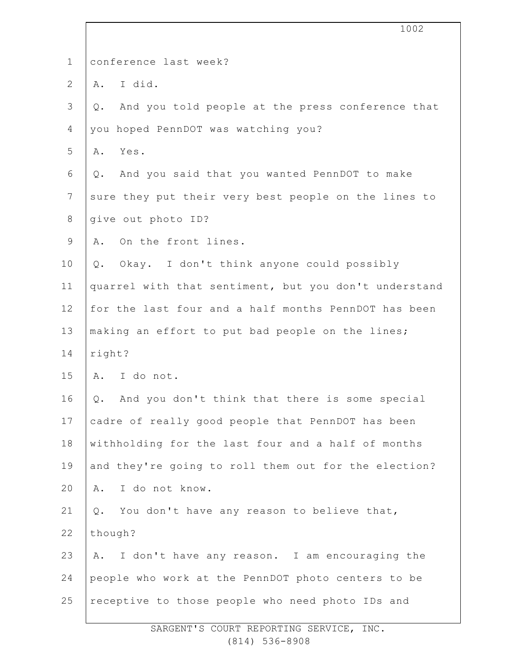|                | 1002                                                   |
|----------------|--------------------------------------------------------|
| $\mathbf 1$    | conference last week?                                  |
| $\mathbf{2}$   | I did.<br>Α.                                           |
| 3              | And you told people at the press conference that<br>Q. |
| $\overline{4}$ | you hoped PennDOT was watching you?                    |
| 5              | Yes.<br>Α.                                             |
| 6              | And you said that you wanted PennDOT to make<br>Q.     |
| $\overline{7}$ | sure they put their very best people on the lines to   |
| $8\,$          | give out photo ID?                                     |
| $\mathsf 9$    | On the front lines.<br>Α.                              |
| 10             | Okay. I don't think anyone could possibly<br>Q.        |
| 11             | quarrel with that sentiment, but you don't understand  |
|                |                                                        |
| 12             | for the last four and a half months PennDOT has been   |
| 13             | making an effort to put bad people on the lines;       |
| 14             | right?                                                 |
| 15             | I do not.<br>Α.                                        |
| 16             | Q. And you don't think that there is some special      |
| 17             | cadre of really good people that PennDOT has been      |
| 18             | withholding for the last four and a half of months     |
| 19             | and they're going to roll them out for the election?   |
| 20             | I do not know.<br>Α.                                   |
| 21             | You don't have any reason to believe that,<br>Q.       |
| 22             | though?                                                |
| 23             | I don't have any reason. I am encouraging the<br>Α.    |
| 24             | people who work at the PennDOT photo centers to be     |
| 25             | receptive to those people who need photo IDs and       |

SARGENT'S COURT REPORTING SERVICE, INC. (814) 536-8908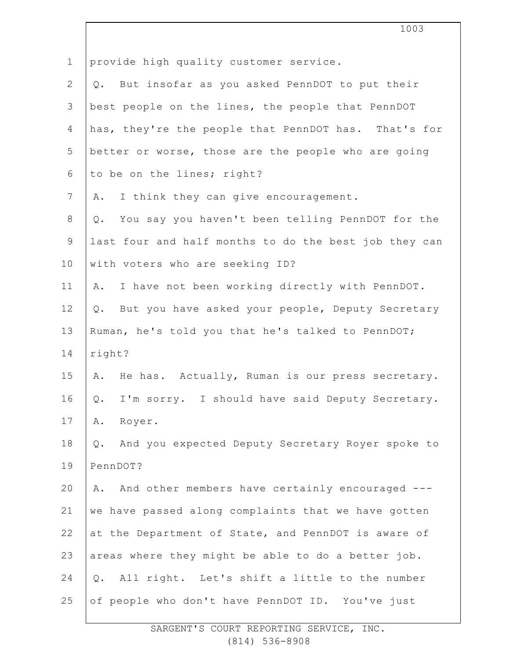|                | 1003                                                              |
|----------------|-------------------------------------------------------------------|
| $\mathbf 1$    | provide high quality customer service.                            |
| $\mathbf{2}$   | But insofar as you asked PennDOT to put their<br>Q.               |
| 3              | best people on the lines, the people that PennDOT                 |
| 4              | has, they're the people that PennDOT has. That's for              |
| 5              | better or worse, those are the people who are going               |
| 6              | to be on the lines; right?                                        |
| $7\phantom{.}$ | I think they can give encouragement.<br>Α.                        |
| 8              | You say you haven't been telling PennDOT for the<br>Q.            |
| $\mathsf 9$    | last four and half months to do the best job they can             |
| 10             | with voters who are seeking ID?                                   |
| 11             | I have not been working directly with PennDOT.<br>Α.              |
| 12             | But you have asked your people, Deputy Secretary<br>Q.            |
| 13             | Ruman, he's told you that he's talked to PennDOT;                 |
| 14             | right?                                                            |
| 15             | A. He has. Actually, Ruman is our press secretary.                |
| 16             | I'm sorry. I should have said Deputy Secretary.<br>$\mathsf{Q}$ . |
| 17             | Α.<br>Royer.                                                      |
| 18             | And you expected Deputy Secretary Royer spoke to<br>$Q$ .         |
| 19             | PennDOT?                                                          |
| 20             | And other members have certainly encouraged ---<br>Α.             |
| 21             | we have passed along complaints that we have gotten               |
| 22             | at the Department of State, and PennDOT is aware of               |
| 23             | areas where they might be able to do a better job.                |
| 24             | All right. Let's shift a little to the number<br>$Q$ .            |
| 25             | of people who don't have PennDOT ID. You've just                  |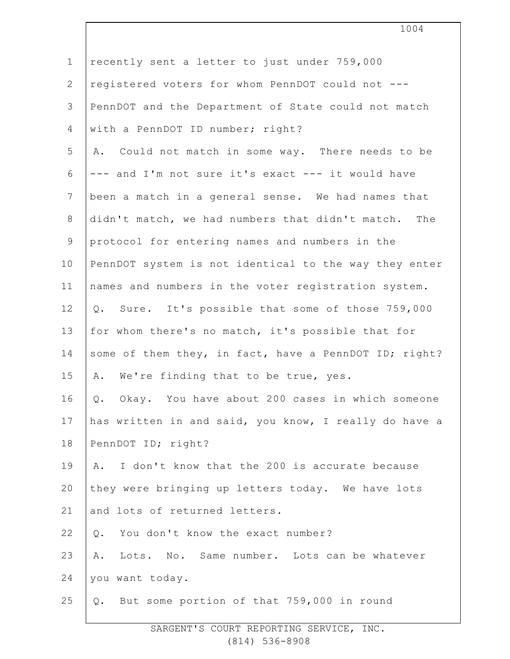| $\mathbf 1$    | recently sent a letter to just under 759,000          |
|----------------|-------------------------------------------------------|
| $\mathbf{2}$   | registered voters for whom PennDOT could not ---      |
| 3              | PennDOT and the Department of State could not match   |
| 4              | with a PennDOT ID number; right?                      |
| 5              | A. Could not match in some way. There needs to be     |
| 6              | --- and I'm not sure it's exact --- it would have     |
| $7\phantom{.}$ | been a match in a general sense. We had names that    |
| $8\,$          | didn't match, we had numbers that didn't match. The   |
| 9              | protocol for entering names and numbers in the        |
| 10             | PennDOT system is not identical to the way they enter |
| 11             | names and numbers in the voter registration system.   |
| 12             | Sure. It's possible that some of those 759,000<br>Q.  |
| 13             | for whom there's no match, it's possible that for     |
| 14             | some of them they, in fact, have a PennDOT ID; right? |
| 15             | A. We're finding that to be true, yes.                |
| 16             | Okay. You have about 200 cases in which someone<br>Q. |
| 17             | has written in and said, you know, I really do have a |
| 18             | PennDOT ID; right?                                    |
| 19             | I don't know that the 200 is accurate because<br>Α.   |
| 20             | they were bringing up letters today. We have lots     |
| 21             | and lots of returned letters.                         |
| 22             | You don't know the exact number?<br>$Q$ .             |
| 23             | Lots. No. Same number. Lots can be whatever<br>Α.     |
| 24             | you want today.                                       |
| 25             | But some portion of that 759,000 in round<br>Q.       |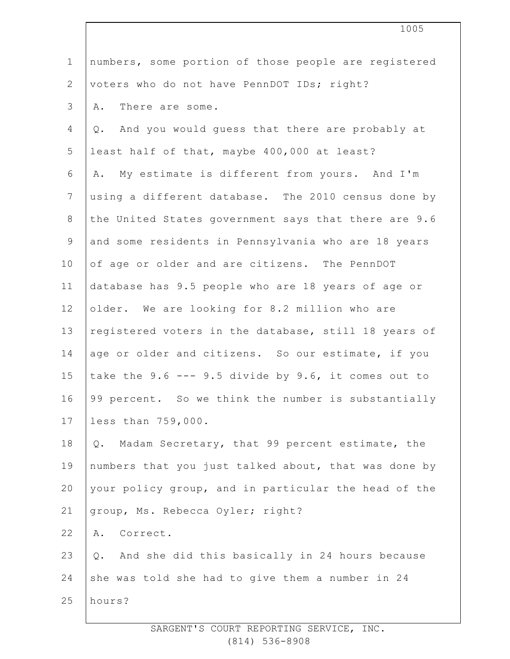|                | 1005                                                       |
|----------------|------------------------------------------------------------|
| $\mathbf 1$    | numbers, some portion of those people are registered       |
| $\overline{2}$ | voters who do not have PennDOT IDs; right?                 |
| 3              | There are some.<br>Α.                                      |
| 4              | Q. And you would guess that there are probably at          |
| 5              | least half of that, maybe 400,000 at least?                |
| 6              | My estimate is different from yours. And I'm<br>Α.         |
| $7\phantom{.}$ | using a different database. The 2010 census done by        |
| $8\,$          | the United States government says that there are 9.6       |
| $\mathsf 9$    | and some residents in Pennsylvania who are 18 years        |
| 10             | of age or older and are citizens. The PennDOT              |
| 11             | database has 9.5 people who are 18 years of age or         |
| 12             | older. We are looking for 8.2 million who are              |
| 13             | registered voters in the database, still 18 years of       |
| 14             | age or older and citizens. So our estimate, if you         |
| 15             | take the $9.6$ --- $9.5$ divide by $9.6$ , it comes out to |
| 16             | 99 percent. So we think the number is substantially        |
| 17             | less than 759,000.                                         |
| 18             | Madam Secretary, that 99 percent estimate, the<br>Q.       |
| 19             | numbers that you just talked about, that was done by       |
| 20             | your policy group, and in particular the head of the       |
| 21             | group, Ms. Rebecca Oyler; right?                           |
| 22             | Correct.<br>Α.                                             |
| 23             | And she did this basically in 24 hours because<br>Q.       |
| 24             | she was told she had to give them a number in 24           |
| 25             | hours?                                                     |
|                |                                                            |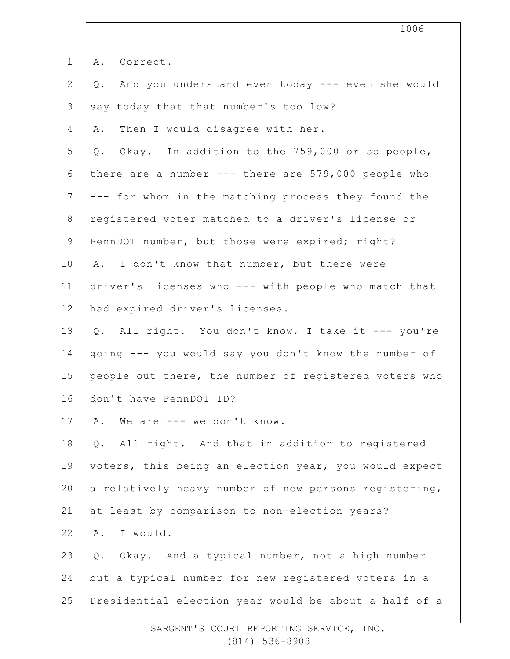|                | 1006                                                   |
|----------------|--------------------------------------------------------|
| $\mathbf 1$    | A. Correct.                                            |
| 2              | And you understand even today --- even she would<br>Q. |
| 3              | say today that that number's too low?                  |
| 4              | Then I would disagree with her.<br>Α.                  |
| 5              | Q. Okay. In addition to the 759,000 or so people,      |
| 6              | there are a number $---$ there are 579,000 people who  |
| $\overline{7}$ | --- for whom in the matching process they found the    |
| $8\,$          | registered voter matched to a driver's license or      |
| $\mathsf 9$    | PennDOT number, but those were expired; right?         |
| 10             | I don't know that number, but there were<br>Α.         |
| 11             | driver's licenses who --- with people who match that   |
| 12             | had expired driver's licenses.                         |
| 13             | Q. All right. You don't know, I take it --- you're     |
| 14             | going --- you would say you don't know the number of   |
| 15             | people out there, the number of registered voters who  |
| 16             | don't have PennDOT ID?                                 |
| 17             | We are --- we don't know.<br>Α.                        |
| 18             | All right. And that in addition to registered<br>$Q$ . |
| 19             | voters, this being an election year, you would expect  |
| 20             | a relatively heavy number of new persons registering,  |
| 21             | at least by comparison to non-election years?          |
| 22             | I would.<br>Α.                                         |
| 23             | Okay. And a typical number, not a high number<br>Q.    |
| 24             | but a typical number for new registered voters in a    |
| 25             | Presidential election year would be about a half of a  |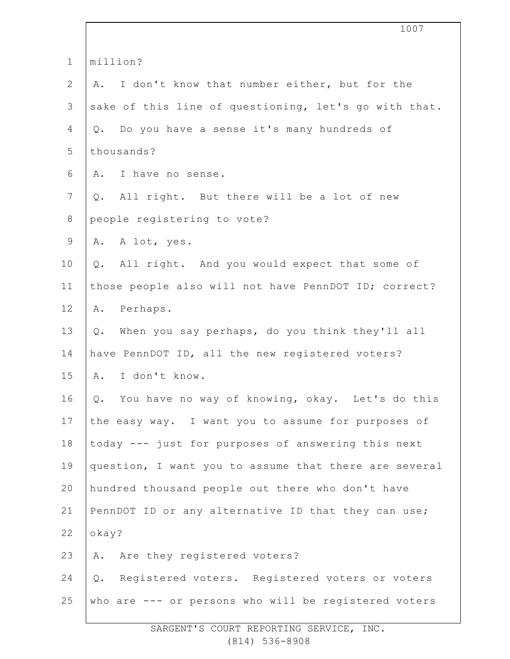|                | 1007                                                  |  |  |
|----------------|-------------------------------------------------------|--|--|
| $\mathbf 1$    | million?                                              |  |  |
| $\mathbf{2}$   | I don't know that number either, but for the<br>Α.    |  |  |
| $\mathcal{S}$  | sake of this line of questioning, let's go with that. |  |  |
| 4              | Do you have a sense it's many hundreds of<br>Q.       |  |  |
| 5              | thousands?                                            |  |  |
| 6              | I have no sense.<br>Α.                                |  |  |
| $7\phantom{.}$ | All right. But there will be a lot of new<br>Q.       |  |  |
| $8\,$          | people registering to vote?                           |  |  |
| $\mathsf 9$    | A. A lot, yes.                                        |  |  |
| 10             | All right. And you would expect that some of<br>$Q$ . |  |  |
| 11             | those people also will not have PennDOT ID; correct?  |  |  |
| 12             | Perhaps.<br>Α.                                        |  |  |
| 13             | When you say perhaps, do you think they'll all<br>Q.  |  |  |
| 14             | have PennDOT ID, all the new registered voters?       |  |  |
| 15             | I don't know.<br>Α.                                   |  |  |
| 16             | Q. You have no way of knowing, okay. Let's do this    |  |  |
| 17             | the easy way. I want you to assume for purposes of    |  |  |
| 18             | today --- just for purposes of answering this next    |  |  |
| 19             | question, I want you to assume that there are several |  |  |
| 20             | hundred thousand people out there who don't have      |  |  |
| 21             | PennDOT ID or any alternative ID that they can use;   |  |  |
| 22             | okay?                                                 |  |  |
| 23             | Are they registered voters?<br>Α.                     |  |  |
| 24             | Registered voters. Registered voters or voters<br>Q.  |  |  |
| 25             | who are --- or persons who will be registered voters  |  |  |
|                |                                                       |  |  |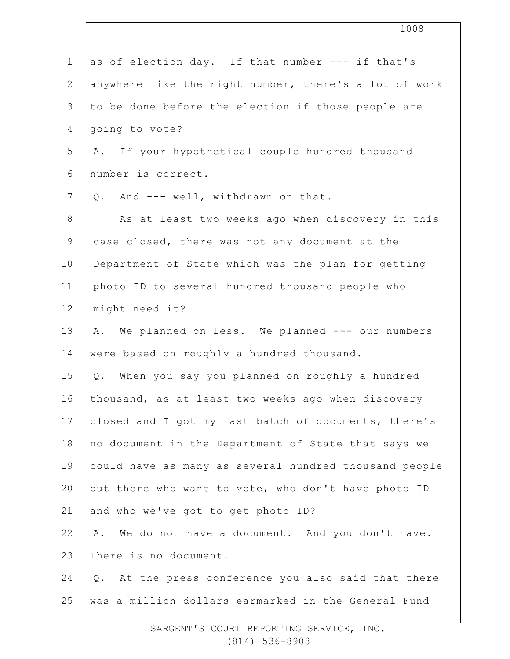|                | 1008                                                   |  |  |  |
|----------------|--------------------------------------------------------|--|--|--|
| $\mathbf 1$    | as of election day. If that number --- if that's       |  |  |  |
| $\mathbf{2}$   | anywhere like the right number, there's a lot of work  |  |  |  |
| 3              | to be done before the election if those people are     |  |  |  |
| 4              | going to vote?                                         |  |  |  |
| 5              | A. If your hypothetical couple hundred thousand        |  |  |  |
| 6              | number is correct.                                     |  |  |  |
| $\overline{7}$ | Q. And --- well, withdrawn on that.                    |  |  |  |
| 8              | As at least two weeks ago when discovery in this       |  |  |  |
| $\mathsf 9$    | case closed, there was not any document at the         |  |  |  |
| 10             | Department of State which was the plan for getting     |  |  |  |
| 11             | photo ID to several hundred thousand people who        |  |  |  |
| 12             | might need it?                                         |  |  |  |
| 13             | A. We planned on less. We planned --- our numbers      |  |  |  |
| 14             | were based on roughly a hundred thousand.              |  |  |  |
| 15             | Q. When you say you planned on roughly a hundred       |  |  |  |
| 16             | thousand, as at least two weeks ago when discovery     |  |  |  |
| 17             | closed and I got my last batch of documents, there's   |  |  |  |
| 18             | no document in the Department of State that says we    |  |  |  |
| 19             | could have as many as several hundred thousand people  |  |  |  |
| 20             | out there who want to vote, who don't have photo ID    |  |  |  |
| 21             | and who we've got to get photo ID?                     |  |  |  |
| 22             | We do not have a document. And you don't have.<br>Α.   |  |  |  |
| 23             | There is no document.                                  |  |  |  |
| 24             | At the press conference you also said that there<br>Q. |  |  |  |
| 25             | was a million dollars earmarked in the General Fund    |  |  |  |
|                |                                                        |  |  |  |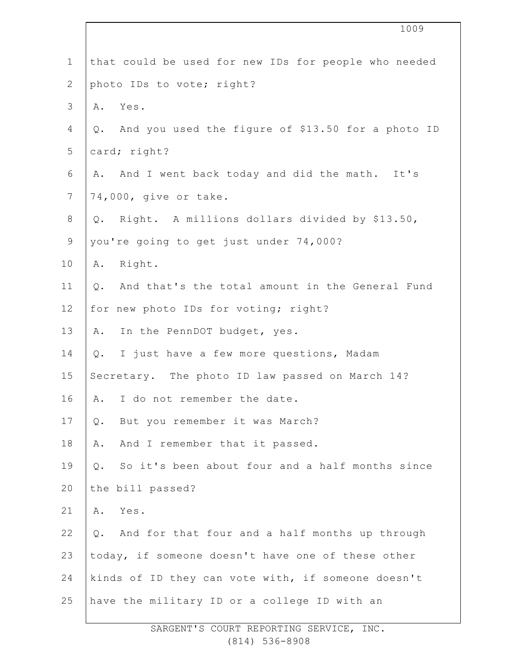|              | 1009                                                     |
|--------------|----------------------------------------------------------|
| $\mathbf 1$  | that could be used for new IDs for people who needed     |
| $\mathbf{2}$ | photo IDs to vote; right?                                |
| 3            | Yes.<br>Α.                                               |
| 4            | And you used the figure of \$13.50 for a photo ID<br>Q.  |
| 5            | card; right?                                             |
| 6            | And I went back today and did the math. It's<br>Α.       |
| 7            | 74,000, give or take.                                    |
| $8\,$        | Right. A millions dollars divided by \$13.50,<br>Q.      |
| $\mathsf 9$  | you're going to get just under 74,000?                   |
| 10           | Right.<br>Α.                                             |
| 11           | And that's the total amount in the General Fund<br>$Q$ . |
| 12           | for new photo IDs for voting; right?                     |
| 13           | In the PennDOT budget, yes.<br>Α.                        |
| 14           | I just have a few more questions, Madam<br>Q.            |
| 15           | Secretary. The photo ID law passed on March 14?          |
| 16           | I do not remember the date.<br>Α.                        |
| 17           | But you remember it was March?<br>Q.                     |
| 18           | And I remember that it passed.<br>Α.                     |
| 19           | So it's been about four and a half months since<br>Q.    |
| 20           | the bill passed?                                         |
| 21           | Yes.<br>Α.                                               |
| 22           | And for that four and a half months up through<br>Q.     |
| 23           | today, if someone doesn't have one of these other        |
| 24           | kinds of ID they can vote with, if someone doesn't       |
| 25           | have the military ID or a college ID with an             |

 $\overline{\phantom{a}}$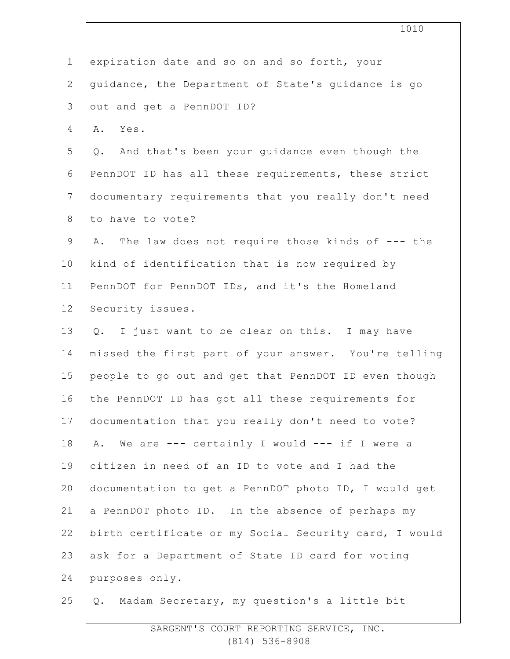|                | 1010                                                  |  |  |  |
|----------------|-------------------------------------------------------|--|--|--|
| $\mathbf{1}$   | expiration date and so on and so forth, your          |  |  |  |
| $\mathbf{2}$   | guidance, the Department of State's guidance is go    |  |  |  |
| 3              | out and get a PennDOT ID?                             |  |  |  |
| 4              | Yes.<br>Α.                                            |  |  |  |
| 5              | Q. And that's been your guidance even though the      |  |  |  |
| 6              | PennDOT ID has all these requirements, these strict   |  |  |  |
| $\overline{7}$ | documentary requirements that you really don't need   |  |  |  |
| 8              | to have to vote?                                      |  |  |  |
| $\mathsf 9$    | The law does not require those kinds of --- the<br>Α. |  |  |  |
| 10             | kind of identification that is now required by        |  |  |  |
| 11             | PennDOT for PennDOT IDs, and it's the Homeland        |  |  |  |
| 12             | Security issues.                                      |  |  |  |
| 13             | Q. I just want to be clear on this. I may have        |  |  |  |
| 14             | missed the first part of your answer. You're telling  |  |  |  |
| 15             | people to go out and get that PennDOT ID even though  |  |  |  |
| 16             | the PennDOT ID has got all these requirements for     |  |  |  |
| 17             | documentation that you really don't need to vote?     |  |  |  |
| 18             | We are --- certainly I would --- if I were a<br>Α.    |  |  |  |
| 19             | citizen in need of an ID to vote and I had the        |  |  |  |
| 20             | documentation to get a PennDOT photo ID, I would get  |  |  |  |
| 21             | a PennDOT photo ID. In the absence of perhaps my      |  |  |  |
| 22             | birth certificate or my Social Security card, I would |  |  |  |
| 23             | ask for a Department of State ID card for voting      |  |  |  |
| 24             | purposes only.                                        |  |  |  |
| 25             | Madam Secretary, my question's a little bit<br>Q.     |  |  |  |
|                |                                                       |  |  |  |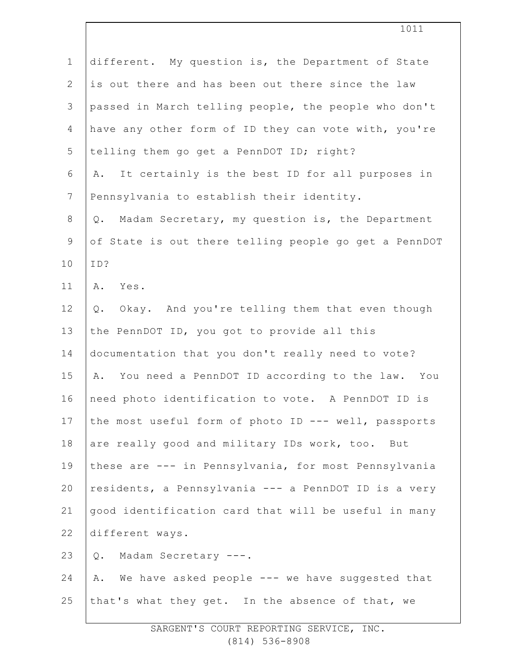| $\mathbf 1$    | different. My question is, the Department of State      |
|----------------|---------------------------------------------------------|
| $\mathbf{2}$   | is out there and has been out there since the law       |
| 3              | passed in March telling people, the people who don't    |
| 4              | have any other form of ID they can vote with, you're    |
| 5              | telling them go get a PennDOT ID; right?                |
| 6              | It certainly is the best ID for all purposes in<br>Α.   |
| $\overline{7}$ | Pennsylvania to establish their identity.               |
| 8              | Madam Secretary, my question is, the Department<br>Q.   |
| 9              | of State is out there telling people go get a PennDOT   |
| 10             | ID?                                                     |
| 11             | Α.<br>Yes.                                              |
| 12             | Okay. And you're telling them that even though<br>$Q$ . |
| 13             | the PennDOT ID, you got to provide all this             |
| 14             | documentation that you don't really need to vote?       |
| 15             | A. You need a PennDOT ID according to the law. You      |
| 16             | need photo identification to vote. A PennDOT ID is      |
| 17             | the most useful form of photo ID --- well, passports    |
| 18             | are really good and military IDs work, too. But         |
| 19             | these are --- in Pennsylvania, for most Pennsylvania    |
| 20             | residents, a Pennsylvania --- a PennDOT ID is a very    |
| 21             | good identification card that will be useful in many    |
| 22             | different ways.                                         |
| 23             | Madam Secretary ---.<br>Q.                              |
| 24             | A. We have asked people --- we have suggested that      |
| 25             | that's what they get. In the absence of that, we        |
|                |                                                         |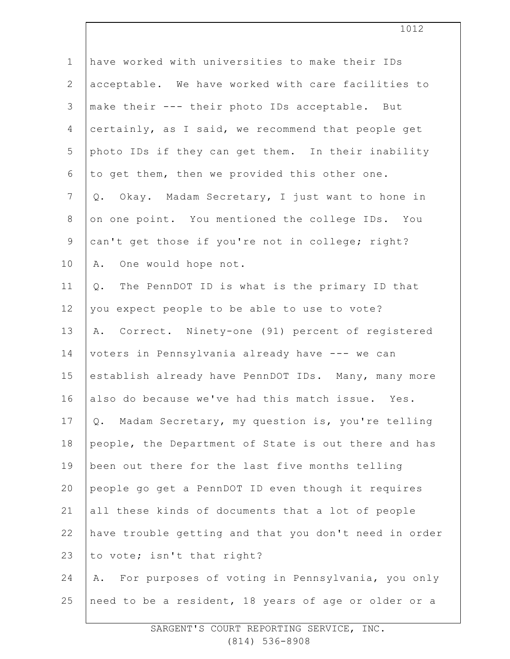| $\mathbf 1$     | have worked with universities to make their IDs       |
|-----------------|-------------------------------------------------------|
| 2               | acceptable. We have worked with care facilities to    |
| $\mathcal{S}$   | make their --- their photo IDs acceptable. But        |
| $\overline{4}$  | certainly, as I said, we recommend that people get    |
| 5               | photo IDs if they can get them. In their inability    |
| 6               | to get them, then we provided this other one.         |
| $7\phantom{.0}$ | Q. Okay. Madam Secretary, I just want to hone in      |
| $8\,$           | on one point. You mentioned the college IDs. You      |
| 9               | can't get those if you're not in college; right?      |
| 10              | One would hope not.<br>Α.                             |
| 11              | The PennDOT ID is what is the primary ID that<br>Q.   |
| 12              | you expect people to be able to use to vote?          |
| 13              | A. Correct. Ninety-one (91) percent of registered     |
| 14              | voters in Pennsylvania already have --- we can        |
| 15              | establish already have PennDOT IDs. Many, many more   |
| 16              | also do because we've had this match issue. Yes.      |
| 17              | Q. Madam Secretary, my question is, you're telling    |
| 18              | people, the Department of State is out there and has  |
| 19              | been out there for the last five months telling       |
| 20              | people go get a PennDOT ID even though it requires    |
| 21              | all these kinds of documents that a lot of people     |
| 22              | have trouble getting and that you don't need in order |
| 23              | to vote; isn't that right?                            |
| 24              | A. For purposes of voting in Pennsylvania, you only   |
| 25              | need to be a resident, 18 years of age or older or a  |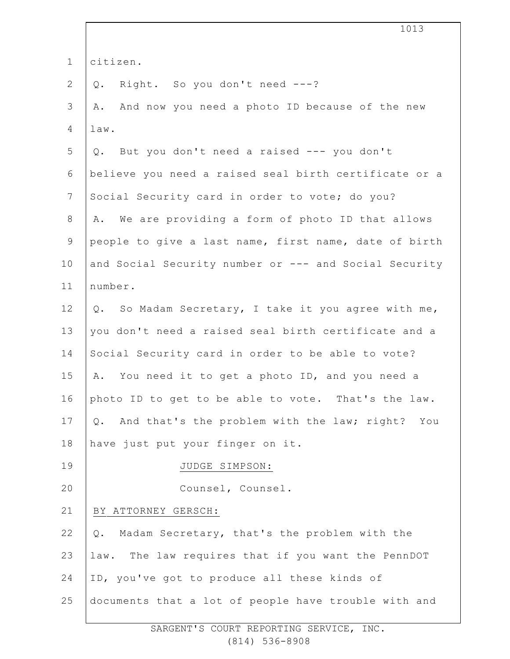|                | 1013                                                     |  |  |  |
|----------------|----------------------------------------------------------|--|--|--|
| $\mathbf 1$    | citizen.                                                 |  |  |  |
| 2              | Right. So you don't need ---?<br>Q.                      |  |  |  |
| 3              | And now you need a photo ID because of the new<br>Α.     |  |  |  |
| 4              | law.                                                     |  |  |  |
| 5              | Q. But you don't need a raised --- you don't             |  |  |  |
| 6              | believe you need a raised seal birth certificate or a    |  |  |  |
| $7\phantom{.}$ | Social Security card in order to vote; do you?           |  |  |  |
| 8              | We are providing a form of photo ID that allows<br>Α.    |  |  |  |
| $\mathsf 9$    | people to give a last name, first name, date of birth    |  |  |  |
| 10             | and Social Security number or --- and Social Security    |  |  |  |
| 11             | number.                                                  |  |  |  |
| 12             | Q. So Madam Secretary, I take it you agree with me,      |  |  |  |
| 13             | you don't need a raised seal birth certificate and a     |  |  |  |
| 14             | Social Security card in order to be able to vote?        |  |  |  |
| 15             | You need it to get a photo ID, and you need a<br>Α.      |  |  |  |
| 16             | photo ID to get to be able to vote. That's the law.      |  |  |  |
| 17             | And that's the problem with the law; right? You<br>$Q$ . |  |  |  |
| 18             | have just put your finger on it.                         |  |  |  |
| 19             | JUDGE SIMPSON:                                           |  |  |  |
| 20             | Counsel, Counsel.                                        |  |  |  |
| 21             | BY ATTORNEY GERSCH:                                      |  |  |  |
| 22             | Madam Secretary, that's the problem with the<br>Q.       |  |  |  |
| 23             | law. The law requires that if you want the PennDOT       |  |  |  |
| 24             | ID, you've got to produce all these kinds of             |  |  |  |
| 25             | documents that a lot of people have trouble with and     |  |  |  |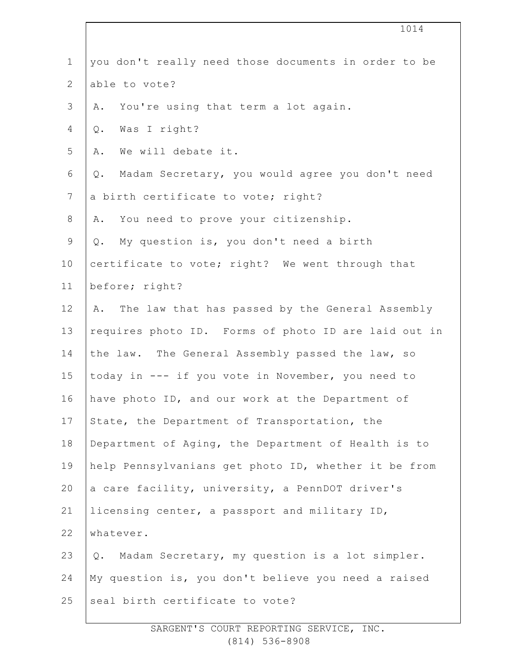|                | 1014                                                  |  |
|----------------|-------------------------------------------------------|--|
| $\mathbf 1$    | you don't really need those documents in order to be  |  |
| $\mathbf{2}$   | able to vote?                                         |  |
| 3              | You're using that term a lot again.<br>Α.             |  |
| 4              | Was I right?<br>$Q$ .                                 |  |
| 5              | We will debate it.<br>Α.                              |  |
| $\sqrt{6}$     | Madam Secretary, you would agree you don't need<br>Q. |  |
| $7\phantom{.}$ | a birth certificate to vote; right?                   |  |
| $8\,$          | You need to prove your citizenship.<br>Α.             |  |
| $\mathsf 9$    | My question is, you don't need a birth<br>Q.          |  |
| 10             | certificate to vote; right? We went through that      |  |
| 11             | before; right?                                        |  |
| 12             | The law that has passed by the General Assembly<br>Α. |  |
| 13             | requires photo ID. Forms of photo ID are laid out in  |  |
| 14             | the law. The General Assembly passed the law, so      |  |
| 15             | today in --- if you vote in November, you need to     |  |
| 16             | have photo ID, and our work at the Department of      |  |
| 17             | State, the Department of Transportation, the          |  |
| 18             | Department of Aging, the Department of Health is to   |  |
| 19             | help Pennsylvanians get photo ID, whether it be from  |  |
| 20             | a care facility, university, a PennDOT driver's       |  |
| 21             | licensing center, a passport and military ID,         |  |
| 22             | whatever.                                             |  |
| 23             | Madam Secretary, my question is a lot simpler.<br>Q.  |  |
| 24             | My question is, you don't believe you need a raised   |  |
| 25             | seal birth certificate to vote?                       |  |
|                |                                                       |  |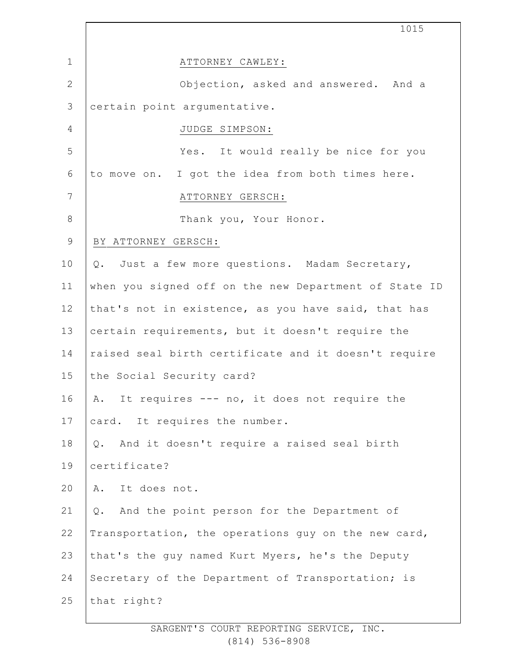|                 | 1015                                                  |
|-----------------|-------------------------------------------------------|
| $\mathbf 1$     | ATTORNEY CAWLEY:                                      |
| $\mathbf{2}$    | Objection, asked and answered. And a                  |
| $\mathfrak{Z}$  | certain point argumentative.                          |
| $\overline{4}$  | JUDGE SIMPSON:                                        |
| 5               | Yes. It would really be nice for you                  |
| 6               | to move on. I got the idea from both times here.      |
| $7\phantom{.0}$ | ATTORNEY GERSCH:                                      |
| $\,8\,$         | Thank you, Your Honor.                                |
| $\mathsf 9$     | BY ATTORNEY GERSCH:                                   |
| 10              | Just a few more questions. Madam Secretary,<br>Q.     |
| 11              | when you signed off on the new Department of State ID |
| 12              | that's not in existence, as you have said, that has   |
| 13              | certain requirements, but it doesn't require the      |
| 14              | raised seal birth certificate and it doesn't require  |
| 15              | the Social Security card?                             |
| 16              | A. It requires --- no, it does not require the        |
| 17              | card. It requires the number.                         |
| 18              | And it doesn't require a raised seal birth<br>Q.      |
| 19              | certificate?                                          |
| 20              | It does not.<br>Α.                                    |
| 21              | And the point person for the Department of<br>Q.      |
| 22              | Transportation, the operations guy on the new card,   |
| 23              | that's the guy named Kurt Myers, he's the Deputy      |
| 24              | Secretary of the Department of Transportation; is     |
| 25              | that right?                                           |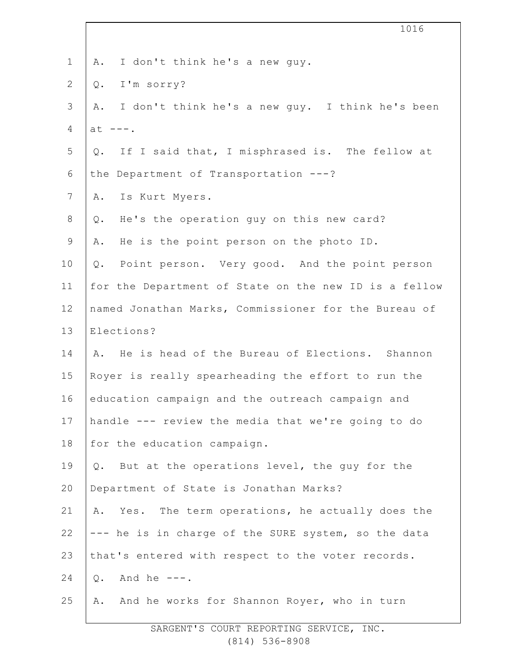| $\mathbf 1$    | I don't think he's a new guy.<br>Α.                   |  |  |  |
|----------------|-------------------------------------------------------|--|--|--|
| $\overline{2}$ | I'm sorry?<br>Q.                                      |  |  |  |
| 3              | I don't think he's a new guy. I think he's been<br>Α. |  |  |  |
| $\overline{4}$ | $at$ ---.                                             |  |  |  |
| 5              | If I said that, I misphrased is. The fellow at<br>Q.  |  |  |  |
| 6              | the Department of Transportation ---?                 |  |  |  |
| $7\phantom{.}$ | Is Kurt Myers.<br>Α.                                  |  |  |  |
| 8              | He's the operation guy on this new card?<br>Q.        |  |  |  |
| $\mathsf 9$    | He is the point person on the photo ID.<br>Α.         |  |  |  |
| 10             | Point person. Very good. And the point person<br>Q.   |  |  |  |
| 11             | for the Department of State on the new ID is a fellow |  |  |  |
| 12             | named Jonathan Marks, Commissioner for the Bureau of  |  |  |  |
| 13             | Elections?                                            |  |  |  |
| 14             | A. He is head of the Bureau of Elections. Shannon     |  |  |  |
| 15             | Royer is really spearheading the effort to run the    |  |  |  |
| 16             | education campaign and the outreach campaign and      |  |  |  |
| 17             | handle --- review the media that we're going to do    |  |  |  |
| 18             | for the education campaign.                           |  |  |  |
| 19             | But at the operations level, the guy for the<br>Q.    |  |  |  |
| 20             | Department of State is Jonathan Marks?                |  |  |  |
| 21             | Yes. The term operations, he actually does the<br>Α.  |  |  |  |
| 22             | --- he is in charge of the SURE system, so the data   |  |  |  |
| 23             | that's entered with respect to the voter records.     |  |  |  |
| 24             | And he $---$ .<br>Q.                                  |  |  |  |
| 25             | And he works for Shannon Royer, who in turn<br>Α.     |  |  |  |
|                |                                                       |  |  |  |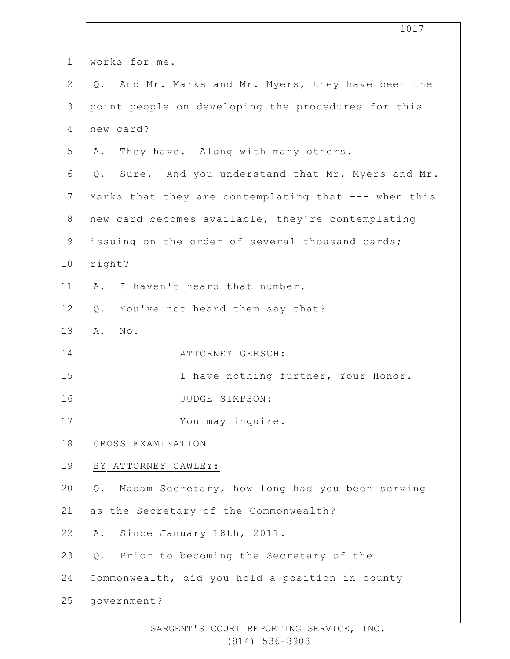|                | 1017                                                    |  |  |
|----------------|---------------------------------------------------------|--|--|
| $\mathbf 1$    | works for me.                                           |  |  |
| $\mathbf{2}$   | And Mr. Marks and Mr. Myers, they have been the<br>Q.   |  |  |
| $\mathfrak{Z}$ | point people on developing the procedures for this      |  |  |
| 4              | new card?                                               |  |  |
| 5              | They have. Along with many others.<br>Α.                |  |  |
| 6              | Sure. And you understand that Mr. Myers and Mr.<br>Q.   |  |  |
| 7              | Marks that they are contemplating that --- when this    |  |  |
| $8\,$          | new card becomes available, they're contemplating       |  |  |
| $\mathsf 9$    | issuing on the order of several thousand cards;         |  |  |
| 10             | right?                                                  |  |  |
| 11             | I haven't heard that number.<br>Α.                      |  |  |
| 12             | You've not heard them say that?<br>Q.                   |  |  |
| 13             | $\mathbb{N}\circ$ .<br>Α.                               |  |  |
| 14             | ATTORNEY GERSCH:                                        |  |  |
| 15             | I have nothing further, Your Honor.                     |  |  |
| 16             | JUDGE SIMPSON:                                          |  |  |
| 17             | You may inquire.                                        |  |  |
| 18             | CROSS EXAMINATION                                       |  |  |
| 19             | BY ATTORNEY CAWLEY:                                     |  |  |
| 20             | Madam Secretary, how long had you been serving<br>$Q$ . |  |  |
| 21             | as the Secretary of the Commonwealth?                   |  |  |
| 22             | Since January 18th, 2011.<br>Α.                         |  |  |
| 23             | Prior to becoming the Secretary of the<br>Q.            |  |  |
| 24             | Commonwealth, did you hold a position in county         |  |  |
| 25             | government?                                             |  |  |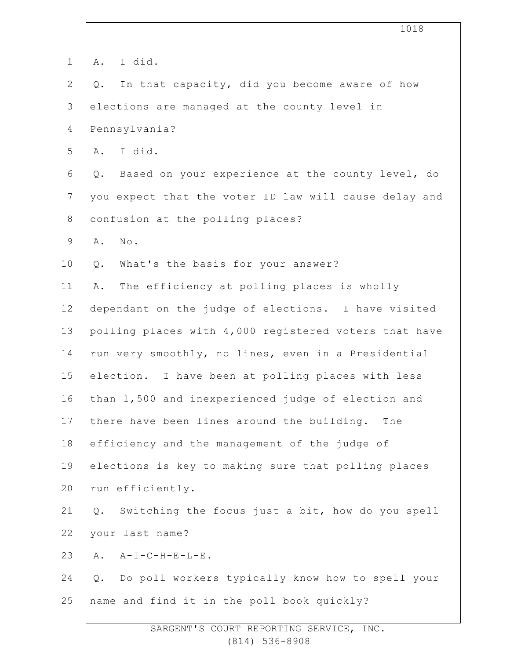|                |                                                     | 1018                                                  |  |
|----------------|-----------------------------------------------------|-------------------------------------------------------|--|
| $\mathbf 1$    | Α.                                                  | I did.                                                |  |
| $\overline{2}$ | Q.                                                  | In that capacity, did you become aware of how         |  |
| $\mathfrak{Z}$ |                                                     | elections are managed at the county level in          |  |
| 4              |                                                     | Pennsylvania?                                         |  |
| 5              |                                                     | A. I did.                                             |  |
| 6              | $Q$ .                                               | Based on your experience at the county level, do      |  |
| $\overline{7}$ |                                                     | you expect that the voter ID law will cause delay and |  |
| $8\,$          |                                                     | confusion at the polling places?                      |  |
| $\mathsf 9$    | Α.                                                  | No.                                                   |  |
| 10             | $Q$ .                                               | What's the basis for your answer?                     |  |
| 11             | Α.                                                  | The efficiency at polling places is wholly            |  |
| 12             | dependant on the judge of elections. I have visited |                                                       |  |
| 13             |                                                     | polling places with 4,000 registered voters that have |  |
| 14             |                                                     | run very smoothly, no lines, even in a Presidential   |  |
| 15             |                                                     | election. I have been at polling places with less     |  |
| 16             |                                                     | than 1,500 and inexperienced judge of election and    |  |
| 17             |                                                     | there have been lines around the building.<br>The     |  |
| 18             |                                                     | efficiency and the management of the judge of         |  |
| 19             | elections is key to making sure that polling places |                                                       |  |
| 20             |                                                     | run efficiently.                                      |  |
| 21             | Q.                                                  | Switching the focus just a bit, how do you spell      |  |
| 22             |                                                     | your last name?                                       |  |
| 23             |                                                     | $A. A-I-C-H-E-L-E.$                                   |  |
| 24             | $Q$ .                                               | Do poll workers typically know how to spell your      |  |
| 25             |                                                     | name and find it in the poll book quickly?            |  |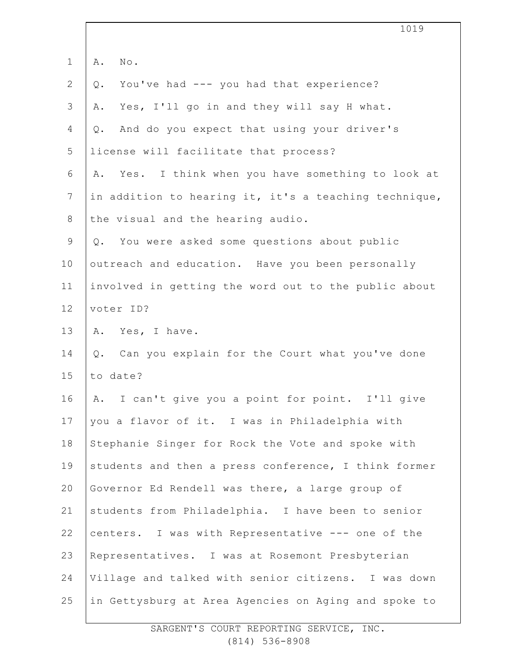|              | 1019                                                  |
|--------------|-------------------------------------------------------|
| $\mathbf{1}$ | Α.<br>No.                                             |
| $\mathbf{2}$ | You've had --- you had that experience?<br>$Q$ .      |
| 3            | Yes, I'll go in and they will say H what.<br>Α.       |
| 4            | And do you expect that using your driver's<br>Q.      |
| 5            | license will facilitate that process?                 |
| 6            | Yes. I think when you have something to look at<br>Α. |
| 7            | in addition to hearing it, it's a teaching technique, |
| $8\,$        | the visual and the hearing audio.                     |
| $\mathsf 9$  | You were asked some questions about public<br>Q.      |
| 10           | outreach and education. Have you been personally      |
| 11           | involved in getting the word out to the public about  |
| 12           | voter ID?                                             |
| 13           | A. Yes, I have.                                       |
| 14           | Can you explain for the Court what you've done<br>Q.  |
| 15           | to date?                                              |
| 16           | A. I can't give you a point for point. I'll give      |
| 17           | you a flavor of it. I was in Philadelphia with        |
| 18           | Stephanie Singer for Rock the Vote and spoke with     |
| 19           | students and then a press conference, I think former  |
| 20           | Governor Ed Rendell was there, a large group of       |
| 21           | students from Philadelphia. I have been to senior     |
| 22           | centers. I was with Representative --- one of the     |
| 23           | Representatives. I was at Rosemont Presbyterian       |
| 24           | Village and talked with senior citizens. I was down   |
| 25           | in Gettysburg at Area Agencies on Aging and spoke to  |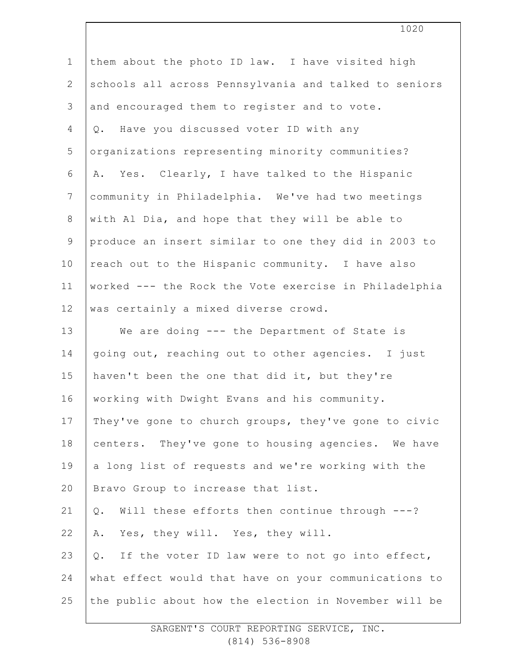| $\mathbf 1$    | them about the photo ID law. I have visited high         |
|----------------|----------------------------------------------------------|
| $\mathbf{2}$   | schools all across Pennsylvania and talked to seniors    |
| 3              | and encouraged them to register and to vote.             |
| $\overline{4}$ | Have you discussed voter ID with any<br>Q.               |
| 5              | organizations representing minority communities?         |
| 6              | A. Yes. Clearly, I have talked to the Hispanic           |
| $7\phantom{.}$ | community in Philadelphia. We've had two meetings        |
| $\,8\,$        | with Al Dia, and hope that they will be able to          |
| $\mathcal{G}$  | produce an insert similar to one they did in 2003 to     |
| 10             | reach out to the Hispanic community. I have also         |
| 11             | worked --- the Rock the Vote exercise in Philadelphia    |
| 12             | was certainly a mixed diverse crowd.                     |
| 13             | We are doing --- the Department of State is              |
| 14             | going out, reaching out to other agencies. I just        |
| 15             | haven't been the one that did it, but they're            |
| 16             | working with Dwight Evans and his community.             |
| 17             | They've gone to church groups, they've gone to civic     |
| 18             | centers. They've gone to housing agencies. We have       |
| 19             | a long list of requests and we're working with the       |
| 20             | Bravo Group to increase that list.                       |
| 21             | Will these efforts then continue through ---?<br>$Q$ .   |
| 22             | Yes, they will. Yes, they will.<br>Α.                    |
| 23             | If the voter ID law were to not go into effect,<br>$Q$ . |
| 24             | what effect would that have on your communications to    |
| 25             | the public about how the election in November will be    |
|                |                                                          |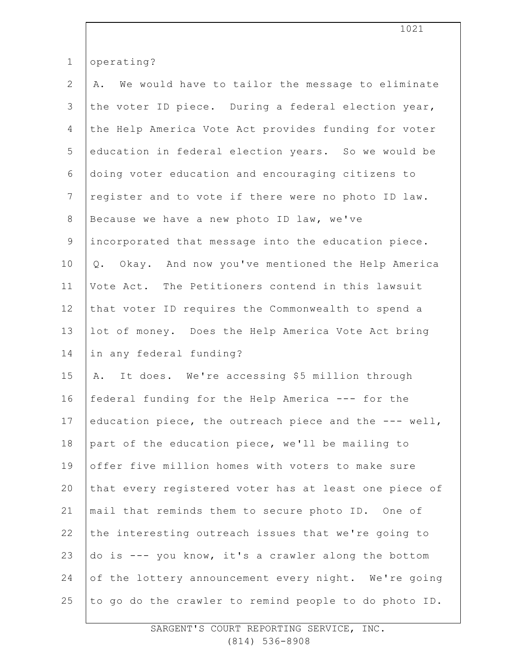| $\mathbf 1$    | operating?                                             |
|----------------|--------------------------------------------------------|
| $\overline{2}$ | We would have to tailor the message to eliminate<br>Α. |
| 3              | the voter ID piece. During a federal election year,    |
| 4              | the Help America Vote Act provides funding for voter   |
| 5              | education in federal election years. So we would be    |
| 6              | doing voter education and encouraging citizens to      |
| $\overline{7}$ | register and to vote if there were no photo ID law.    |
| $8\,$          | Because we have a new photo ID law, we've              |
| $\mathsf 9$    | incorporated that message into the education piece.    |
| 10             | Q. Okay. And now you've mentioned the Help America     |
| 11             | Vote Act. The Petitioners contend in this lawsuit      |
| 12             | that voter ID requires the Commonwealth to spend a     |
| 13             | lot of money. Does the Help America Vote Act bring     |
| 14             | in any federal funding?                                |
| 15             | A. It does. We're accessing \$5 million through        |
| 16             | federal funding for the Help America --- for the       |
| 17             | education piece, the outreach piece and the --- well,  |
| 18             | part of the education piece, we'll be mailing to       |
| 19             | offer five million homes with voters to make sure      |
| 20             | that every registered voter has at least one piece of  |
| 21             | mail that reminds them to secure photo ID. One of      |
| 22             | the interesting outreach issues that we're going to    |
| 23             | do is --- you know, it's a crawler along the bottom    |
| 24             | of the lottery announcement every night. We're going   |
| 25             | to go do the crawler to remind people to do photo ID.  |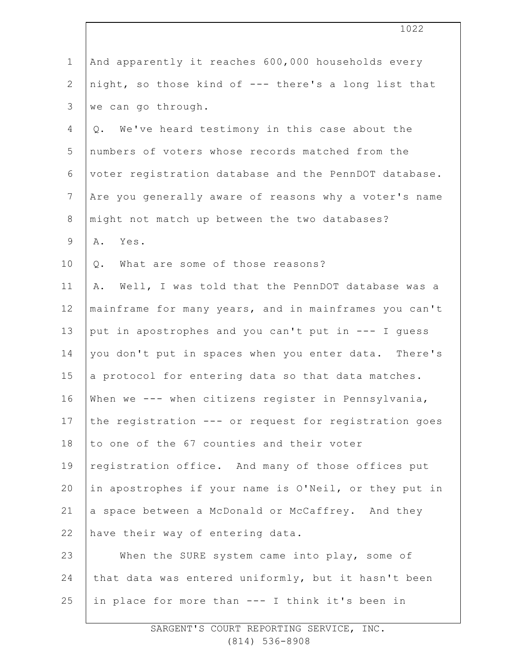|               | 1022                                                   |
|---------------|--------------------------------------------------------|
|               |                                                        |
| $\mathbf 1$   | And apparently it reaches 600,000 households every     |
| $\mathbf{2}$  | night, so those kind of --- there's a long list that   |
| 3             | we can go through.                                     |
| 4             | Q. We've heard testimony in this case about the        |
| 5             | numbers of voters whose records matched from the       |
| 6             | voter registration database and the PennDOT database.  |
| 7             | Are you generally aware of reasons why a voter's name  |
| $8\,$         | might not match up between the two databases?          |
| $\mathcal{G}$ | Yes.<br>Α.                                             |
| 10            | What are some of those reasons?<br>Q.                  |
| 11            | Well, I was told that the PennDOT database was a<br>Α. |
| 12            | mainframe for many years, and in mainframes you can't  |
| 13            | put in apostrophes and you can't put in --- I quess    |
| 14            | you don't put in spaces when you enter data. There's   |
| 15            | a protocol for entering data so that data matches.     |
| 16            | When we --- when citizens register in Pennsylvania,    |
| 17            | the registration --- or request for registration goes  |
| 18            | to one of the 67 counties and their voter              |
| 19            | registration office. And many of those offices put     |
| 20            | in apostrophes if your name is O'Neil, or they put in  |
| 21            | a space between a McDonald or McCaffrey. And they      |
| 22            | have their way of entering data.                       |
| 23            | When the SURE system came into play, some of           |
| 24            | that data was entered uniformly, but it hasn't been    |
| 25            | in place for more than --- I think it's been in        |
|               |                                                        |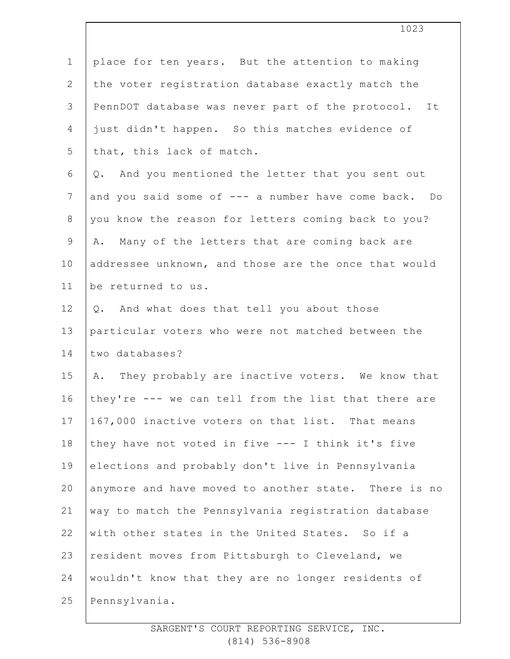| $\mathbf 1$    | place for ten years. But the attention to making     |
|----------------|------------------------------------------------------|
| 2              | the voter registration database exactly match the    |
| 3              | PennDOT database was never part of the protocol. It  |
| 4              | just didn't happen. So this matches evidence of      |
| 5              | that, this lack of match.                            |
| 6              | And you mentioned the letter that you sent out<br>Q. |
| $\overline{7}$ | and you said some of --- a number have come back. Do |
| $8\,$          | you know the reason for letters coming back to you?  |
| $\mathsf 9$    | Many of the letters that are coming back are<br>Α.   |
| 10             | addressee unknown, and those are the once that would |
| 11             | be returned to us.                                   |
| 12             | Q. And what does that tell you about those           |
| 13             | particular voters who were not matched between the   |
| 14             | two databases?                                       |
| 15             | A. They probably are inactive voters. We know that   |
| 16             | they're --- we can tell from the list that there are |
| 17             | 167,000 inactive voters on that list. That means     |
| 18             | they have not voted in five --- I think it's five    |
| 19             | elections and probably don't live in Pennsylvania    |
| 20             | anymore and have moved to another state. There is no |
| 21             | way to match the Pennsylvania registration database  |
| 22             | with other states in the United States. So if a      |
| 23             | resident moves from Pittsburgh to Cleveland, we      |
| 24             | wouldn't know that they are no longer residents of   |
| 25             | Pennsylvania.                                        |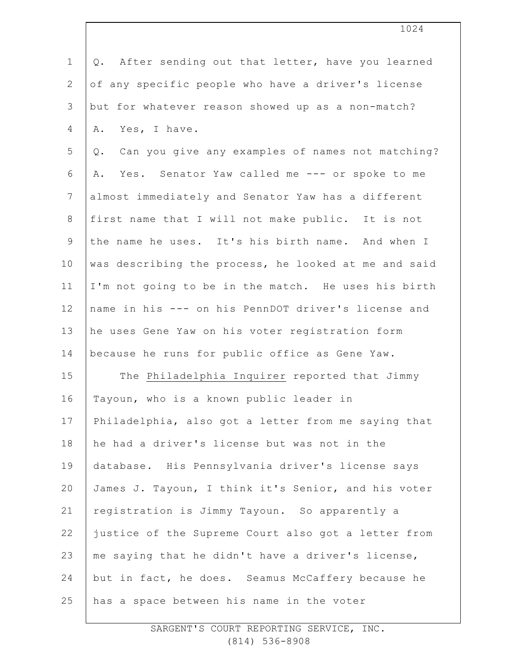1 2 3 4 5 6 7 8 9 10 11 12 13 14 15 16 17 18 19 20 21 22 23 24 25 Q. After sending out that letter, have you learned of any specific people who have a driver's license but for whatever reason showed up as a non-match? A. Yes, I have. Q. Can you give any examples of names not matching? A. Yes. Senator Yaw called me --- or spoke to me almost immediately and Senator Yaw has a different first name that I will not make public. It is not the name he uses. It's his birth name. And when I was describing the process, he looked at me and said I'm not going to be in the match. He uses his birth name in his --- on his PennDOT driver's license and he uses Gene Yaw on his voter registration form because he runs for public office as Gene Yaw. The Philadelphia Inquirer reported that Jimmy Tayoun, who is a known public leader in Philadelphia, also got a letter from me saying that he had a driver's license but was not in the database. His Pennsylvania driver's license says James J. Tayoun, I think it's Senior, and his voter registration is Jimmy Tayoun. So apparently a justice of the Supreme Court also got a letter from me saying that he didn't have a driver's license, but in fact, he does. Seamus McCaffery because he has a space between his name in the voter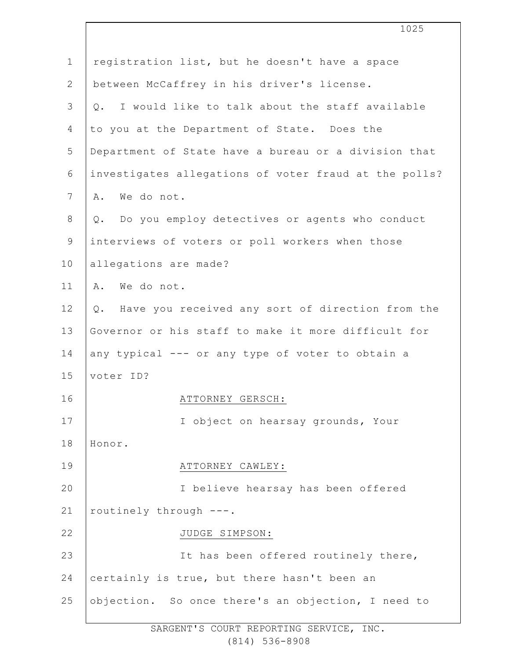|                | 1025                                                  |
|----------------|-------------------------------------------------------|
| $\mathbf 1$    | registration list, but he doesn't have a space        |
| $\mathbf{2}$   | between McCaffrey in his driver's license.            |
| $\mathcal{S}$  | Q. I would like to talk about the staff available     |
| 4              | to you at the Department of State. Does the           |
| 5              | Department of State have a bureau or a division that  |
| 6              | investigates allegations of voter fraud at the polls? |
| $\overline{7}$ | We do not.<br>Α.                                      |
| 8              | Q. Do you employ detectives or agents who conduct     |
| 9              | interviews of voters or poll workers when those       |
| 10             | allegations are made?                                 |
| 11             | We do not.<br>Α.                                      |
| 12             | Q. Have you received any sort of direction from the   |
| 13             | Governor or his staff to make it more difficult for   |
| 14             | any typical --- or any type of voter to obtain a      |
| 15             | voter ID?                                             |
| 16             | ATTORNEY GERSCH:                                      |
| 17             | I object on hearsay grounds, Your                     |
| 18             | Honor.                                                |
| 19             | ATTORNEY CAWLEY:                                      |
| 20             | I believe hearsay has been offered                    |
| 21             | routinely through ---.                                |
| 22             | JUDGE SIMPSON:                                        |
| 23             | It has been offered routinely there,                  |
| 24             | certainly is true, but there hasn't been an           |
| 25             | objection. So once there's an objection, I need to    |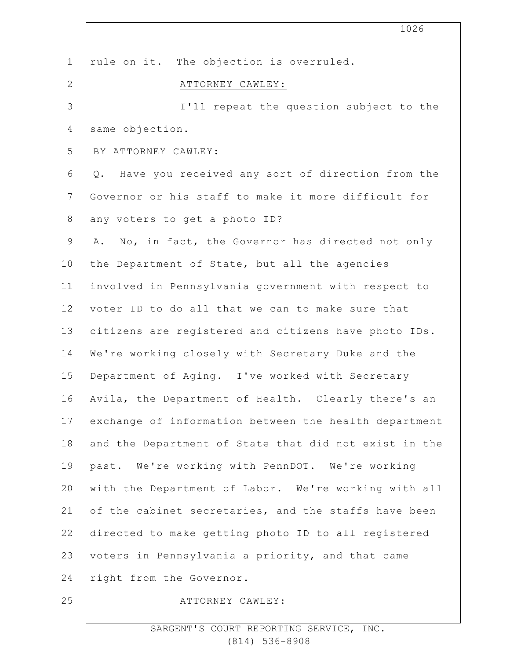|                | 1026                                                   |
|----------------|--------------------------------------------------------|
| $\mathbf 1$    | rule on it. The objection is overruled.                |
| $\mathbf{2}$   | ATTORNEY CAWLEY:                                       |
| 3              | I'll repeat the question subject to the                |
| $\overline{4}$ | same objection.                                        |
| 5              | BY ATTORNEY CAWLEY:                                    |
| $\epsilon$     | Have you received any sort of direction from the<br>Q. |
| $7\phantom{.}$ | Governor or his staff to make it more difficult for    |
| $\,8\,$        | any voters to get a photo ID?                          |
| $\mathsf 9$    | No, in fact, the Governor has directed not only<br>Α.  |
| 10             | the Department of State, but all the agencies          |
| 11             | involved in Pennsylvania government with respect to    |
| 12             | voter ID to do all that we can to make sure that       |
| 13             | citizens are registered and citizens have photo IDs.   |
| 14             | We're working closely with Secretary Duke and the      |
| 15             |                                                        |
|                | Department of Aging. I've worked with Secretary        |
| 16             | Avila, the Department of Health. Clearly there's an    |
| 17             | exchange of information between the health department  |
| 18             | and the Department of State that did not exist in the  |
| 19             | past. We're working with PennDOT. We're working        |
| 20             | with the Department of Labor. We're working with all   |
| 21             | of the cabinet secretaries, and the staffs have been   |
| 22             | directed to make getting photo ID to all registered    |
| 23             | voters in Pennsylvania a priority, and that came       |
| 24             | right from the Governor.                               |
| 25             | ATTORNEY CAWLEY:                                       |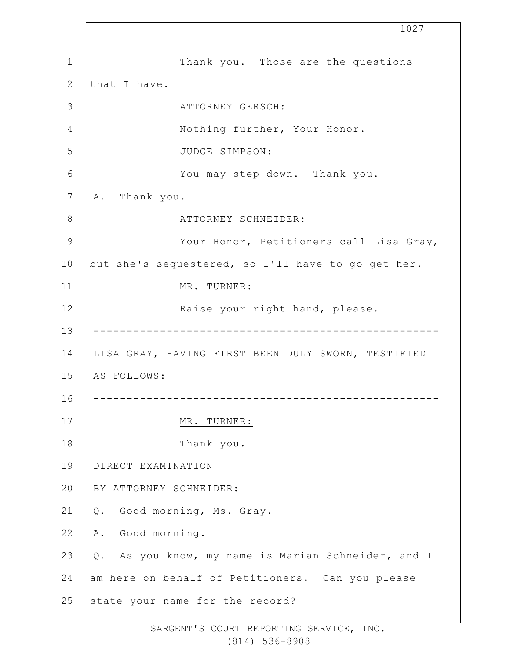1 2 3 4 5 6 7 8 9 10 11 12 13 14 15 16 17 18 19 20 21 22 23 24 25 1027 Thank you. Those are the questions that I have. ATTORNEY GERSCH: Nothing further, Your Honor. JUDGE SIMPSON: You may step down. Thank you. A. Thank you. ATTORNEY SCHNEIDER: Your Honor, Petitioners call Lisa Gray, but she's sequestered, so I'll have to go get her. MR. TURNER: Raise your right hand, please. ---------------------------------------------------- LISA GRAY, HAVING FIRST BEEN DULY SWORN, TESTIFIED AS FOLLOWS: ---------------------------------------------------- MR. TURNER: Thank you. DIRECT EXAMINATION BY ATTORNEY SCHNEIDER: Q. Good morning, Ms. Gray. A. Good morning. Q. As you know, my name is Marian Schneider, and I am here on behalf of Petitioners. Can you please state your name for the record?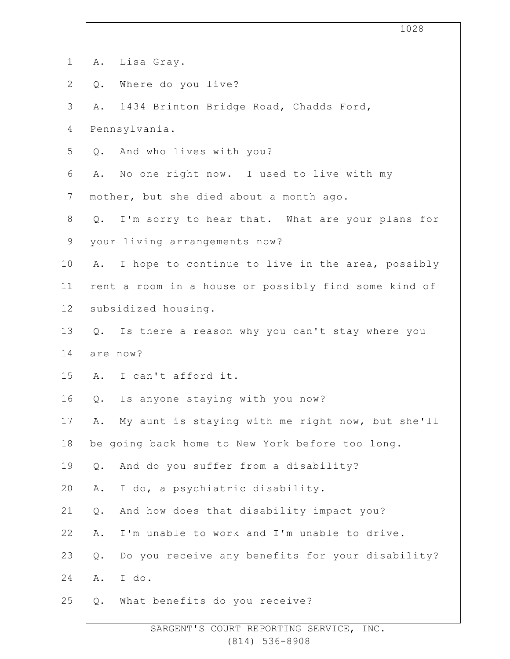| $\mathbf 1$    | Lisa Gray.<br>Α.                                          |
|----------------|-----------------------------------------------------------|
| $\mathbf{2}$   | Where do you live?<br>$Q$ .                               |
| 3              | 1434 Brinton Bridge Road, Chadds Ford,<br>Α.              |
| $\overline{4}$ | Pennsylvania.                                             |
| 5              | And who lives with you?<br>$Q$ .                          |
| $\sqrt{6}$     | No one right now. I used to live with my<br>Α.            |
| $\overline{7}$ | mother, but she died about a month ago.                   |
| $\,8\,$        | I'm sorry to hear that. What are your plans for<br>$Q$ .  |
| $\mathsf 9$    | your living arrangements now?                             |
| 10             | I hope to continue to live in the area, possibly<br>Α.    |
| 11             | rent a room in a house or possibly find some kind of      |
| 12             | subsidized housing.                                       |
| 13             | Is there a reason why you can't stay where you<br>Q.      |
| 14             | are now?                                                  |
| 15             | I can't afford it.<br>A.                                  |
| 16             | Is anyone staying with you now?<br>Q.                     |
| 17             | My aunt is staying with me right now, but she'll<br>Α.    |
| 18             | be going back home to New York before too long.           |
| 19             | And do you suffer from a disability?<br>$Q$ .             |
| 20             | I do, a psychiatric disability.<br>Α.                     |
| 21             | And how does that disability impact you?<br>$Q$ .         |
| 22             | I'm unable to work and I'm unable to drive.<br>Α.         |
| 23             | Do you receive any benefits for your disability?<br>$Q$ . |
| 24             | I do.<br>Α.                                               |
| 25             | What benefits do you receive?<br>$Q$ .                    |
|                |                                                           |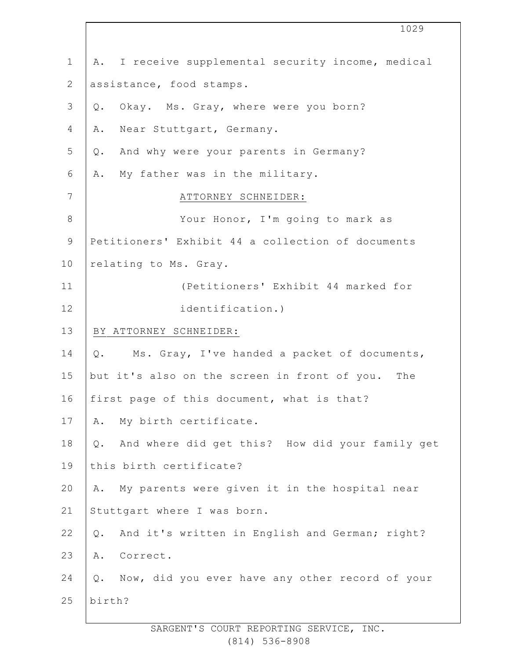1 2 3 4 5 6 7 8 9 10 11 12 13 14 15 16 17 18 19 20 21 22 23 24 25 A. I receive supplemental security income, medical assistance, food stamps. Q. Okay. Ms. Gray, where were you born? A. Near Stuttgart, Germany. Q. And why were your parents in Germany? A. My father was in the military. ATTORNEY SCHNEIDER: Your Honor, I'm going to mark as Petitioners' Exhibit 44 a collection of documents relating to Ms. Gray. (Petitioners' Exhibit 44 marked for identification.) BY ATTORNEY SCHNEIDER: Q. Ms. Gray, I've handed a packet of documents, but it's also on the screen in front of you. The first page of this document, what is that? A. My birth certificate. Q. And where did get this? How did your family get this birth certificate? A. My parents were given it in the hospital near Stuttgart where I was born. Q. And it's written in English and German; right? A. Correct. Q. Now, did you ever have any other record of your birth?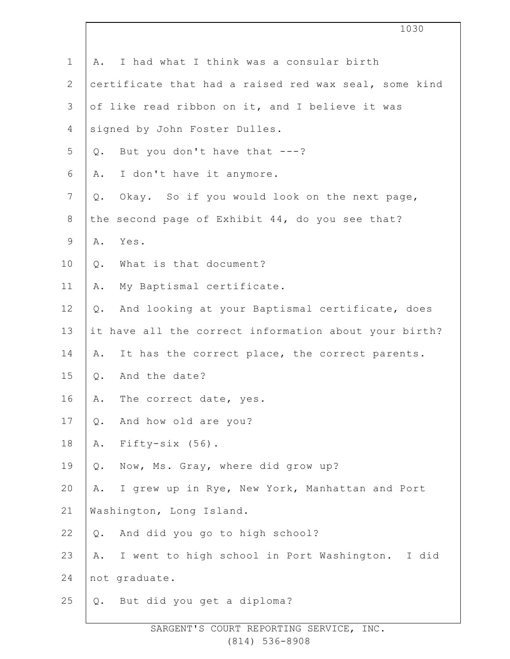|                | 1030                                                     |
|----------------|----------------------------------------------------------|
| $\mathbf 1$    | I had what I think was a consular birth<br>Α.            |
| $\mathbf{2}$   | certificate that had a raised red wax seal, some kind    |
| $\mathfrak{Z}$ | of like read ribbon on it, and I believe it was          |
| $\overline{4}$ | signed by John Foster Dulles.                            |
| 5              | But you don't have that $---?$<br>Q.                     |
| 6              | I don't have it anymore.<br>Α.                           |
| $7\phantom{.}$ | Okay. So if you would look on the next page,<br>$Q$ .    |
| $8\,$          | the second page of Exhibit 44, do you see that?          |
| $\mathsf 9$    | Α.<br>Yes.                                               |
| 10             | What is that document?<br>$Q$ .                          |
| 11             | My Baptismal certificate.<br>Α.                          |
| 12             | And looking at your Baptismal certificate, does<br>$Q$ . |
| 13             | it have all the correct information about your birth?    |
| 14             | It has the correct place, the correct parents.<br>Α.     |
| 15             | And the date?<br>$Q$ .                                   |
| 16             | The correct date, yes.<br>Α.                             |
| 17             | And how old are you?<br>$Q$ .                            |
| 18             | Fifty-six (56).<br>Α.                                    |
| 19             | Now, Ms. Gray, where did grow up?<br>Q.                  |
| 20             | I grew up in Rye, New York, Manhattan and Port<br>Α.     |
| 21             | Washington, Long Island.                                 |
| 22             | And did you go to high school?<br>$Q$ .                  |
| 23             | I went to high school in Port Washington.<br>I did<br>Α. |
| 24             | not graduate.                                            |
| 25             | But did you get a diploma?<br>Q.                         |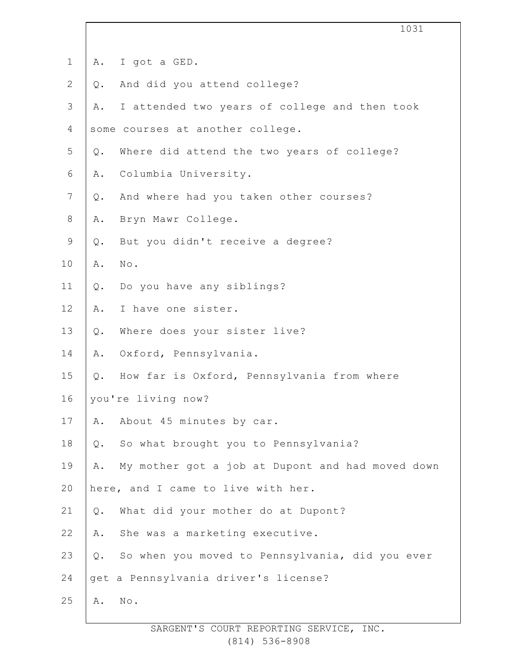| $\mathbf 1$    | Α.    | I got a GED.                                     |
|----------------|-------|--------------------------------------------------|
| $\mathbf{2}$   | $Q$ . | And did you attend college?                      |
| 3              | Α.    | I attended two years of college and then took    |
| 4              |       | some courses at another college.                 |
| 5              | $Q$ . | Where did attend the two years of college?       |
| 6              | Α.    | Columbia University.                             |
| $\overline{7}$ | Q.    | And where had you taken other courses?           |
| 8              | Α.    | Bryn Mawr College.                               |
| $\mathsf 9$    | $Q$ . | But you didn't receive a degree?                 |
| 10             | Α.    | $\texttt{No}$ .                                  |
| 11             | $Q$ . | Do you have any siblings?                        |
| 12             | Α.    | I have one sister.                               |
| 13             | $Q$ . | Where does your sister live?                     |
| 14             | Α.    | Oxford, Pennsylvania.                            |
| 15             | $Q$ . | How far is Oxford, Pennsylvania from where       |
| 16             |       | you're living now?                               |
| 17             | Α.    | About 45 minutes by car.                         |
| 18             | $Q$ . | So what brought you to Pennsylvania?             |
| 19             | Α.    | My mother got a job at Dupont and had moved down |
| 20             |       | here, and I came to live with her.               |
| 21             | $Q$ . | What did your mother do at Dupont?               |
| 22             | Α.    | She was a marketing executive.                   |
| 23             | $Q$ . | So when you moved to Pennsylvania, did you ever  |
| 24             |       | get a Pennsylvania driver's license?             |
| 25             | Α.    | No.                                              |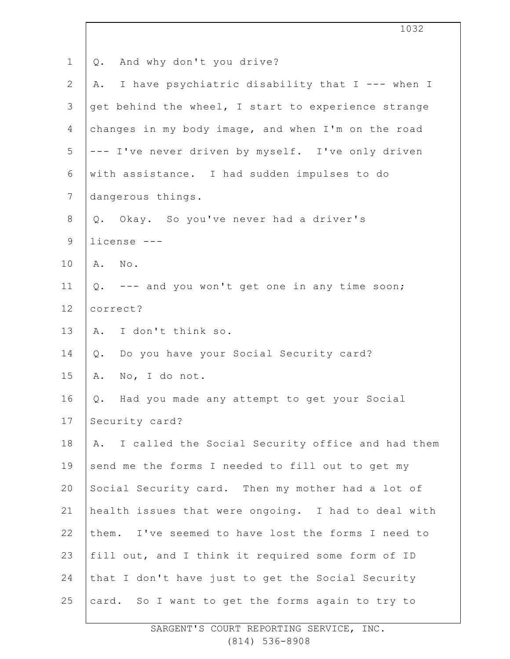1 2 3 4 5 6 7 8 9 10 11 12 13 14 15 16 17 18 19 20 21 22 23 24 25 Q. And why don't you drive? A. I have psychiatric disability that I --- when I get behind the wheel, I start to experience strange changes in my body image, and when I'm on the road --- I've never driven by myself. I've only driven with assistance. I had sudden impulses to do dangerous things. Q. Okay. So you've never had a driver's license --- A. No. Q. --- and you won't get one in any time soon; correct? A. I don't think so. Q. Do you have your Social Security card? A. No, I do not. Q. Had you made any attempt to get your Social Security card? A. I called the Social Security office and had them send me the forms I needed to fill out to get my Social Security card. Then my mother had a lot of health issues that were ongoing. I had to deal with them. I've seemed to have lost the forms I need to fill out, and I think it required some form of ID that I don't have just to get the Social Security card. So I want to get the forms again to try to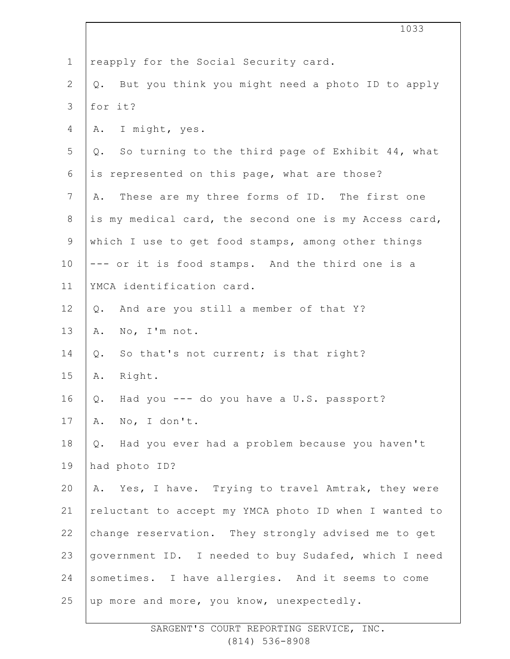|                | 1033                                                   |
|----------------|--------------------------------------------------------|
| $\mathbf 1$    | reapply for the Social Security card.                  |
| $\overline{2}$ | But you think you might need a photo ID to apply<br>Q. |
| 3              | for it?                                                |
| 4              | I might, yes.<br>Α.                                    |
| 5              | So turning to the third page of Exhibit 44, what<br>Q. |
| 6              | is represented on this page, what are those?           |
| $\overline{7}$ | These are my three forms of ID. The first one<br>Α.    |
| $8\,$          | is my medical card, the second one is my Access card,  |
| $\mathsf 9$    | which I use to get food stamps, among other things     |
| 10             | --- or it is food stamps. And the third one is a       |
| 11             | YMCA identification card.                              |
| 12             | And are you still a member of that Y?<br>Q.            |
| 13             | No, I'm not.<br>Α.                                     |
| 14             | So that's not current; is that right?<br>Q.            |
| 15             | Right.<br>Α.                                           |
| 16             | Had you --- do you have a U.S. passport?<br>Q.         |
| 17             | No, I don't.<br>Α.                                     |
| 18             | Had you ever had a problem because you haven't<br>Q.   |
| 19             | had photo ID?                                          |
| 20             | A. Yes, I have. Trying to travel Amtrak, they were     |
| 21             | reluctant to accept my YMCA photo ID when I wanted to  |
| 22             | change reservation. They strongly advised me to get    |
| 23             | government ID. I needed to buy Sudafed, which I need   |
| 24             | sometimes. I have allergies. And it seems to come      |
| 25             | up more and more, you know, unexpectedly.              |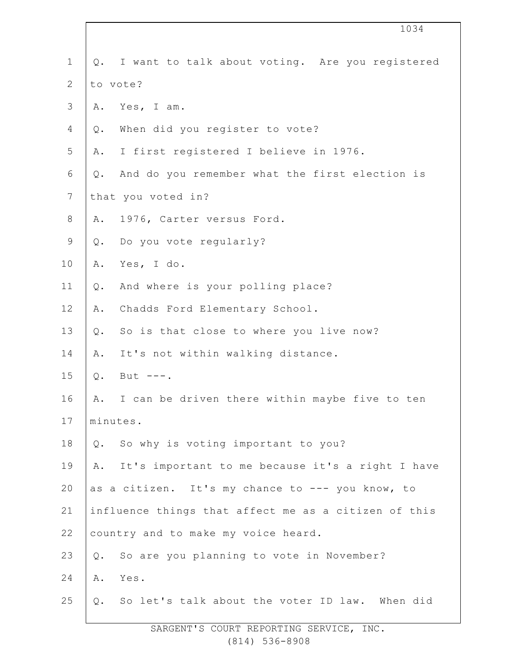|                | 1034                                                    |
|----------------|---------------------------------------------------------|
| $\mathbf 1$    | I want to talk about voting. Are you registered<br>Q.   |
| $\mathbf{2}$   | to vote?                                                |
| $\mathfrak{Z}$ | Yes, I am.<br>Α.                                        |
| 4              | When did you register to vote?<br>Q.                    |
| 5              | I first registered I believe in 1976.<br>Α.             |
| 6              | And do you remember what the first election is<br>$Q$ . |
| 7              | that you voted in?                                      |
| 8              | 1976, Carter versus Ford.<br>Α.                         |
| $\mathsf 9$    | Q. Do you vote reqularly?                               |
| 10             | Yes, I do.<br>Α.                                        |
| 11             | And where is your polling place?<br>$Q$ .               |
| 12             | Chadds Ford Elementary School.<br>Α.                    |
| 13             | So is that close to where you live now?<br>Q.           |
| 14             | It's not within walking distance.<br>Α.                 |
| 15             | $Q$ .<br>But $---$ .                                    |
| 16             | I can be driven there within maybe five to ten<br>Α.    |
| 17             | minutes.                                                |
| 18             | So why is voting important to you?<br>$Q$ .             |
| 19             | It's important to me because it's a right I have<br>Α.  |
| 20             | as a citizen. It's my chance to --- you know, to        |
| 21             | influence things that affect me as a citizen of this    |
| 22             | country and to make my voice heard.                     |
| 23             | So are you planning to vote in November?<br>Q.          |
| 24             | Α.<br>Yes.                                              |
| 25             | So let's talk about the voter ID law. When did<br>Q.    |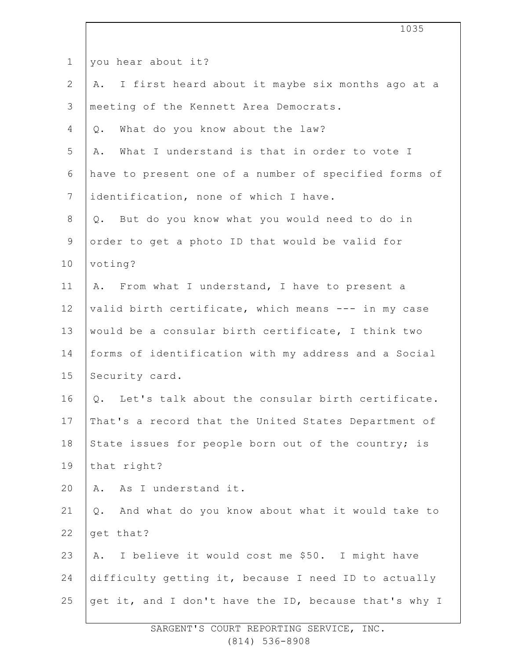|                | 1035                                                      |
|----------------|-----------------------------------------------------------|
| $\mathbf 1$    | you hear about it?                                        |
| $\mathbf{2}$   | I first heard about it maybe six months ago at a<br>Α.    |
| 3              | meeting of the Kennett Area Democrats.                    |
| 4              | What do you know about the law?<br>$Q$ .                  |
| 5              | What I understand is that in order to vote I<br>Α.        |
| 6              | have to present one of a number of specified forms of     |
| $7\phantom{.}$ | identification, none of which I have.                     |
| 8              | Q. But do you know what you would need to do in           |
| $\mathsf 9$    | order to get a photo ID that would be valid for           |
| 10             | voting?                                                   |
| 11             | A. From what I understand, I have to present a            |
| 12             | valid birth certificate, which means --- in my case       |
| 13             | would be a consular birth certificate, I think two        |
| 14             | forms of identification with my address and a Social      |
| 15             | Security card.                                            |
| 16             | Q. Let's talk about the consular birth certificate.       |
| 17             | That's a record that the United States Department of      |
| 18             | State issues for people born out of the country; is       |
| 19             | that right?                                               |
| 20             | As I understand it.<br>Α.                                 |
| 21             | And what do you know about what it would take to<br>$Q$ . |
| 22             | get that?                                                 |
| 23             | I believe it would cost me \$50. I might have<br>Α.       |
| 24             | difficulty getting it, because I need ID to actually      |
| 25             | get it, and I don't have the ID, because that's why I     |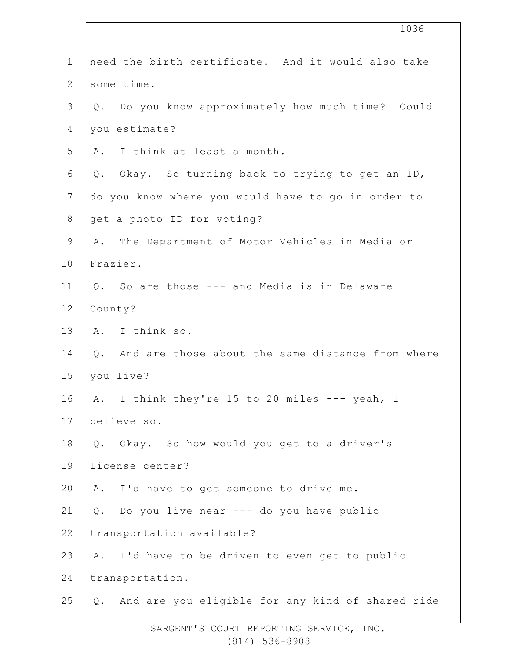|                | 1036                                                   |
|----------------|--------------------------------------------------------|
| $\mathbf 1$    | need the birth certificate. And it would also take     |
| $\mathbf{2}$   | some time.                                             |
| $\mathfrak{Z}$ | Do you know approximately how much time? Could<br>Q.   |
| $\overline{4}$ | you estimate?                                          |
| 5              | I think at least a month.<br>Α.                        |
| 6              | Okay. So turning back to trying to get an ID,<br>Q.    |
| 7              | do you know where you would have to go in order to     |
| $\,8\,$        | get a photo ID for voting?                             |
| $\mathsf 9$    | The Department of Motor Vehicles in Media or<br>Α.     |
| 10             | Frazier.                                               |
| 11             | Q. So are those --- and Media is in Delaware           |
| 12             | County?                                                |
| 13             | A. I think so.                                         |
| 14             | And are those about the same distance from where<br>Q. |
| 15             | you live?                                              |
| 16             | A. I think they're 15 to 20 miles --- yeah, I          |
| 17             | believe so.                                            |
| 18             | Q. Okay. So how would you get to a driver's            |
| 19             | license center?                                        |
| 20             | A. I'd have to get someone to drive me.                |
| 21             | Q. Do you live near --- do you have public             |
| 22             | transportation available?                              |
| 23             | I'd have to be driven to even get to public<br>A.      |
| 24             | transportation.                                        |
| 25             | Q. And are you eligible for any kind of shared ride    |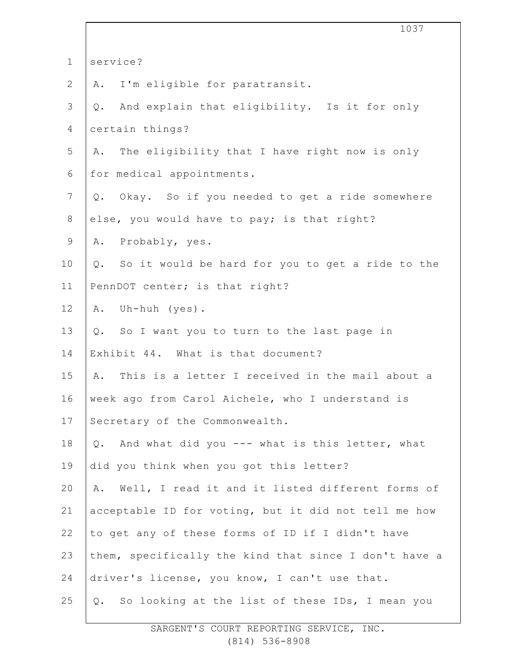|                | 1037                                                          |
|----------------|---------------------------------------------------------------|
| $\mathbf 1$    | service?                                                      |
| $\mathbf{2}$   | I'm eligible for paratransit.<br>Α.                           |
| $\mathcal{S}$  | And explain that eligibility. Is it for only<br>$Q_{\bullet}$ |
| $\overline{4}$ | certain things?                                               |
| 5              | The eligibility that I have right now is only<br>Α.           |
| 6              | for medical appointments.                                     |
| $\overline{7}$ | Q. Okay. So if you needed to get a ride somewhere             |
| $8\,$          | else, you would have to pay; is that right?                   |
| $\mathsf 9$    | Probably, yes.<br>Α.                                          |
| 10             | So it would be hard for you to get a ride to the<br>$Q$ .     |
| 11             | PennDOT center; is that right?                                |
| 12             | Uh-huh (yes).<br>Α.                                           |
| 13             | Q. So I want you to turn to the last page in                  |
| 14             | Exhibit 44. What is that document?                            |
| 15             | This is a letter I received in the mail about a<br>Α.         |
| 16             | week ago from Carol Aichele, who I understand is              |
| 17             | Secretary of the Commonwealth.                                |
| 18             | And what did you --- what is this letter, what<br>Q.          |
| 19             | did you think when you got this letter?                       |
| 20             | A. Well, I read it and it listed different forms of           |
| 21             | acceptable ID for voting, but it did not tell me how          |
| 22             | to get any of these forms of ID if I didn't have              |
| 23             | them, specifically the kind that since I don't have a         |
| 24             | driver's license, you know, I can't use that.                 |
| 25             | Q. So looking at the list of these IDs, I mean you            |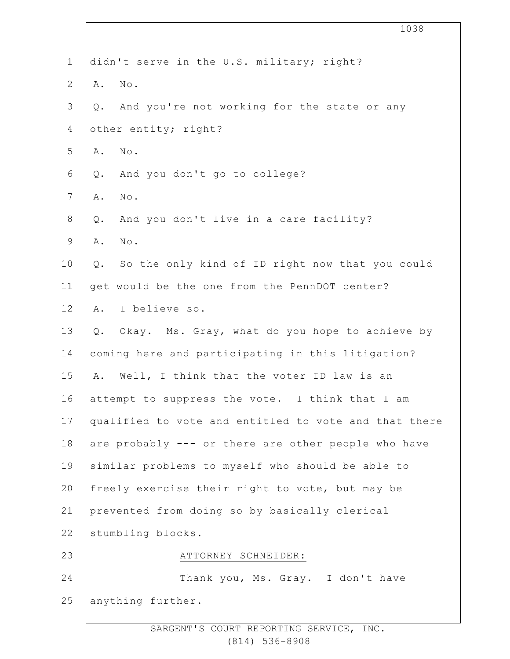|                | 1038                                                    |
|----------------|---------------------------------------------------------|
| $1\,$          | didn't serve in the U.S. military; right?               |
| $\mathbf{2}$   | $\texttt{No}$ .<br>Α.                                   |
| $\mathsf S$    | And you're not working for the state or any<br>$Q$ .    |
| $\overline{4}$ | other entity; right?                                    |
| 5              | $\texttt{No}$ .<br>Α.                                   |
| 6              | And you don't go to college?<br>$Q$ .                   |
| 7              | $\texttt{No}$ .<br>Α.                                   |
| $8\,$          | And you don't live in a care facility?<br>$Q$ .         |
| $\mathsf 9$    | $\texttt{No}$ .<br>Α.                                   |
| 10             | So the only kind of ID right now that you could<br>Q.   |
| 11             | get would be the one from the PennDOT center?           |
| 12             | I believe so.<br>Α.                                     |
| 13             | Okay. Ms. Gray, what do you hope to achieve by<br>$Q$ . |
| 14             | coming here and participating in this litigation?       |
| 15             | Well, I think that the voter ID law is an<br>Α.         |
| 16             | attempt to suppress the vote. I think that I am         |
| 17             | qualified to vote and entitled to vote and that there   |
| 18             | are probably --- or there are other people who have     |
| 19             | similar problems to myself who should be able to        |
| 20             | freely exercise their right to vote, but may be         |
| 21             | prevented from doing so by basically clerical           |
| 22             | stumbling blocks.                                       |
| 23             | ATTORNEY SCHNEIDER:                                     |
| 24             | Thank you, Ms. Gray. I don't have                       |
| 25             | anything further.                                       |
|                |                                                         |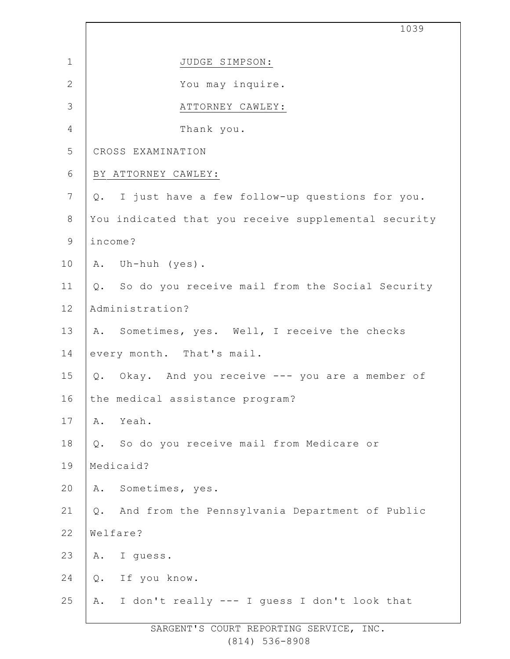|                | 1039                                                 |
|----------------|------------------------------------------------------|
| $\mathbf 1$    | JUDGE SIMPSON:                                       |
| $\mathbf{2}$   | You may inquire.                                     |
| $\mathcal{S}$  | ATTORNEY CAWLEY:                                     |
| 4              | Thank you.                                           |
| 5              | CROSS EXAMINATION                                    |
| $\epsilon$     | BY ATTORNEY CAWLEY:                                  |
| $\overline{7}$ | I just have a few follow-up questions for you.<br>Q. |
| $\,8\,$        | You indicated that you receive supplemental security |
| $\mathsf 9$    | income?                                              |
| 10             | A. Uh-huh (yes).                                     |
| 11             | Q. So do you receive mail from the Social Security   |
| 12             | Administration?                                      |
| 13             | A. Sometimes, yes. Well, I receive the checks        |
| 14             | every month. That's mail.                            |
| 15             | Okay. And you receive --- you are a member of<br>Q.  |
| 16             | the medical assistance program?                      |
| 17             | Yeah.<br>Α.                                          |
| 18             | So do you receive mail from Medicare or<br>Q.        |
| 19             | Medicaid?                                            |
| 20             | Sometimes, yes.<br>Α.                                |
| 21             | And from the Pennsylvania Department of Public<br>Q. |
| 22             | Welfare?                                             |
| 23             | I guess.<br>A.                                       |
| 24             | If you know.<br>$Q$ .                                |
| 25             | I don't really --- I guess I don't look that<br>Α.   |
|                |                                                      |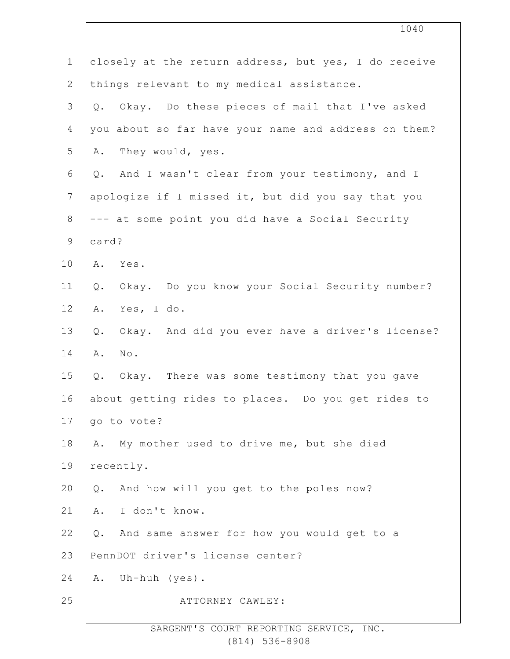|                | 1040                                                     |
|----------------|----------------------------------------------------------|
| $\mathbf 1$    | closely at the return address, but yes, I do receive     |
| $\mathbf{2}$   | things relevant to my medical assistance.                |
| $\mathcal{S}$  | Okay. Do these pieces of mail that I've asked<br>Q.      |
| 4              | you about so far have your name and address on them?     |
| 5              | They would, yes.<br>Α.                                   |
| $\sqrt{6}$     | And I wasn't clear from your testimony, and I<br>Q.      |
| $7\phantom{.}$ | apologize if I missed it, but did you say that you       |
| $\,8\,$        | --- at some point you did have a Social Security         |
| $\mathsf 9$    | card?                                                    |
| 10             | A. Yes.                                                  |
| 11             | Okay. Do you know your Social Security number?<br>Q.     |
| 12             | Yes, I do.<br>Α.                                         |
| 13             | Okay. And did you ever have a driver's license?<br>$Q$ . |
| 14             | No.<br>Α.                                                |
| 15             | Okay. There was some testimony that you gave<br>Q.       |
| 16             | about getting rides to places. Do you get rides to       |
| 17             | go to vote?                                              |
| 18             | My mother used to drive me, but she died<br>Α.           |
| 19             | recently.                                                |
| 20             | Q. And how will you get to the poles now?                |
| 21             | I don't know.<br>Α.                                      |
| 22             | And same answer for how you would get to a<br>Q.         |
| 23             | PennDOT driver's license center?                         |
| 24             | Uh-huh (yes).<br>Α.                                      |
| 25             | ATTORNEY CAWLEY:                                         |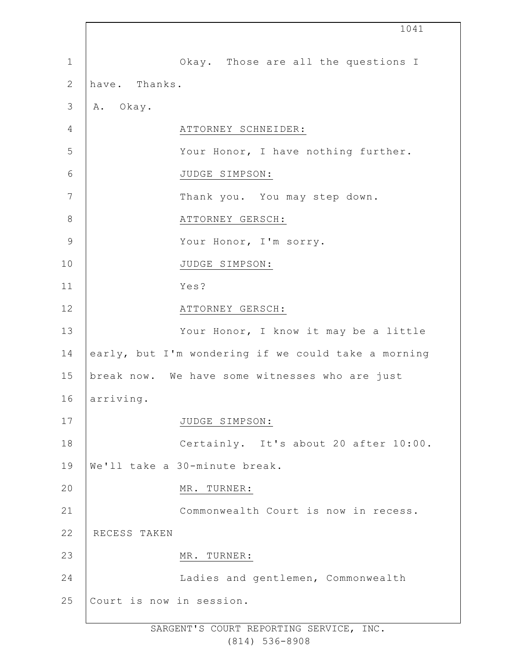|               | 1041                                                |
|---------------|-----------------------------------------------------|
| $\mathbf 1$   | Okay. Those are all the questions I                 |
| $\mathbf{2}$  | have. Thanks.                                       |
| $\mathcal{S}$ | A. Okay.                                            |
| 4             | ATTORNEY SCHNEIDER:                                 |
| 5             | Your Honor, I have nothing further.                 |
| 6             | JUDGE SIMPSON:                                      |
| 7             | Thank you. You may step down.                       |
| $8\,$         | ATTORNEY GERSCH:                                    |
| $\mathcal{G}$ | Your Honor, I'm sorry.                              |
| 10            | JUDGE SIMPSON:                                      |
| 11            | Yes?                                                |
| 12            | ATTORNEY GERSCH:                                    |
| 13            | Your Honor, I know it may be a little               |
| 14            | early, but I'm wondering if we could take a morning |
| 15            | break now. We have some witnesses who are just      |
| 16            | arriving.                                           |
| 17            | JUDGE SIMPSON:                                      |
| 18            | Certainly. It's about 20 after 10:00.               |
| 19            | We'll take a 30-minute break.                       |
| 20            | MR. TURNER:                                         |
| 21            | Commonwealth Court is now in recess.                |
| 22            | RECESS TAKEN                                        |
| 23            | MR. TURNER:                                         |
| 24            | Ladies and gentlemen, Commonwealth                  |
| 25            | Court is now in session.                            |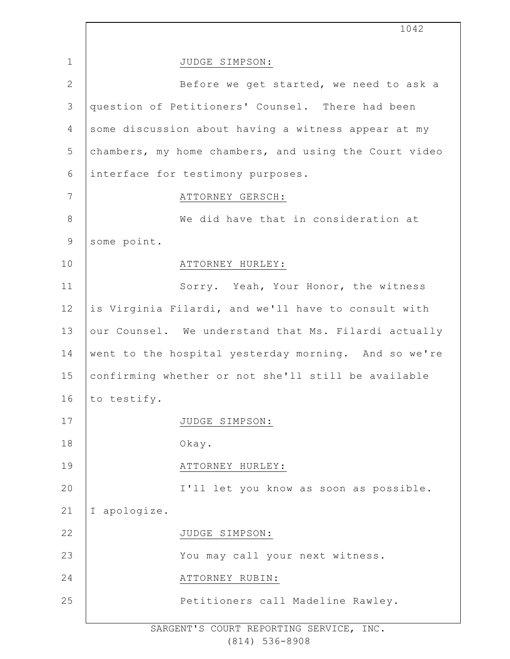|                 | 1042                                                  |
|-----------------|-------------------------------------------------------|
| $\mathbf{1}$    | JUDGE SIMPSON:                                        |
| $\mathbf{2}$    | Before we get started, we need to ask a               |
| 3               | question of Petitioners' Counsel. There had been      |
| 4               | some discussion about having a witness appear at my   |
| 5               | chambers, my home chambers, and using the Court video |
| 6               | interface for testimony purposes.                     |
| $7\phantom{.0}$ | ATTORNEY GERSCH:                                      |
| $8\,$           | We did have that in consideration at                  |
| $\mathsf 9$     | some point.                                           |
| 10              | ATTORNEY HURLEY:                                      |
| 11              | Sorry. Yeah, Your Honor, the witness                  |
| 12              | is Virginia Filardi, and we'll have to consult with   |
| 13              | our Counsel. We understand that Ms. Filardi actually  |
| 14              | went to the hospital yesterday morning. And so we're  |
| 15              | confirming whether or not she'll still be available   |
| 16              | to testify.                                           |
| 17              | JUDGE SIMPSON:                                        |
| 18              | Okay.                                                 |
| 19              | ATTORNEY HURLEY:                                      |
| 20              | I'll let you know as soon as possible.                |
| 21              | I apologize.                                          |
| 22              | JUDGE SIMPSON:                                        |
| 23              | You may call your next witness.                       |
| 24              | ATTORNEY RUBIN:                                       |
| 25              | Petitioners call Madeline Rawley.                     |
|                 |                                                       |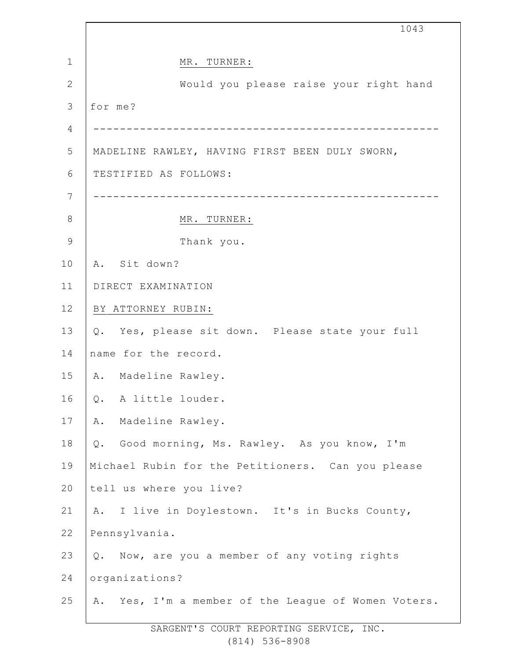|              | 1043                                                |  |  |  |
|--------------|-----------------------------------------------------|--|--|--|
| $\mathbf{1}$ | MR. TURNER:                                         |  |  |  |
| $\mathbf{2}$ | Would you please raise your right hand              |  |  |  |
| 3            | for me?                                             |  |  |  |
| 4            |                                                     |  |  |  |
| 5            | MADELINE RAWLEY, HAVING FIRST BEEN DULY SWORN,      |  |  |  |
| 6            | TESTIFIED AS FOLLOWS:                               |  |  |  |
| 7            |                                                     |  |  |  |
| 8            | MR. TURNER:                                         |  |  |  |
| 9            | Thank you.                                          |  |  |  |
| 10           | A. Sit down?                                        |  |  |  |
| 11           | DIRECT EXAMINATION                                  |  |  |  |
| 12           | BY ATTORNEY RUBIN:                                  |  |  |  |
| 13           | Q. Yes, please sit down. Please state your full     |  |  |  |
| 14           | name for the record.                                |  |  |  |
| 15           | A. Madeline Rawley.                                 |  |  |  |
| 16           | A little louder.<br>$Q$ .                           |  |  |  |
| 17           | Α.<br>Madeline Rawley.                              |  |  |  |
| 18           | Good morning, Ms. Rawley. As you know, I'm<br>$Q$ . |  |  |  |
| 19           | Michael Rubin for the Petitioners. Can you please   |  |  |  |
| 20           | tell us where you live?                             |  |  |  |
| 21           | A. I live in Doylestown. It's in Bucks County,      |  |  |  |
| 22           | Pennsylvania.                                       |  |  |  |
| 23           | Now, are you a member of any voting rights<br>Q.    |  |  |  |
| 24           | organizations?                                      |  |  |  |
| 25           | A. Yes, I'm a member of the League of Women Voters. |  |  |  |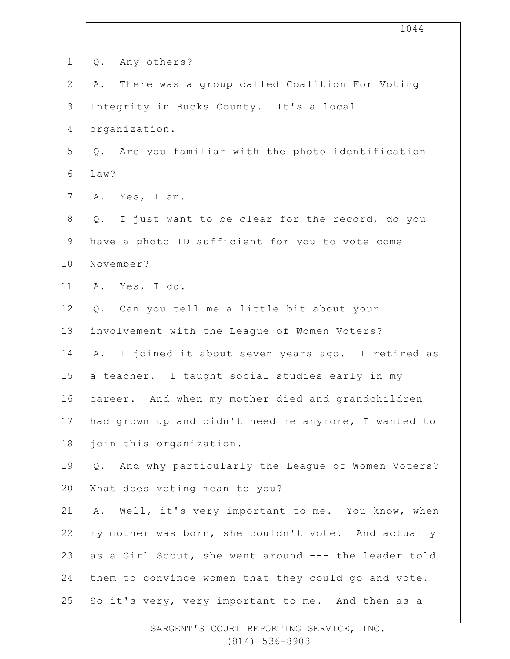|                | 1044                                                  |
|----------------|-------------------------------------------------------|
| $\mathbf 1$    | Any others?<br>$Q$ .                                  |
| $\mathbf{2}$   | There was a group called Coalition For Voting<br>Α.   |
| $\mathcal{S}$  | Integrity in Bucks County. It's a local               |
| 4              | organization.                                         |
| 5              | Q. Are you familiar with the photo identification     |
| $\sqrt{6}$     | law?                                                  |
| $7\phantom{.}$ | A. Yes, I am.                                         |
| $8\,$          | Q. I just want to be clear for the record, do you     |
| $\mathsf 9$    | have a photo ID sufficient for you to vote come       |
| 10             | November?                                             |
| 11             | A. Yes, I do.                                         |
| 12             | Q. Can you tell me a little bit about your            |
| 13             | involvement with the League of Women Voters?          |
| 14             | A. I joined it about seven years ago. I retired as    |
| 15             | a teacher. I taught social studies early in my        |
| 16             | career. And when my mother died and grandchildren     |
| 17             | had grown up and didn't need me anymore, I wanted to  |
| 18             | join this organization.                               |
| 19             | Q. And why particularly the League of Women Voters?   |
| 20             | What does voting mean to you?                         |
| 21             | Well, it's very important to me. You know, when<br>Α. |
| 22             | my mother was born, she couldn't vote. And actually   |
| 23             | as a Girl Scout, she went around --- the leader told  |
| 24             | them to convince women that they could go and vote.   |
| 25             | So it's very, very important to me. And then as a     |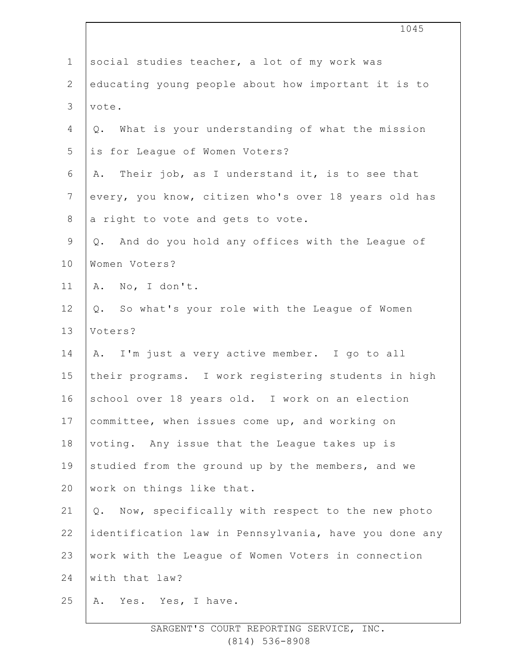|                | 1045                                                     |  |  |  |
|----------------|----------------------------------------------------------|--|--|--|
| $\mathbf 1$    | social studies teacher, a lot of my work was             |  |  |  |
| $\overline{2}$ | educating young people about how important it is to      |  |  |  |
| 3              | vote.                                                    |  |  |  |
| 4              | What is your understanding of what the mission<br>Q.     |  |  |  |
| 5              | is for League of Women Voters?                           |  |  |  |
| 6              | Their job, as I understand it, is to see that<br>Α.      |  |  |  |
| $\overline{7}$ | every, you know, citizen who's over 18 years old has     |  |  |  |
| $8\,$          | a right to vote and gets to vote.                        |  |  |  |
| 9              | Q. And do you hold any offices with the League of        |  |  |  |
| 10             | Women Voters?                                            |  |  |  |
| 11             | A. No, I don't.                                          |  |  |  |
| 12             | Q. So what's your role with the League of Women          |  |  |  |
| 13             | Voters?                                                  |  |  |  |
| 14             | A. I'm just a very active member. I go to all            |  |  |  |
| 15             | their programs. I work registering students in high      |  |  |  |
| 16             | school over 18 years old. I work on an election          |  |  |  |
| 17             | committee, when issues come up, and working on           |  |  |  |
| 18             | voting. Any issue that the League takes up is            |  |  |  |
| 19             | studied from the ground up by the members, and we        |  |  |  |
| 20             | work on things like that.                                |  |  |  |
| 21             | Now, specifically with respect to the new photo<br>$Q$ . |  |  |  |
| 22             | identification law in Pennsylvania, have you done any    |  |  |  |
| 23             | work with the League of Women Voters in connection       |  |  |  |
| 24             | with that law?                                           |  |  |  |
| 25             | Yes. Yes, I have.<br>Α.                                  |  |  |  |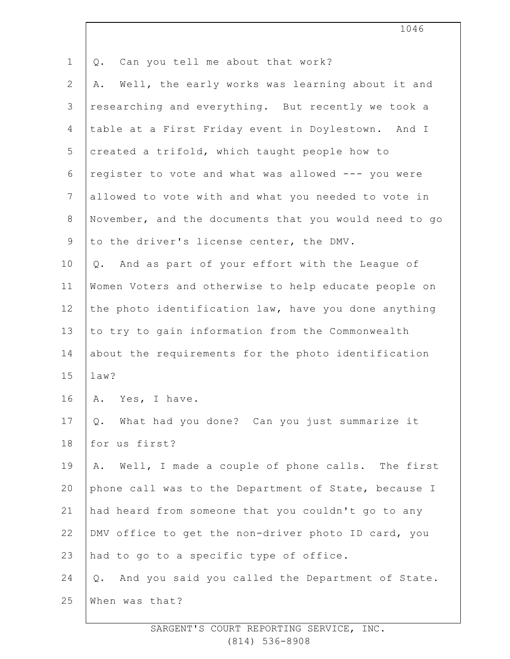| $\mathbf 1$    | Can you tell me about that work?<br>Q.                 |  |  |  |  |
|----------------|--------------------------------------------------------|--|--|--|--|
| $\mathbf{2}$   | Well, the early works was learning about it and<br>Α.  |  |  |  |  |
| 3              | researching and everything. But recently we took a     |  |  |  |  |
| 4              | table at a First Friday event in Doylestown. And I     |  |  |  |  |
| 5              | created a trifold, which taught people how to          |  |  |  |  |
| 6              | register to vote and what was allowed --- you were     |  |  |  |  |
| $\overline{7}$ | allowed to vote with and what you needed to vote in    |  |  |  |  |
| 8              | November, and the documents that you would need to go  |  |  |  |  |
| $\mathsf 9$    | to the driver's license center, the DMV.               |  |  |  |  |
| 10             | Q. And as part of your effort with the League of       |  |  |  |  |
| 11             | Women Voters and otherwise to help educate people on   |  |  |  |  |
| 12             | the photo identification law, have you done anything   |  |  |  |  |
| 13             | to try to gain information from the Commonwealth       |  |  |  |  |
| 14             | about the requirements for the photo identification    |  |  |  |  |
| 15             | law?                                                   |  |  |  |  |
| 16             | A. Yes, I have.                                        |  |  |  |  |
| 17             | What had you done? Can you just summarize it<br>Q.     |  |  |  |  |
| 18             | for us first?                                          |  |  |  |  |
| 19             | Well, I made a couple of phone calls. The first<br>Α.  |  |  |  |  |
| 20             | phone call was to the Department of State, because I   |  |  |  |  |
| 21             | had heard from someone that you couldn't go to any     |  |  |  |  |
| 22             | DMV office to get the non-driver photo ID card, you    |  |  |  |  |
| 23             | had to go to a specific type of office.                |  |  |  |  |
| 24             | And you said you called the Department of State.<br>Q. |  |  |  |  |
| 25             | When was that?                                         |  |  |  |  |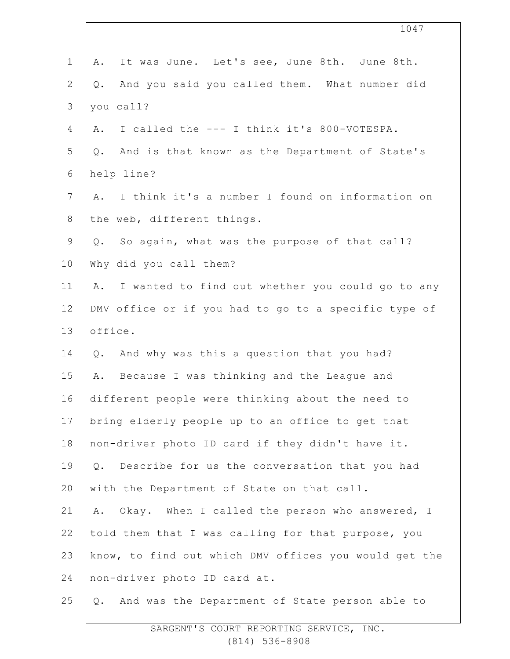|                | 1047                                                   |
|----------------|--------------------------------------------------------|
| $\mathbf 1$    | It was June. Let's see, June 8th. June 8th.<br>Α.      |
| $\mathbf{2}$   | And you said you called them. What number did<br>Q.    |
| 3              | you call?                                              |
| 4              | I called the --- I think it's 800-VOTESPA.<br>Α.       |
| 5              | And is that known as the Department of State's<br>Q.   |
| $\sqrt{6}$     | help line?                                             |
| $7\phantom{.}$ | I think it's a number I found on information on<br>Α.  |
| $8\,$          | the web, different things.                             |
| $\mathsf 9$    | Q. So again, what was the purpose of that call?        |
| 10             | Why did you call them?                                 |
| 11             | I wanted to find out whether you could go to any<br>Α. |
| 12             | DMV office or if you had to go to a specific type of   |
| 13             | office.                                                |
| 14             | And why was this a question that you had?<br>Q.        |
| 15             | A. Because I was thinking and the League and           |
| 16             | different people were thinking about the need to       |
| 17             | bring elderly people up to an office to get that       |
| 18             | non-driver photo ID card if they didn't have it.       |
| 19             | Q. Describe for us the conversation that you had       |
| 20             | with the Department of State on that call.             |
| 21             | Okay. When I called the person who answered, I<br>Α.   |
| 22             | told them that I was calling for that purpose, you     |
| 23             | know, to find out which DMV offices you would get the  |
| 24             | non-driver photo ID card at.                           |
| 25             | And was the Department of State person able to<br>Q.   |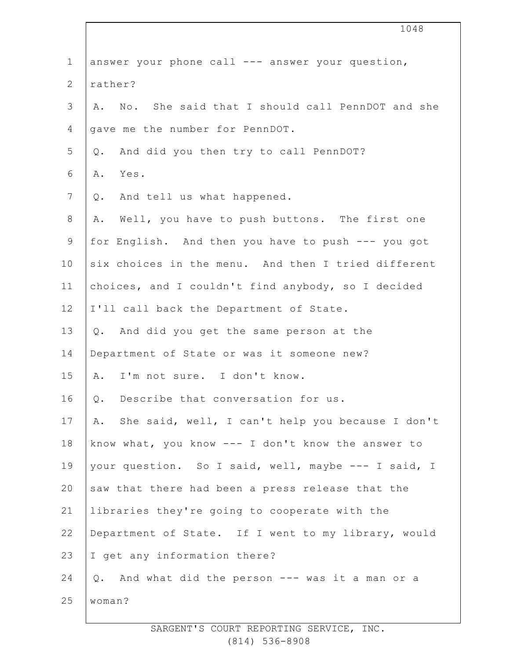|                | 1048                                                   |
|----------------|--------------------------------------------------------|
| $\mathbf 1$    | answer your phone call --- answer your question,       |
| 2              | rather?                                                |
| $\mathfrak{Z}$ | A. No. She said that I should call PennDOT and she     |
| 4              | gave me the number for PennDOT.                        |
| 5              | And did you then try to call PennDOT?<br>Q.            |
| 6              | Yes.<br>Α.                                             |
| $\overline{7}$ | And tell us what happened.<br>Q.                       |
| $8\,$          | Well, you have to push buttons. The first one<br>Α.    |
| $\mathsf 9$    | for English. And then you have to push --- you got     |
| 10             | six choices in the menu. And then I tried different    |
| 11             | choices, and I couldn't find anybody, so I decided     |
| 12             | I'll call back the Department of State.                |
| 13             | Q. And did you get the same person at the              |
| 14             | Department of State or was it someone new?             |
| 15             | I'm not sure. I don't know.<br>A.                      |
| 16             | Describe that conversation for us.<br>Q.               |
| 17             | She said, well, I can't help you because I don't<br>Α. |
| 18             | know what, you know --- I don't know the answer to     |
| 19             | your question. So I said, well, maybe --- I said, I    |
| 20             | saw that there had been a press release that the       |
| 21             | libraries they're going to cooperate with the          |
| 22             | Department of State. If I went to my library, would    |
| 23             | I get any information there?                           |
| 24             | And what did the person --- was it a man or a<br>$Q$ . |
| 25             | woman?                                                 |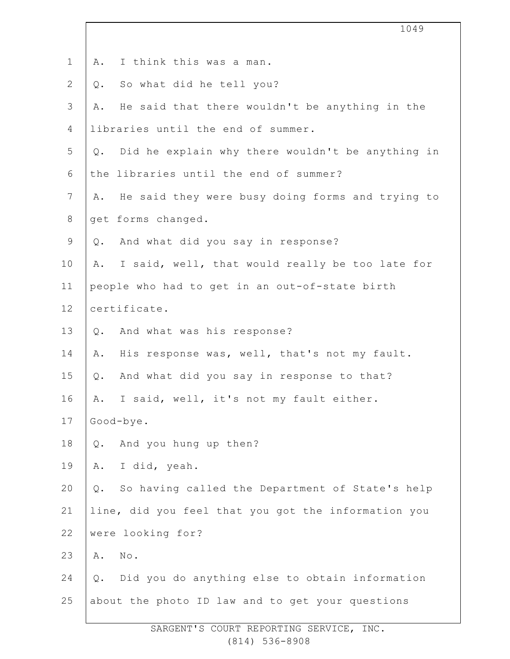|              | 1049                                                     |
|--------------|----------------------------------------------------------|
|              |                                                          |
| $\mathbf 1$  | I think this was a man.<br>Α.                            |
| $\mathbf{2}$ | So what did he tell you?<br>Q.                           |
| 3            | He said that there wouldn't be anything in the<br>Α.     |
| 4            | libraries until the end of summer.                       |
| 5            | Did he explain why there wouldn't be anything in<br>Q.   |
| 6            | the libraries until the end of summer?                   |
| 7            | He said they were busy doing forms and trying to<br>Α.   |
| $\,8\,$      | get forms changed.                                       |
| $\mathsf 9$  | Q. And what did you say in response?                     |
| 10           | I said, well, that would really be too late for<br>Α.    |
| 11           | people who had to get in an out-of-state birth           |
| 12           | certificate.                                             |
| 13           | Q. And what was his response?                            |
| 14           | His response was, well, that's not my fault.<br>Α.       |
| 15           | And what did you say in response to that?<br>$Q$ .       |
| 16           | I said, well, it's not my fault either.<br>Α.            |
| 17           | Good-bye.                                                |
| 18           | And you hung up then?<br>$Q$ .                           |
| 19           | I did, yeah.<br>Α.                                       |
| 20           | So having called the Department of State's help<br>$Q$ . |
| 21           | line, did you feel that you got the information you      |
| 22           | were looking for?                                        |
| 23           | No.<br>Α.                                                |
| 24           | Did you do anything else to obtain information<br>$Q$ .  |
| 25           | about the photo ID law and to get your questions         |
|              |                                                          |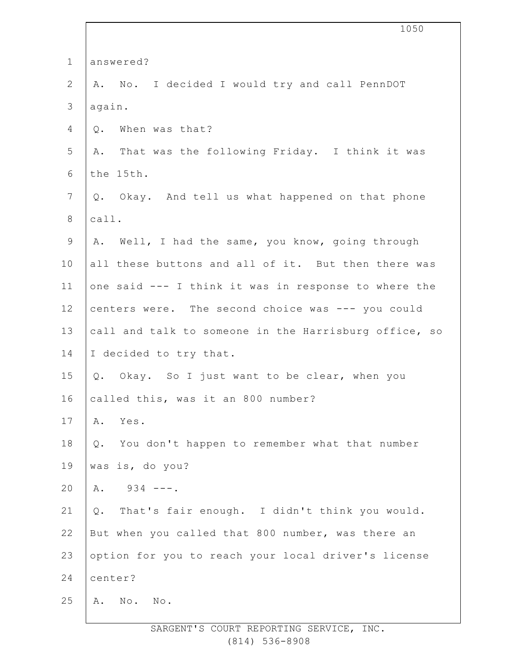|                | 1050                                                   |  |  |
|----------------|--------------------------------------------------------|--|--|
| $\mathbf 1$    | answered?                                              |  |  |
| $\mathbf{2}$   | A. No. I decided I would try and call PennDOT          |  |  |
| 3              | again.                                                 |  |  |
| 4              | When was that?<br>Q.                                   |  |  |
| 5              | A. That was the following Friday. I think it was       |  |  |
| 6              | the 15th.                                              |  |  |
| $\overline{7}$ | Q. Okay. And tell us what happened on that phone       |  |  |
| $8\,$          | call.                                                  |  |  |
| $\mathsf 9$    | A. Well, I had the same, you know, going through       |  |  |
| 10             | all these buttons and all of it. But then there was    |  |  |
| 11             | one said --- I think it was in response to where the   |  |  |
| 12             | centers were. The second choice was --- you could      |  |  |
| 13             | call and talk to someone in the Harrisburg office, so  |  |  |
| 14             | I decided to try that.                                 |  |  |
| 15             | Q. Okay. So I just want to be clear, when you          |  |  |
| 16             | called this, was it an 800 number?                     |  |  |
| 17             | Α.<br>Yes.                                             |  |  |
| 18             | You don't happen to remember what that number<br>$Q$ . |  |  |
| 19             | was is, do you?                                        |  |  |
| 20             | $934 - - -$ .<br>Α.                                    |  |  |
| 21             | That's fair enough. I didn't think you would.<br>Q.    |  |  |
| 22             | But when you called that 800 number, was there an      |  |  |
| 23             | option for you to reach your local driver's license    |  |  |
| 24             | center?                                                |  |  |
| 25             | No.<br>Α.<br>$\mathbb{N} \circ$ .                      |  |  |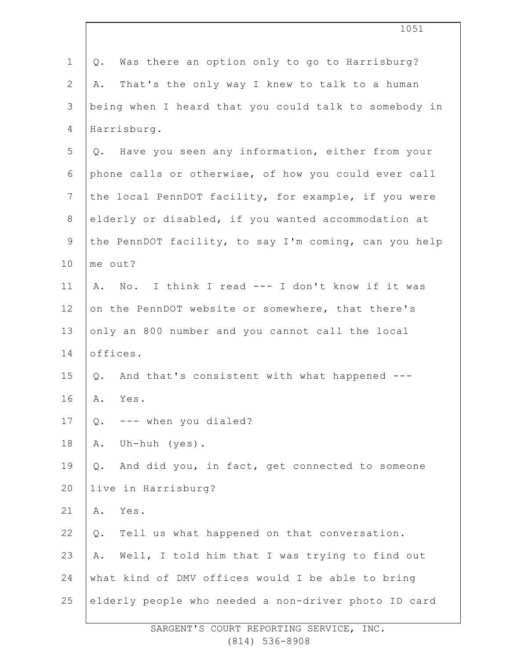| $\mathbf 1$    | Was there an option only to go to Harrisburg?<br>Q.     |  |  |
|----------------|---------------------------------------------------------|--|--|
| $\overline{2}$ | That's the only way I knew to talk to a human<br>Α.     |  |  |
| 3              | being when I heard that you could talk to somebody in   |  |  |
| 4              | Harrisburg.                                             |  |  |
| 5              | Q. Have you seen any information, either from your      |  |  |
| 6              | phone calls or otherwise, of how you could ever call    |  |  |
| $\overline{7}$ | the local PennDOT facility, for example, if you were    |  |  |
| 8              | elderly or disabled, if you wanted accommodation at     |  |  |
| $\mathsf 9$    | the PennDOT facility, to say I'm coming, can you help   |  |  |
| 10             | me out?                                                 |  |  |
| 11             | No. I think I read --- I don't know if it was<br>Α.     |  |  |
| 12             | on the PennDOT website or somewhere, that there's       |  |  |
| 13             | only an 800 number and you cannot call the local        |  |  |
| 14             | offices.                                                |  |  |
| 15             | And that's consistent with what happened ---<br>Q.      |  |  |
| 16             | Α.<br>Yes.                                              |  |  |
| 17             | --- when you dialed?<br>Q.                              |  |  |
| 18             | Uh-huh (yes).<br>Α.                                     |  |  |
| 19             | And did you, in fact, get connected to someone<br>$Q$ . |  |  |
| 20             | live in Harrisburg?                                     |  |  |
| 21             | Yes.<br>Α.                                              |  |  |
| 22             | Q. Tell us what happened on that conversation.          |  |  |
| 23             | Well, I told him that I was trying to find out<br>Α.    |  |  |
| 24             | what kind of DMV offices would I be able to bring       |  |  |
| 25             | elderly people who needed a non-driver photo ID card    |  |  |
|                |                                                         |  |  |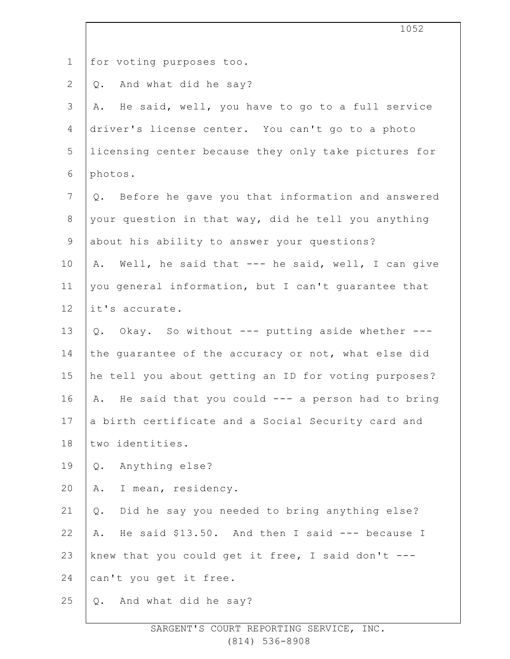|                | 1052                                                   |
|----------------|--------------------------------------------------------|
| $\mathbf 1$    | for voting purposes too.                               |
| $\mathbf{2}$   | And what did he say?<br>Q.                             |
| 3              | He said, well, you have to go to a full service<br>Α.  |
| 4              | driver's license center. You can't go to a photo       |
| 5              | licensing center because they only take pictures for   |
| 6              | photos.                                                |
| $7\phantom{.}$ | Q. Before he gave you that information and answered    |
| $8\,$          | your question in that way, did he tell you anything    |
| 9              | about his ability to answer your questions?            |
| 10             | Well, he said that --- he said, well, I can give<br>Α. |
| 11             | you general information, but I can't guarantee that    |
| 12             | it's accurate.                                         |
| 13             | Q. Okay. So without --- putting aside whether ---      |
| 14             | the guarantee of the accuracy or not, what else did    |
| 15             | he tell you about getting an ID for voting purposes?   |
| 16             | A. He said that you could --- a person had to bring    |
| 17             | a birth certificate and a Social Security card and     |
| 18             | two identities.                                        |
| 19             | Anything else?<br>Q.                                   |
| 20             | I mean, residency.<br>Α.                               |
| 21             | Did he say you needed to bring anything else?<br>$Q$ . |
| 22             | He said \$13.50. And then I said --- because I<br>Α.   |
| 23             | knew that you could get it free, I said don't ---      |
| 24             | can't you get it free.                                 |
| 25             | And what did he say?<br>Q.                             |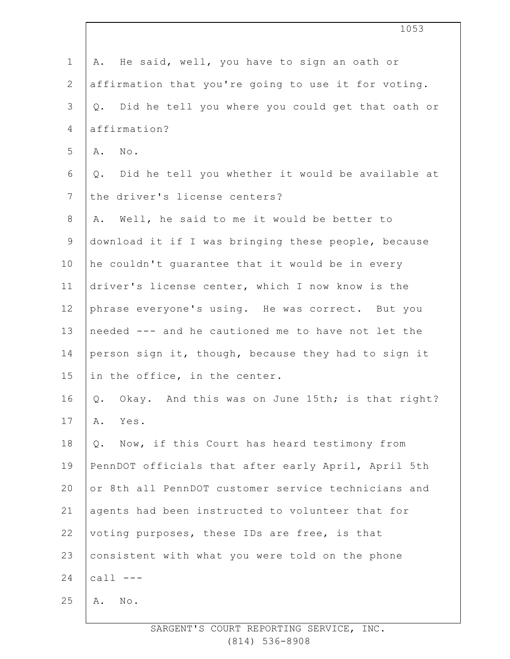|                | 1053                                                   |
|----------------|--------------------------------------------------------|
| $\mathbf{1}$   | He said, well, you have to sign an oath or<br>Α.       |
| $\mathbf{2}$   | affirmation that you're going to use it for voting.    |
| 3              | Q. Did he tell you where you could get that oath or    |
| 4              | affirmation?                                           |
| 5              | $N \circ$ .<br>Α.                                      |
| 6              | Did he tell you whether it would be available at<br>Q. |
| $\overline{7}$ | the driver's license centers?                          |
| 8              | Well, he said to me it would be better to<br>Α.        |
| 9              | download it if I was bringing these people, because    |
| 10             | he couldn't guarantee that it would be in every        |
| 11             | driver's license center, which I now know is the       |
| 12             | phrase everyone's using. He was correct. But you       |
| 13             | needed --- and he cautioned me to have not let the     |
| 14             | person sign it, though, because they had to sign it    |
| 15             | in the office, in the center.                          |
| 16             | Okay. And this was on June 15th; is that right?<br>Q.  |
| 17             | Α.<br>Yes.                                             |
| 18             | Now, if this Court has heard testimony from<br>$Q$ .   |
| 19             | PennDOT officials that after early April, April 5th    |
| 20             | or 8th all PennDOT customer service technicians and    |
| 21             | agents had been instructed to volunteer that for       |
| 22             | voting purposes, these IDs are free, is that           |
| 23             | consistent with what you were told on the phone        |
| 24             | call $---$                                             |
| 25             | No.<br>Α.                                              |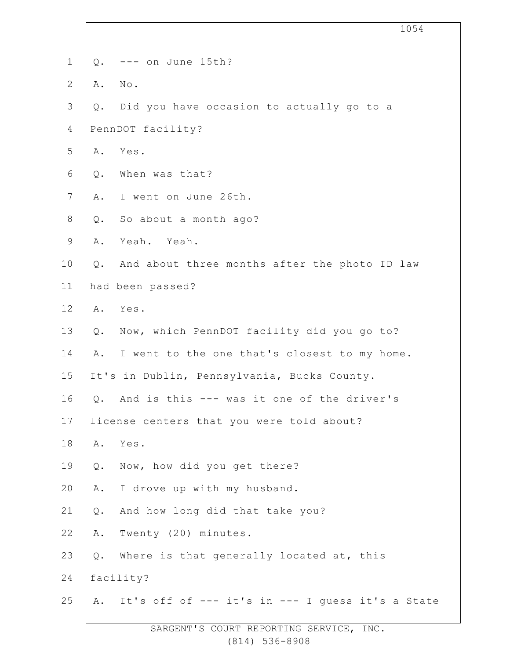|                |       | 1054                                                |
|----------------|-------|-----------------------------------------------------|
| $\mathbf 1$    | Q.    | --- on June 15th?                                   |
| $\mathbf{2}$   | Α.    | $\texttt{No}$ .                                     |
| $\mathfrak{Z}$ |       | Q. Did you have occasion to actually go to a        |
| 4              |       | PennDOT facility?                                   |
| 5              | Α.    | Yes.                                                |
| 6              | Q.    | When was that?                                      |
| $\overline{7}$ | Α.    | I went on June 26th.                                |
| $\,8\,$        | Q.    | So about a month ago?                               |
| $\mathsf 9$    | Α.    | Yeah. Yeah.                                         |
| 10             | Q.    | And about three months after the photo ID law       |
| 11             |       | had been passed?                                    |
| 12             | Α.    | Yes.                                                |
| 13             | Q.    | Now, which PennDOT facility did you go to?          |
| 14             | Α.    | I went to the one that's closest to my home.        |
| 15             |       | It's in Dublin, Pennsylvania, Bucks County.         |
| 16             | Q.    | And is this --- was it one of the driver's          |
| 17             |       | license centers that you were told about?           |
| 18             | Α.    | Yes.                                                |
| 19             | Q.    | Now, how did you get there?                         |
| 20             | Α.    | I drove up with my husband.                         |
| 21             | $Q$ . | And how long did that take you?                     |
| 22             | Α.    | Twenty (20) minutes.                                |
| 23             | Q.    | Where is that generally located at, this            |
| 24             |       | facility?                                           |
| 25             |       | A. It's off of --- it's in --- I guess it's a State |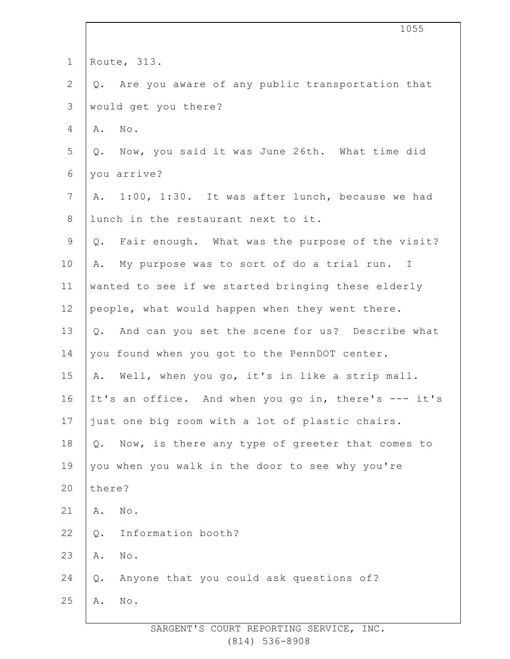|                | 1055                                                  |
|----------------|-------------------------------------------------------|
| $\mathbf 1$    | Route, 313.                                           |
| $\mathbf{2}$   | Are you aware of any public transportation that<br>Q. |
| 3              | would get you there?                                  |
| 4              | $N \circ$ .<br>Α.                                     |
| 5              | Q. Now, you said it was June 26th. What time did      |
| 6              | you arrive?                                           |
| $\overline{7}$ | A. 1:00, 1:30. It was after lunch, because we had     |
| 8              | lunch in the restaurant next to it.                   |
| 9              | Q. Fair enough. What was the purpose of the visit?    |
| 10             | My purpose was to sort of do a trial run. I<br>Α.     |
| 11             | wanted to see if we started bringing these elderly    |
| 12             | people, what would happen when they went there.       |
| 13             | Q. And can you set the scene for us? Describe what    |
| 14             | you found when you got to the PennDOT center.         |
| 15             | A. Well, when you go, it's in like a strip mall.      |
| 16             | It's an office. And when you go in, there's --- it's  |
| 17             | just one big room with a lot of plastic chairs.       |
| 18             | Now, is there any type of greeter that comes to<br>Q. |
| 19             | you when you walk in the door to see why you're       |
| 20             | there?                                                |
| 21             | Α.<br>No.                                             |
| 22             | Information booth?<br>$Q$ .                           |
| 23             | $\mathbb{N}\circ$ .<br>Α.                             |
| 24             | Anyone that you could ask questions of?<br>$Q$ .      |
| 25             | No.<br>Α.                                             |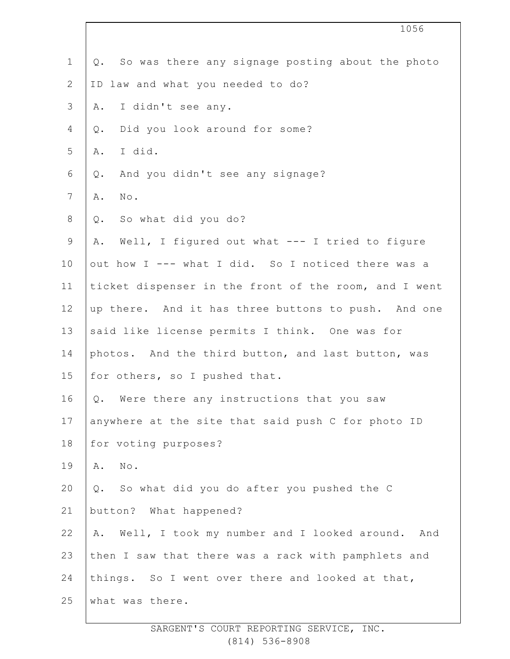|                | 1056                                                     |
|----------------|----------------------------------------------------------|
| $\mathbf 1$    | So was there any signage posting about the photo<br>Q.   |
| $\mathbf{2}$   | ID law and what you needed to do?                        |
| 3              | I didn't see any.<br>Α.                                  |
| $\overline{4}$ | Did you look around for some?<br>Q.                      |
| 5              | I did.<br>Α.                                             |
| 6              | And you didn't see any signage?<br>Q.                    |
| 7              | Α.<br>$\texttt{No}$ .                                    |
| 8              | So what did you do?<br>Q.                                |
| $\mathsf 9$    | Well, I figured out what --- I tried to figure<br>Α.     |
| 10             | out how I --- what I did. So I noticed there was a       |
| 11             | ticket dispenser in the front of the room, and I went    |
| 12             | up there. And it has three buttons to push. And one      |
| 13             | said like license permits I think. One was for           |
| 14             | photos. And the third button, and last button, was       |
| 15             | for others, so I pushed that.                            |
| 16             | Q. Were there any instructions that you saw              |
| 17             | anywhere at the site that said push C for photo ID       |
| 18             | for voting purposes?                                     |
| 19             | $\texttt{No}$ .<br>Α.                                    |
| 20             | Q. So what did you do after you pushed the C             |
| 21             | button? What happened?                                   |
| 22             | Well, I took my number and I looked around.<br>Α.<br>And |
| 23             | then I saw that there was a rack with pamphlets and      |
| 24             | things. So I went over there and looked at that,         |
| 25             | what was there.                                          |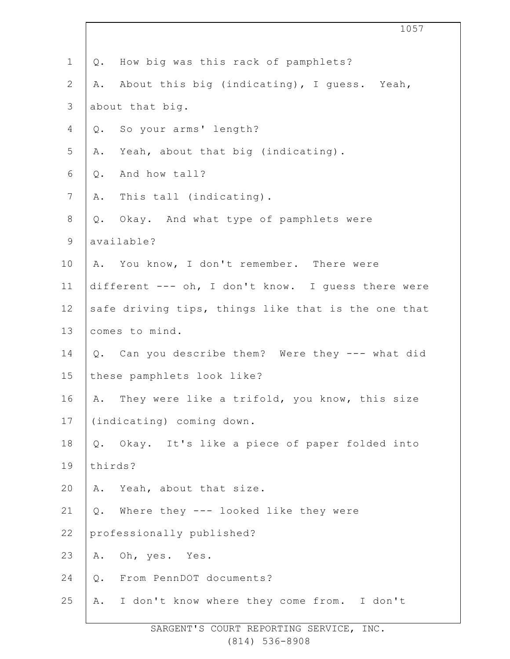|                | 1057                                                |
|----------------|-----------------------------------------------------|
| $\mathbf 1$    | How big was this rack of pamphlets?<br>Q.           |
| 2              | About this big (indicating), I guess. Yeah,<br>Α.   |
| 3              | about that big.                                     |
| 4              | So your arms' length?<br>Q.                         |
| 5              | Yeah, about that big (indicating).<br>Α.            |
| $\sqrt{6}$     | And how tall?<br>$Q$ .                              |
| $\overline{7}$ | This tall (indicating).<br>Α.                       |
| $8\,$          | Okay. And what type of pamphlets were<br>Q.         |
| $\mathsf 9$    | available?                                          |
| 10             | A. You know, I don't remember. There were           |
| 11             | different --- oh, I don't know. I guess there were  |
| 12             | safe driving tips, things like that is the one that |
| 13             | comes to mind.                                      |
| 14             | Can you describe them? Were they --- what did<br>Q. |
| 15             | these pamphlets look like?                          |
| 16             | A. They were like a trifold, you know, this size    |
| 17             | (indicating) coming down.                           |
| 18             | Q. Okay. It's like a piece of paper folded into     |
| 19             | thirds?                                             |
| 20             | Yeah, about that size.<br>Α.                        |
| 21             | Where they --- looked like they were<br>$Q$ .       |
| 22             | professionally published?                           |
| 23             | Oh, yes. Yes.<br>Α.                                 |
| 24             | From PennDOT documents?<br>$Q$ .                    |
| 25             | A. I don't know where they come from. I don't       |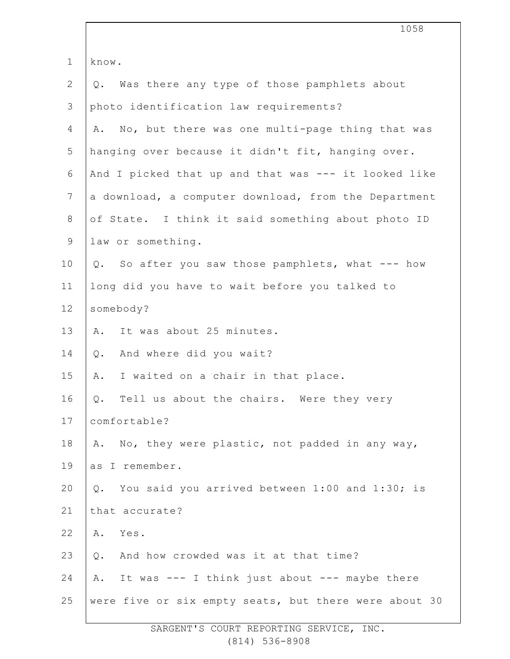|               | 1058                                                  |
|---------------|-------------------------------------------------------|
| $\mathbf 1$   | know.                                                 |
| $\mathbf{2}$  | Was there any type of those pamphlets about<br>$Q$ .  |
| $\mathcal{S}$ | photo identification law requirements?                |
| 4             | No, but there was one multi-page thing that was<br>Α. |
| 5             | hanging over because it didn't fit, hanging over.     |
| 6             | And I picked that up and that was --- it looked like  |
| 7             | a download, a computer download, from the Department  |
| $8\,$         | of State. I think it said something about photo ID    |
| $\mathsf 9$   | law or something.                                     |
| 10            | So after you saw those pamphlets, what --- how<br>Q.  |
| 11            | long did you have to wait before you talked to        |
| 12            | somebody?                                             |
| 13            | It was about 25 minutes.<br>Α.                        |
| 14            | And where did you wait?<br>Q.                         |
| 15            | I waited on a chair in that place.<br>Α.              |
| 16            | Q. Tell us about the chairs. Were they very           |
| 17            | comfortable?                                          |
| 18            | No, they were plastic, not padded in any way,<br>Α.   |
| 19            | as I remember.                                        |
| 20            | You said you arrived between 1:00 and 1:30; is<br>Q.  |
| 21            | that accurate?                                        |
| 22            | Yes.<br>Α.                                            |
| 23            | And how crowded was it at that time?<br>Q.            |
| 24            | It was --- I think just about --- maybe there<br>Α.   |
| 25            | were five or six empty seats, but there were about 30 |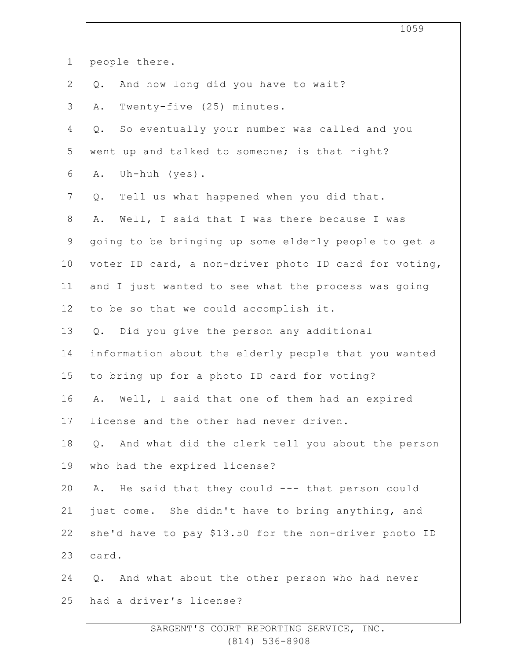|                 | 1059                                                      |
|-----------------|-----------------------------------------------------------|
| $\mathbf 1$     | people there.                                             |
| $\mathbf{2}$    | And how long did you have to wait?<br>Q.                  |
| 3               | Twenty-five (25) minutes.<br>Α.                           |
| 4               | So eventually your number was called and you<br>$Q$ .     |
| 5               | went up and talked to someone; is that right?             |
| 6               | Uh-huh $(yes)$ .<br>Α.                                    |
| $7\phantom{.0}$ | Tell us what happened when you did that.<br>Q.            |
| $8\,$           | Well, I said that I was there because I was<br>Α.         |
| $\mathsf 9$     | going to be bringing up some elderly people to get a      |
| 10              | voter ID card, a non-driver photo ID card for voting,     |
| 11              | and I just wanted to see what the process was going       |
| 12              | to be so that we could accomplish it.                     |
| 13              | Q. Did you give the person any additional                 |
| 14              | information about the elderly people that you wanted      |
| 15              | to bring up for a photo ID card for voting?               |
| 16              | Well, I said that one of them had an expired<br>Α.        |
| 17              | license and the other had never driven.                   |
| 18              | And what did the clerk tell you about the person<br>$Q$ . |
| 19              | who had the expired license?                              |
| 20              | He said that they could --- that person could<br>Α.       |
| 21              | just come. She didn't have to bring anything, and         |
| 22              | she'd have to pay \$13.50 for the non-driver photo ID     |
| 23              | card.                                                     |
| 24              | And what about the other person who had never<br>$Q$ .    |
| 25              | had a driver's license?                                   |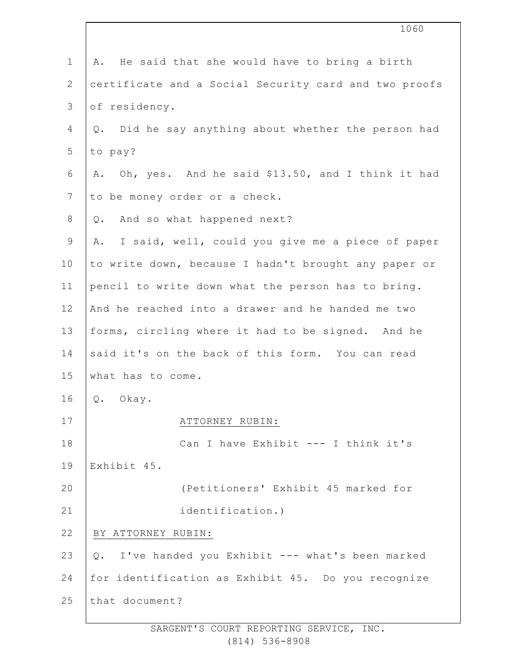| $\mathbf 1$     | He said that she would have to bring a birth<br>Α.     |
|-----------------|--------------------------------------------------------|
| $\overline{2}$  | certificate and a Social Security card and two proofs  |
| 3               | of residency.                                          |
| 4               | Did he say anything about whether the person had<br>Q. |
| 5               | to pay?                                                |
| 6               | Oh, yes. And he said \$13.50, and I think it had<br>Α. |
| $7\phantom{.0}$ | to be money order or a check.                          |
| 8               | And so what happened next?<br>Q.                       |
| 9               | I said, well, could you give me a piece of paper<br>Α. |
| 10              | to write down, because I hadn't brought any paper or   |
| 11              | pencil to write down what the person has to bring.     |
| 12              | And he reached into a drawer and he handed me two      |
| 13              | forms, circling where it had to be signed. And he      |
| 14              | said it's on the back of this form. You can read       |
| 15              | what has to come.                                      |
| 16              | Q. Okay.                                               |
| 17              | ATTORNEY RUBIN:                                        |
| 18              | Can I have Exhibit --- I think it's                    |
| 19              | Exhibit 45.                                            |
| 20              | (Petitioners' Exhibit 45 marked for                    |
| 21              | identification.)                                       |
| 22              | BY ATTORNEY RUBIN:                                     |
| 23              | Q. I've handed you Exhibit --- what's been marked      |
| 24              | for identification as Exhibit 45. Do you recognize     |
| 25              | that document?                                         |
|                 |                                                        |

1060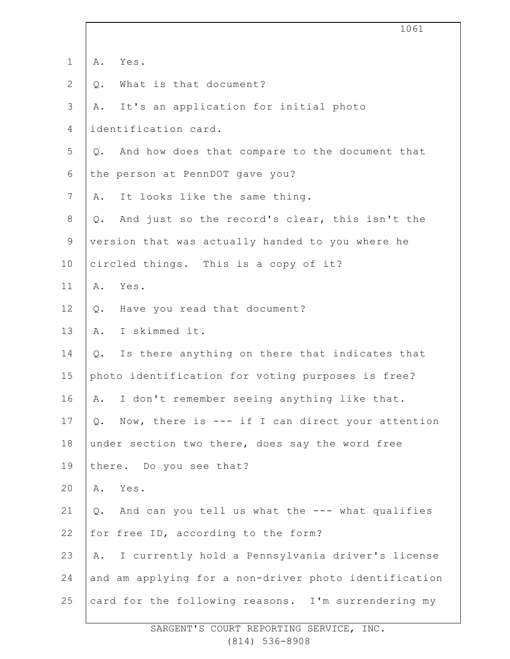|                |                                                         | 1061 |
|----------------|---------------------------------------------------------|------|
| $\mathbf 1$    | Α.<br>Yes.                                              |      |
| $\mathbf{2}$   | What is that document?<br>Q.                            |      |
| 3              | It's an application for initial photo<br>Α.             |      |
| 4              | identification card.                                    |      |
| 5              | Q. And how does that compare to the document that       |      |
| 6              | the person at PennDOT gave you?                         |      |
| $\overline{7}$ | It looks like the same thing.<br>Α.                     |      |
| 8              | And just so the record's clear, this isn't the<br>$Q$ . |      |
| $\mathsf 9$    | version that was actually handed to you where he        |      |
| 10             | circled things. This is a copy of it?                   |      |
| 11             | Yes.<br>Α.                                              |      |
| 12             | Have you read that document?<br>Q.                      |      |
| 13             | I skimmed it.<br>Α.                                     |      |
| 14             | Is there anything on there that indicates that<br>Q.    |      |
| 15             | photo identification for voting purposes is free?       |      |
| 16             | I don't remember seeing anything like that.<br>Α.       |      |
| 17             | Q. Now, there is --- if I can direct your attention     |      |
| 18             | under section two there, does say the word free         |      |
| 19             | there. Do you see that?                                 |      |
| 20             | Yes.<br>Α.                                              |      |
| 21             | And can you tell us what the --- what qualifies<br>Q.   |      |
| 22             | for free ID, according to the form?                     |      |
| 23             | A. I currently hold a Pennsylvania driver's license     |      |
| 24             | and am applying for a non-driver photo identification   |      |
| 25             | card for the following reasons. I'm surrendering my     |      |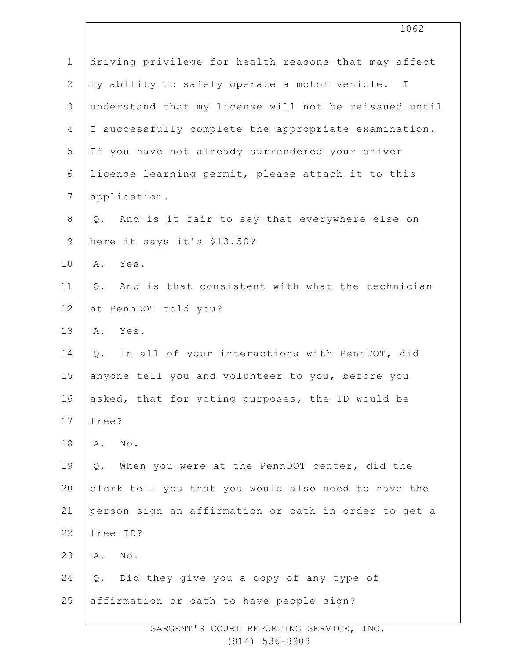|                | 1062                                                     |
|----------------|----------------------------------------------------------|
| $\mathbf 1$    | driving privilege for health reasons that may affect     |
| $\overline{2}$ | my ability to safely operate a motor vehicle. I          |
| 3              | understand that my license will not be reissued until    |
| 4              | I successfully complete the appropriate examination.     |
| 5              | If you have not already surrendered your driver          |
| 6              | license learning permit, please attach it to this        |
| $\overline{7}$ | application.                                             |
| $8\,$          | And is it fair to say that everywhere else on<br>Q.      |
| $\mathsf 9$    | here it says it's \$13.50?                               |
| 10             | Yes.<br>Α.                                               |
| 11             | And is that consistent with what the technician<br>$Q$ . |
| 12             | at PennDOT told you?                                     |
| 13             | A. Yes.                                                  |
| 14             | In all of your interactions with PennDOT, did<br>$Q$ .   |
| 15             | anyone tell you and volunteer to you, before you         |
| 16             | asked, that for voting purposes, the ID would be         |
| 17             | free?                                                    |
| 18             | No.<br>Α.                                                |
| 19             | When you were at the PennDOT center, did the<br>$Q$ .    |
| 20             | clerk tell you that you would also need to have the      |
| 21             | person sign an affirmation or oath in order to get a     |
| 22             | free ID?                                                 |
| 23             | No.<br>Α.                                                |
| 24             | Did they give you a copy of any type of<br>$Q$ .         |
| 25             | affirmation or oath to have people sign?                 |
|                |                                                          |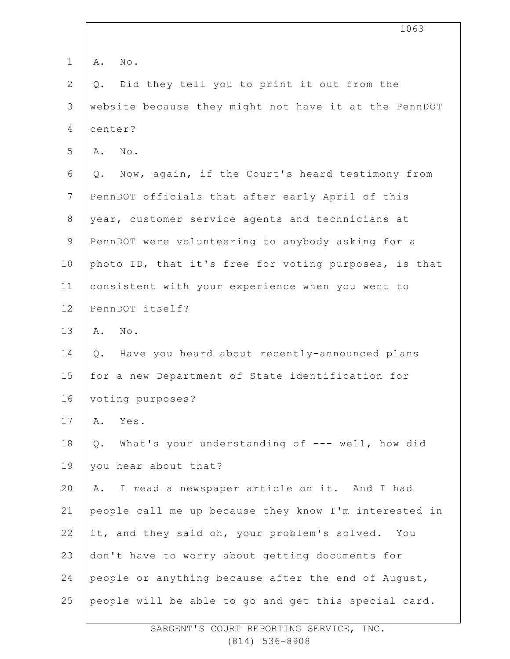|                | 1063                                                    |
|----------------|---------------------------------------------------------|
| $\mathbf 1$    | No.<br>Α.                                               |
| $\mathbf{2}$   | Did they tell you to print it out from the<br>Q.        |
| 3              | website because they might not have it at the PennDOT   |
| 4              | center?                                                 |
| 5              | No.<br>Α.                                               |
| 6              | Now, again, if the Court's heard testimony from<br>Q.   |
| $7\phantom{.}$ | PennDOT officials that after early April of this        |
| 8              | year, customer service agents and technicians at        |
| $\mathsf 9$    | PennDOT were volunteering to anybody asking for a       |
| 10             | photo ID, that it's free for voting purposes, is that   |
| 11             | consistent with your experience when you went to        |
| 12             | PennDOT itself?                                         |
| 13             | No.<br>Α.                                               |
| 14             | Have you heard about recently-announced plans<br>Q.     |
| 15             | for a new Department of State identification for        |
| 16             | voting purposes?                                        |
| 17             | Α.<br>Yes.                                              |
| 18             | What's your understanding of --- well, how did<br>$Q$ . |
| 19             | you hear about that?                                    |
| 20             | I read a newspaper article on it. And I had<br>Α.       |
| 21             | people call me up because they know I'm interested in   |
| 22             | it, and they said oh, your problem's solved. You        |
| 23             | don't have to worry about getting documents for         |
| 24             | people or anything because after the end of August,     |
| 25             | people will be able to go and get this special card.    |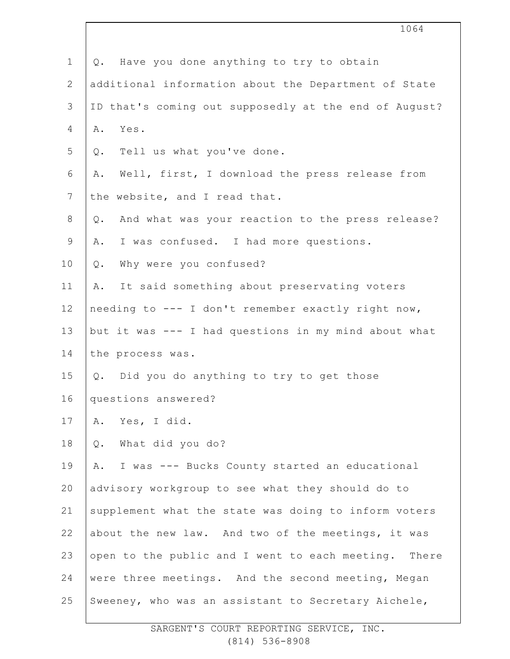|                | 1064                                                      |
|----------------|-----------------------------------------------------------|
| $\mathbf 1$    | Q. Have you done anything to try to obtain                |
| $\mathbf{2}$   | additional information about the Department of State      |
| 3              | ID that's coming out supposedly at the end of August?     |
| $\overline{4}$ | Yes.<br>Α.                                                |
| 5              | Tell us what you've done.<br>Q.                           |
| 6              | Well, first, I download the press release from<br>Α.      |
| 7              | the website, and I read that.                             |
| 8              | And what was your reaction to the press release?<br>$Q$ . |
| 9              | I was confused. I had more questions.<br>Α.               |
| 10             | Why were you confused?<br>$Q$ .                           |
| 11             | It said something about preservating voters<br>Α.         |
| 12             | needing to --- I don't remember exactly right now,        |
| 13             | but it was --- I had questions in my mind about what      |
| 14             | the process was.                                          |
| 15             | Q. Did you do anything to try to get those                |
| 16             | questions answered?                                       |
| 17             | Yes, I did.<br>Α.                                         |
| 18             | What did you do?<br>$\mathsf{Q}$ .                        |
| 19             | I was --- Bucks County started an educational<br>Α.       |
| 20             | advisory workgroup to see what they should do to          |
| 21             | supplement what the state was doing to inform voters      |
| 22             | about the new law. And two of the meetings, it was        |
| 23             | open to the public and I went to each meeting. There      |
| 24             | were three meetings. And the second meeting, Megan        |
| 25             | Sweeney, who was an assistant to Secretary Aichele,       |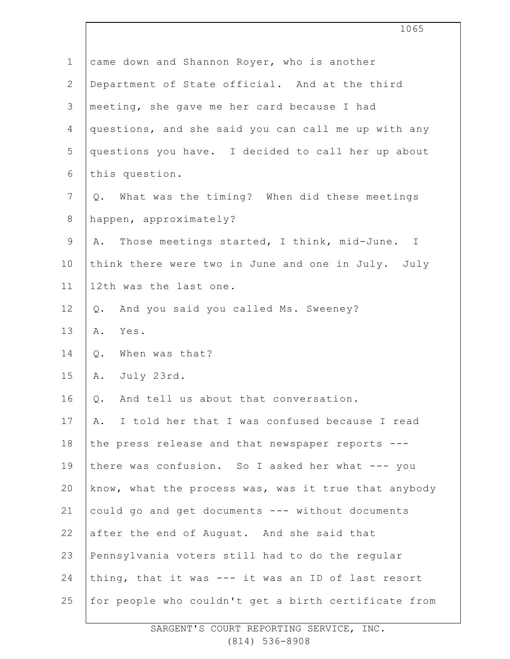|                | 1065                                                 |
|----------------|------------------------------------------------------|
| $\mathbf 1$    | came down and Shannon Royer, who is another          |
| $\mathbf{2}$   | Department of State official. And at the third       |
| $\mathcal{S}$  | meeting, she gave me her card because I had          |
| 4              | questions, and she said you can call me up with any  |
| 5              | questions you have. I decided to call her up about   |
| $\sqrt{6}$     | this question.                                       |
| $\overline{7}$ | Q. What was the timing? When did these meetings      |
| $\,8\,$        | happen, approximately?                               |
| $\mathsf 9$    | A. Those meetings started, I think, mid-June. I      |
| 10             | think there were two in June and one in July. July   |
| 11             | 12th was the last one.                               |
| 12             | And you said you called Ms. Sweeney?<br>$Q$ .        |
| 13             | Yes.<br>Α.                                           |
| 14             | When was that?<br>$Q$ .                              |
| 15             | A.<br>July 23rd.                                     |
| 16             | And tell us about that conversation.<br>Q.           |
| 17             | I told her that I was confused because I read<br>Α.  |
| 18             | the press release and that newspaper reports ---     |
| 19             | there was confusion. So I asked her what --- you     |
| 20             | know, what the process was, was it true that anybody |
| 21             | could go and get documents --- without documents     |
| 22             | after the end of August. And she said that           |
| 23             | Pennsylvania voters still had to do the regular      |
| 24             | thing, that it was --- it was an ID of last resort   |
| 25             | for people who couldn't get a birth certificate from |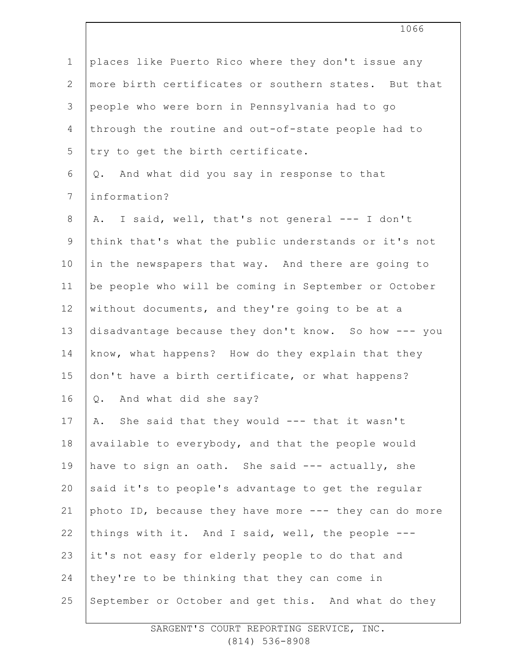|                | 1066                                                  |
|----------------|-------------------------------------------------------|
| $\mathbf 1$    | places like Puerto Rico where they don't issue any    |
| $\mathbf{2}$   | more birth certificates or southern states. But that  |
| 3              | people who were born in Pennsylvania had to go        |
| 4              | through the routine and out-of-state people had to    |
| 5              | try to get the birth certificate.                     |
| 6              | And what did you say in response to that<br>Q.        |
| $7\phantom{.}$ | information?                                          |
| 8              | I said, well, that's not general --- I don't<br>Α.    |
| $\mathsf 9$    | think that's what the public understands or it's not  |
| 10             | in the newspapers that way. And there are going to    |
| 11             | be people who will be coming in September or October  |
| 12             | without documents, and they're going to be at a       |
| 13             | disadvantage because they don't know. So how --- you  |
| 14             | know, what happens? How do they explain that they     |
| 15             | don't have a birth certificate, or what happens?      |
| 16             | And what did she say?<br>$Q$ .                        |
| 17             | She said that they would --- that it wasn't<br>Α.     |
| 18             | available to everybody, and that the people would     |
| 19             | have to sign an oath. She said --- actually, she      |
| 20             | said it's to people's advantage to get the regular    |
| 21             | photo ID, because they have more --- they can do more |
| 22             | things with it. And I said, well, the people ---      |
| 23             | it's not easy for elderly people to do that and       |
| 24             | they're to be thinking that they can come in          |
| 25             | September or October and get this. And what do they   |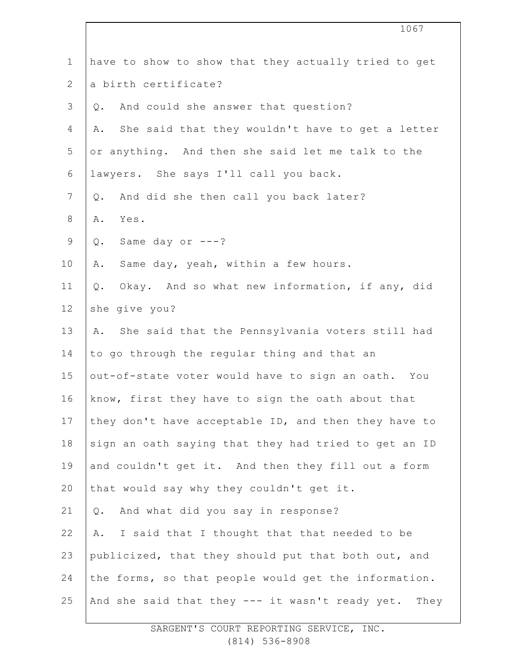|                 | 1067                                                   |
|-----------------|--------------------------------------------------------|
| $\mathbf 1$     | have to show to show that they actually tried to get   |
| $\mathbf{2}$    | a birth certificate?                                   |
| 3               | And could she answer that question?<br>Q.              |
| 4               | She said that they wouldn't have to get a letter<br>Α. |
| 5               | or anything. And then she said let me talk to the      |
| 6               | lawyers. She says I'll call you back.                  |
| $7\phantom{.0}$ | And did she then call you back later?<br>Q.            |
| 8               | Yes.<br>Α.                                             |
| $\mathsf 9$     | Same day or ---?<br>Q.                                 |
| 10              | Same day, yeah, within a few hours.<br>Α.              |
| 11              | Okay. And so what new information, if any, did<br>Q.   |
| 12              | she give you?                                          |
| 13              | A. She said that the Pennsylvania voters still had     |
| 14              | to go through the regular thing and that an            |
| 15              | out-of-state voter would have to sign an oath. You     |
| 16              | know, first they have to sign the oath about that      |
| 17              | they don't have acceptable ID, and then they have to   |
| 18              | sign an oath saying that they had tried to get an ID   |
| 19              | and couldn't get it. And then they fill out a form     |
| 20              | that would say why they couldn't get it.               |
| 21              | And what did you say in response?<br>Q.                |
| 22              | I said that I thought that that needed to be<br>Α.     |
| 23              | publicized, that they should put that both out, and    |
| 24              | the forms, so that people would get the information.   |
| 25              | And she said that they --- it wasn't ready yet. They   |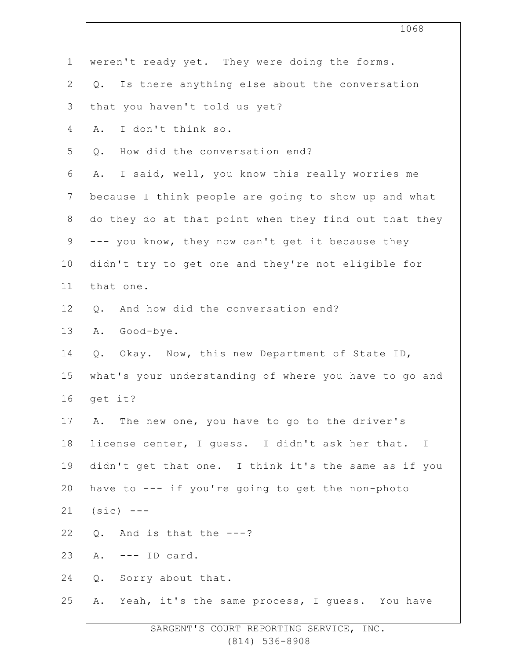|                | 1068                                                  |
|----------------|-------------------------------------------------------|
| $\mathbf 1$    | weren't ready yet. They were doing the forms.         |
| $\overline{2}$ | Is there anything else about the conversation<br>Q.   |
| $\mathcal{S}$  | that you haven't told us yet?                         |
| 4              | I don't think so.<br>Α.                               |
| 5              | How did the conversation end?<br>Q.                   |
| 6              | I said, well, you know this really worries me<br>Α.   |
| $\overline{7}$ | because I think people are going to show up and what  |
| $8\,$          | do they do at that point when they find out that they |
| $\mathsf 9$    | --- you know, they now can't get it because they      |
| 10             | didn't try to get one and they're not eligible for    |
| 11             | that one.                                             |
| 12             | And how did the conversation end?<br>Q.               |
| 13             | Good-bye.<br>Α.                                       |
| 14             | Okay. Now, this new Department of State ID,<br>$Q$ .  |
| 15             | what's your understanding of where you have to go and |
| 16             | get it?                                               |
| 17             | The new one, you have to go to the driver's<br>Α.     |
| 18             | license center, I guess. I didn't ask her that. I     |
| 19             | didn't get that one. I think it's the same as if you  |
| 20             | have to --- if you're going to get the non-photo      |
| 21             | $(sic)$ ---                                           |
| 22             | $Q.$ And is that the ---?                             |
| 23             | $---$ ID card.<br>Α.                                  |
| 24             | Sorry about that.<br>Q.                               |
| 25             | Yeah, it's the same process, I guess. You have<br>Α.  |
|                |                                                       |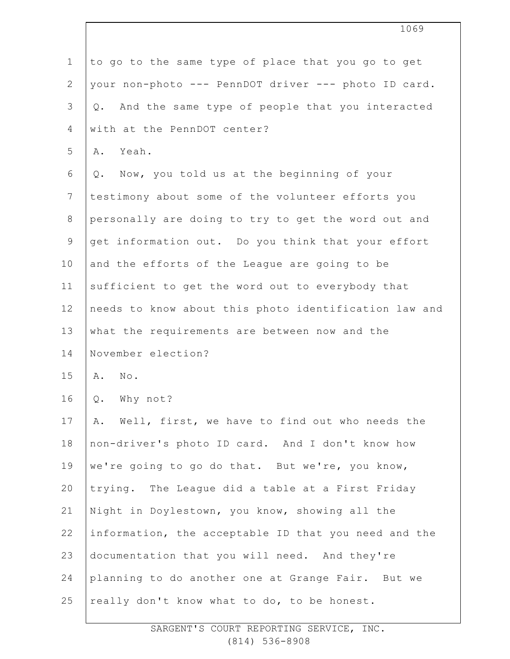| $\mathbf 1$   | to go to the same type of place that you go to get       |
|---------------|----------------------------------------------------------|
| $\mathbf{2}$  | your non-photo --- PennDOT driver --- photo ID card.     |
| $\mathcal{S}$ | And the same type of people that you interacted<br>$Q$ . |
| 4             | with at the PennDOT center?                              |
| 5             | Yeah.<br>Α.                                              |
| 6             | Q. Now, you told us at the beginning of your             |
| 7             | testimony about some of the volunteer efforts you        |
| $\,8\,$       | personally are doing to try to get the word out and      |
| $\mathsf 9$   | get information out. Do you think that your effort       |
| 10            | and the efforts of the League are going to be            |
| 11            | sufficient to get the word out to everybody that         |
| 12            | needs to know about this photo identification law and    |
| 13            | what the requirements are between now and the            |
| 14            | November election?                                       |
| 15            | No.<br>Α.                                                |
| 16            | Q.<br>Why not?                                           |
| 17            | Well, first, we have to find out who needs the<br>Α.     |
| 18            | non-driver's photo ID card. And I don't know how         |
| 19            | we're going to go do that. But we're, you know,          |
| 20            | trying. The League did a table at a First Friday         |
| 21            | Night in Doylestown, you know, showing all the           |
| 22            | information, the acceptable ID that you need and the     |
|               |                                                          |
| 23            | documentation that you will need. And they're            |
| 24            | planning to do another one at Grange Fair. But we        |

1069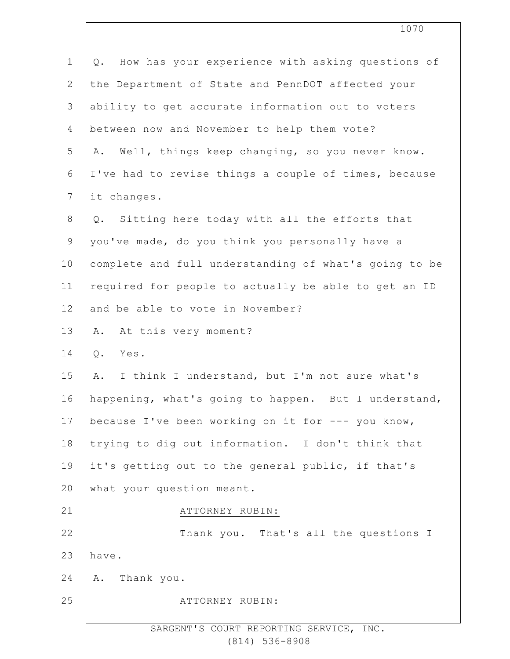| $\mathbf 1$    | How has your experience with asking questions of<br>Q. |  |
|----------------|--------------------------------------------------------|--|
| $\mathbf{2}$   | the Department of State and PennDOT affected your      |  |
| 3              | ability to get accurate information out to voters      |  |
| $\overline{4}$ | between now and November to help them vote?            |  |
| 5              | Well, things keep changing, so you never know.<br>Α.   |  |
| 6              | I've had to revise things a couple of times, because   |  |
| 7              | it changes.                                            |  |
| $8\,$          | Q. Sitting here today with all the efforts that        |  |
| $\mathsf 9$    | you've made, do you think you personally have a        |  |
| 10             | complete and full understanding of what's going to be  |  |
| 11             | required for people to actually be able to get an ID   |  |
| 12             | and be able to vote in November?                       |  |
| 13             | At this very moment?<br>Α.                             |  |
| 14             | Q.<br>Yes.                                             |  |
| 15             | I think I understand, but I'm not sure what's<br>Α.    |  |
| 16             | happening, what's going to happen. But I understand,   |  |
| 17             | because I've been working on it for --- you know,      |  |
| 18             | trying to dig out information. I don't think that      |  |
| 19             | it's getting out to the general public, if that's      |  |
| 20             | what your question meant.                              |  |
| 21             | ATTORNEY RUBIN:                                        |  |
| 22             | Thank you. That's all the questions I                  |  |
| 23             | have.                                                  |  |
| 24             | A. Thank you.                                          |  |
| 25             | ATTORNEY RUBIN:                                        |  |
|                | SARGENT'S COURT REPORTING SERVICE, INC.                |  |

1070

(814) 536-8908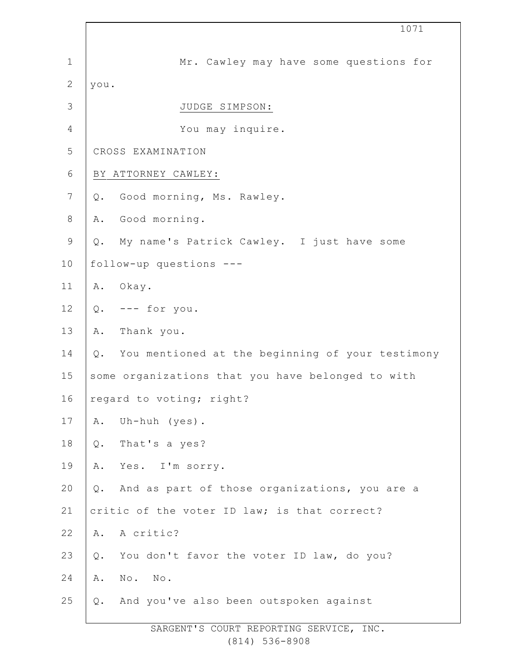|                | 1071                                                   |  |
|----------------|--------------------------------------------------------|--|
| $\mathbf 1$    | Mr. Cawley may have some questions for                 |  |
| $\overline{2}$ | you.                                                   |  |
| 3              | JUDGE SIMPSON:                                         |  |
| $\overline{4}$ | You may inquire.                                       |  |
| 5              | CROSS EXAMINATION                                      |  |
| $\sqrt{6}$     | BY ATTORNEY CAWLEY:                                    |  |
| 7              | Good morning, Ms. Rawley.<br>Q.                        |  |
| $\,8\,$        | Good morning.<br>Α.                                    |  |
| $\mathsf 9$    | My name's Patrick Cawley. I just have some<br>Q.       |  |
| 10             | follow-up questions ---                                |  |
| 11             | A. Okay.                                               |  |
| 12             | $Q.$ --- for you.                                      |  |
| 13             | Thank you.<br>Α.                                       |  |
| 14             | You mentioned at the beginning of your testimony<br>Q. |  |
| 15             | some organizations that you have belonged to with      |  |
| 16             | regard to voting; right?                               |  |
| 17             | Uh-huh (yes).<br>Α.                                    |  |
| 18             | That's a yes?<br>$Q$ .                                 |  |
| 19             | Yes. I'm sorry.<br>Α.                                  |  |
| 20             | And as part of those organizations, you are a<br>Q.    |  |
| 21             | critic of the voter ID law; is that correct?           |  |
| 22             | A critic?<br>Α.                                        |  |
| 23             | You don't favor the voter ID law, do you?<br>$Q$ .     |  |
| 24             | No. No.<br>Α.                                          |  |
| 25             | And you've also been outspoken against<br>Q.           |  |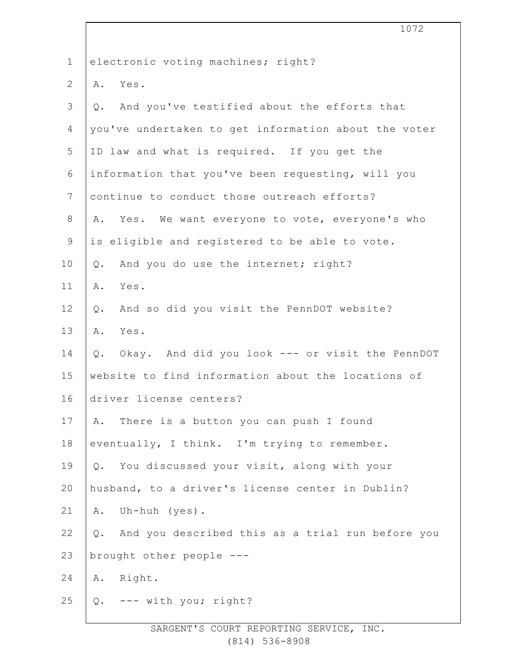|              | 1072                                                      |
|--------------|-----------------------------------------------------------|
| $\mathbf 1$  | electronic voting machines; right?                        |
| $\mathbf{2}$ | Yes.<br>Α.                                                |
| 3            | And you've testified about the efforts that<br>Q.         |
| 4            | you've undertaken to get information about the voter      |
| 5            | ID law and what is required. If you get the               |
| 6            | information that you've been requesting, will you         |
| 7            | continue to conduct those outreach efforts?               |
| 8            | Yes. We want everyone to vote, everyone's who<br>Α.       |
| $\mathsf 9$  | is eligible and registered to be able to vote.            |
| 10           | And you do use the internet; right?<br>Q.                 |
| 11           | Yes.<br>Α.                                                |
| 12           | And so did you visit the PennDOT website?<br>Q.           |
| 13           | Yes.<br>Α.                                                |
| 14           | Okay. And did you look --- or visit the PennDOT<br>Q.     |
| 15           | website to find information about the locations of        |
| 16           | driver license centers?                                   |
| 17           | There is a button you can push I found<br>Α.              |
| 18           | eventually, I think. I'm trying to remember.              |
| 19           | Q. You discussed your visit, along with your              |
| 20           | husband, to a driver's license center in Dublin?          |
| 21           | Uh-huh (yes).<br>Α.                                       |
| 22           | And you described this as a trial run before you<br>$Q$ . |
| 23           | brought other people ---                                  |
| 24           | Right.<br>Α.                                              |
| 25           | Q. --- with you; right?                                   |
|              |                                                           |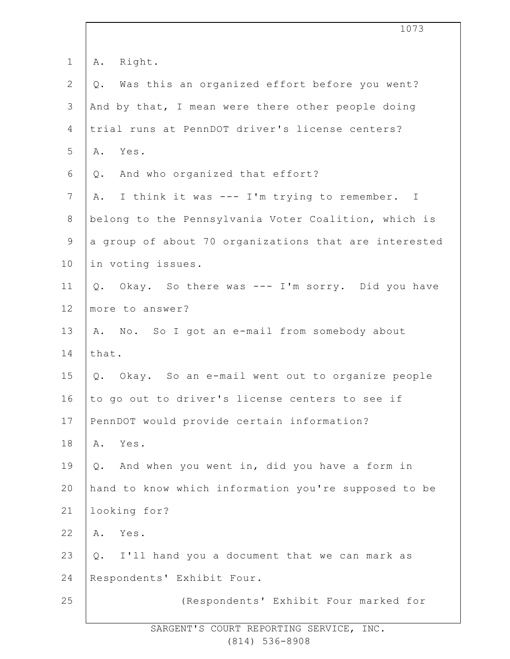|                | 1073                                                    |
|----------------|---------------------------------------------------------|
| $\mathbf 1$    | Right.<br>Α.                                            |
| $\sqrt{2}$     | Was this an organized effort before you went?<br>Q.     |
| 3              | And by that, I mean were there other people doing       |
| 4              | trial runs at PennDOT driver's license centers?         |
| 5              | Yes.<br>Α.                                              |
| 6              | And who organized that effort?<br>Q.                    |
| $7\phantom{.}$ | I think it was --- I'm trying to remember. I<br>Α.      |
| $8\,$          | belong to the Pennsylvania Voter Coalition, which is    |
| $\mathsf 9$    | a group of about 70 organizations that are interested   |
| 10             | in voting issues.                                       |
| 11             | Okay. So there was --- I'm sorry. Did you have<br>$Q$ . |
| 12             | more to answer?                                         |
| 13             | No. So I got an e-mail from somebody about<br>Α.        |
| 14             | that.                                                   |
| 15             | Q. Okay. So an e-mail went out to organize people       |
| 16             | to go out to driver's license centers to see if         |
| 17             | PennDOT would provide certain information?              |
| 18             | Yes.<br>Α.                                              |
| 19             | Q. And when you went in, did you have a form in         |
| 20             | hand to know which information you're supposed to be    |
| 21             | looking for?                                            |
| 22             | Yes.<br>Α.                                              |
| 23             | I'll hand you a document that we can mark as<br>Q.      |
| 24             | Respondents' Exhibit Four.                              |
| 25             | (Respondents' Exhibit Four marked for                   |
|                |                                                         |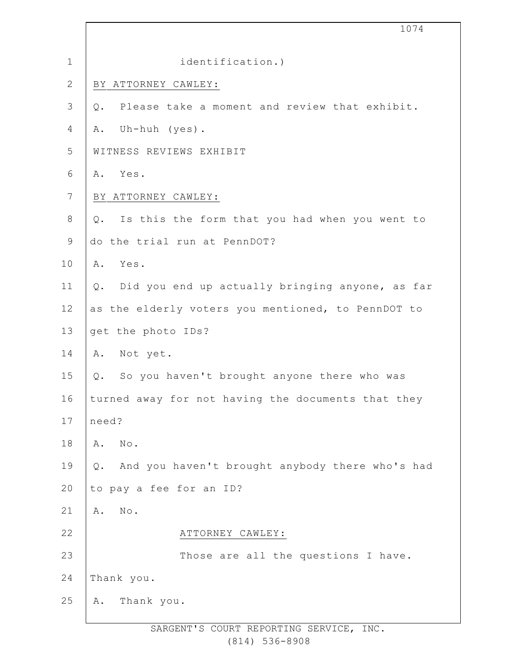|                | 1074                                                    |  |
|----------------|---------------------------------------------------------|--|
| $1\,$          | identification.)                                        |  |
| $\mathbf{2}$   | BY ATTORNEY CAWLEY:                                     |  |
| $\mathfrak{Z}$ | Please take a moment and review that exhibit.<br>Q.     |  |
| $\overline{4}$ | Uh-huh (yes).<br>Α.                                     |  |
| 5              | WITNESS REVIEWS EXHIBIT                                 |  |
| $6\,$          | Yes.<br>Α.                                              |  |
| $\overline{7}$ | BY ATTORNEY CAWLEY:                                     |  |
| $\,8\,$        | Is this the form that you had when you went to<br>$Q$ . |  |
| $\mathsf 9$    | do the trial run at PennDOT?                            |  |
| 10             | Yes.<br>Α.                                              |  |
| 11             | Did you end up actually bringing anyone, as far<br>Q.   |  |
| 12             | as the elderly voters you mentioned, to PennDOT to      |  |
| 13             | get the photo IDs?                                      |  |
| 14             | Not yet.<br>Α.                                          |  |
| 15             | So you haven't brought anyone there who was<br>Q.       |  |
| 16             | turned away for not having the documents that they      |  |
| 17             | need?                                                   |  |
| 18             | $\mbox{No}$ .<br>Α.                                     |  |
| 19             | And you haven't brought anybody there who's had<br>Q.   |  |
| 20             | to pay a fee for an ID?                                 |  |
| 21             | $\texttt{No}$ .<br>Α.                                   |  |
| 22             | ATTORNEY CAWLEY:                                        |  |
| 23             | Those are all the questions I have.                     |  |
| 24             | Thank you.                                              |  |
| 25             | Thank you.<br>Α.                                        |  |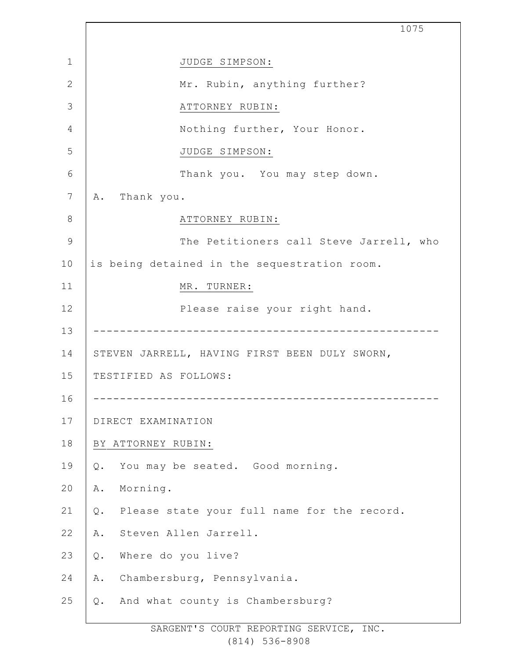1 2 3 4 5 6 7 8 9 10 11 12 13 14 15 16 17 18 19 20 21 22 23 24 25 1075 JUDGE SIMPSON: Mr. Rubin, anything further? ATTORNEY RUBIN: Nothing further, Your Honor. JUDGE SIMPSON: Thank you. You may step down. A. Thank you. ATTORNEY RUBIN: The Petitioners call Steve Jarrell, who is being detained in the sequestration room. MR. TURNER: Please raise your right hand. ---------------------------------------------------- STEVEN JARRELL, HAVING FIRST BEEN DULY SWORN, TESTIFIED AS FOLLOWS: ---------------------------------------------------- DIRECT EXAMINATION BY ATTORNEY RUBIN: Q. You may be seated. Good morning. A. Morning. Q. Please state your full name for the record. A. Steven Allen Jarrell. Q. Where do you live? A. Chambersburg, Pennsylvania. Q. And what county is Chambersburg?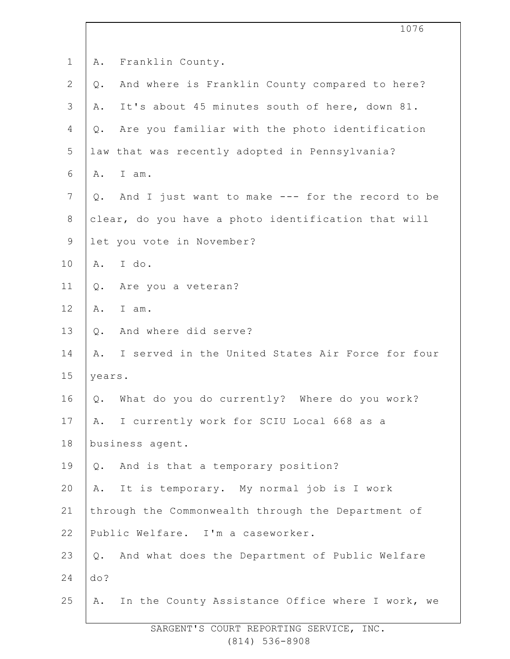|                |                                   |                                                     | 1076 |
|----------------|-----------------------------------|-----------------------------------------------------|------|
| $\mathbf 1$    | Franklin County.<br>Α.            |                                                     |      |
| $\mathbf{2}$   | Q.                                | And where is Franklin County compared to here?      |      |
| $\mathcal{S}$  | Α.                                | It's about 45 minutes south of here, down 81.       |      |
| 4              | Q.                                | Are you familiar with the photo identification      |      |
| 5              |                                   | law that was recently adopted in Pennsylvania?      |      |
| 6              | I am.<br>Α.                       |                                                     |      |
| $7\phantom{.}$ | Q.                                | And I just want to make --- for the record to be    |      |
| $8\,$          |                                   | clear, do you have a photo identification that will |      |
| $\mathsf 9$    | let you vote in November?         |                                                     |      |
| 10             | I do.<br>Α.                       |                                                     |      |
| 11             | Are you a veteran?<br>$Q$ .       |                                                     |      |
| 12             | I am.<br>Α.                       |                                                     |      |
| 13             | And where did serve?<br>Q.        |                                                     |      |
| 14             | Α.                                | I served in the United States Air Force for four    |      |
| 15             | years.                            |                                                     |      |
| 16             | $Q$ .                             | What do you do currently? Where do you work?        |      |
| 17             | Α.                                | I currently work for SCIU Local 668 as a            |      |
| 18             | business agent.                   |                                                     |      |
| 19             | Q.                                | And is that a temporary position?                   |      |
| 20             | Α.                                | It is temporary. My normal job is I work            |      |
| 21             |                                   | through the Commonwealth through the Department of  |      |
| 22             | Public Welfare. I'm a caseworker. |                                                     |      |
| 23             | Q.                                | And what does the Department of Public Welfare      |      |
| 24             | do?                               |                                                     |      |
| 25             | Α.                                | In the County Assistance Office where I work, we    |      |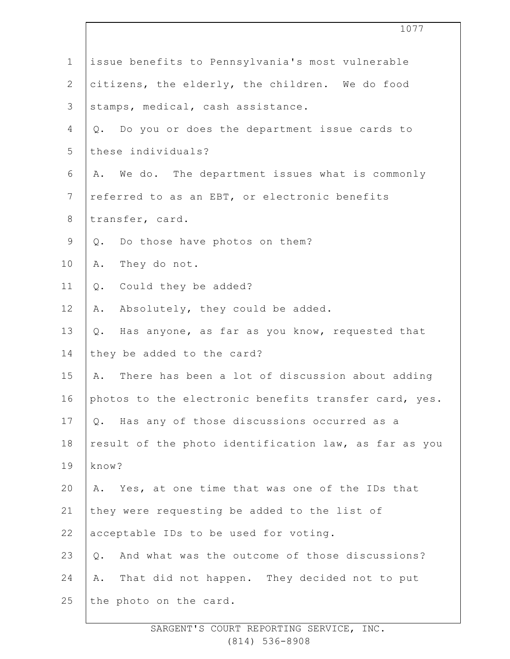|                | 1077                                                  |  |  |
|----------------|-------------------------------------------------------|--|--|
| $\mathbf 1$    | issue benefits to Pennsylvania's most vulnerable      |  |  |
| $\mathbf{2}$   | citizens, the elderly, the children. We do food       |  |  |
| 3              | stamps, medical, cash assistance.                     |  |  |
| 4              | Do you or does the department issue cards to<br>Q.    |  |  |
| 5              | these individuals?                                    |  |  |
| 6              | We do. The department issues what is commonly<br>Α.   |  |  |
| $7\phantom{.}$ | referred to as an EBT, or electronic benefits         |  |  |
| $8\,$          | transfer, card.                                       |  |  |
| $\mathsf 9$    | Q. Do those have photos on them?                      |  |  |
| 10             | They do not.<br>Α.                                    |  |  |
| 11             | Could they be added?<br>Q.                            |  |  |
| 12             | Absolutely, they could be added.<br>Α.                |  |  |
| 13             | Has anyone, as far as you know, requested that<br>Q.  |  |  |
| 14             | they be added to the card?                            |  |  |
| 15             | There has been a lot of discussion about adding<br>A. |  |  |
| 16             | photos to the electronic benefits transfer card, yes. |  |  |
| 17             | Has any of those discussions occurred as a<br>Q.      |  |  |
| 18             | result of the photo identification law, as far as you |  |  |
| 19             | know?                                                 |  |  |
| 20             | Yes, at one time that was one of the IDs that<br>Α.   |  |  |
| 21             | they were requesting be added to the list of          |  |  |
| 22             | acceptable IDs to be used for voting.                 |  |  |
| 23             | And what was the outcome of those discussions?<br>Q.  |  |  |
| 24             | That did not happen. They decided not to put<br>Α.    |  |  |
| 25             | the photo on the card.                                |  |  |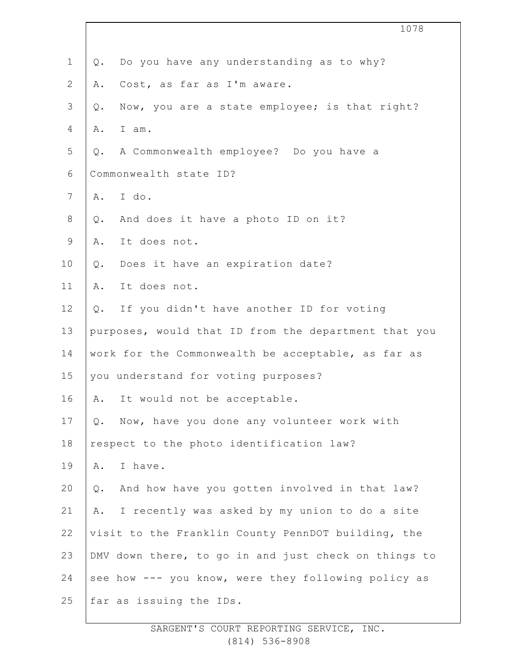|                |       | 1078                                                 |
|----------------|-------|------------------------------------------------------|
| $\mathbf 1$    | Q.    | Do you have any understanding as to why?             |
| $\mathbf{2}$   | Α.    | Cost, as far as I'm aware.                           |
| $\mathfrak{Z}$ | Q.    | Now, you are a state employee; is that right?        |
| 4              | Α.    | I am.                                                |
| 5              | Q.    | A Commonwealth employee? Do you have a               |
| 6              |       | Commonwealth state ID?                               |
| $\overline{7}$ | A.    | I do.                                                |
| 8              | Q.    | And does it have a photo ID on it?                   |
| 9              | Α.    | It does not.                                         |
| 10             | Q.    | Does it have an expiration date?                     |
| 11             | Α.    | It does not.                                         |
| 12             | $Q$ . | If you didn't have another ID for voting             |
| 13             |       | purposes, would that ID from the department that you |
| 14             |       | work for the Commonwealth be acceptable, as far as   |
| 15             |       | you understand for voting purposes?                  |
| 16             | Α.    | It would not be acceptable.                          |
| 17             | $Q$ . | Now, have you done any volunteer work with           |
| 18             |       | respect to the photo identification law?             |
| 19             | Α.    | I have.                                              |
| 20             | $Q$ . | And how have you gotten involved in that law?        |
| 21             | Α.    | I recently was asked by my union to do a site        |
| 22             |       | visit to the Franklin County PennDOT building, the   |
| 23             |       | DMV down there, to go in and just check on things to |
| 24             |       | see how --- you know, were they following policy as  |
| 25             |       | far as issuing the IDs.                              |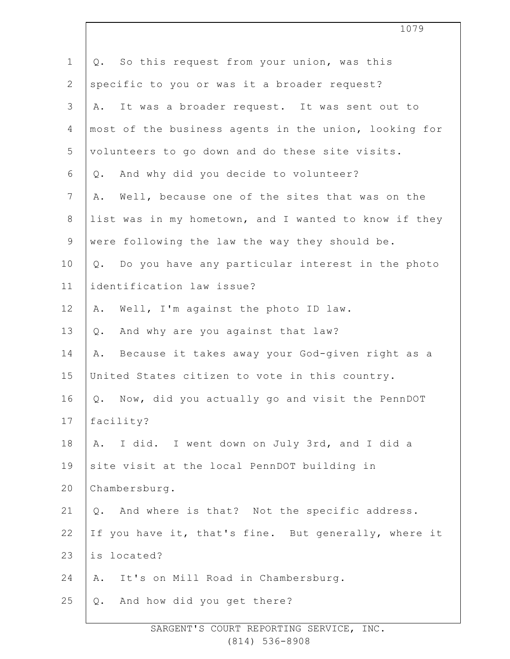| $\mathbf 1$    | Q. So this request from your union, was this            |
|----------------|---------------------------------------------------------|
| $\overline{2}$ | specific to you or was it a broader request?            |
| 3              | It was a broader request. It was sent out to<br>Α.      |
| 4              | most of the business agents in the union, looking for   |
| 5              | volunteers to go down and do these site visits.         |
| 6              | And why did you decide to volunteer?<br>Q.              |
| 7              | Well, because one of the sites that was on the<br>Α.    |
| 8              | list was in my hometown, and I wanted to know if they   |
| 9              | were following the law the way they should be.          |
| 10             | Do you have any particular interest in the photo<br>Q.  |
| 11             | identification law issue?                               |
| 12             | Well, I'm against the photo ID law.<br>Α.               |
| 13             | And why are you against that law?<br>$Q$ .              |
| 14             | Because it takes away your God-given right as a<br>Α.   |
| 15             | United States citizen to vote in this country.          |
| 16             | Now, did you actually go and visit the PennDOT<br>$Q$ . |
| 17             | facility?                                               |
| 18             | I did. I went down on July 3rd, and I did a<br>Α.       |
| 19             | site visit at the local PennDOT building in             |
| 20             | Chambersburg.                                           |
| 21             | And where is that? Not the specific address.<br>Q.      |
| 22             | If you have it, that's fine. But generally, where it    |
| 23             | is located?                                             |
| 24             | It's on Mill Road in Chambersburg.<br>Α.                |
| 25             | And how did you get there?<br>Q.                        |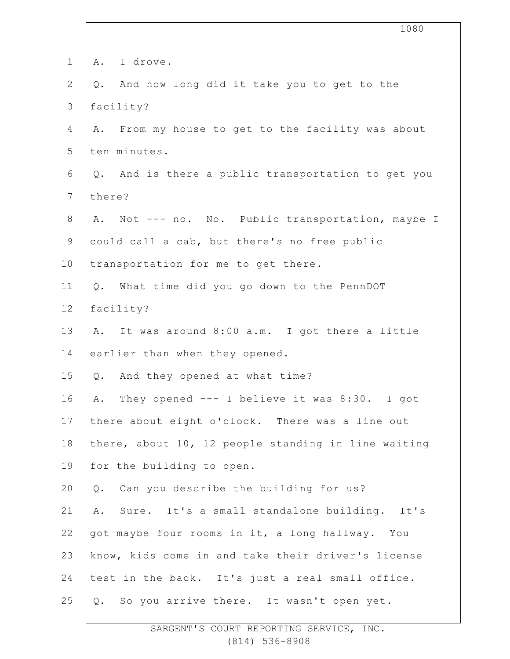|                | 1080                                                 |
|----------------|------------------------------------------------------|
| $\mathbf 1$    | A. I drove.                                          |
| $\mathbf{2}$   | And how long did it take you to get to the<br>Q.     |
| 3              | facility?                                            |
| 4              | From my house to get to the facility was about<br>Α. |
| 5              | ten minutes.                                         |
| 6              | Q. And is there a public transportation to get you   |
| $7\phantom{.}$ | there?                                               |
| $8\,$          | Not --- no. No. Public transportation, maybe I<br>Α. |
| 9              | could call a cab, but there's no free public         |
| 10             | transportation for me to get there.                  |
| 11             | Q. What time did you go down to the PennDOT          |
| 12             | facility?                                            |
| 13             | A. It was around 8:00 a.m. I got there a little      |
| 14             | earlier than when they opened.                       |
| 15             | Q. And they opened at what time?                     |
| 16             | A. They opened --- I believe it was 8:30. I got      |
| 17             | there about eight o'clock. There was a line out      |
| 18             | there, about 10, 12 people standing in line waiting  |
| 19             | for the building to open.                            |
| 20             | Can you describe the building for us?<br>Q.          |
| 21             | Sure. It's a small standalone building. It's<br>Α.   |
| 22             | got maybe four rooms in it, a long hallway. You      |
| 23             | know, kids come in and take their driver's license   |
| 24             | test in the back. It's just a real small office.     |
| 25             | Q. So you arrive there. It wasn't open yet.          |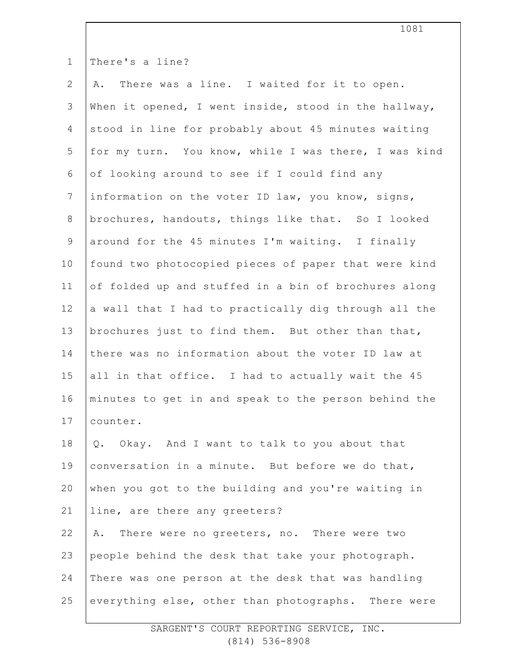| $\mathbf 1$    | There's a line?                                      |
|----------------|------------------------------------------------------|
| $\mathbf{2}$   | A. There was a line. I waited for it to open.        |
| 3              | When it opened, I went inside, stood in the hallway, |
| 4              | stood in line for probably about 45 minutes waiting  |
| 5              | for my turn. You know, while I was there, I was kind |
| 6              | of looking around to see if I could find any         |
| $\overline{7}$ | information on the voter ID law, you know, signs,    |
| $8\,$          | brochures, handouts, things like that. So I looked   |
| $\mathsf 9$    | around for the 45 minutes I'm waiting. I finally     |
| 10             | found two photocopied pieces of paper that were kind |
| 11             | of folded up and stuffed in a bin of brochures along |
| 12             | a wall that I had to practically dig through all the |
| 13             | brochures just to find them. But other than that,    |
| 14             | there was no information about the voter ID law at   |
| 15             | all in that office. I had to actually wait the 45    |
| 16             | minutes to get in and speak to the person behind the |
| 17             | counter.                                             |
| 18             | Q. Okay. And I want to talk to you about that        |
| 19             | conversation in a minute. But before we do that,     |
| 20             | when you got to the building and you're waiting in   |
| 21             | line, are there any greeters?                        |
| 22             | There were no greeters, no. There were two<br>Α.     |
| 23             | people behind the desk that take your photograph.    |
| 24             | There was one person at the desk that was handling   |
| 25             | everything else, other than photographs. There were  |
|                |                                                      |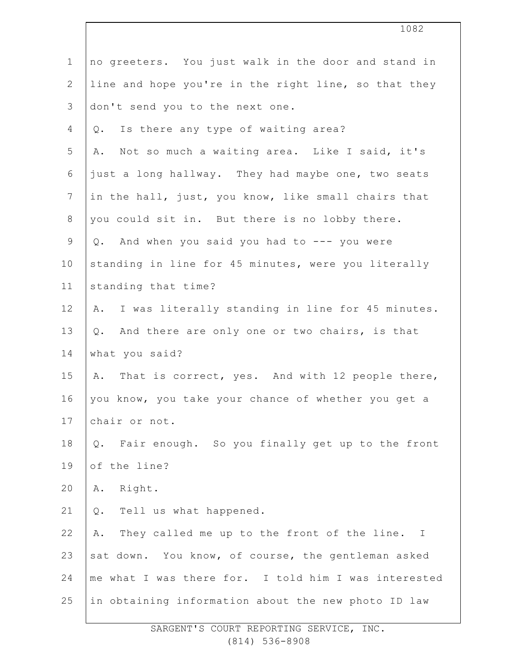|                 | 1082                                                              |
|-----------------|-------------------------------------------------------------------|
| $\mathbf 1$     | no greeters. You just walk in the door and stand in               |
| $\mathbf{2}$    | line and hope you're in the right line, so that they              |
| 3               | don't send you to the next one.                                   |
| 4               | Is there any type of waiting area?<br>Q.                          |
| 5               | Not so much a waiting area. Like I said, it's<br>Α.               |
| $\sqrt{6}$      | just a long hallway. They had maybe one, two seats                |
| $7\phantom{.0}$ | in the hall, just, you know, like small chairs that               |
| $8\,$           | you could sit in. But there is no lobby there.                    |
| $\mathsf 9$     | Q. And when you said you had to --- you were                      |
| 10              | standing in line for 45 minutes, were you literally               |
| 11              | standing that time?                                               |
| 12              | A. I was literally standing in line for 45 minutes.               |
| 13              | Q. And there are only one or two chairs, is that                  |
| 14              | what you said?                                                    |
| 15              | A. That is correct, yes. And with 12 people there,                |
| 16              | you know, you take your chance of whether you get a               |
| 17              | chair or not.                                                     |
| 18              | Fair enough. So you finally get up to the front<br>Q.             |
| 19              | of the line?                                                      |
| 20              | Right.<br>Α.                                                      |
| 21              | Tell us what happened.<br>$Q$ .                                   |
| 22              | They called me up to the front of the line.<br>Α.<br>$\mathbf{I}$ |
| 23              | sat down. You know, of course, the gentleman asked                |
| 24              | me what I was there for. I told him I was interested              |
| 25              | in obtaining information about the new photo ID law               |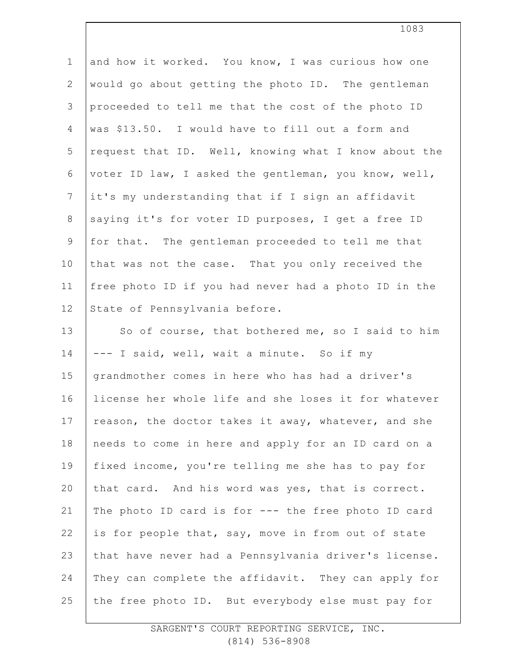| $\mathbf 1$    | and how it worked. You know, I was curious how one   |
|----------------|------------------------------------------------------|
| 2              | would go about getting the photo ID. The gentleman   |
| 3              | proceeded to tell me that the cost of the photo ID   |
| 4              | was \$13.50. I would have to fill out a form and     |
| 5              | request that ID. Well, knowing what I know about the |
| 6              | voter ID law, I asked the gentleman, you know, well, |
| $\overline{7}$ | it's my understanding that if I sign an affidavit    |
| $8\,$          | saying it's for voter ID purposes, I get a free ID   |
| 9              | for that. The gentleman proceeded to tell me that    |
| 10             | that was not the case. That you only received the    |
| 11             | free photo ID if you had never had a photo ID in the |
| 12             | State of Pennsylvania before.                        |
| 13             | So of course, that bothered me, so I said to him     |
| 14             | --- I said, well, wait a minute. So if my            |
| 15             | grandmother comes in here who has had a driver's     |
| 16             | license her whole life and she loses it for whatever |
| 17             | reason, the doctor takes it away, whatever, and she  |
| 18             | needs to come in here and apply for an ID card on a  |
| 19             | fixed income, you're telling me she has to pay for   |
| 20             | that card. And his word was yes, that is correct.    |
| 21             | The photo ID card is for --- the free photo ID card  |
| 22             | is for people that, say, move in from out of state   |
| 23             | that have never had a Pennsylvania driver's license. |
| 24             | They can complete the affidavit. They can apply for  |
| 25             | the free photo ID. But everybody else must pay for   |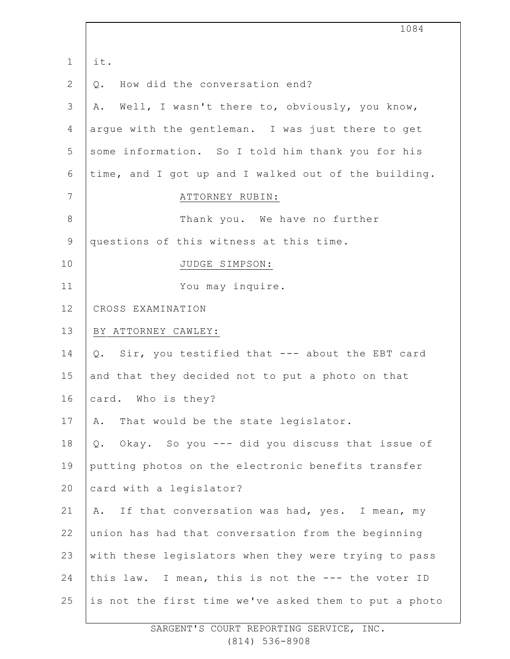|                | 1084                                                  |
|----------------|-------------------------------------------------------|
| $\mathbf 1$    | it.                                                   |
| $\mathbf{2}$   | How did the conversation end?<br>$Q$ .                |
| $\mathfrak{Z}$ | Well, I wasn't there to, obviously, you know,<br>Α.   |
| 4              | argue with the gentleman. I was just there to get     |
| 5              | some information. So I told him thank you for his     |
| 6              | time, and I got up and I walked out of the building.  |
| 7              | ATTORNEY RUBIN:                                       |
| $\,8\,$        | Thank you. We have no further                         |
| $\mathsf 9$    | questions of this witness at this time.               |
| 10             | JUDGE SIMPSON:                                        |
| 11             | You may inquire.                                      |
| 12             | CROSS EXAMINATION                                     |
| 13             | BY ATTORNEY CAWLEY:                                   |
| 14             | Sir, you testified that --- about the EBT card<br>Q.  |
| 15             | and that they decided not to put a photo on that      |
| 16             | card. Who is they?                                    |
| 17             | That would be the state legislator.<br>Α.             |
| 18             | Okay. So you --- did you discuss that issue of<br>Q.  |
| 19             | putting photos on the electronic benefits transfer    |
| 20             | card with a legislator?                               |
| 21             | If that conversation was had, yes. I mean, my<br>Α.   |
| 22             | union has had that conversation from the beginning    |
| 23             | with these legislators when they were trying to pass  |
| 24             | this law. I mean, this is not the --- the voter ID    |
| 25             | is not the first time we've asked them to put a photo |
|                |                                                       |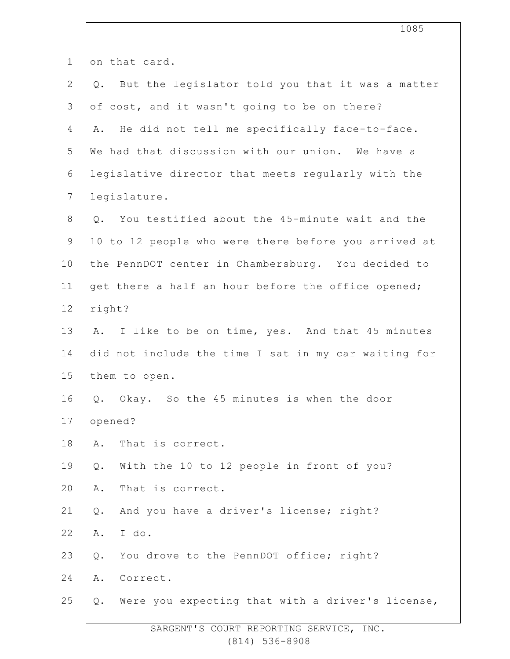|                | 1085                                                      |
|----------------|-----------------------------------------------------------|
| $\mathbf 1$    | on that card.                                             |
| $\mathbf{2}$   | But the legislator told you that it was a matter<br>$Q$ . |
| 3              | of cost, and it wasn't going to be on there?              |
| 4              | He did not tell me specifically face-to-face.<br>Α.       |
| 5              | We had that discussion with our union. We have a          |
| $\sqrt{6}$     | legislative director that meets regularly with the        |
| $7\phantom{.}$ | legislature.                                              |
| $8\,$          | You testified about the 45-minute wait and the<br>$Q$ .   |
| $\mathsf 9$    | 10 to 12 people who were there before you arrived at      |
| 10             | the PennDOT center in Chambersburg. You decided to        |
| 11             | get there a half an hour before the office opened;        |
| 12             | right?                                                    |
| 13             | I like to be on time, yes. And that 45 minutes<br>Α.      |
| 14             | did not include the time I sat in my car waiting for      |
| 15             | them to open.                                             |
| 16             | Q. Okay. So the 45 minutes is when the door               |
| 17             | opened?                                                   |
| 18             | That is correct.<br>Α.                                    |
| 19             | With the 10 to 12 people in front of you?<br>Q.           |
| 20             | That is correct.<br>Α.                                    |
| 21             | And you have a driver's license; right?<br>Q.             |
| 22             | I do.<br>Α.                                               |
| 23             | You drove to the PennDOT office; right?<br>Q.             |
| 24             | Α.<br>Correct.                                            |
| 25             | Were you expecting that with a driver's license,<br>Q.    |
|                |                                                           |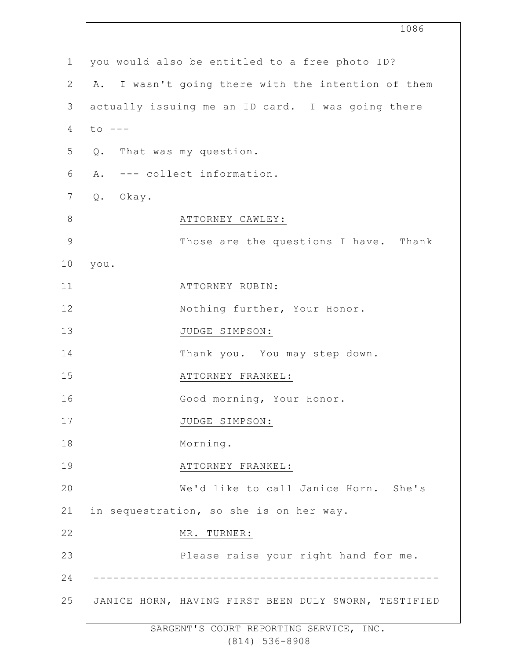|               | 1086                                                 |
|---------------|------------------------------------------------------|
| $\mathbf 1$   | you would also be entitled to a free photo ID?       |
| $\mathbf{2}$  | A. I wasn't going there with the intention of them   |
| 3             | actually issuing me an ID card. I was going there    |
| 4             | $to$ $---$                                           |
| 5             | Q. That was my question.                             |
| 6             | A. --- collect information.                          |
| 7             | Okay.<br>Q.                                          |
| $8\,$         | ATTORNEY CAWLEY:                                     |
| $\mathcal{G}$ | Those are the questions I have. Thank                |
| 10            | you.                                                 |
| 11            | ATTORNEY RUBIN:                                      |
| 12            | Nothing further, Your Honor.                         |
| 13            | JUDGE SIMPSON:                                       |
| 14            | Thank you. You may step down.                        |
| 15            | ATTORNEY FRANKEL:                                    |
| 16            | Good morning, Your Honor.                            |
| 17            | JUDGE SIMPSON:                                       |
| 18            | Morning.                                             |
| 19            | ATTORNEY FRANKEL:                                    |
| 20            | We'd like to call Janice Horn. She's                 |
| 21            | in sequestration, so she is on her way.              |
| 22            | MR. TURNER:                                          |
| 23            | Please raise your right hand for me.                 |
| 24            |                                                      |
| 25            | JANICE HORN, HAVING FIRST BEEN DULY SWORN, TESTIFIED |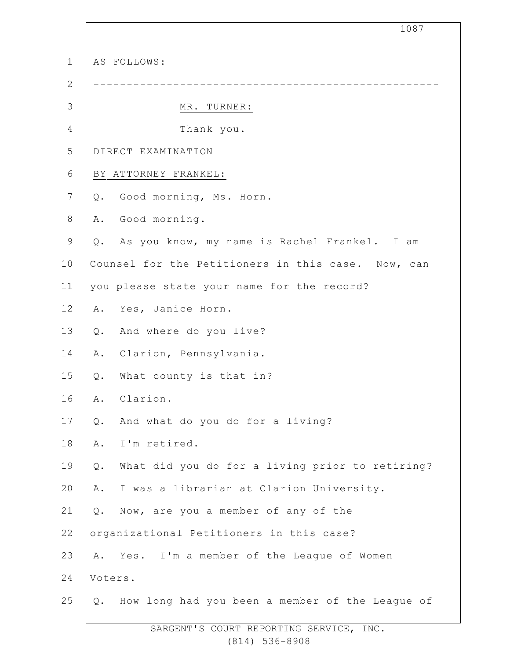|                |                                                       | 1087 |
|----------------|-------------------------------------------------------|------|
| $\mathbf 1$    | AS FOLLOWS:                                           |      |
| $\mathbf{2}$   |                                                       |      |
| $\mathcal{S}$  | MR. TURNER:                                           |      |
| 4              | Thank you.                                            |      |
| 5              | DIRECT EXAMINATION                                    |      |
| 6              | BY ATTORNEY FRANKEL:                                  |      |
| $\overline{7}$ | Good morning, Ms. Horn.<br>Q.                         |      |
| $\,8\,$        | Good morning.<br>Α.                                   |      |
| $\mathsf 9$    | Q. As you know, my name is Rachel Frankel. I am       |      |
| 10             | Counsel for the Petitioners in this case. Now, can    |      |
| 11             | you please state your name for the record?            |      |
| 12             | Yes, Janice Horn.<br>Α.                               |      |
| 13             | Q. And where do you live?                             |      |
| 14             | Clarion, Pennsylvania.<br>Α.                          |      |
| 15             | What county is that in?<br>Q.                         |      |
| 16             | Clarion.<br>Α.                                        |      |
| 17             | And what do you do for a living?<br>Q.                |      |
| 18             | I'm retired.<br>Α.                                    |      |
| 19             | What did you do for a living prior to retiring?<br>Q. |      |
| 20             | I was a librarian at Clarion University.<br>Α.        |      |
| 21             | Now, are you a member of any of the<br>Q.             |      |
| 22             | organizational Petitioners in this case?              |      |
| 23             | Yes. I'm a member of the League of Women<br>Α.        |      |
| 24             | Voters.                                               |      |
| 25             | How long had you been a member of the League of<br>Q. |      |
|                | SARGENT'S COURT REPORTING SERVICE, INC.               |      |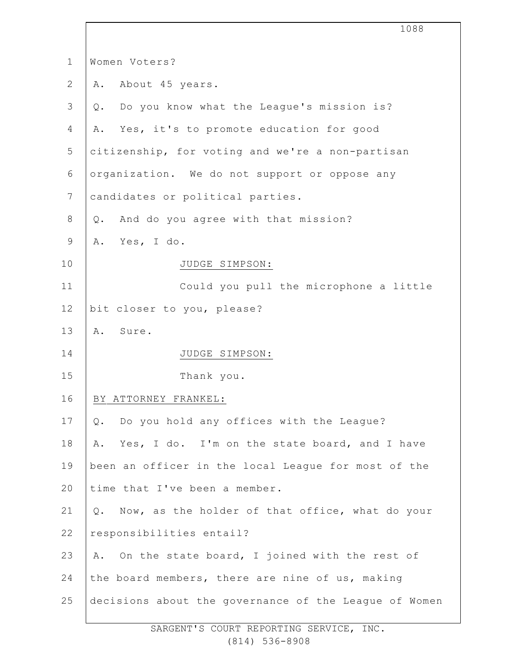|                | 1088                                                  |
|----------------|-------------------------------------------------------|
| $\mathbf 1$    | Women Voters?                                         |
| $\overline{2}$ | About 45 years.<br>Α.                                 |
| 3              | Do you know what the League's mission is?<br>$Q$ .    |
| 4              | Yes, it's to promote education for good<br>Α.         |
| 5              | citizenship, for voting and we're a non-partisan      |
| 6              | organization. We do not support or oppose any         |
| $7\phantom{.}$ | candidates or political parties.                      |
| 8              | And do you agree with that mission?<br>$Q$ .          |
| 9              | A. Yes, I do.                                         |
| 10             | JUDGE SIMPSON:                                        |
| 11             | Could you pull the microphone a little                |
| 12             | bit closer to you, please?                            |
| 13             | Sure.<br>Α.                                           |
| 14             | JUDGE SIMPSON:                                        |
| 15             | Thank you.                                            |
| 16             | BY ATTORNEY FRANKEL:                                  |
| 17             | Do you hold any offices with the League?<br>$Q$ .     |
| 18             | Yes, I do. I'm on the state board, and I have<br>Α.   |
| 19             | been an officer in the local League for most of the   |
| 20             | time that I've been a member.                         |
| 21             | Q. Now, as the holder of that office, what do your    |
| 22             | responsibilities entail?                              |
| 23             | A. On the state board, I joined with the rest of      |
| 24             | the board members, there are nine of us, making       |
| 25             | decisions about the governance of the League of Women |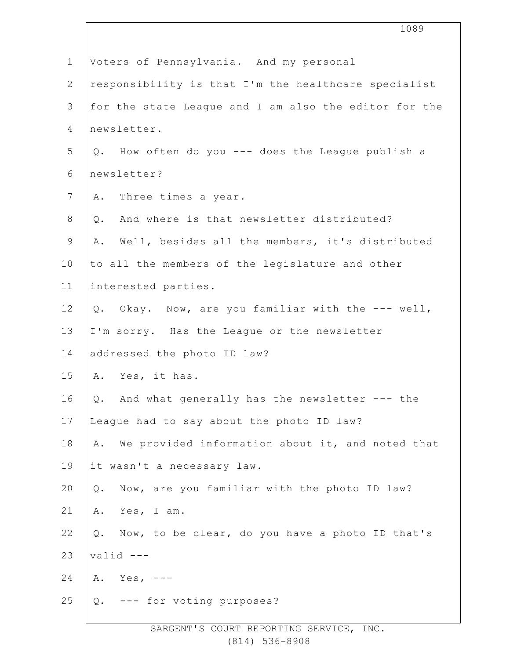|                | 1089                                                          |
|----------------|---------------------------------------------------------------|
| $\mathbf 1$    | Voters of Pennsylvania. And my personal                       |
| $\mathbf{2}$   | responsibility is that I'm the healthcare specialist          |
| 3              | for the state League and I am also the editor for the         |
| 4              | newsletter.                                                   |
| 5              | Q. How often do you --- does the League publish a             |
| 6              | newsletter?                                                   |
| $7\phantom{.}$ | A. Three times a year.                                        |
| 8              | And where is that newsletter distributed?<br>Q.               |
| $\mathsf 9$    | Well, besides all the members, it's distributed<br>Α.         |
| 10             | to all the members of the legislature and other               |
| 11             | interested parties.                                           |
| 12             | Q. Okay. Now, are you familiar with the --- well,             |
| 13             | I'm sorry. Has the League or the newsletter                   |
| 14             | addressed the photo ID law?                                   |
| 15             | A. Yes, it has.                                               |
| 16             | Q. And what generally has the newsletter --- the              |
| 17             | League had to say about the photo ID law?                     |
| 18             | We provided information about it, and noted that<br>Α.        |
| 19             | it wasn't a necessary law.                                    |
| 20             | Now, are you familiar with the photo ID law?<br>$\mathsf Q$ . |
| 21             | Yes, I am.<br>Α.                                              |
| 22             | Now, to be clear, do you have a photo ID that's<br>Q.         |
| 23             | $valid$ ---                                                   |
| 24             | A. Yes, $---$                                                 |
| 25             | Q. --- for voting purposes?                                   |
|                |                                                               |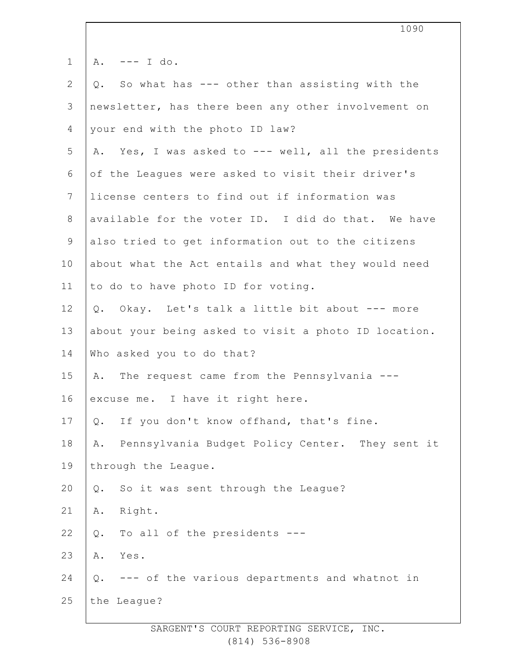| $\mathbf 1$    | $--- I do.$<br>Α.                                      |
|----------------|--------------------------------------------------------|
| $\mathbf{2}$   | So what has --- other than assisting with the<br>Q.    |
| $\mathfrak{Z}$ | newsletter, has there been any other involvement on    |
| 4              | your end with the photo ID law?                        |
| 5              | A. Yes, I was asked to --- well, all the presidents    |
| 6              | of the Leagues were asked to visit their driver's      |
| 7              | license centers to find out if information was         |
| $\,8\,$        | available for the voter ID. I did do that. We have     |
| $\mathsf 9$    | also tried to get information out to the citizens      |
| 10             | about what the Act entails and what they would need    |
| 11             | to do to have photo ID for voting.                     |
| 12             | Okay. Let's talk a little bit about --- more<br>Q.     |
| 13             | about your being asked to visit a photo ID location.   |
| 14             | Who asked you to do that?                              |
| 15             | The request came from the Pennsylvania ---<br>Α.       |
| 16             | excuse me. I have it right here.                       |
| 17             | If you don't know offhand, that's fine.<br>Q.          |
| 18             | Pennsylvania Budget Policy Center. They sent it<br>Α.  |
| 19             | through the League.                                    |
| 20             | So it was sent through the League?<br>Q.               |
| 21             | Right.<br>Α.                                           |
| 22             | To all of the presidents ---<br>Q.                     |
| 23             | Yes.<br>Α.                                             |
| 24             | --- of the various departments and whatnot in<br>$Q$ . |
| 25             | the League?                                            |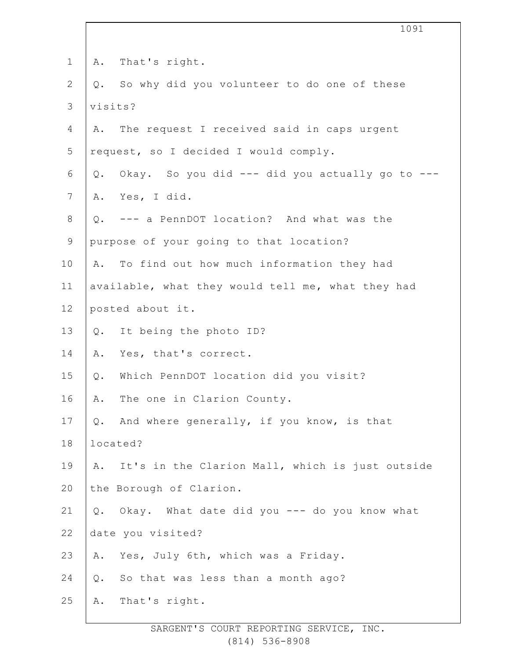|                |         | 1091                                              |
|----------------|---------|---------------------------------------------------|
| $\mathbf 1$    | Α.      | That's right.                                     |
| $\mathbf{2}$   | Q.      | So why did you volunteer to do one of these       |
| 3              | visits? |                                                   |
| 4              | Α.      | The request I received said in caps urgent        |
| 5              |         | request, so I decided I would comply.             |
| 6              | Q.      | Okay. So you did --- did you actually go to ---   |
| $7\phantom{.}$ |         | A. Yes, I did.                                    |
| $8\,$          |         | Q. --- a PennDOT location? And what was the       |
| $\mathsf 9$    |         | purpose of your going to that location?           |
| 10             | Α.      | To find out how much information they had         |
| 11             |         | available, what they would tell me, what they had |
| 12             |         | posted about it.                                  |
| 13             | Q.      | It being the photo ID?                            |
| 14             | Α.      | Yes, that's correct.                              |
| 15             | Q.      | Which PennDOT location did you visit?             |
| 16             | Α.      | The one in Clarion County.                        |
| 17             | Q.      | And where generally, if you know, is that         |
| 18             |         | located?                                          |
| 19             | Α.      | It's in the Clarion Mall, which is just outside   |
| 20             |         | the Borough of Clarion.                           |
| 21             |         | Q. Okay. What date did you --- do you know what   |
| 22             |         | date you visited?                                 |
| 23             | Α.      | Yes, July 6th, which was a Friday.                |
| 24             | Q.      | So that was less than a month ago?                |
| 25             | Α.      | That's right.                                     |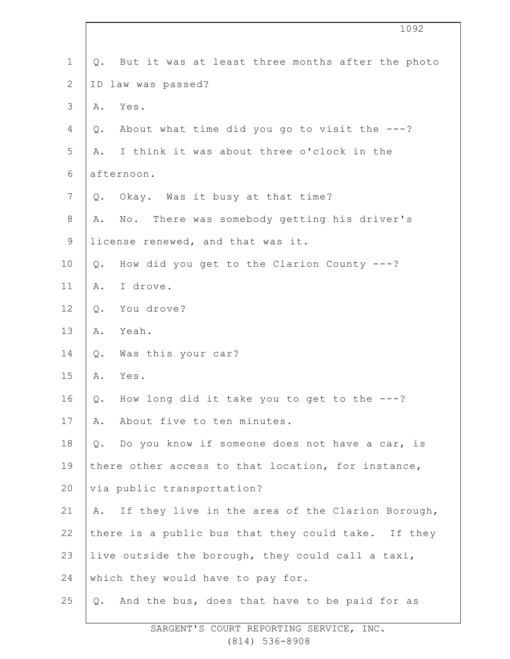|               | 1092                                                    |
|---------------|---------------------------------------------------------|
| $\mathbf 1$   | But it was at least three months after the photo<br>Q.  |
| $\mathbf{2}$  | ID law was passed?                                      |
| $\mathcal{S}$ | Yes.<br>Α.                                              |
| 4             | About what time did you go to visit the ---?<br>Q.      |
| 5             | I think it was about three o'clock in the<br>Α.         |
| $\sqrt{6}$    | afternoon.                                              |
| 7             | Okay. Was it busy at that time?<br>Q.                   |
| $\,8\,$       | No. There was somebody getting his driver's<br>Α.       |
| $\mathsf 9$   | license renewed, and that was it.                       |
| 10            | How did you get to the Clarion County ---?<br>Q.        |
| 11            | I drove.<br>Α.                                          |
| 12            | You drove?<br>$Q$ .                                     |
| 13            | Yeah.<br>Α.                                             |
| 14            | Was this your car?<br>$Q$ .                             |
| 15            | Α.<br>Yes.                                              |
| 16            | How long did it take you to get to the $---?$<br>Q.     |
| 17            | About five to ten minutes.<br>Α.                        |
| 18            | Do you know if someone does not have a car, is<br>$Q$ . |
| 19            | there other access to that location, for instance,      |
| 20            | via public transportation?                              |
| 21            | If they live in the area of the Clarion Borough,<br>Α.  |
| 22            | there is a public bus that they could take. If they     |
| 23            | live outside the borough, they could call a taxi,       |
| 24            | which they would have to pay for.                       |
| 25            | And the bus, does that have to be paid for as<br>Q.     |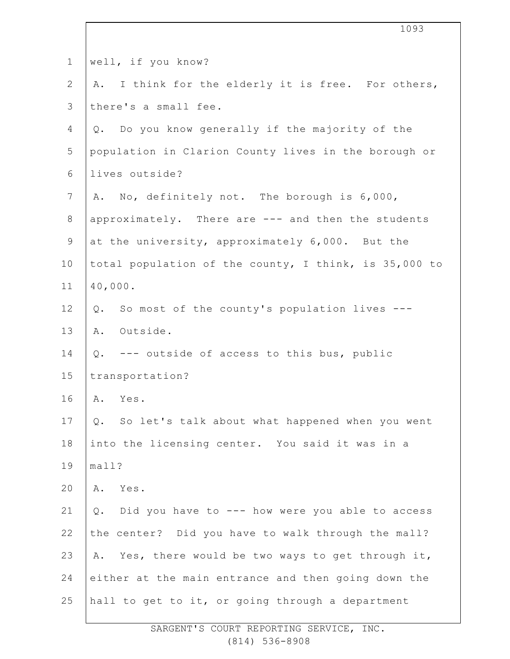|              | 1093                                                  |
|--------------|-------------------------------------------------------|
|              |                                                       |
| $\mathbf 1$  | well, if you know?                                    |
| $\mathbf{2}$ | A. I think for the elderly it is free. For others,    |
| 3            | there's a small fee.                                  |
| 4            | Q. Do you know generally if the majority of the       |
| 5            | population in Clarion County lives in the borough or  |
| 6            | lives outside?                                        |
| 7            | A. No, definitely not. The borough is 6,000,          |
| $8\,$        | approximately. There are --- and then the students    |
| $\mathsf 9$  | at the university, approximately 6,000. But the       |
| 10           | total population of the county, I think, is 35,000 to |
| 11           | 40,000.                                               |
| 12           | So most of the county's population lives ---<br>Q.    |
| 13           | A. Outside.                                           |
| 14           | Q. --- outside of access to this bus, public          |
| 15           | transportation?                                       |
| 16           | Yes.<br>Α.                                            |
| 17           | So let's talk about what happened when you went<br>Q. |
| 18           | into the licensing center. You said it was in a       |
| 19           | mall?                                                 |
| 20           | Yes.<br>Α.                                            |
| 21           | Did you have to --- how were you able to access<br>Q. |
| 22           | the center? Did you have to walk through the mall?    |
| 23           | Yes, there would be two ways to get through it,<br>Α. |
| 24           | either at the main entrance and then going down the   |
| 25           | hall to get to it, or going through a department      |
|              |                                                       |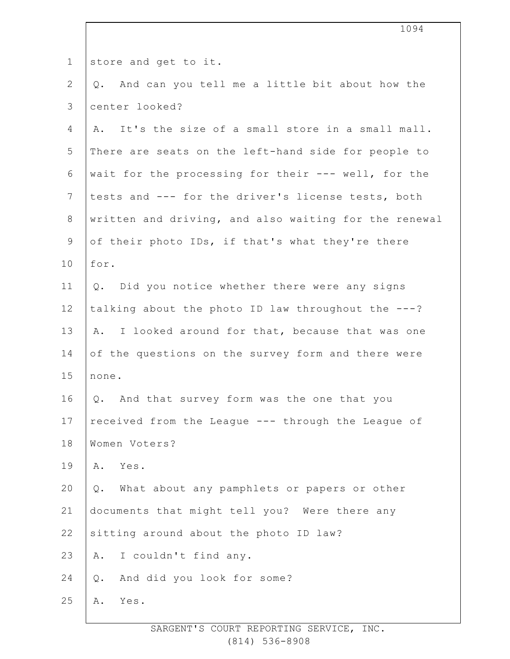| $\mathbf 1$    | store and get to it.                                  |
|----------------|-------------------------------------------------------|
| $\overline{2}$ | And can you tell me a little bit about how the<br>Q.  |
| 3              | center looked?                                        |
| 4              | A. It's the size of a small store in a small mall.    |
| 5              | There are seats on the left-hand side for people to   |
| 6              | wait for the processing for their --- well, for the   |
| $7\phantom{.}$ | tests and --- for the driver's license tests, both    |
| $8\,$          | written and driving, and also waiting for the renewal |
| $\mathsf 9$    | of their photo IDs, if that's what they're there      |
| 10             | for.                                                  |
| 11             | Q. Did you notice whether there were any signs        |
| 12             | talking about the photo ID law throughout the ---?    |
| 13             | A. I looked around for that, because that was one     |
| 14             | of the questions on the survey form and there were    |
| 15             | none.                                                 |
| 16             | Q. And that survey form was the one that you          |
| 17             | received from the League --- through the League of    |
| 18             | Women Voters?                                         |
| 19             | Yes.<br>Α.                                            |
| 20             | What about any pamphlets or papers or other<br>Q.     |
| 21             | documents that might tell you? Were there any         |
| 22             | sitting around about the photo ID law?                |
| 23             | I couldn't find any.<br>Α.                            |
| 24             | And did you look for some?<br>$Q$ .                   |
| 25             | Yes.<br>Α.                                            |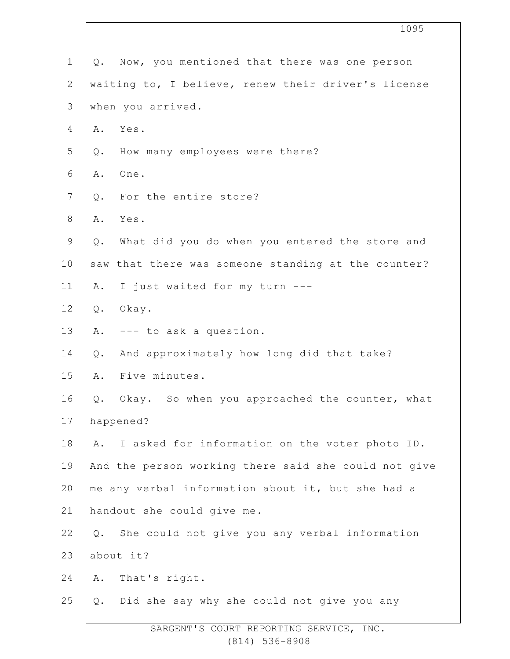|                | 1095                                                    |
|----------------|---------------------------------------------------------|
| $\mathbf 1$    | Q. Now, you mentioned that there was one person         |
| 2              | waiting to, I believe, renew their driver's license     |
| $\mathfrak{Z}$ | when you arrived.                                       |
| 4              | Yes.<br>Α.                                              |
| 5              | How many employees were there?<br>Q.                    |
| 6              | One.<br>Α.                                              |
| 7              | For the entire store?<br>$Q_{\bullet}$                  |
| $\,8\,$        | Yes.<br>Α.                                              |
| $\mathsf 9$    | What did you do when you entered the store and<br>$Q$ . |
| 10             | saw that there was someone standing at the counter?     |
| 11             | I just waited for my turn ---<br>Α.                     |
| 12             | $Q$ .<br>Okay.                                          |
| 13             | --- to ask a question.<br>Α.                            |
| 14             | And approximately how long did that take?<br>$Q$ .      |
| 15             | Five minutes.<br>Α.                                     |
| 16             | Q. Okay. So when you approached the counter, what       |
| 17             | happened?                                               |
| 18             | I asked for information on the voter photo ID.<br>Α.    |
| 19             | And the person working there said she could not give    |
| 20             | me any verbal information about it, but she had a       |
| 21             | handout she could give me.                              |
| 22             | She could not give you any verbal information<br>Q.     |
| 23             | about it?                                               |
| 24             | That's right.<br>Α.                                     |
| 25             | Did she say why she could not give you any<br>Q.        |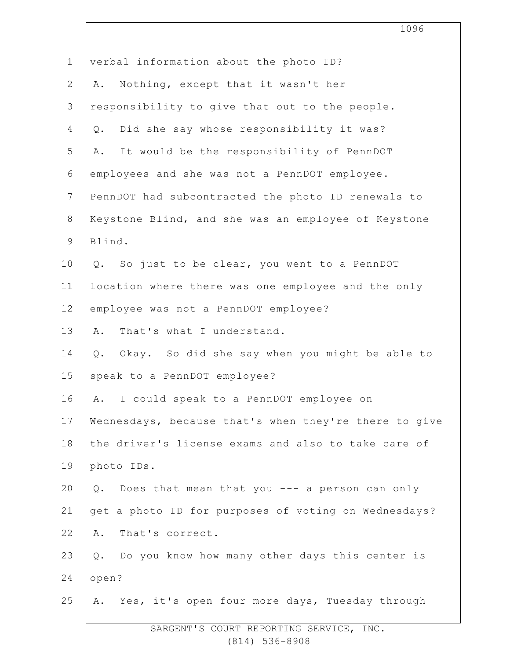|                | 1096                                                    |
|----------------|---------------------------------------------------------|
| $\mathbf 1$    | verbal information about the photo ID?                  |
| $\overline{2}$ | Nothing, except that it wasn't her<br>Α.                |
| 3              | responsibility to give that out to the people.          |
| 4              | Did she say whose responsibility it was?<br>$Q$ .       |
| 5              | It would be the responsibility of PennDOT<br>Α.         |
| 6              | employees and she was not a PennDOT employee.           |
| $\overline{7}$ | PennDOT had subcontracted the photo ID renewals to      |
| $8\,$          | Keystone Blind, and she was an employee of Keystone     |
| $\mathsf 9$    | Blind.                                                  |
| 10             | So just to be clear, you went to a PennDOT<br>Q.        |
| 11             | location where there was one employee and the only      |
| 12             | employee was not a PennDOT employee?                    |
| 13             | That's what I understand.<br>Α.                         |
| 14             | Okay. So did she say when you might be able to<br>$Q$ . |
| 15             | speak to a PennDOT employee?                            |
| 16             | A. I could speak to a PennDOT employee on               |
| 17             | Wednesdays, because that's when they're there to give   |
| 18             | the driver's license exams and also to take care of     |
| 19             | photo IDs.                                              |
| 20             | Does that mean that you --- a person can only<br>Q.     |
| 21             | get a photo ID for purposes of voting on Wednesdays?    |
| 22             | That's correct.<br>Α.                                   |
| 23             | Q. Do you know how many other days this center is       |
| 24             | open?                                                   |
| 25             | A. Yes, it's open four more days, Tuesday through       |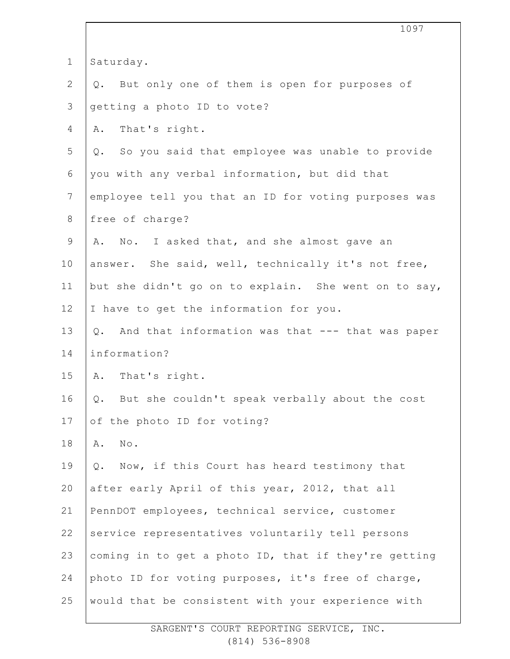|                | 1097                                                 |
|----------------|------------------------------------------------------|
| $\mathbf 1$    | Saturday.                                            |
| 2              | Q. But only one of them is open for purposes of      |
| $\mathfrak{Z}$ | getting a photo ID to vote?                          |
| 4              | That's right.<br>Α.                                  |
| 5              | Q. So you said that employee was unable to provide   |
| 6              | you with any verbal information, but did that        |
| $7\phantom{.}$ | employee tell you that an ID for voting purposes was |
| 8              | free of charge?                                      |
| $\mathsf 9$    | A. No. I asked that, and she almost gave an          |
| 10             | answer. She said, well, technically it's not free,   |
| 11             | but she didn't go on to explain. She went on to say, |
| 12             | I have to get the information for you.               |
| 13             | Q. And that information was that --- that was paper  |
| 14             | information?                                         |
| 15             | A. That's right.                                     |
| 16             | Q. But she couldn't speak verbally about the cost    |
| 17             | of the photo ID for voting?                          |
| 18             | $\texttt{No}$ .<br>Α.                                |
| 19             | Now, if this Court has heard testimony that<br>Q.    |
| 20             | after early April of this year, 2012, that all       |
| 21             | PennDOT employees, technical service, customer       |
| 22             | service representatives voluntarily tell persons     |
| 23             | coming in to get a photo ID, that if they're getting |
| 24             | photo ID for voting purposes, it's free of charge,   |
| 25             | would that be consistent with your experience with   |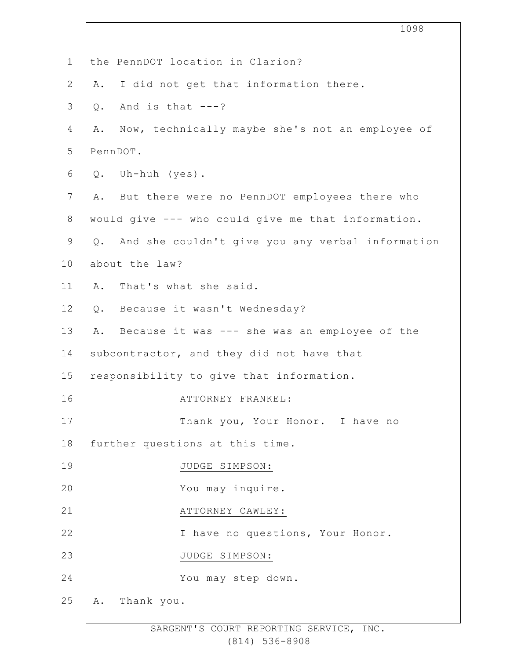|                | 1098                                                  |
|----------------|-------------------------------------------------------|
|                |                                                       |
| $\mathbf 1$    | the PennDOT location in Clarion?                      |
| $\mathbf{2}$   | I did not get that information there.<br>Α.           |
| 3              | And is that $---?$<br>$Q$ .                           |
| 4              | Now, technically maybe she's not an employee of<br>Α. |
| 5              | PennDOT.                                              |
| 6              | Uh-huh (yes).<br>$Q$ .                                |
| $\overline{7}$ | But there were no PennDOT employees there who<br>Α.   |
| $8\,$          | would give --- who could give me that information.    |
| $\mathsf 9$    | Q. And she couldn't give you any verbal information   |
| 10             | about the law?                                        |
| 11             | That's what she said.<br>Α.                           |
| 12             | Q. Because it wasn't Wednesday?                       |
| 13             | Because it was --- she was an employee of the<br>Α.   |
| 14             | subcontractor, and they did not have that             |
| 15             | responsibility to give that information.              |
| 16             | ATTORNEY FRANKEL:                                     |
| 17             | Thank you, Your Honor. I have no                      |
| 18             | further questions at this time.                       |
| 19             | JUDGE SIMPSON:                                        |
| 20             | You may inquire.                                      |
| 21             | ATTORNEY CAWLEY:                                      |
| 22             | I have no questions, Your Honor.                      |
| 23             | JUDGE SIMPSON:                                        |
| 24             | You may step down.                                    |
| 25             | Thank you.<br>Α.                                      |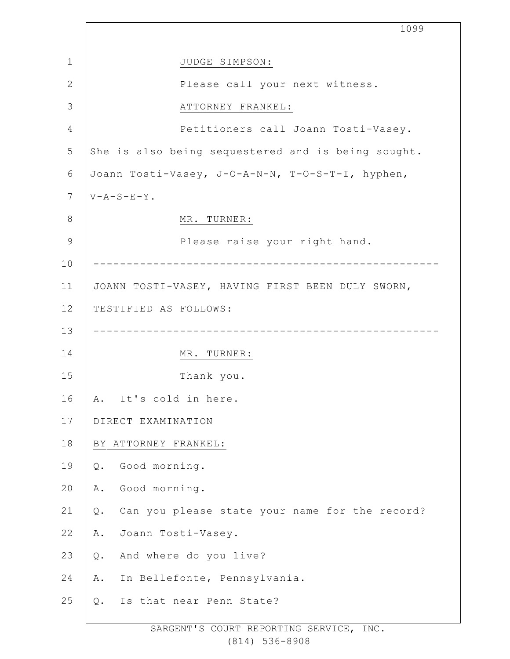|               | 1099                                                    |
|---------------|---------------------------------------------------------|
| 1             | JUDGE SIMPSON:                                          |
| $\mathbf{2}$  | Please call your next witness.                          |
| 3             | ATTORNEY FRANKEL:                                       |
| 4             | Petitioners call Joann Tosti-Vasey.                     |
| 5             | She is also being sequestered and is being sought.      |
| 6             | Joann Tosti-Vasey, J-O-A-N-N, T-O-S-T-I, hyphen,        |
| 7             | $V - A - S - E - Y$ .                                   |
| $8\,$         | MR. TURNER:                                             |
| $\mathcal{G}$ | Please raise your right hand.                           |
| 10            |                                                         |
| 11            | JOANN TOSTI-VASEY, HAVING FIRST BEEN DULY SWORN,        |
| 12            | TESTIFIED AS FOLLOWS:                                   |
| 13            |                                                         |
| 14            | MR. TURNER:                                             |
| 15            | Thank you.                                              |
| 16            | It's cold in here.<br>Α.                                |
| 17            | DIRECT EXAMINATION                                      |
| 18            | BY ATTORNEY FRANKEL:                                    |
| 19            | Good morning.<br>Q.                                     |
| 20            | Good morning.<br>Α.                                     |
| 21            | Can you please state your name for the record?<br>$Q$ . |
| 22            | Joann Tosti-Vasey.<br>Α.                                |
| 23            | And where do you live?<br>Q.                            |
| 24            | In Bellefonte, Pennsylvania.<br>Α.                      |
| 25            | Is that near Penn State?<br>Q.                          |
|               |                                                         |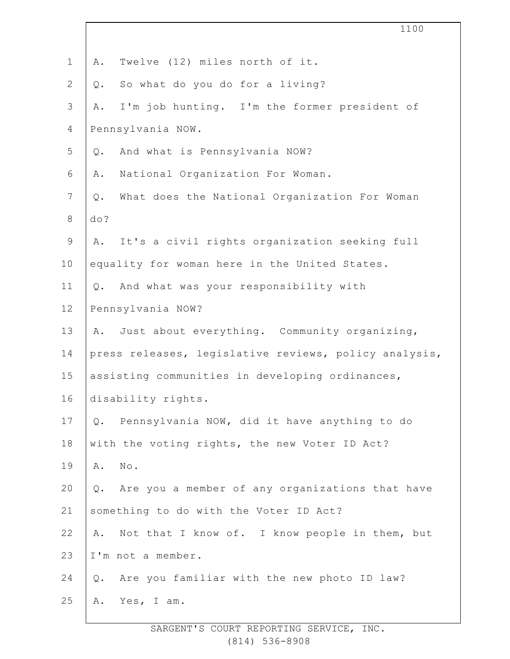|                | 1100                                                     |
|----------------|----------------------------------------------------------|
| $\mathbf 1$    | Twelve (12) miles north of it.<br>Α.                     |
| $\mathbf{2}$   | So what do you do for a living?<br>Q.                    |
| $\mathcal{S}$  | I'm job hunting. I'm the former president of<br>Α.       |
| 4              | Pennsylvania NOW.                                        |
| 5              | And what is Pennsylvania NOW?<br>Q.                      |
| 6              | National Organization For Woman.<br>Α.                   |
| $\overline{7}$ | What does the National Organization For Woman<br>$Q$ .   |
| $8\,$          | do?                                                      |
| $\mathsf 9$    | It's a civil rights organization seeking full<br>A.      |
| 10             | equality for woman here in the United States.            |
| 11             | And what was your responsibility with<br>$Q$ .           |
| 12             | Pennsylvania NOW?                                        |
| 13             | Just about everything. Community organizing,<br>A.       |
| 14             | press releases, legislative reviews, policy analysis,    |
| 15             | assisting communities in developing ordinances,          |
| 16             | disability rights.                                       |
| 17             | Pennsylvania NOW, did it have anything to do<br>Q.       |
| 18             | with the voting rights, the new Voter ID Act?            |
| 19             | No.<br>Α.                                                |
| 20             | Are you a member of any organizations that have<br>$Q$ . |
| 21             | something to do with the Voter ID Act?                   |
| 22             | Not that I know of. I know people in them, but<br>Α.     |
| 23             | I'm not a member.                                        |
| 24             | Are you familiar with the new photo ID law?<br>Q.        |
| 25             | Yes, I am.<br>Α.                                         |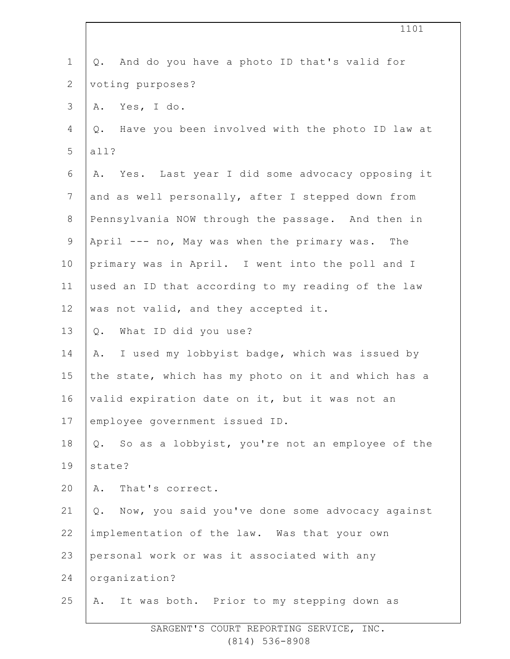| $\mathbf 1$     | And do you have a photo ID that's valid for<br>Q.        |
|-----------------|----------------------------------------------------------|
| $\mathbf{2}$    | voting purposes?                                         |
| 3               | Yes, I do.<br>Α.                                         |
| 4               | Have you been involved with the photo ID law at<br>$Q$ . |
| 5               | all?                                                     |
| 6               | Yes. Last year I did some advocacy opposing it<br>Α.     |
| $7\phantom{.0}$ | and as well personally, after I stepped down from        |
| $8\,$           | Pennsylvania NOW through the passage. And then in        |
| $\mathsf 9$     | April --- no, May was when the primary was. The          |
| 10              | primary was in April. I went into the poll and I         |
| 11              | used an ID that according to my reading of the law       |
| 12              | was not valid, and they accepted it.                     |
| 13              | What ID did you use?<br>Q.                               |
| 14              | I used my lobbyist badge, which was issued by<br>Α.      |
| 15              | the state, which has my photo on it and which has a      |
| 16              | valid expiration date on it, but it was not an           |
| 17              | employee government issued ID.                           |
| 18              | Q. So as a lobbyist, you're not an employee of the       |
| 19              | state?                                                   |
| 20              | That's correct.<br>Α.                                    |
| 21              | Now, you said you've done some advocacy against<br>Q.    |
| 22              | implementation of the law. Was that your own             |
| 23              | personal work or was it associated with any              |
| 24              | organization?                                            |
| 25              | It was both. Prior to my stepping down as<br>Α.          |

1101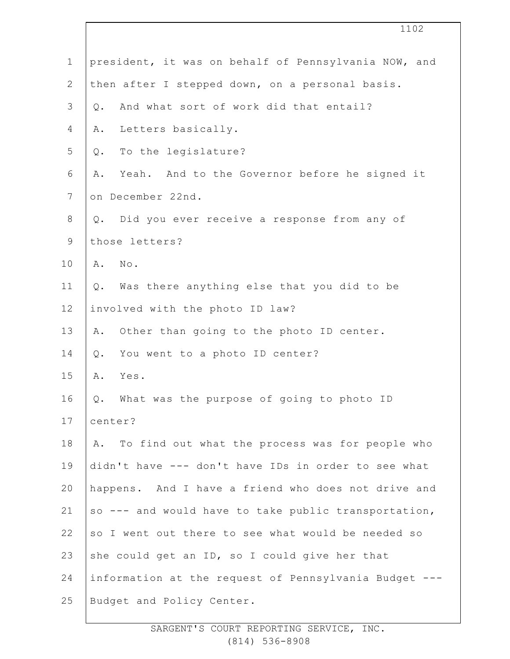|                | 1102                                                  |
|----------------|-------------------------------------------------------|
| $\mathbf 1$    | president, it was on behalf of Pennsylvania NOW, and  |
| $\overline{2}$ | then after I stepped down, on a personal basis.       |
| 3              | And what sort of work did that entail?<br>$Q$ .       |
| 4              | Letters basically.<br>Α.                              |
| 5              | To the legislature?<br>Q.                             |
| 6              | Yeah. And to the Governor before he signed it<br>Α.   |
| $\overline{7}$ | on December 22nd.                                     |
| $8\,$          | Did you ever receive a response from any of<br>$Q$ .  |
| $\mathsf 9$    | those letters?                                        |
| 10             | No.<br>Α.                                             |
| 11             | Was there anything else that you did to be<br>$Q$ .   |
| 12             | involved with the photo ID law?                       |
| 13             | Other than going to the photo ID center.<br>Α.        |
| 14             | You went to a photo ID center?<br>$Q$ .               |
| 15             | Α.<br>Yes.                                            |
| 16             | Q. What was the purpose of going to photo ID          |
| 17             | center?                                               |
| 18             | To find out what the process was for people who<br>Α. |
| 19             | didn't have --- don't have IDs in order to see what   |
| 20             | happens. And I have a friend who does not drive and   |
| 21             | so --- and would have to take public transportation,  |
| 22             | so I went out there to see what would be needed so    |
| 23             | she could get an ID, so I could give her that         |
| 24             | information at the request of Pennsylvania Budget --- |
| 25             | Budget and Policy Center.                             |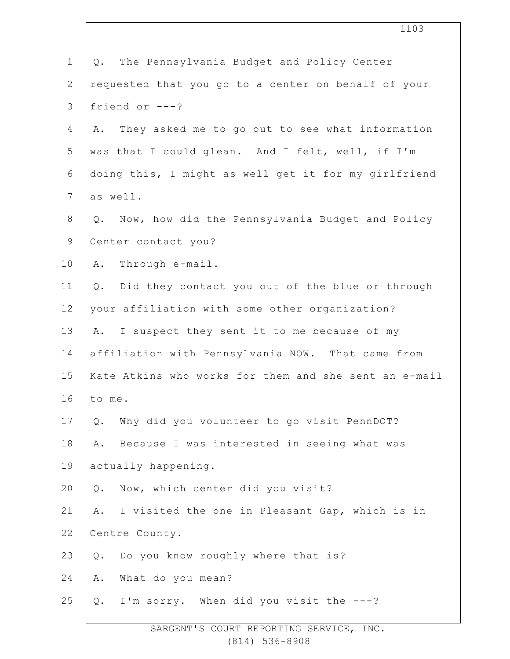|                | 1103                                                     |
|----------------|----------------------------------------------------------|
| $\mathbf 1$    | The Pennsylvania Budget and Policy Center<br>Q.          |
| $\overline{2}$ | requested that you go to a center on behalf of your      |
| $\mathfrak{Z}$ | friend or $---?$                                         |
| $\overline{4}$ | They asked me to go out to see what information<br>Α.    |
| 5              | was that I could glean. And I felt, well, if I'm         |
| $\sqrt{6}$     | doing this, I might as well get it for my girlfriend     |
| $7\phantom{.}$ | as well.                                                 |
| 8              | Now, how did the Pennsylvania Budget and Policy<br>Q.    |
| $\mathsf 9$    | Center contact you?                                      |
| 10             | Through e-mail.<br>Α.                                    |
| 11             | Did they contact you out of the blue or through<br>$Q$ . |
| 12             | your affiliation with some other organization?           |
| 13             | I suspect they sent it to me because of my<br>A.         |
| 14             | affiliation with Pennsylvania NOW. That came from        |
| 15             | Kate Atkins who works for them and she sent an e-mail    |
| 16             | to me.                                                   |
| 17             | Why did you volunteer to go visit PennDOT?<br>$Q$ .      |
| 18             | Because I was interested in seeing what was<br>Α.        |
| 19             | actually happening.                                      |
| 20             | Now, which center did you visit?<br>$Q$ .                |
| 21             | I visited the one in Pleasant Gap, which is in<br>Α.     |
| 22             | Centre County.                                           |
| 23             | Do you know roughly where that is?<br>$Q$ .              |
| 24             | What do you mean?<br>Α.                                  |
| 25             | I'm sorry. When did you visit the ---?<br>$Q$ .          |
|                |                                                          |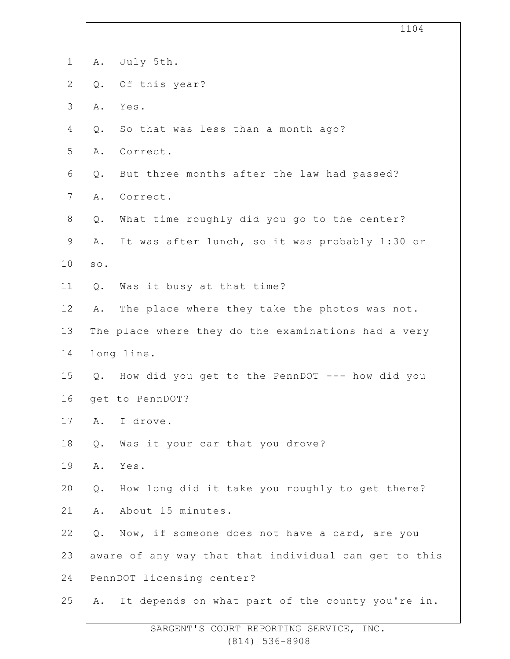|                |       | 1104                                                  |
|----------------|-------|-------------------------------------------------------|
| $1\,$          | Α.    | July 5th.                                             |
| $\mathbf{2}$   | Q.    | Of this year?                                         |
| $\mathfrak{Z}$ | Α.    | Yes.                                                  |
| 4              | Q.    | So that was less than a month ago?                    |
| 5              | Α.    | Correct.                                              |
| 6              | Q.    | But three months after the law had passed?            |
| $7\phantom{.}$ | Α.    | Correct.                                              |
| $\,8\,$        | Q.    | What time roughly did you go to the center?           |
| $\mathsf 9$    | Α.    | It was after lunch, so it was probably 1:30 or        |
| 10             | SO.   |                                                       |
| 11             | Q.    | Was it busy at that time?                             |
| 12             | Α.    | The place where they take the photos was not.         |
| 13             |       | The place where they do the examinations had a very   |
| 14             |       | long line.                                            |
| 15             |       | Q. How did you get to the PennDOT --- how did you     |
| 16             |       | get to PennDOT?                                       |
| 17             | Α.    | I drove.                                              |
| 18             | Q.    | Was it your car that you drove?                       |
| 19             | Α.    | Yes.                                                  |
| 20             | $Q$ . | How long did it take you roughly to get there?        |
| 21             | Α.    | About 15 minutes.                                     |
| 22             | Q.    | Now, if someone does not have a card, are you         |
| 23             |       | aware of any way that that individual can get to this |
| 24             |       | PennDOT licensing center?                             |
| 25             | Α.    | It depends on what part of the county you're in.      |
|                |       |                                                       |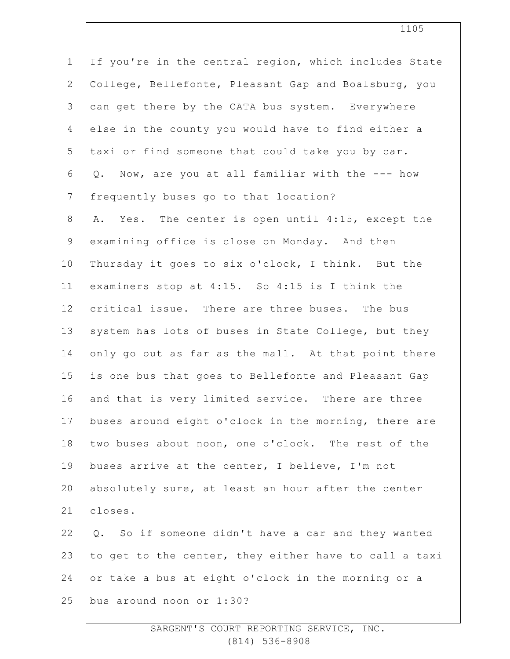| $\mathbf 1$     | If you're in the central region, which includes State |
|-----------------|-------------------------------------------------------|
| $\mathbf{2}$    | College, Bellefonte, Pleasant Gap and Boalsburg, you  |
| 3               | can get there by the CATA bus system. Everywhere      |
| $\overline{4}$  | else in the county you would have to find either a    |
| 5               | taxi or find someone that could take you by car.      |
| 6               | Q. Now, are you at all familiar with the --- how      |
| $7\phantom{.0}$ | frequently buses go to that location?                 |
| $8\,$           | A. Yes. The center is open until 4:15, except the     |
| 9               | examining office is close on Monday. And then         |
| 10              | Thursday it goes to six o'clock, I think. But the     |
| 11              | examiners stop at 4:15. So 4:15 is I think the        |
| 12              | critical issue. There are three buses. The bus        |
| 13              | system has lots of buses in State College, but they   |
| 14              | only go out as far as the mall. At that point there   |
| 15              | is one bus that goes to Bellefonte and Pleasant Gap   |
| 16              | and that is very limited service. There are three     |
| 17              | buses around eight o'clock in the morning, there are  |
| 18              | two buses about noon, one o'clock. The rest of the    |
| 19              | buses arrive at the center, I believe, I'm not        |
| 20              | absolutely sure, at least an hour after the center    |
| 21              | closes.                                               |
| 22              | Q. So if someone didn't have a car and they wanted    |
| 23              | to get to the center, they either have to call a taxi |
| 24              | or take a bus at eight o'clock in the morning or a    |
| 25              | bus around noon or 1:30?                              |
|                 |                                                       |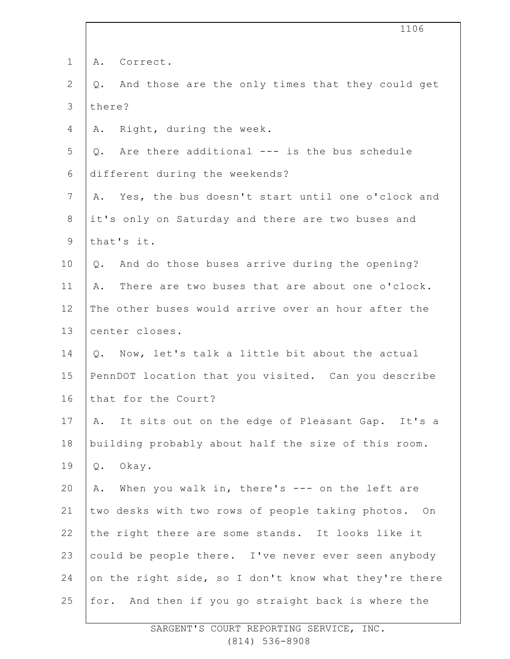|                | 1106                                                   |
|----------------|--------------------------------------------------------|
| $\mathbf 1$    | A. Correct.                                            |
| $\mathbf{2}$   | And those are the only times that they could get<br>Q. |
| $\mathcal{S}$  | there?                                                 |
| 4              | Right, during the week.<br>Α.                          |
| 5              | Q. Are there additional --- is the bus schedule        |
| 6              | different during the weekends?                         |
| $\overline{7}$ | A. Yes, the bus doesn't start until one o'clock and    |
| $8\,$          | it's only on Saturday and there are two buses and      |
| $\mathsf 9$    | that's it.                                             |
| 10             | And do those buses arrive during the opening?<br>Q.    |
| 11             | There are two buses that are about one o'clock.<br>Α.  |
| 12             | The other buses would arrive over an hour after the    |
| 13             | center closes.                                         |
| 14             | Now, let's talk a little bit about the actual<br>Q.    |
| 15             | PennDOT location that you visited. Can you describe    |
| 16             | that for the Court?                                    |
| 17             | It sits out on the edge of Pleasant Gap. It's a<br>Α.  |
| 18             | building probably about half the size of this room.    |
| 19             | Okay.<br>Q.                                            |
| 20             | When you walk in, there's --- on the left are<br>Α.    |
| 21             | two desks with two rows of people taking photos. On    |
| 22             | the right there are some stands. It looks like it      |
| 23             | could be people there. I've never ever seen anybody    |
| 24             | on the right side, so I don't know what they're there  |
| 25             | for. And then if you go straight back is where the     |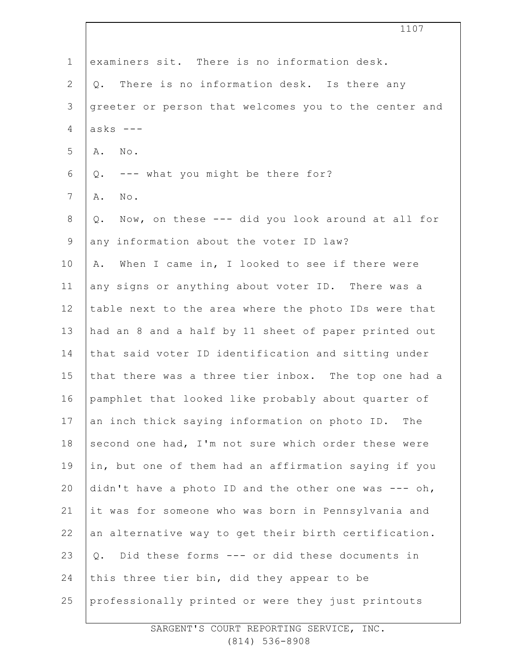|                | 1107                                                      |
|----------------|-----------------------------------------------------------|
| $\mathbf 1$    | examiners sit. There is no information desk.              |
| $\mathbf{2}$   | Q. There is no information desk. Is there any             |
| 3              | greeter or person that welcomes you to the center and     |
| 4              | $asks$ ---                                                |
| 5              | No.<br>Α.                                                 |
| 6              | Q. --- what you might be there for?                       |
| $\overline{7}$ | Α.<br>No.                                                 |
| 8              | Now, on these --- did you look around at all for<br>$Q$ . |
| $\mathsf 9$    | any information about the voter ID law?                   |
| 10             | When I came in, I looked to see if there were<br>Α.       |
| 11             | any signs or anything about voter ID. There was a         |
| 12             | table next to the area where the photo IDs were that      |
| 13             | had an 8 and a half by 11 sheet of paper printed out      |
| 14             | that said voter ID identification and sitting under       |
| 15             | that there was a three tier inbox. The top one had a      |
| 16             | pamphlet that looked like probably about quarter of       |
| 17             | an inch thick saying information on photo ID. The         |
| 18             | second one had, I'm not sure which order these were       |
| 19             | in, but one of them had an affirmation saying if you      |
| 20             | didn't have a photo ID and the other one was $---$ oh,    |
| 21             | it was for someone who was born in Pennsylvania and       |
| 22             | an alternative way to get their birth certification.      |
| 23             | Did these forms --- or did these documents in<br>$Q$ .    |
| 24             | this three tier bin, did they appear to be                |
| 25             | professionally printed or were they just printouts        |
|                |                                                           |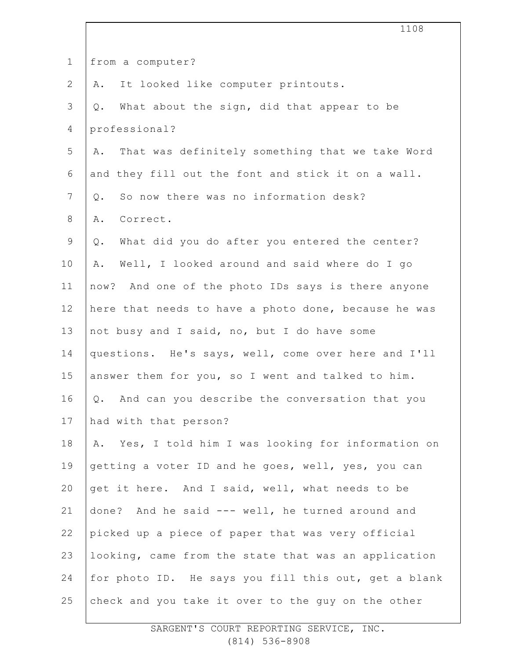|                | 1108                                                  |
|----------------|-------------------------------------------------------|
| $\mathbf 1$    | from a computer?                                      |
| $\mathbf{2}$   | It looked like computer printouts.<br>Α.              |
| 3              | What about the sign, did that appear to be<br>$Q$ .   |
| 4              | professional?                                         |
| 5              | That was definitely something that we take Word<br>Α. |
| 6              | and they fill out the font and stick it on a wall.    |
| $\overline{7}$ | So now there was no information desk?<br>$Q$ .        |
| 8              | Correct.<br>Α.                                        |
| 9              | What did you do after you entered the center?<br>Q.   |
| 10             | Well, I looked around and said where do I go<br>Α.    |
| 11             | now? And one of the photo IDs says is there anyone    |
| 12             | here that needs to have a photo done, because he was  |
| 13             | not busy and I said, no, but I do have some           |
| 14             | questions. He's says, well, come over here and I'll   |
| 15             | answer them for you, so I went and talked to him.     |
| 16             | Q. And can you describe the conversation that you     |
| 17             | had with that person?                                 |
| 18             | A. Yes, I told him I was looking for information on   |
| 19             | getting a voter ID and he goes, well, yes, you can    |
| 20             | get it here. And I said, well, what needs to be       |
| 21             | done? And he said --- well, he turned around and      |
| 22             | picked up a piece of paper that was very official     |
| 23             | looking, came from the state that was an application  |
| 24             | for photo ID. He says you fill this out, get a blank  |
| 25             | check and you take it over to the guy on the other    |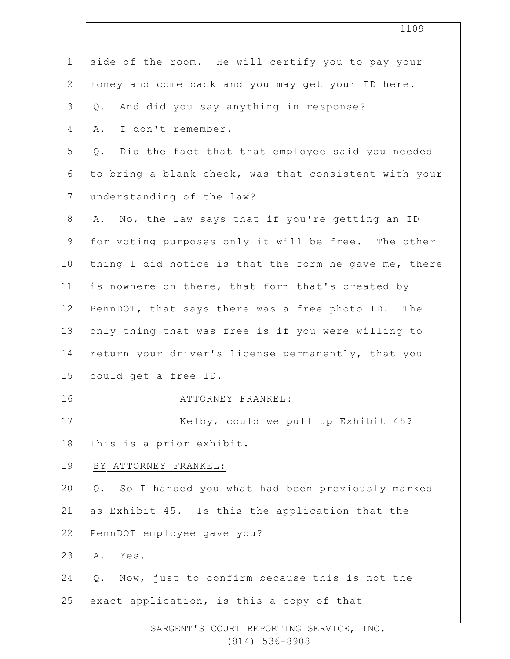|                | 1109                                                  |
|----------------|-------------------------------------------------------|
| $\mathbf 1$    | side of the room. He will certify you to pay your     |
| $\mathbf{2}$   | money and come back and you may get your ID here.     |
| 3              | And did you say anything in response?<br>$Q$ .        |
| 4              | I don't remember.<br>Α.                               |
| 5              | Did the fact that that employee said you needed<br>Q. |
| 6              | to bring a blank check, was that consistent with your |
| $\overline{7}$ | understanding of the law?                             |
| 8              | A. No, the law says that if you're getting an ID      |
| $\mathsf 9$    | for voting purposes only it will be free. The other   |
| 10             | thing I did notice is that the form he gave me, there |
| 11             | is nowhere on there, that form that's created by      |
| 12             | PennDOT, that says there was a free photo ID. The     |
| 13             | only thing that was free is if you were willing to    |
| 14             | return your driver's license permanently, that you    |
| 15             | could get a free ID.                                  |
| 16             | ATTORNEY FRANKEL:                                     |
| 17             | Kelby, could we pull up Exhibit 45?                   |
| 18             | This is a prior exhibit.                              |
| 19             | BY ATTORNEY FRANKEL:                                  |
| 20             | So I handed you what had been previously marked<br>Q. |
| 21             | as Exhibit 45. Is this the application that the       |
| 22             | PennDOT employee gave you?                            |
| 23             | Yes.<br>Α.                                            |
| 24             | Now, just to confirm because this is not the<br>$Q$ . |
| 25             | exact application, is this a copy of that             |
|                |                                                       |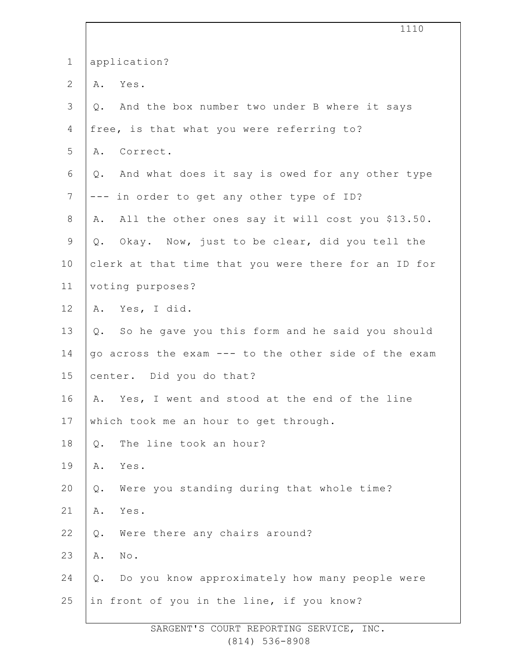|                | 1110                                                          |
|----------------|---------------------------------------------------------------|
| $\mathbf 1$    | application?                                                  |
| $\mathbf{2}$   | Yes.<br>Α.                                                    |
| $\mathfrak{Z}$ | And the box number two under B where it says<br>$Q_{\bullet}$ |
| 4              | free, is that what you were referring to?                     |
| 5              | A. Correct.                                                   |
| 6              | And what does it say is owed for any other type<br>Q.         |
| $7\phantom{.}$ | --- in order to get any other type of ID?                     |
| 8              | All the other ones say it will cost you \$13.50.<br>Α.        |
| $\mathsf 9$    | Q. Okay. Now, just to be clear, did you tell the              |
| 10             | clerk at that time that you were there for an ID for          |
| 11             | voting purposes?                                              |
| 12             | A. Yes, I did.                                                |
| 13             | Q. So he gave you this form and he said you should            |
| 14             | go across the exam --- to the other side of the exam          |
| 15             | center. Did you do that?                                      |
| 16             | Yes, I went and stood at the end of the line<br>Α.            |
| 17             | which took me an hour to get through.                         |
| 18             | The line took an hour?<br>$Q$ .                               |
| 19             | Α.<br>Yes.                                                    |
| 20             | Were you standing during that whole time?<br>$Q$ .            |
| 21             | Α.<br>Yes.                                                    |
| 22             | Were there any chairs around?<br>Q.                           |
| 23             | $\mbox{No}$ .<br>Α.                                           |
| 24             | Do you know approximately how many people were<br>$Q$ .       |
| 25             | in front of you in the line, if you know?                     |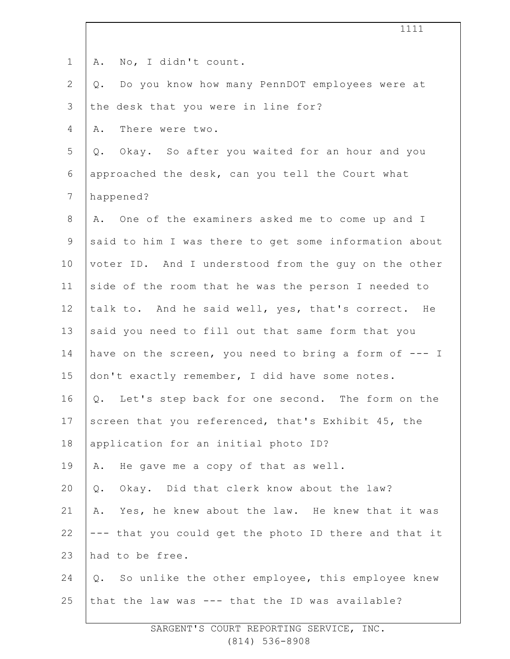| $\mathbf 1$    | No, I didn't count.<br>Α.                             |
|----------------|-------------------------------------------------------|
| $\mathbf{2}$   | Do you know how many PennDOT employees were at<br>Q.  |
| 3              | the desk that you were in line for?                   |
| 4              | There were two.<br>Α.                                 |
| 5              | Q. Okay. So after you waited for an hour and you      |
| 6              | approached the desk, can you tell the Court what      |
| $\overline{7}$ | happened?                                             |
| 8              | A. One of the examiners asked me to come up and I     |
| 9              | said to him I was there to get some information about |
| 10             | voter ID. And I understood from the guy on the other  |
| 11             | side of the room that he was the person I needed to   |
| 12             | talk to. And he said well, yes, that's correct. He    |
| 13             | said you need to fill out that same form that you     |
| 14             | have on the screen, you need to bring a form of --- I |
| 15             | don't exactly remember, I did have some notes.        |
| 16             | Q. Let's step back for one second. The form on the    |
| 17             | screen that you referenced, that's Exhibit 45, the    |
| 18             | application for an initial photo ID?                  |
| 19             | He gave me a copy of that as well.<br>Α.              |
| 20             | Okay. Did that clerk know about the law?<br>$Q$ .     |
| 21             | Yes, he knew about the law. He knew that it was<br>Α. |
| 22             | --- that you could get the photo ID there and that it |
| 23             | had to be free.                                       |
| 24             | Q. So unlike the other employee, this employee knew   |
| 25             | that the law was --- that the ID was available?       |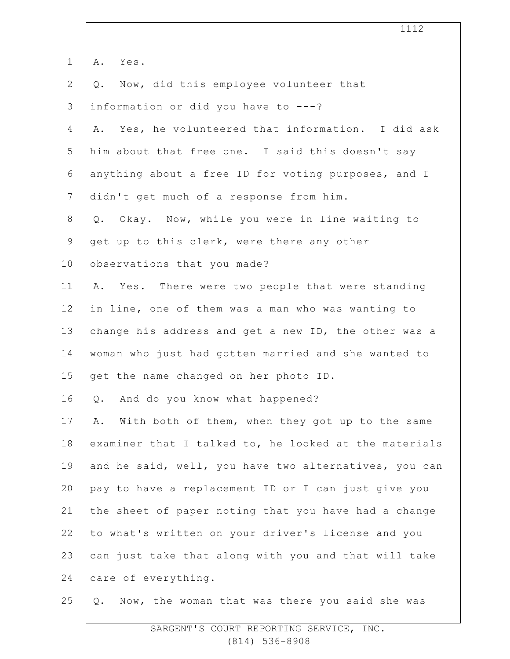|                 | 1112                                                  |
|-----------------|-------------------------------------------------------|
| $\mathbf 1$     | Yes.<br>Α.                                            |
| $\mathbf{2}$    | Now, did this employee volunteer that<br>Q.           |
| 3               | information or did you have to ---?                   |
| 4               | A. Yes, he volunteered that information. I did ask    |
| 5               | him about that free one. I said this doesn't say      |
| 6               | anything about a free ID for voting purposes, and I   |
| $7\phantom{.}$  | didn't get much of a response from him.               |
| 8               | Okay. Now, while you were in line waiting to<br>$Q$ . |
| $\mathsf 9$     | get up to this clerk, were there any other            |
| 10 <sub>o</sub> | observations that you made?                           |
| 11              | A. Yes. There were two people that were standing      |
| 12              | in line, one of them was a man who was wanting to     |
| 13              | change his address and get a new ID, the other was a  |
| 14              | woman who just had gotten married and she wanted to   |
| 15              | get the name changed on her photo ID.                 |
| 16              | And do you know what happened?<br>Q.                  |
| 17              | With both of them, when they got up to the same<br>Α. |
| 18              | examiner that I talked to, he looked at the materials |
| 19              | and he said, well, you have two alternatives, you can |
| 20              | pay to have a replacement ID or I can just give you   |
| 21              | the sheet of paper noting that you have had a change  |
| 22              | to what's written on your driver's license and you    |
| 23              | can just take that along with you and that will take  |
| 24              | care of everything.                                   |
| 25              | Now, the woman that was there you said she was<br>Q.  |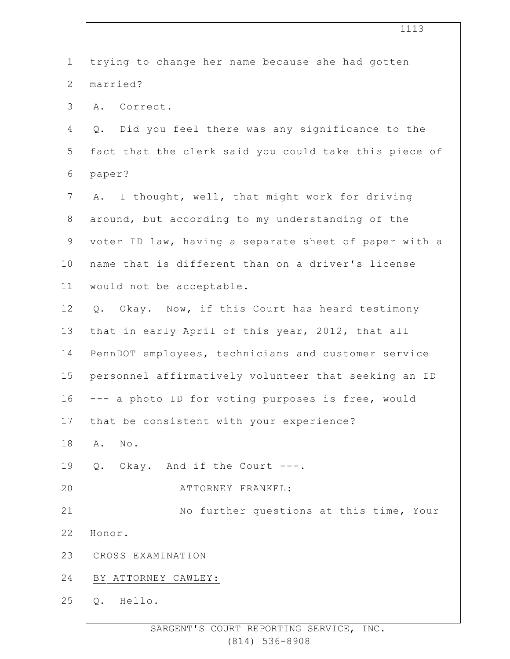| $\mathbf 1$    | trying to change her name because she had gotten      |
|----------------|-------------------------------------------------------|
| $\overline{2}$ | married?                                              |
| 3              | A. Correct.                                           |
| 4              | Did you feel there was any significance to the<br>Q.  |
| 5              | fact that the clerk said you could take this piece of |
| 6              | paper?                                                |
| $7\phantom{.}$ | I thought, well, that might work for driving<br>Α.    |
| $8\,$          | around, but according to my understanding of the      |
| $\mathsf 9$    | voter ID law, having a separate sheet of paper with a |
| 10             | name that is different than on a driver's license     |
| 11             | would not be acceptable.                              |
| 12             | Q. Okay. Now, if this Court has heard testimony       |
| 13             | that in early April of this year, 2012, that all      |
| 14             | PennDOT employees, technicians and customer service   |
| 15             | personnel affirmatively volunteer that seeking an ID  |
| 16             | --- a photo ID for voting purposes is free, would     |
| 17             | that be consistent with your experience?              |
| 18             | No.<br>Α.                                             |
| 19             | Okay. And if the Court ---.<br>Q.                     |
| 20             | ATTORNEY FRANKEL:                                     |
| 21             | No further questions at this time, Your               |
| 22             | Honor.                                                |
| 23             | CROSS EXAMINATION                                     |
| 24             | BY ATTORNEY CAWLEY:                                   |
| 25             | Hello.<br>Q.                                          |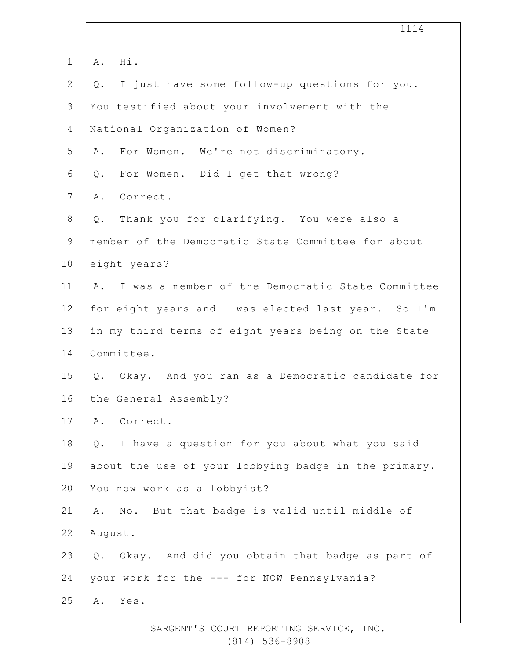|                | 1114                                                   |
|----------------|--------------------------------------------------------|
| $\mathbf 1$    | Hi.<br>Α.                                              |
| $\overline{2}$ | I just have some follow-up questions for you.<br>$Q$ . |
| 3              | You testified about your involvement with the          |
| 4              | National Organization of Women?                        |
| 5              | For Women. We're not discriminatory.<br>Α.             |
| 6              | For Women. Did I get that wrong?<br>$Q$ .              |
| $\overline{7}$ | Correct.<br>Α.                                         |
| 8              | Thank you for clarifying. You were also a<br>Q.        |
| $\mathsf 9$    | member of the Democratic State Committee for about     |
| 10             | eight years?                                           |
| 11             | I was a member of the Democratic State Committee<br>Α. |
| 12             | for eight years and I was elected last year. So I'm    |
| 13             | in my third terms of eight years being on the State    |
| 14             | Committee.                                             |
| 15             | Q. Okay. And you ran as a Democratic candidate for     |
| 16             | the General Assembly?                                  |
| 17             | Correct.<br>Α.                                         |
| 18             | I have a question for you about what you said<br>$Q$ . |
| 19             | about the use of your lobbying badge in the primary.   |
| 20             | You now work as a lobbyist?                            |
| 21             | No. But that badge is valid until middle of<br>Α.      |
| 22             | August.                                                |
| 23             | Q. Okay. And did you obtain that badge as part of      |
| 24             | your work for the --- for NOW Pennsylvania?            |
| 25             | Α.<br>Yes.                                             |
|                |                                                        |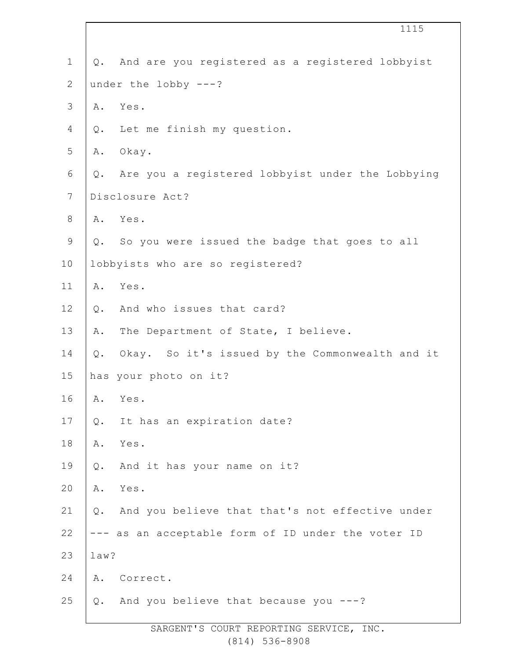|                |       | 1115                                               |
|----------------|-------|----------------------------------------------------|
| $\mathbf 1$    | Q.    | And are you registered as a registered lobbyist    |
| $\sqrt{2}$     |       | under the lobby $---?$                             |
| $\mathcal{S}$  | Α.    | Yes.                                               |
| 4              |       | Q. Let me finish my question.                      |
| 5              | Α.    | Okay.                                              |
| 6              | Q.    | Are you a registered lobbyist under the Lobbying   |
| $7\phantom{.}$ |       | Disclosure Act?                                    |
| $8\,$          | Α.    | Yes.                                               |
| $\mathsf 9$    |       | Q. So you were issued the badge that goes to all   |
| 10             |       | lobbyists who are so registered?                   |
| 11             | Α.    | Yes.                                               |
| 12             | Q.    | And who issues that card?                          |
| 13             | Α.    | The Department of State, I believe.                |
| 14             | Q.    | Okay. So it's issued by the Commonwealth and it    |
| 15             |       | has your photo on it?                              |
| 16             | Α.    | Yes.                                               |
| 17             | $Q$ . | It has an expiration date?                         |
| 18             | Α.    | Yes.                                               |
| 19             | $Q$ . | And it has your name on it?                        |
| 20             | Α.    | Yes.                                               |
| 21             | $Q$ . | And you believe that that's not effective under    |
| 22             |       | --- as an acceptable form of ID under the voter ID |
| 23             | law?  |                                                    |
| 24             | Α.    | Correct.                                           |
| 25             | $Q$ . | And you believe that because you ---?              |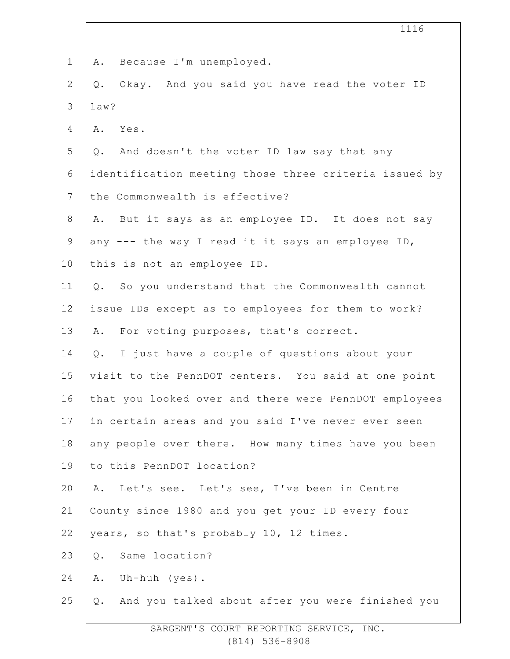|                | 1116                                                   |
|----------------|--------------------------------------------------------|
| $\mathbf 1$    | Because I'm unemployed.<br>Α.                          |
| $\mathbf{2}$   | Okay. And you said you have read the voter ID<br>Q.    |
| $\mathcal{S}$  | law?                                                   |
| 4              | Yes.<br>Α.                                             |
| 5              | Q. And doesn't the voter ID law say that any           |
| 6              | identification meeting those three criteria issued by  |
| $7\phantom{.}$ | the Commonwealth is effective?                         |
| $8\,$          | A. But it says as an employee ID. It does not say      |
| $\mathsf 9$    | any --- the way I read it it says an employee ID,      |
| 10             | this is not an employee ID.                            |
| 11             | Q. So you understand that the Commonwealth cannot      |
| 12             | issue IDs except as to employees for them to work?     |
| 13             | A. For voting purposes, that's correct.                |
| 14             | I just have a couple of questions about your<br>Q.     |
| 15             | visit to the PennDOT centers. You said at one point    |
| 16             | that you looked over and there were PennDOT employees  |
| 17             | in certain areas and you said I've never ever seen     |
| 18             | any people over there. How many times have you been    |
| 19             | to this PennDOT location?                              |
| 20             | Let's see. Let's see, I've been in Centre<br>Α.        |
| 21             | County since 1980 and you get your ID every four       |
| 22             | years, so that's probably 10, 12 times.                |
| 23             | Same location?<br>Q.                                   |
| 24             | Uh-huh (yes).<br>Α.                                    |
| 25             | And you talked about after you were finished you<br>Q. |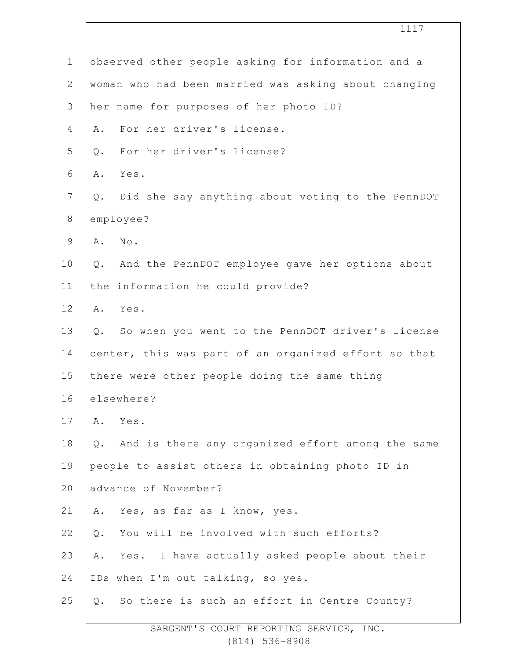|                | 1117                                                   |
|----------------|--------------------------------------------------------|
| $\mathbf 1$    | observed other people asking for information and a     |
| $\mathbf{2}$   | woman who had been married was asking about changing   |
| $\mathcal{S}$  | her name for purposes of her photo ID?                 |
| 4              | For her driver's license.<br>Α.                        |
| 5              | For her driver's license?<br>Q.                        |
| 6              | Yes.<br>Α.                                             |
| $7\phantom{.}$ | Did she say anything about voting to the PennDOT<br>Q. |
| $\,8\,$        | employee?                                              |
| $\mathsf 9$    | No.<br>Α.                                              |
| 10             | And the PennDOT employee gave her options about<br>Q.  |
| 11             | the information he could provide?                      |
| 12             | Yes.<br>Α.                                             |
| 13             | So when you went to the PennDOT driver's license<br>Q. |
| 14             | center, this was part of an organized effort so that   |
| 15             | there were other people doing the same thing           |
| 16             | elsewhere?                                             |
| 17             | Α.<br>Yes.                                             |
| 18             | And is there any organized effort among the same<br>Q. |
| 19             | people to assist others in obtaining photo ID in       |
| 20             | advance of November?                                   |
| 21             | Yes, as far as I know, yes.<br>Α.                      |
| 22             | You will be involved with such efforts?<br>Q.          |
| 23             | Yes. I have actually asked people about their<br>Α.    |
| 24             | IDs when I'm out talking, so yes.                      |
| 25             | So there is such an effort in Centre County?<br>Q.     |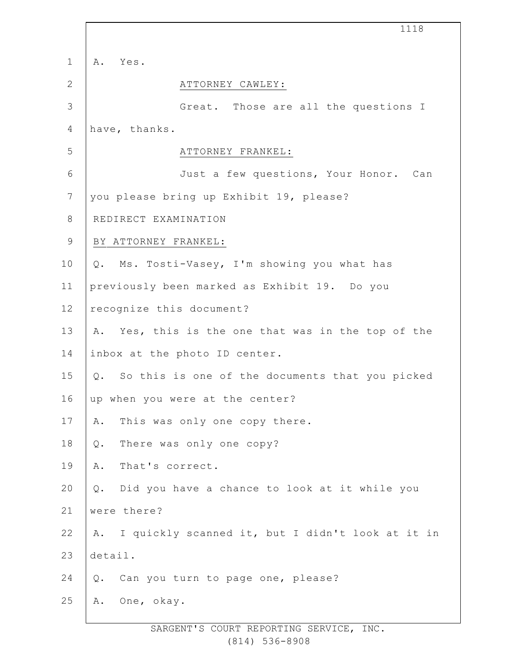|                | 1118                                                   |
|----------------|--------------------------------------------------------|
| $\mathbf 1$    | Α.<br>Yes.                                             |
| $\mathbf{2}$   | ATTORNEY CAWLEY:                                       |
| $\mathcal{S}$  | Great. Those are all the questions I                   |
| $\overline{4}$ | have, thanks.                                          |
| 5              | ATTORNEY FRANKEL:                                      |
| 6              | Just a few questions, Your Honor. Can                  |
| $\overline{7}$ | you please bring up Exhibit 19, please?                |
| $\,8\,$        | REDIRECT EXAMINATION                                   |
| $\mathsf 9$    | BY ATTORNEY FRANKEL:                                   |
| 10             | Ms. Tosti-Vasey, I'm showing you what has<br>Q.        |
| 11             | previously been marked as Exhibit 19. Do you           |
| 12             | recognize this document?                               |
| 13             | A. Yes, this is the one that was in the top of the     |
| 14             | inbox at the photo ID center.                          |
| 15             | Q. So this is one of the documents that you picked     |
| 16             | up when you were at the center?                        |
| 17             | This was only one copy there.<br>Α.                    |
| 18             | There was only one copy?<br>$Q$ .                      |
| 19             | That's correct.<br>Α.                                  |
| 20             | Did you have a chance to look at it while you<br>$Q$ . |
| 21             | were there?                                            |
| 22             | A. I quickly scanned it, but I didn't look at it in    |
| 23             | detail.                                                |
| 24             | Can you turn to page one, please?<br>Q.                |
| 25             | One, okay.<br>Α.                                       |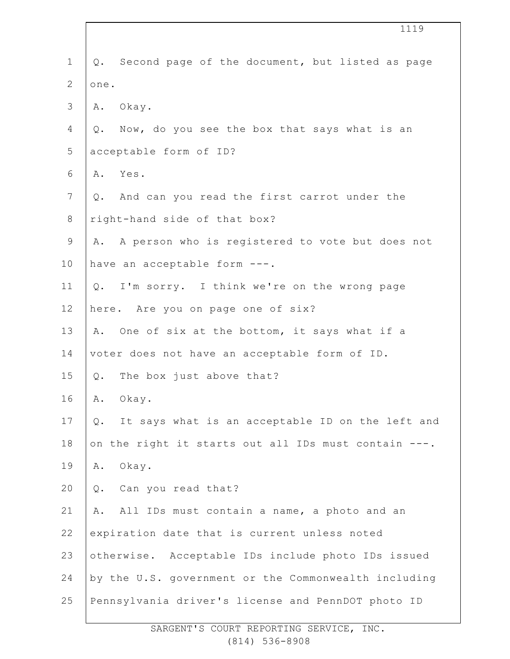|                | 1119                                                      |
|----------------|-----------------------------------------------------------|
| $\mathbf 1$    | Q. Second page of the document, but listed as page        |
| $\mathbf{2}$   | one.                                                      |
| 3              | Α.<br>Okay.                                               |
| 4              | Q. Now, do you see the box that says what is an           |
| 5              | acceptable form of ID?                                    |
| 6              | Yes.<br>Α.                                                |
| $\overline{7}$ | Q. And can you read the first carrot under the            |
| $8\,$          | right-hand side of that box?                              |
| $\mathsf 9$    | A. A person who is registered to vote but does not        |
| 10             | have an acceptable form ---.                              |
| 11             | Q. I'm sorry. I think we're on the wrong page             |
| 12             | here. Are you on page one of six?                         |
| 13             | A. One of six at the bottom, it says what if a            |
| 14             | voter does not have an acceptable form of ID.             |
| 15             | Q. The box just above that?                               |
| 16             | Okay.<br>Α.                                               |
| $17$           | It says what is an acceptable ID on the left and<br>$Q$ . |
| 18             | on the right it starts out all IDs must contain ---.      |
| 19             | Okay.<br>Α.                                               |
| 20             | Can you read that?<br>Q.                                  |
| 21             | All IDs must contain a name, a photo and an<br>Α.         |
| 22             | expiration date that is current unless noted              |
| 23             | otherwise. Acceptable IDs include photo IDs issued        |
| 24             | by the U.S. government or the Commonwealth including      |
| 25             | Pennsylvania driver's license and PennDOT photo ID        |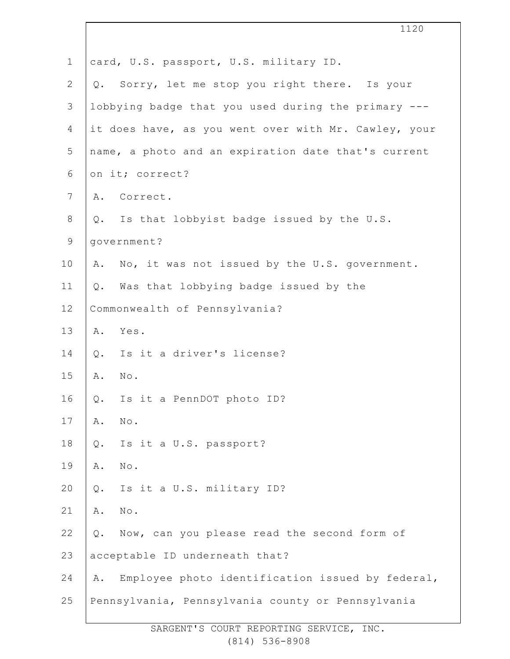|                | 1120                                                   |
|----------------|--------------------------------------------------------|
| $\mathbf 1$    | card, U.S. passport, U.S. military ID.                 |
| $\mathbf{2}$   | Sorry, let me stop you right there. Is your<br>Q.      |
| $\mathfrak{Z}$ | lobbying badge that you used during the primary ---    |
| 4              | it does have, as you went over with Mr. Cawley, your   |
| 5              | name, a photo and an expiration date that's current    |
| 6              | on it; correct?                                        |
| 7              | Correct.<br>Α.                                         |
| 8              | Is that lobbyist badge issued by the U.S.<br>Q.        |
| $\mathsf 9$    | government?                                            |
| 10             | A. No, it was not issued by the U.S. government.       |
| 11             | Was that lobbying badge issued by the<br>Q.            |
| 12             | Commonwealth of Pennsylvania?                          |
| 13             | A. Yes.                                                |
| 14             | Is it a driver's license?<br>Q.                        |
| 15             | $\texttt{No}$ .<br>Α.                                  |
| 16             | Is it a PennDOT photo ID?<br>Q.                        |
| 17             | $\texttt{No}$ .<br>Α.                                  |
| 18             | Is it a U.S. passport?<br>Q.                           |
| 19             | $\texttt{No}$ .<br>Α.                                  |
| 20             | Is it a U.S. military ID?<br>Q.                        |
| 21             | Α.<br>No.                                              |
| 22             | Now, can you please read the second form of<br>$Q$ .   |
| 23             | acceptable ID underneath that?                         |
| 24             | Employee photo identification issued by federal,<br>Α. |
| 25             | Pennsylvania, Pennsylvania county or Pennsylvania      |
|                |                                                        |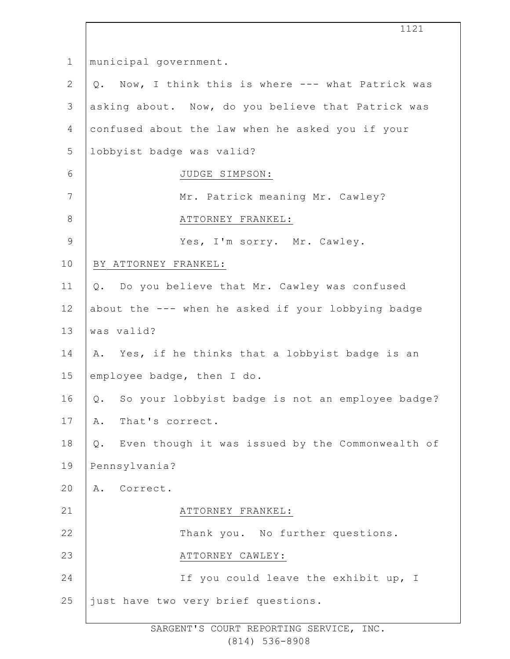1 2 3 4 5 6 7 8 9 10 11 12 13 14 15 16 17 18 19  $20$ 21 22 23 24 25 municipal government. Q. Now, I think this is where --- what Patrick was asking about. Now, do you believe that Patrick was confused about the law when he asked you if your lobbyist badge was valid? JUDGE SIMPSON: Mr. Patrick meaning Mr. Cawley? ATTORNEY FRANKEL: Yes, I'm sorry. Mr. Cawley. BY ATTORNEY FRANKEL: Q. Do you believe that Mr. Cawley was confused about the --- when he asked if your lobbying badge was valid? A. Yes, if he thinks that a lobbyist badge is an employee badge, then I do. Q. So your lobbyist badge is not an employee badge? A. That's correct. Q. Even though it was issued by the Commonwealth of Pennsylvania? A. Correct. ATTORNEY FRANKEL: Thank you. No further questions. ATTORNEY CAWLEY: If you could leave the exhibit up, I just have two very brief questions.

1121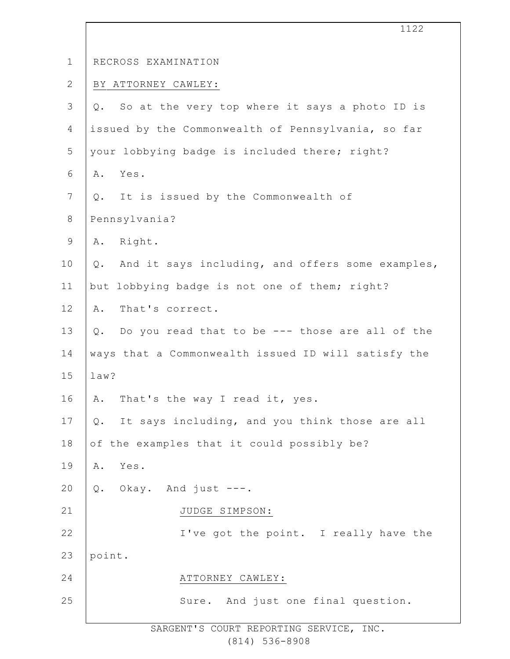|                | エエムム                                                   |
|----------------|--------------------------------------------------------|
| $\mathbf 1$    | RECROSS EXAMINATION                                    |
| $\mathbf{2}$   | BY ATTORNEY CAWLEY:                                    |
| $\mathfrak{Z}$ | So at the very top where it says a photo ID is<br>Q.   |
| $\overline{4}$ | issued by the Commonwealth of Pennsylvania, so far     |
| 5              | your lobbying badge is included there; right?          |
| 6              | Yes.<br>Α.                                             |
| $\overline{7}$ | It is issued by the Commonwealth of<br>Q.              |
| $\,8\,$        | Pennsylvania?                                          |
| $\mathsf 9$    | Right.<br>Α.                                           |
| 10             | And it says including, and offers some examples,<br>Q. |
| 11             | but lobbying badge is not one of them; right?          |
| 12             | That's correct.<br>Α.                                  |
| 13             | Do you read that to be --- those are all of the<br>Q.  |
| 14             | ways that a Commonwealth issued ID will satisfy the    |
| 15             | law?                                                   |
| 16             | That's the way I read it, yes.<br>A.                   |
| 17             | It says including, and you think those are all<br>Q.   |
| 18             | of the examples that it could possibly be?             |
| 19             | Yes.<br>Α.                                             |
| 20             | Q. Okay. And just ---.                                 |
| 21             | JUDGE SIMPSON:                                         |
| 22             | I've got the point. I really have the                  |
| 23             | point.                                                 |
| 24             | ATTORNEY CAWLEY:                                       |
| 25             | Sure. And just one final question.                     |
|                |                                                        |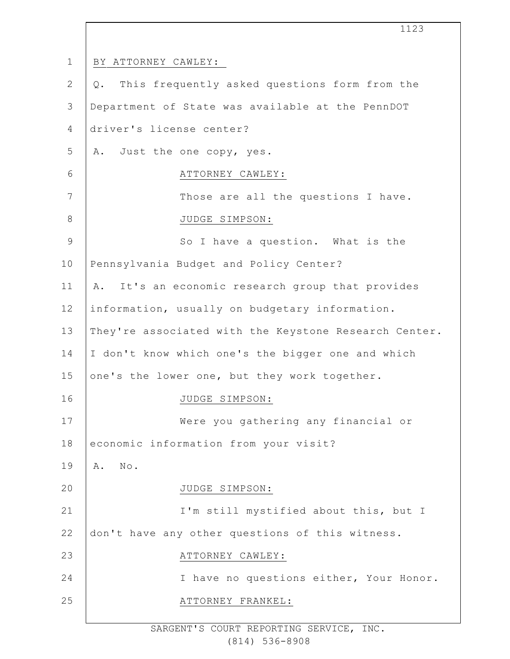1 2 3 4 5 6 7 8 9 10 11 12 13 14 15 16 17 18 19  $20$ 21 22 23 24 25 1123 BY ATTORNEY CAWLEY: Q. This frequently asked questions form from the Department of State was available at the PennDOT driver's license center? A. Just the one copy, yes. ATTORNEY CAWLEY: Those are all the questions I have. JUDGE SIMPSON: So I have a question. What is the Pennsylvania Budget and Policy Center? A. It's an economic research group that provides information, usually on budgetary information. They're associated with the Keystone Research Center. I don't know which one's the bigger one and which one's the lower one, but they work together. JUDGE SIMPSON: Were you gathering any financial or economic information from your visit? A. No. JUDGE SIMPSON: I'm still mystified about this, but I don't have any other questions of this witness. ATTORNEY CAWLEY: I have no questions either, Your Honor. ATTORNEY FRANKEL: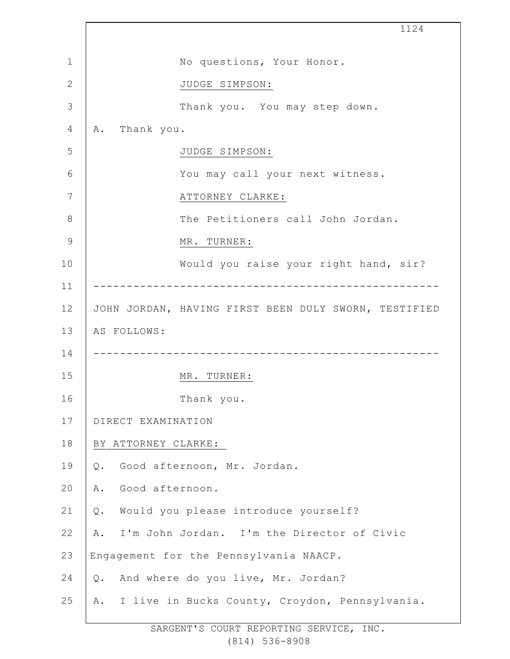|              | 1124                                                 |
|--------------|------------------------------------------------------|
| 1            | No questions, Your Honor.                            |
| $\mathbf{2}$ | JUDGE SIMPSON:                                       |
| 3            | Thank you. You may step down.                        |
| 4            | Thank you.<br>Α.                                     |
| 5            | JUDGE SIMPSON:                                       |
| 6            | You may call your next witness.                      |
| 7            | ATTORNEY CLARKE:                                     |
| 8            | The Petitioners call John Jordan.                    |
| 9            | MR. TURNER:                                          |
| 10           | Would you raise your right hand, sir?                |
| 11           |                                                      |
| 12           | JOHN JORDAN, HAVING FIRST BEEN DULY SWORN, TESTIFIED |
| 13           | AS FOLLOWS:                                          |
| 14           | -----------------------------------                  |
| 15           | MR. TURNER:                                          |
| 16           | Thank you.                                           |
| 17           | DIRECT EXAMINATION                                   |
| 18           | BY ATTORNEY CLARKE:                                  |
| 19           | Good afternoon, Mr. Jordan.<br>Q.                    |
| 20           | Good afternoon.<br>Α.                                |
| 21           | Would you please introduce yourself?<br>Q.           |
| 22           | A. I'm John Jordan. I'm the Director of Civic        |
| 23           | Engagement for the Pennsylvania NAACP.               |
| 24           | And where do you live, Mr. Jordan?<br>Q.             |
| 25           | A. I live in Bucks County, Croydon, Pennsylvania.    |
|              |                                                      |

T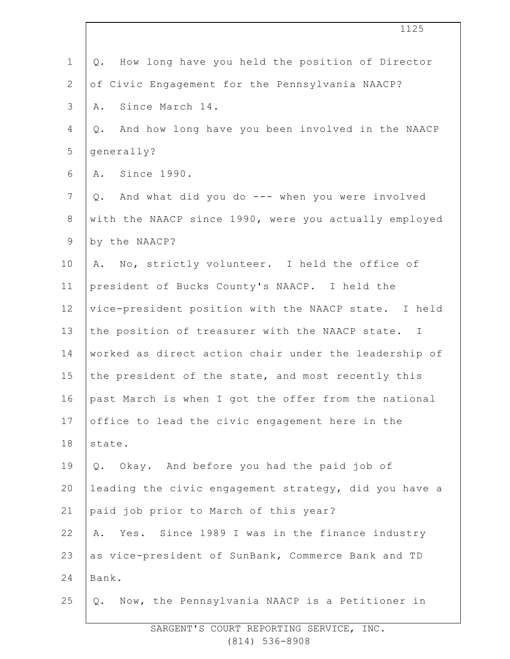| $\mathbf 1$    | How long have you held the position of Director<br>Q.  |
|----------------|--------------------------------------------------------|
| $\overline{2}$ | of Civic Engagement for the Pennsylvania NAACP?        |
| 3              | Since March 14.<br>Α.                                  |
| 4              | And how long have you been involved in the NAACP<br>Q. |
| 5              | qenerally?                                             |
| 6              | Since 1990.<br>Α.                                      |
| 7              | And what did you do --- when you were involved<br>Q.   |
| $8\,$          | with the NAACP since 1990, were you actually employed  |
| 9              | by the NAACP?                                          |
| 10             | No, strictly volunteer. I held the office of<br>Α.     |
| 11             | president of Bucks County's NAACP. I held the          |
| 12             | vice-president position with the NAACP state. I held   |
| 13             | the position of treasurer with the NAACP state. I      |
| 14             | worked as direct action chair under the leadership of  |
| 15             | the president of the state, and most recently this     |
| 16             | past March is when I got the offer from the national   |
| 17             | office to lead the civic engagement here in the        |
| 18             | state.                                                 |
| 19             | Okay. And before you had the paid job of<br>Q.         |
| 20             | leading the civic engagement strategy, did you have a  |
| 21             | paid job prior to March of this year?                  |
| 22             | Yes. Since 1989 I was in the finance industry<br>Α.    |
| 23             | as vice-president of SunBank, Commerce Bank and TD     |
| 24             | Bank.                                                  |
| 25             | Q. Now, the Pennsylvania NAACP is a Petitioner in      |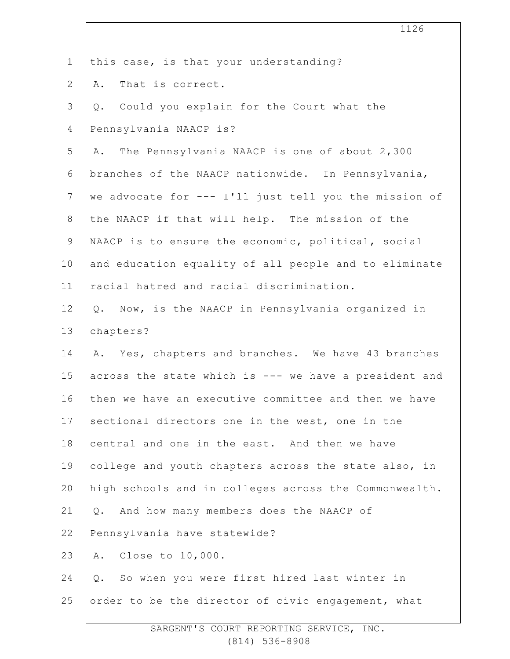|                | 1126                                                  |
|----------------|-------------------------------------------------------|
| $\mathbf 1$    | this case, is that your understanding?                |
| $\mathbf{2}$   | That is correct.<br>Α.                                |
| $\mathsf 3$    | Q. Could you explain for the Court what the           |
| 4              | Pennsylvania NAACP is?                                |
| 5              | The Pennsylvania NAACP is one of about 2,300<br>Α.    |
| 6              | branches of the NAACP nationwide. In Pennsylvania,    |
| $\overline{7}$ | we advocate for --- I'll just tell you the mission of |
| $8\,$          | the NAACP if that will help. The mission of the       |
| $\mathsf 9$    | NAACP is to ensure the economic, political, social    |
| 10             | and education equality of all people and to eliminate |
| 11             | racial hatred and racial discrimination.              |
| 12             | Q. Now, is the NAACP in Pennsylvania organized in     |
| 13             | chapters?                                             |
| 14             | A. Yes, chapters and branches. We have 43 branches    |
| 15             | across the state which is --- we have a president and |
| 16             | then we have an executive committee and then we have  |
| 17             | sectional directors one in the west, one in the       |
| 18             | central and one in the east. And then we have         |
| 19             | college and youth chapters across the state also, in  |
| 20             | high schools and in colleges across the Commonwealth. |
| 21             | Q. And how many members does the NAACP of             |
| 22             | Pennsylvania have statewide?                          |
| 23             | A. Close to 10,000.                                   |
| 24             | So when you were first hired last winter in<br>$Q$ .  |
| 25             | order to be the director of civic engagement, what    |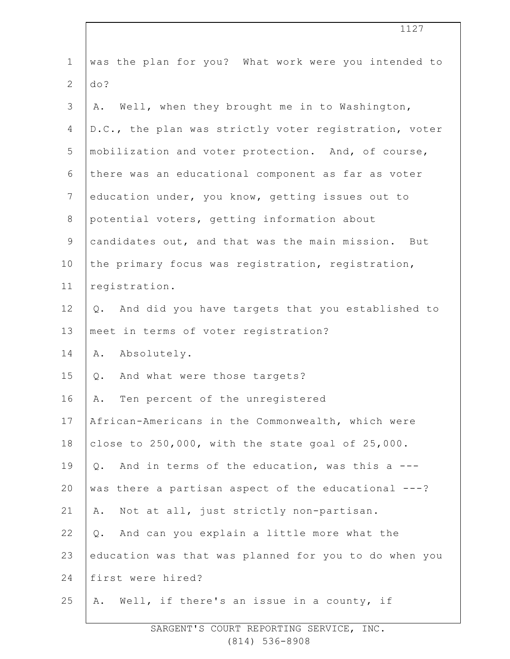| $\mathbf 1$     | was the plan for you? What work were you intended to   |
|-----------------|--------------------------------------------------------|
| $\mathbf{2}$    | do?                                                    |
| 3               | Well, when they brought me in to Washington,<br>Α.     |
| 4               | D.C., the plan was strictly voter registration, voter  |
| 5               | mobilization and voter protection. And, of course,     |
| 6               | there was an educational component as far as voter     |
| $7\phantom{.0}$ | education under, you know, getting issues out to       |
| $8\,$           | potential voters, getting information about            |
| $\mathsf 9$     | candidates out, and that was the main mission. But     |
| 10              | the primary focus was registration, registration,      |
| 11              | registration.                                          |
| 12              | And did you have targets that you established to<br>Q. |
| 13              | meet in terms of voter registration?                   |
| 14              | Absolutely.<br>Α.                                      |
| 15              | And what were those targets?<br>Q.                     |
| 16              | Ten percent of the unregistered<br>Α.                  |
| 17              | African-Americans in the Commonwealth, which were      |
| 18              | close to 250,000, with the state goal of 25,000.       |
| 19              | And in terms of the education, was this a ---<br>$Q$ . |
| 20              | was there a partisan aspect of the educational ---?    |
| 21              | Not at all, just strictly non-partisan.<br>Α.          |
| 22              | And can you explain a little more what the<br>Q.       |
| 23              | education was that was planned for you to do when you  |
| 24              | first were hired?                                      |
| 25              | Well, if there's an issue in a county, if<br>Α.        |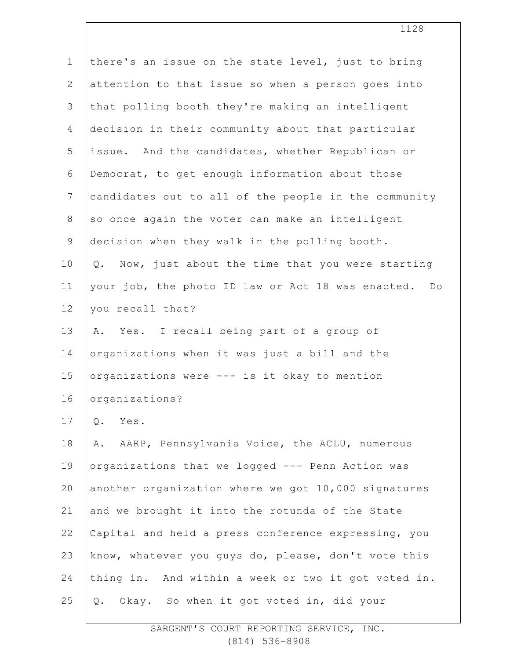| $\mathbf 1$    | there's an issue on the state level, just to bring             |
|----------------|----------------------------------------------------------------|
| $\mathbf{2}$   | attention to that issue so when a person goes into             |
| 3              | that polling booth they're making an intelligent               |
| 4              | decision in their community about that particular              |
| 5              | issue. And the candidates, whether Republican or               |
| 6              | Democrat, to get enough information about those                |
| $\overline{7}$ | candidates out to all of the people in the community           |
| $\,8\,$        | so once again the voter can make an intelligent                |
| 9              | decision when they walk in the polling booth.                  |
| 10             | Now, just about the time that you were starting<br>Q.          |
| 11             | your job, the photo ID law or Act 18 was enacted.<br>$D \circ$ |
| 12             | you recall that?                                               |
| 13             | Yes. I recall being part of a group of<br>Α.                   |
| 14             | organizations when it was just a bill and the                  |
| 15             | organizations were --- is it okay to mention                   |
| 16             | organizations?                                                 |
| 17             | Q.<br>Yes.                                                     |
| 18             | AARP, Pennsylvania Voice, the ACLU, numerous<br>Α.             |
| 19             | organizations that we logged --- Penn Action was               |
| 20             | another organization where we got 10,000 signatures            |
| 21             | and we brought it into the rotunda of the State                |
| 22             | Capital and held a press conference expressing, you            |
| 23             | know, whatever you guys do, please, don't vote this            |
| 24             | thing in. And within a week or two it got voted in.            |
| 25             | Okay. So when it got voted in, did your<br>Q.                  |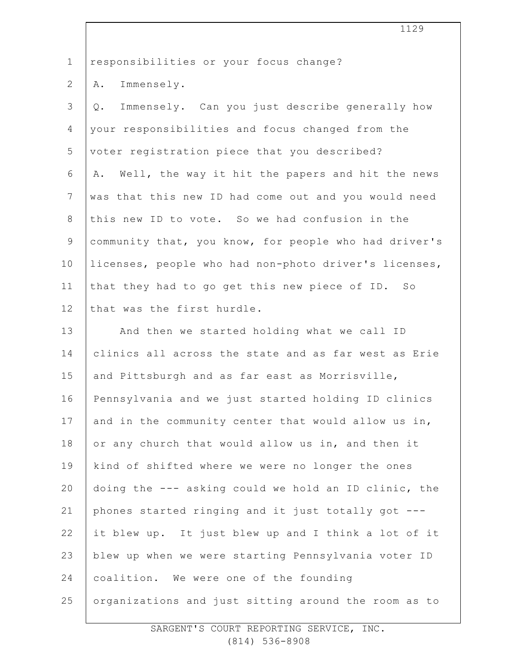1 responsibilities or your focus change?

2 A. Immensely.

3 4 5 6 7 8 9 10 11 12 Q. Immensely. Can you just describe generally how your responsibilities and focus changed from the voter registration piece that you described? A. Well, the way it hit the papers and hit the news was that this new ID had come out and you would need this new ID to vote. So we had confusion in the community that, you know, for people who had driver's licenses, people who had non-photo driver's licenses, that they had to go get this new piece of ID. So that was the first hurdle.

13 14 15 16 17 18 19 20 21 22 23 24 25 And then we started holding what we call ID clinics all across the state and as far west as Erie and Pittsburgh and as far east as Morrisville, Pennsylvania and we just started holding ID clinics and in the community center that would allow us in, or any church that would allow us in, and then it kind of shifted where we were no longer the ones doing the --- asking could we hold an ID clinic, the phones started ringing and it just totally got -- it blew up. It just blew up and I think a lot of it blew up when we were starting Pennsylvania voter ID coalition. We were one of the founding organizations and just sitting around the room as to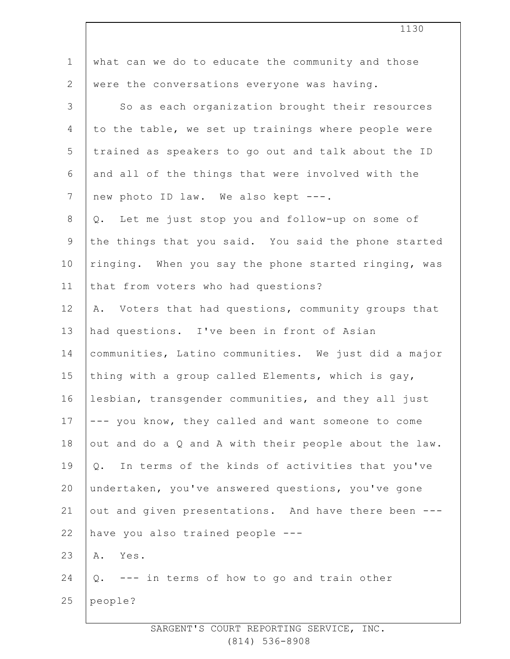| $\mathbf 1$    | what can we do to educate the community and those     |
|----------------|-------------------------------------------------------|
| $\overline{2}$ | were the conversations everyone was having.           |
| 3              | So as each organization brought their resources       |
| 4              | to the table, we set up trainings where people were   |
| 5              | trained as speakers to go out and talk about the ID   |
| 6              | and all of the things that were involved with the     |
| 7              | new photo ID law. We also kept ---.                   |
| 8              | Q. Let me just stop you and follow-up on some of      |
| $\mathsf 9$    | the things that you said. You said the phone started  |
| 10             | ringing. When you say the phone started ringing, was  |
| 11             | that from voters who had questions?                   |
| 12             | A. Voters that had questions, community groups that   |
| 13             | had questions. I've been in front of Asian            |
| 14             | communities, Latino communities. We just did a major  |
| 15             | thing with a group called Elements, which is gay,     |
| 16             | lesbian, transgender communities, and they all just   |
| 17             | --- you know, they called and want someone to come    |
| 18             | out and do a Q and A with their people about the law. |
| 19             | In terms of the kinds of activities that you've<br>Q. |
| 20             | undertaken, you've answered questions, you've gone    |
| 21             | out and given presentations. And have there been ---  |
| 22             | have you also trained people ---                      |
| 23             | Yes.<br>Α.                                            |
| 24             | --- in terms of how to go and train other<br>$Q$ .    |
| 25             | people?                                               |
|                |                                                       |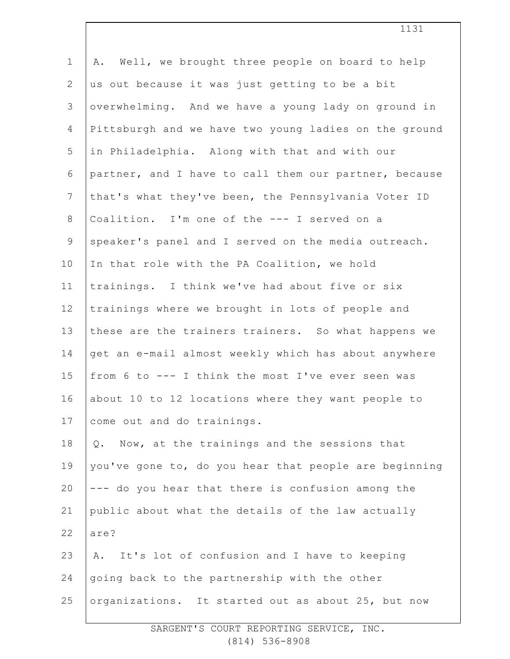| $\mathbf 1$    | Well, we brought three people on board to help<br>Α.  |
|----------------|-------------------------------------------------------|
| $\mathbf{2}$   | us out because it was just getting to be a bit        |
| 3              | overwhelming. And we have a young lady on ground in   |
| 4              | Pittsburgh and we have two young ladies on the ground |
| 5              | in Philadelphia. Along with that and with our         |
| 6              | partner, and I have to call them our partner, because |
| $7\phantom{.}$ | that's what they've been, the Pennsylvania Voter ID   |
| 8              | Coalition. I'm one of the --- I served on a           |
| $\mathsf 9$    | speaker's panel and I served on the media outreach.   |
| 10             | In that role with the PA Coalition, we hold           |
| 11             | trainings. I think we've had about five or six        |
| 12             | trainings where we brought in lots of people and      |
| 13             | these are the trainers trainers. So what happens we   |
| 14             | get an e-mail almost weekly which has about anywhere  |
| 15             | from 6 to --- I think the most I've ever seen was     |
| 16             | about 10 to 12 locations where they want people to    |
| 17             | come out and do trainings.                            |
| 18             | Q. Now, at the trainings and the sessions that        |
| 19             | you've gone to, do you hear that people are beginning |
| 20             | --- do you hear that there is confusion among the     |
| 21             | public about what the details of the law actually     |
| 22             | are?                                                  |
| 23             | It's lot of confusion and I have to keeping<br>Α.     |
| 24             | going back to the partnership with the other          |
| 25             | organizations. It started out as about 25, but now    |
|                |                                                       |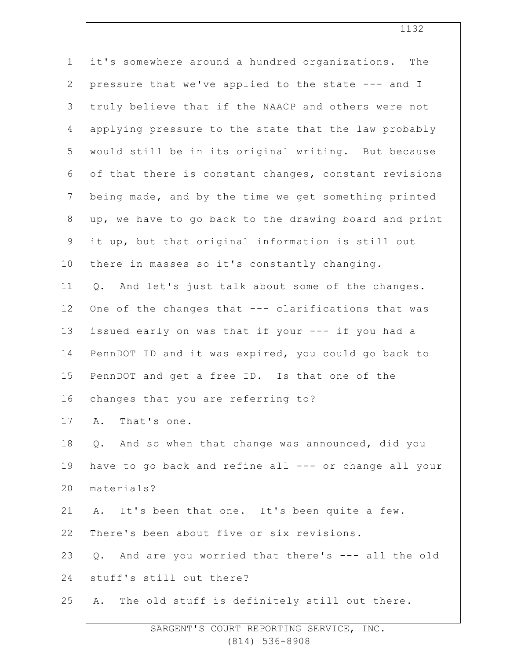| $\mathbf 1$     | it's somewhere around a hundred organizations. The      |
|-----------------|---------------------------------------------------------|
| $\mathbf{2}$    | pressure that we've applied to the state --- and I      |
| $\mathcal{S}$   | truly believe that if the NAACP and others were not     |
| 4               | applying pressure to the state that the law probably    |
| 5               | would still be in its original writing. But because     |
| 6               | of that there is constant changes, constant revisions   |
| $7\phantom{.0}$ | being made, and by the time we get something printed    |
| $\,8\,$         | up, we have to go back to the drawing board and print   |
| $\mathsf 9$     | it up, but that original information is still out       |
| 10              | there in masses so it's constantly changing.            |
| 11              | And let's just talk about some of the changes.<br>$Q$ . |
| 12              | One of the changes that --- clarifications that was     |
| 13              | issued early on was that if your --- if you had a       |
| 14              | PennDOT ID and it was expired, you could go back to     |
| 15              | PennDOT and get a free ID. Is that one of the           |
| 16              | changes that you are referring to?                      |
| 17              | That's one.<br>Α.                                       |
| 18              | And so when that change was announced, did you<br>Q.    |
| 19              | have to go back and refine all --- or change all your   |
| 20              | materials?                                              |
| 21              | A. It's been that one. It's been quite a few.           |
| 22              | There's been about five or six revisions.               |
| 23              | And are you worried that there's --- all the old<br>Q.  |
| 24              | stuff's still out there?                                |
| 25              | The old stuff is definitely still out there.<br>Α.      |
|                 |                                                         |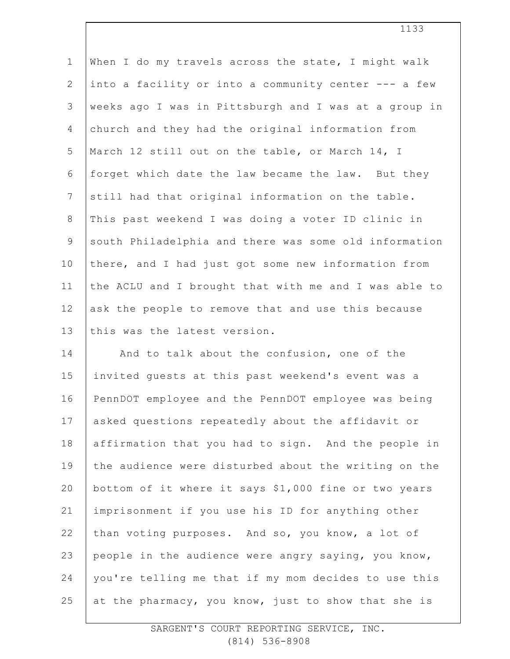| $\mathbf 1$    | When I do my travels across the state, I might walk   |
|----------------|-------------------------------------------------------|
| $\overline{2}$ | into a facility or into a community center --- a few  |
| 3              | weeks ago I was in Pittsburgh and I was at a group in |
| $\overline{4}$ | church and they had the original information from     |
| 5              | March 12 still out on the table, or March 14, I       |
| 6              | forget which date the law became the law. But they    |
| $\overline{7}$ | still had that original information on the table.     |
| $8\,$          | This past weekend I was doing a voter ID clinic in    |
| $\overline{9}$ | south Philadelphia and there was some old information |
| 10             | there, and I had just got some new information from   |
| 11             | the ACLU and I brought that with me and I was able to |
| 12             | ask the people to remove that and use this because    |
| 13             | this was the latest version.                          |
| 14             | And to talk about the confusion, one of the           |
| 15             | invited quests at this past weekend's event was a     |
| 16             | PennDOT employee and the PennDOT employee was being   |
| 17             | asked questions repeatedly about the affidavit or     |
| 18             | affirmation that you had to sign. And the people in   |
| 19             | the audience were disturbed about the writing on the  |
| 20             | bottom of it where it says \$1,000 fine or two years  |
| 21             | imprisonment if you use his ID for anything other     |
| 22             | than voting purposes. And so, you know, a lot of      |
| 23             | people in the audience were angry saying, you know,   |
| 24             | you're telling me that if my mom decides to use this  |
| 25             | at the pharmacy, you know, just to show that she is   |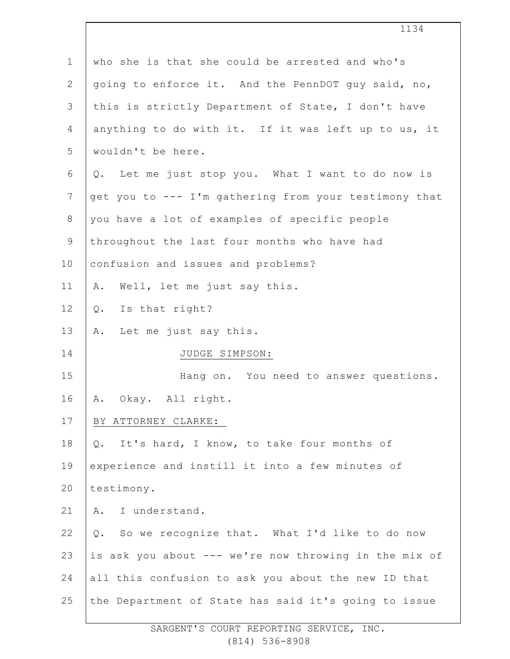| $\mathbf 1$      | who she is that she could be arrested and who's       |
|------------------|-------------------------------------------------------|
| $\mathbf{2}$     | going to enforce it. And the PennDOT guy said, no,    |
| 3                | this is strictly Department of State, I don't have    |
| 4                | anything to do with it. If it was left up to us, it   |
| 5                | wouldn't be here.                                     |
| 6                | Q. Let me just stop you. What I want to do now is     |
| $\boldsymbol{7}$ | get you to --- I'm gathering from your testimony that |
| $\,8\,$          | you have a lot of examples of specific people         |
| $\mathsf 9$      | throughout the last four months who have had          |
| 10               | confusion and issues and problems?                    |
| 11               | Well, let me just say this.<br>Α.                     |
| 12               | Is that right?<br>Q.                                  |
| 13               | Let me just say this.<br>Α.                           |
| 14               | JUDGE SIMPSON:                                        |
| 15               | Hang on. You need to answer questions.                |
| 16               | Okay. All right.<br>Α.                                |
| 17               | BY ATTORNEY CLARKE:                                   |
| 18               | It's hard, I know, to take four months of<br>Q.       |
| 19               | experience and instill it into a few minutes of       |
| 20               | testimony.                                            |
| 21               | I understand.<br>Α.                                   |
| 22               | So we recognize that. What I'd like to do now<br>Q.   |
| 23               | is ask you about --- we're now throwing in the mix of |
| 24               | all this confusion to ask you about the new ID that   |
| 25               | the Department of State has said it's going to issue  |
|                  |                                                       |

1134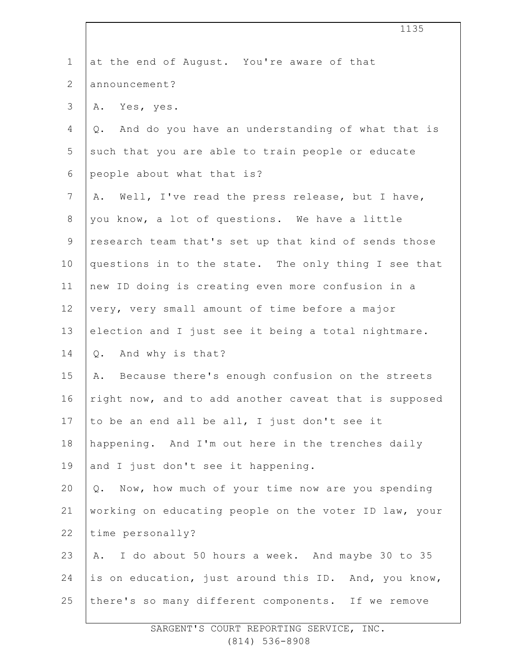| $\mathbf 1$    | at the end of August. You're aware of that             |
|----------------|--------------------------------------------------------|
| $\overline{2}$ | announcement?                                          |
| 3              | Yes, yes.<br>Α.                                        |
| 4              | And do you have an understanding of what that is<br>Q. |
| 5              | such that you are able to train people or educate      |
| 6              | people about what that is?                             |
| $\overline{7}$ | Well, I've read the press release, but I have,<br>Α.   |
| 8              | you know, a lot of questions. We have a little         |
| $\mathsf 9$    | research team that's set up that kind of sends those   |
| 10             | questions in to the state. The only thing I see that   |
| 11             | new ID doing is creating even more confusion in a      |
| 12             | very, very small amount of time before a major         |
| 13             | election and I just see it being a total nightmare.    |
| 14             | Q. And why is that?                                    |
| 15             | Because there's enough confusion on the streets<br>Α.  |
| 16             | right now, and to add another caveat that is supposed  |
| 17             | to be an end all be all, I just don't see it           |
| 18             | happening. And I'm out here in the trenches daily      |
| 19             | and I just don't see it happening.                     |
| 20             | Q. Now, how much of your time now are you spending     |
| 21             | working on educating people on the voter ID law, your  |
| 22             | time personally?                                       |
| 23             | A. I do about 50 hours a week. And maybe 30 to 35      |
| 24             | is on education, just around this ID. And, you know,   |
| 25             | there's so many different components. If we remove     |
|                |                                                        |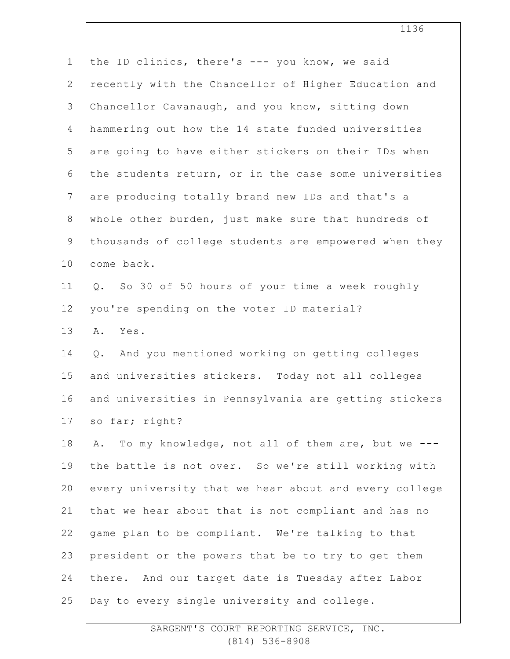| $\mathbf 1$    | the ID clinics, there's --- you know, we said          |
|----------------|--------------------------------------------------------|
| $\mathbf{2}$   | recently with the Chancellor of Higher Education and   |
| 3              | Chancellor Cavanaugh, and you know, sitting down       |
| $\overline{4}$ | hammering out how the 14 state funded universities     |
| 5              | are going to have either stickers on their IDs when    |
| $\epsilon$     | the students return, or in the case some universities  |
| $7\phantom{.}$ | are producing totally brand new IDs and that's a       |
| 8              | whole other burden, just make sure that hundreds of    |
| $\mathsf 9$    | thousands of college students are empowered when they  |
| 10             | come back.                                             |
| 11             | Q. So 30 of 50 hours of your time a week roughly       |
| 12             | you're spending on the voter ID material?              |
| 13             | Α.<br>Yes.                                             |
| 14             | And you mentioned working on getting colleges<br>Q.    |
| 15             | and universities stickers. Today not all colleges      |
| 16             | and universities in Pennsylvania are getting stickers  |
| 17             | so far; right?                                         |
| 18             | To my knowledge, not all of them are, but we ---<br>Α. |
| 19             | the battle is not over. So we're still working with    |
| 20             | every university that we hear about and every college  |
| 21             | that we hear about that is not compliant and has no    |
| 22             | game plan to be compliant. We're talking to that       |
| 23             | president or the powers that be to try to get them     |
| 24             | there. And our target date is Tuesday after Labor      |
|                |                                                        |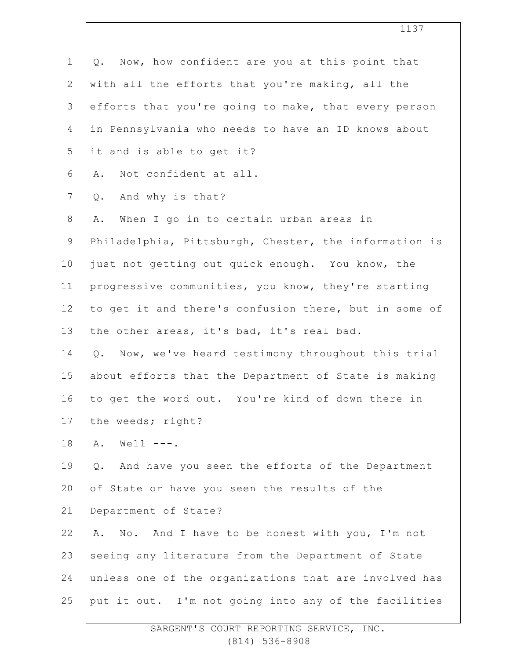| $\mathbf 1$    | Now, how confident are you at this point that<br>$Q$ . |
|----------------|--------------------------------------------------------|
| $\overline{2}$ | with all the efforts that you're making, all the       |
| 3              | efforts that you're going to make, that every person   |
| 4              | in Pennsylvania who needs to have an ID knows about    |
| 5              | it and is able to get it?                              |
| 6              | Not confident at all.<br>Α.                            |
| $\overline{7}$ | And why is that?<br>Q.                                 |
| $8\,$          | When I go in to certain urban areas in<br>Α.           |
| $\overline{9}$ | Philadelphia, Pittsburgh, Chester, the information is  |
| 10             | just not getting out quick enough. You know, the       |
| 11             | progressive communities, you know, they're starting    |
| 12             | to get it and there's confusion there, but in some of  |
| 13             | the other areas, it's bad, it's real bad.              |
| 14             | Q. Now, we've heard testimony throughout this trial    |
| 15             | about efforts that the Department of State is making   |
| 16             | to get the word out. You're kind of down there in      |
| 17             | the weeds; right?                                      |
| 18             | Well $---$ .<br>Α.                                     |
| 19             | And have you seen the efforts of the Department<br>Q.  |
| 20             | of State or have you seen the results of the           |
| 21             | Department of State?                                   |
| 22             | No. And I have to be honest with you, I'm not<br>Α.    |
| 23             | seeing any literature from the Department of State     |
| 24             | unless one of the organizations that are involved has  |
| 25             | put it out. I'm not going into any of the facilities   |
|                |                                                        |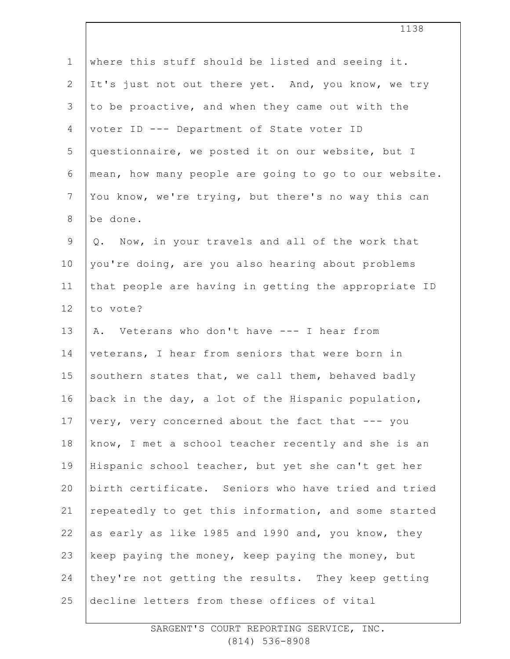| $\mathbf 1$    | where this stuff should be listed and seeing it.      |
|----------------|-------------------------------------------------------|
| $\mathbf{2}$   | It's just not out there yet. And, you know, we try    |
| 3              | to be proactive, and when they came out with the      |
| $\overline{4}$ | voter ID --- Department of State voter ID             |
| 5              | questionnaire, we posted it on our website, but I     |
| 6              | mean, how many people are going to go to our website. |
| $7\phantom{.}$ | You know, we're trying, but there's no way this can   |
| $\,8\,$        | be done.                                              |
| $\mathsf 9$    | Q. Now, in your travels and all of the work that      |
| 10             | you're doing, are you also hearing about problems     |
| 11             | that people are having in getting the appropriate ID  |
| 12             | to vote?                                              |
| 13             | A. Veterans who don't have --- I hear from            |
| 14             | veterans, I hear from seniors that were born in       |
| 15             | southern states that, we call them, behaved badly     |
| 16             | back in the day, a lot of the Hispanic population,    |
| 17             | very, very concerned about the fact that --- you      |
| 18             | know, I met a school teacher recently and she is an   |
| 19             | Hispanic school teacher, but yet she can't get her    |
| 20             | birth certificate. Seniors who have tried and tried   |
| 21             | repeatedly to get this information, and some started  |
| 22             | as early as like 1985 and 1990 and, you know, they    |
| 23             | keep paying the money, keep paying the money, but     |
| 24             | they're not getting the results. They keep getting    |
| 25             | decline letters from these offices of vital           |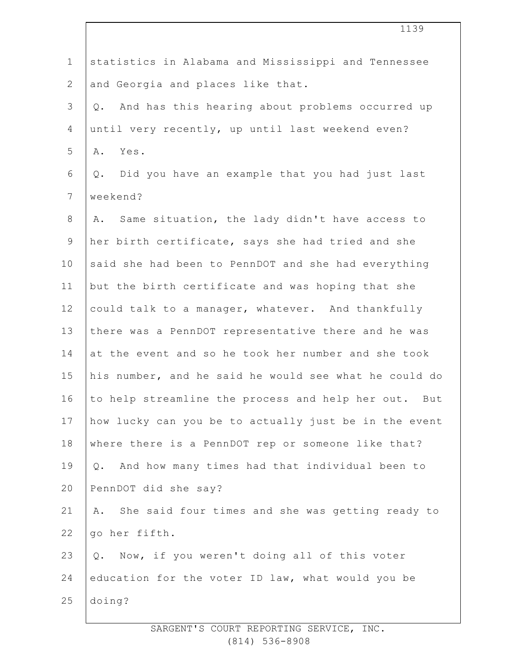| $\mathbf 1$    | statistics in Alabama and Mississippi and Tennessee    |
|----------------|--------------------------------------------------------|
| $\mathbf{2}$   | and Georgia and places like that.                      |
| 3              | Q. And has this hearing about problems occurred up     |
| 4              | until very recently, up until last weekend even?       |
| 5              | A. Yes.                                                |
| 6              | Did you have an example that you had just last<br>Q.   |
| $\overline{7}$ | weekend?                                               |
| $8\,$          | A. Same situation, the lady didn't have access to      |
| $\mathsf 9$    | her birth certificate, says she had tried and she      |
| 10             | said she had been to PennDOT and she had everything    |
| 11             | but the birth certificate and was hoping that she      |
| 12             | could talk to a manager, whatever. And thankfully      |
| 13             | there was a PennDOT representative there and he was    |
| 14             | at the event and so he took her number and she took    |
| 15             | his number, and he said he would see what he could do  |
| 16             | to help streamline the process and help her out. But   |
| 17             | how lucky can you be to actually just be in the event  |
| 18             | where there is a PennDOT rep or someone like that?     |
| 19             | Q. And how many times had that individual been to      |
| 20             | PennDOT did she say?                                   |
| 21             | She said four times and she was getting ready to<br>Α. |
| 22             | go her fifth.                                          |
| 23             | Now, if you weren't doing all of this voter<br>Q.      |
| 24             | education for the voter ID law, what would you be      |
| 25             | doing?                                                 |
|                |                                                        |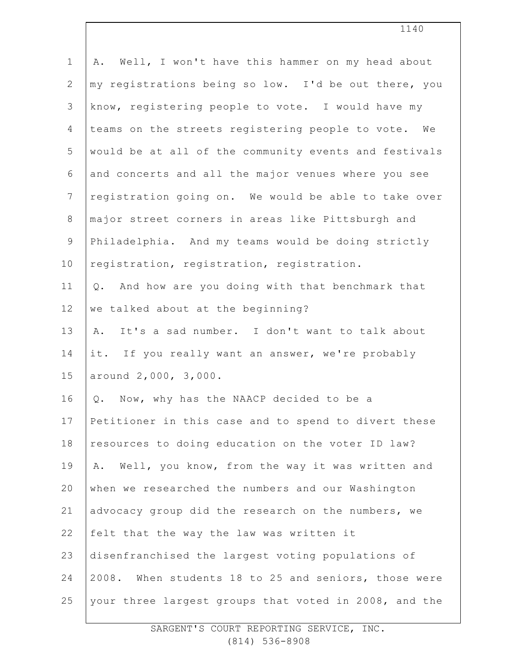| $\mathbf 1$    | Well, I won't have this hammer on my head about<br>Α. |
|----------------|-------------------------------------------------------|
| $\mathbf{2}$   | my registrations being so low. I'd be out there, you  |
| 3              | know, registering people to vote. I would have my     |
| $\overline{4}$ | teams on the streets registering people to vote. We   |
| 5              | would be at all of the community events and festivals |
| 6              | and concerts and all the major venues where you see   |
| $\overline{7}$ | registration going on. We would be able to take over  |
| $\,8\,$        | major street corners in areas like Pittsburgh and     |
| 9              | Philadelphia. And my teams would be doing strictly    |
| 10             | registration, registration, registration.             |
| 11             | And how are you doing with that benchmark that<br>Q.  |
| 12             | we talked about at the beginning?                     |
| 13             | It's a sad number. I don't want to talk about<br>Α.   |
| 14             | it. If you really want an answer, we're probably      |
| 15             | around 2,000, 3,000.                                  |
| 16             | Now, why has the NAACP decided to be a<br>Q.          |
| 17             | Petitioner in this case and to spend to divert these  |
| 18             | resources to doing education on the voter ID law?     |
| 19             | Well, you know, from the way it was written and<br>Α. |
| 20             | when we researched the numbers and our Washington     |
| 21             | advocacy group did the research on the numbers, we    |
| 22             | felt that the way the law was written it              |
| 23             | disenfranchised the largest voting populations of     |
| 24             | 2008. When students 18 to 25 and seniors, those were  |
| 25             | your three largest groups that voted in 2008, and the |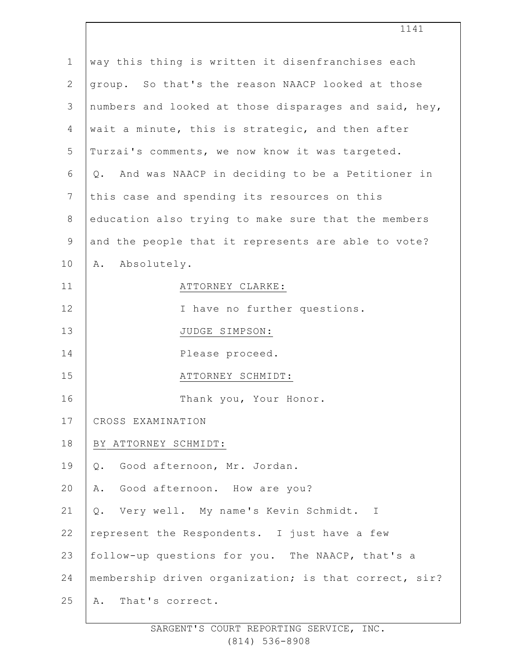| $\mathbf{1}$    | way this thing is written it disenfranchises each     |
|-----------------|-------------------------------------------------------|
| $\mathbf{2}$    | group. So that's the reason NAACP looked at those     |
| 3               | numbers and looked at those disparages and said, hey, |
| 4               | wait a minute, this is strategic, and then after      |
| 5               | Turzai's comments, we now know it was targeted.       |
| 6               | Q. And was NAACP in deciding to be a Petitioner in    |
| $7\phantom{.0}$ | this case and spending its resources on this          |
| $8\,$           | education also trying to make sure that the members   |
| 9               | and the people that it represents are able to vote?   |
| 10              | A. Absolutely.                                        |
| 11              | ATTORNEY CLARKE:                                      |
| 12              | I have no further questions.                          |
| 13              | JUDGE SIMPSON:                                        |
| 14              | Please proceed.                                       |
| 15              | ATTORNEY SCHMIDT:                                     |
| 16              | Thank you, Your Honor.                                |
| 17              | CROSS EXAMINATION                                     |
| 18              | BY ATTORNEY SCHMIDT:                                  |
| 19              | Good afternoon, Mr. Jordan.<br>Q.                     |
| 20              | Good afternoon. How are you?<br>Α.                    |
| 21              | Very well. My name's Kevin Schmidt. I<br>Q.           |
| 22              | represent the Respondents. I just have a few          |
| 23              | follow-up questions for you. The NAACP, that's a      |
| 24              | membership driven organization; is that correct, sir? |
| 25              | That's correct.<br>Α.                                 |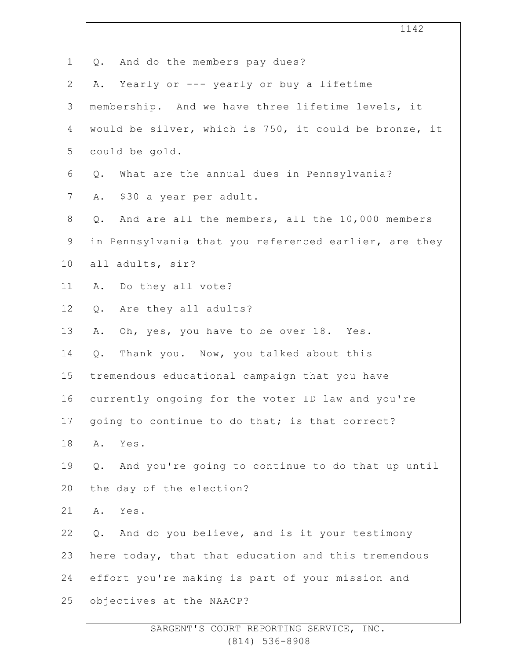1 2 3 4 5 6 7 8 9 10 11 12 13 14 15 16 17 18 19 20 21 22 23 24 25 1142 Q. And do the members pay dues? A. Yearly or --- yearly or buy a lifetime membership. And we have three lifetime levels, it would be silver, which is 750, it could be bronze, it could be gold. Q. What are the annual dues in Pennsylvania? A. \$30 a year per adult. Q. And are all the members, all the 10,000 members in Pennsylvania that you referenced earlier, are they all adults, sir? A. Do they all vote? Q. Are they all adults? A. Oh, yes, you have to be over 18. Yes. Q. Thank you. Now, you talked about this tremendous educational campaign that you have currently ongoing for the voter ID law and you're going to continue to do that; is that correct? A. Yes. Q. And you're going to continue to do that up until the day of the election? A. Yes. Q. And do you believe, and is it your testimony here today, that that education and this tremendous effort you're making is part of your mission and objectives at the NAACP?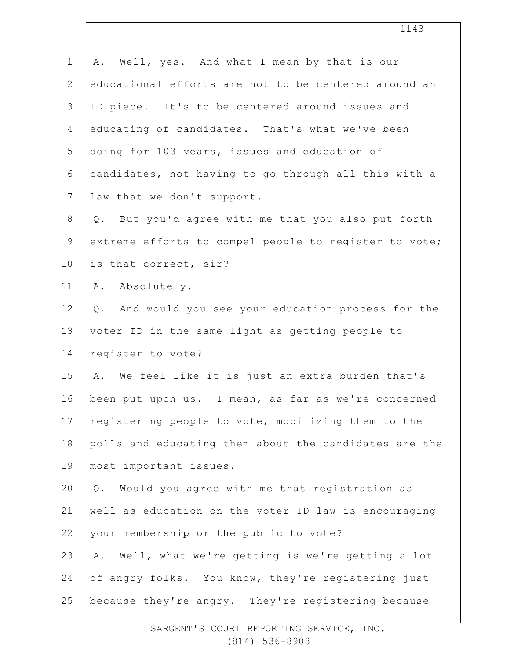| $\mathbf 1$    | Well, yes. And what I mean by that is our<br>Α.        |
|----------------|--------------------------------------------------------|
| $\mathbf{2}$   | educational efforts are not to be centered around an   |
| 3              | ID piece. It's to be centered around issues and        |
| 4              | educating of candidates. That's what we've been        |
| 5              | doing for 103 years, issues and education of           |
| 6              | candidates, not having to go through all this with a   |
| $\overline{7}$ | law that we don't support.                             |
| $\,8\,$        | But you'd agree with me that you also put forth<br>Q.  |
| $\mathsf 9$    | extreme efforts to compel people to register to vote;  |
| 10             | is that correct, sir?                                  |
| 11             | A. Absolutely.                                         |
| 12             | And would you see your education process for the<br>Q. |
| 13             | voter ID in the same light as getting people to        |
| 14             | register to vote?                                      |
| 15             | A. We feel like it is just an extra burden that's      |
| 16             | been put upon us. I mean, as far as we're concerned    |
| 17             | registering people to vote, mobilizing them to the     |
| 18             | polls and educating them about the candidates are the  |
| 19             | most important issues.                                 |
| 20             | Would you agree with me that registration as<br>Q.     |
| 21             | well as education on the voter ID law is encouraging   |
| 22             | your membership or the public to vote?                 |
| 23             | Well, what we're getting is we're getting a lot<br>Α.  |
| 24             | of angry folks. You know, they're registering just     |
| 25             | because they're angry. They're registering because     |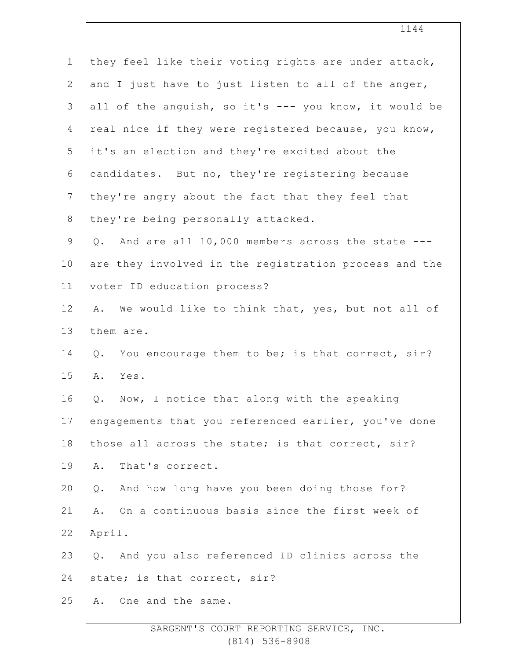| $\mathbf 1$    | they feel like their voting rights are under attack,   |
|----------------|--------------------------------------------------------|
| $\mathbf{2}$   | and I just have to just listen to all of the anger,    |
| 3              | all of the anguish, so it's --- you know, it would be  |
| $\overline{4}$ | real nice if they were registered because, you know,   |
| 5              | it's an election and they're excited about the         |
| 6              | candidates. But no, they're registering because        |
| $7\phantom{.}$ | they're angry about the fact that they feel that       |
| $8\,$          | they're being personally attacked.                     |
| $\mathsf 9$    | Q. And are all 10,000 members across the state ---     |
| 10             | are they involved in the registration process and the  |
| 11             | voter ID education process?                            |
| 12             | We would like to think that, yes, but not all of<br>Α. |
| 13             | them are.                                              |
| 14             | You encourage them to be; is that correct, sir?<br>Q.  |
| 15             | Yes.<br>Α.                                             |
| 16             | Now, I notice that along with the speaking<br>Q.       |
| 17             | engagements that you referenced earlier, you've done   |
| 18             | those all across the state; is that correct, sir?      |
| 19             | That's correct.<br>Α.                                  |
| 20             | And how long have you been doing those for?<br>Q.      |
| 21             | On a continuous basis since the first week of<br>Α.    |
| 22             | April.                                                 |
| 23             | Q. And you also referenced ID clinics across the       |
| 24             | state; is that correct, sir?                           |
| 25             | One and the same.<br>Α.                                |

1144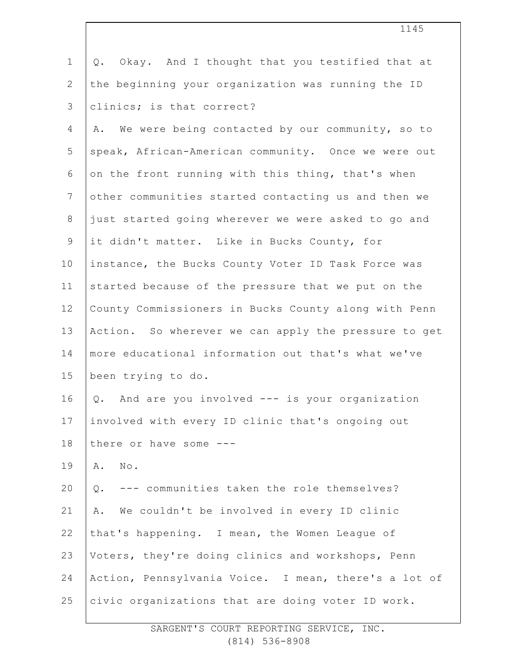| $\mathbf 1$    | Okay. And I thought that you testified that at<br>Q.  |
|----------------|-------------------------------------------------------|
| $\overline{2}$ | the beginning your organization was running the ID    |
| 3              | clinics; is that correct?                             |
| 4              | We were being contacted by our community, so to<br>Α. |
| 5              | speak, African-American community. Once we were out   |
| 6              | on the front running with this thing, that's when     |
| $7\phantom{.}$ | other communities started contacting us and then we   |
| 8              | just started going wherever we were asked to go and   |
| $\mathsf 9$    | it didn't matter. Like in Bucks County, for           |
| 10             | instance, the Bucks County Voter ID Task Force was    |
| 11             | started because of the pressure that we put on the    |
| 12             | County Commissioners in Bucks County along with Penn  |
| 13             | Action. So wherever we can apply the pressure to get  |
| 14             | more educational information out that's what we've    |
| 15             | been trying to do.                                    |
| 16             | Q. And are you involved --- is your organization      |
| 17             | involved with every ID clinic that's ongoing out      |
| 18             | there or have some ---                                |
| 19             | $\texttt{No}$ .<br>Α.                                 |
| 20             | --- communities taken the role themselves?<br>$Q$ .   |
| 21             | We couldn't be involved in every ID clinic<br>Α.      |
| 22             | that's happening. I mean, the Women League of         |
| 23             | Voters, they're doing clinics and workshops, Penn     |
| 24             | Action, Pennsylvania Voice. I mean, there's a lot of  |
| 25             | civic organizations that are doing voter ID work.     |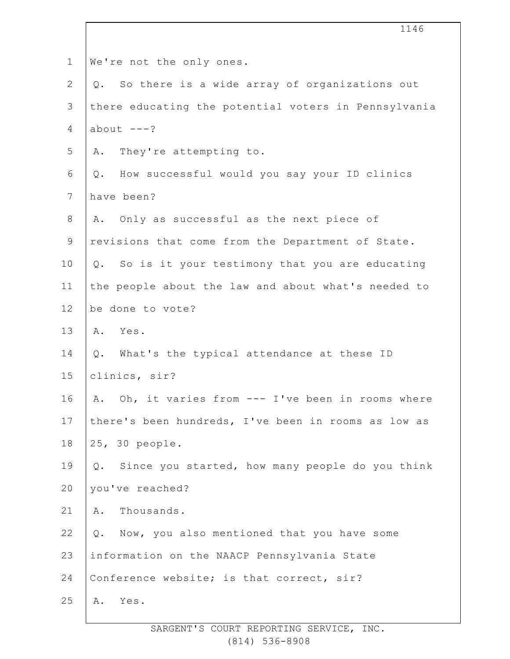| $\mathbf 1$    | We're not the only ones.                                 |
|----------------|----------------------------------------------------------|
| $\overline{2}$ | So there is a wide array of organizations out<br>$Q$ .   |
| $\mathfrak{Z}$ | there educating the potential voters in Pennsylvania     |
| 4              | $about$ ---?                                             |
| 5              | They're attempting to.<br>Α.                             |
| 6              | How successful would you say your ID clinics<br>$Q$ .    |
| $7\phantom{.}$ | have been?                                               |
| $8\,$          | Only as successful as the next piece of<br>Α.            |
| $\mathsf 9$    | revisions that come from the Department of State.        |
| 10             | So is it your testimony that you are educating<br>Q.     |
| 11             | the people about the law and about what's needed to      |
| 12             | be done to vote?                                         |
| 13             | A. Yes.                                                  |
| 14             | What's the typical attendance at these ID<br>$Q$ .       |
| 15             | clinics, sir?                                            |
| 16             | A. Oh, it varies from --- I've been in rooms where       |
| 17             | there's been hundreds, I've been in rooms as low as      |
| 18             | 25, 30 people.                                           |
| 19             | Since you started, how many people do you think<br>$Q$ . |
| 20             | you've reached?                                          |
| 21             | Thousands.<br>Α.                                         |
| 22             | Now, you also mentioned that you have some<br>Q.         |
| 23             | information on the NAACP Pennsylvania State              |
| 24             | Conference website; is that correct, sir?                |
| 25             | Yes.<br>Α.                                               |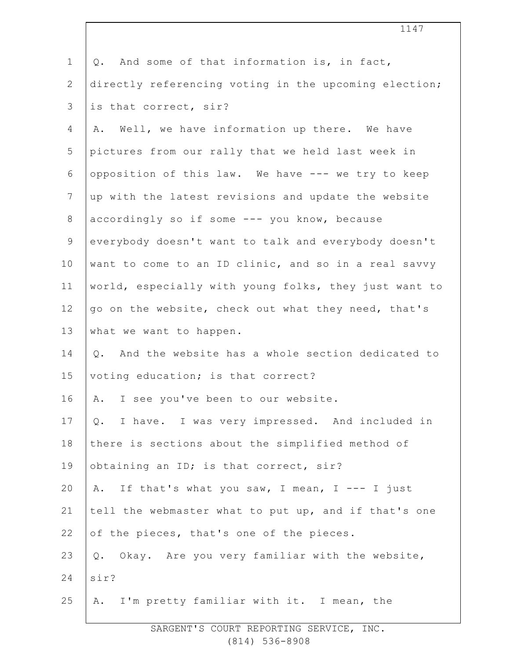| $\mathbf 1$    | And some of that information is, in fact,<br>Q.       |
|----------------|-------------------------------------------------------|
| $\overline{2}$ | directly referencing voting in the upcoming election; |
| 3              | is that correct, sir?                                 |
| 4              | A. Well, we have information up there. We have        |
| 5              | pictures from our rally that we held last week in     |
| 6              | opposition of this law. We have --- we try to keep    |
| $7\phantom{.}$ | up with the latest revisions and update the website   |
| $8\,$          | accordingly so if some --- you know, because          |
| $\mathsf 9$    | everybody doesn't want to talk and everybody doesn't  |
| 10             | want to come to an ID clinic, and so in a real savvy  |
| 11             | world, especially with young folks, they just want to |
| 12             | go on the website, check out what they need, that's   |
| 13             | what we want to happen.                               |
| 14             | Q. And the website has a whole section dedicated to   |
| 15             | voting education; is that correct?                    |
| 16             | I see you've been to our website.<br>Α.               |
| 17             | I have. I was very impressed. And included in<br>Q.   |
| 18             | there is sections about the simplified method of      |
| 19             | obtaining an ID; is that correct, sir?                |
| 20             | If that's what you saw, I mean, I --- I just<br>Α.    |
| 21             | tell the webmaster what to put up, and if that's one  |
| 22             | of the pieces, that's one of the pieces.              |
| 23             | Okay. Are you very familiar with the website,<br>Q.   |
| 24             | sir?                                                  |
| 25             | A. I'm pretty familiar with it. I mean, the           |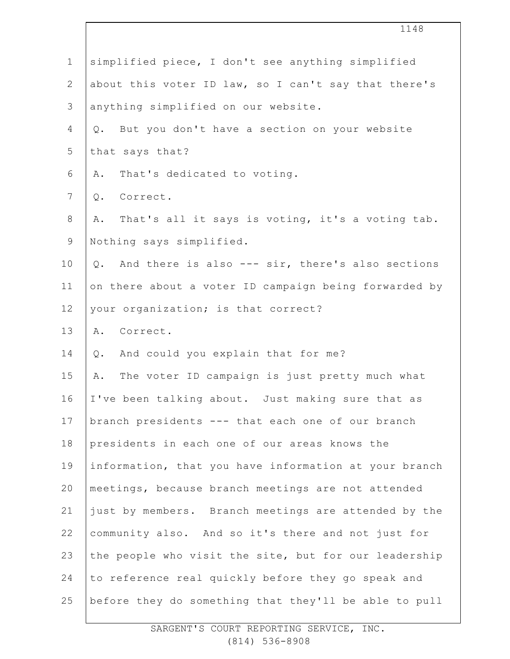|                | 1148                                                   |
|----------------|--------------------------------------------------------|
| $\mathbf 1$    | simplified piece, I don't see anything simplified      |
| $\mathbf{2}$   | about this voter ID law, so I can't say that there's   |
| $\mathcal{S}$  | anything simplified on our website.                    |
| 4              | But you don't have a section on your website<br>Q.     |
| 5              | that says that?                                        |
| 6              | That's dedicated to voting.<br>Α.                      |
| $\overline{7}$ | Correct.<br>Q.                                         |
| $8\,$          | That's all it says is voting, it's a voting tab.<br>Α. |
| $\mathsf 9$    | Nothing says simplified.                               |
| 10             | And there is also --- sir, there's also sections<br>Q. |
| 11             | on there about a voter ID campaign being forwarded by  |
| 12             | your organization; is that correct?                    |
| 13             | A. Correct.                                            |
| 14             | And could you explain that for me?<br>Q.               |
| 15             | The voter ID campaign is just pretty much what<br>Α.   |
| 16             | I've been talking about. Just making sure that as      |
| 17             | branch presidents --- that each one of our branch      |
| 18             | presidents in each one of our areas knows the          |
| 19             | information, that you have information at your branch  |
| 20             | meetings, because branch meetings are not attended     |
| 21             | just by members. Branch meetings are attended by the   |
| 22             | community also. And so it's there and not just for     |
| 23             | the people who visit the site, but for our leadership  |
| 24             | to reference real quickly before they go speak and     |
| 25             | before they do something that they'll be able to pull  |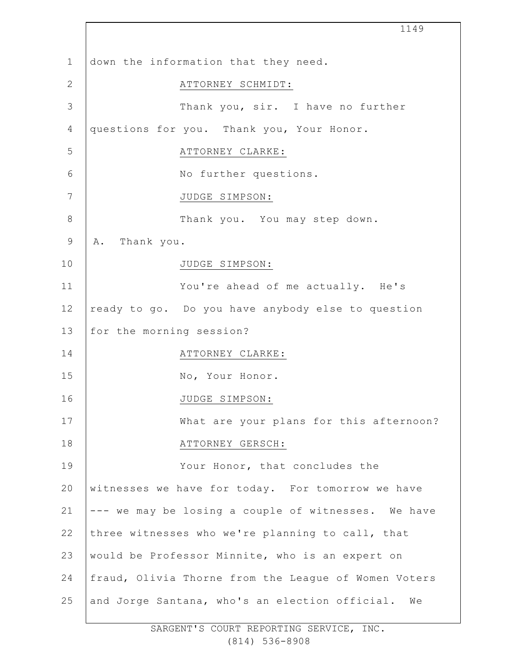|              | 1149                                                 |
|--------------|------------------------------------------------------|
| $\mathbf{1}$ | down the information that they need.                 |
| $\mathbf{2}$ | ATTORNEY SCHMIDT:                                    |
| 3            | Thank you, sir. I have no further                    |
| 4            | questions for you. Thank you, Your Honor.            |
| 5            | ATTORNEY CLARKE:                                     |
| 6            | No further questions.                                |
| 7            | JUDGE SIMPSON:                                       |
| $8\,$        | Thank you. You may step down.                        |
| $\mathsf 9$  | Thank you.<br>Α.                                     |
| 10           | JUDGE SIMPSON:                                       |
| 11           | You're ahead of me actually. He's                    |
| 12           | ready to go. Do you have anybody else to question    |
| 13           | for the morning session?                             |
| 14           | ATTORNEY CLARKE:                                     |
| 15           | No, Your Honor.                                      |
| 16           | JUDGE SIMPSON:                                       |
| 17           | What are your plans for this afternoon?              |
| 18           | ATTORNEY GERSCH:                                     |
| 19           | Your Honor, that concludes the                       |
| 20           | witnesses we have for today. For tomorrow we have    |
| 21           | --- we may be losing a couple of witnesses. We have  |
| 22           | three witnesses who we're planning to call, that     |
| 23           | would be Professor Minnite, who is an expert on      |
| 24           | fraud, Olivia Thorne from the League of Women Voters |
| 25           | and Jorge Santana, who's an election official. We    |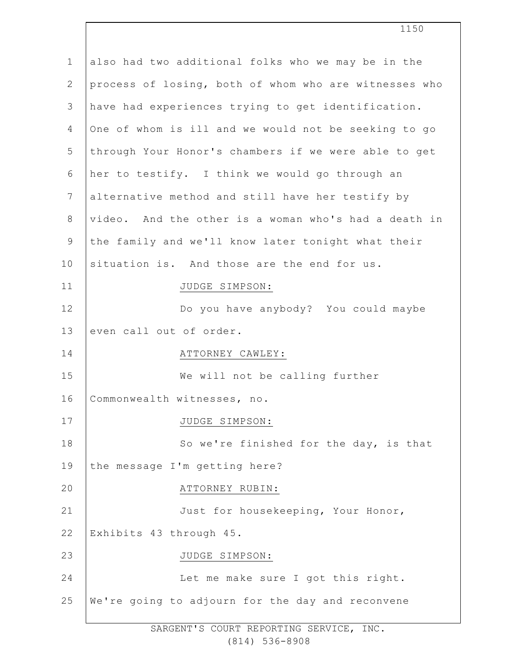| $\mathbf 1$    | also had two additional folks who we may be in the    |
|----------------|-------------------------------------------------------|
| $\overline{2}$ | process of losing, both of whom who are witnesses who |
| 3              | have had experiences trying to get identification.    |
| 4              | One of whom is ill and we would not be seeking to go  |
| 5              | through Your Honor's chambers if we were able to get  |
| 6              | her to testify. I think we would go through an        |
| $\overline{7}$ | alternative method and still have her testify by      |
| 8              | video. And the other is a woman who's had a death in  |
| $\mathsf 9$    | the family and we'll know later tonight what their    |
| 10             | situation is. And those are the end for us.           |
| 11             | JUDGE SIMPSON:                                        |
| 12             | Do you have anybody? You could maybe                  |
| 13             | even call out of order.                               |
| 14             | ATTORNEY CAWLEY:                                      |
| 15             | We will not be calling further                        |
| 16             | Commonwealth witnesses, no.                           |
| 17             | JUDGE SIMPSON:                                        |
| 18             | So we're finished for the day, is that                |
| 19             | the message I'm getting here?                         |
| 20             | ATTORNEY RUBIN:                                       |
| 21             | Just for housekeeping, Your Honor,                    |
| 22             | Exhibits 43 through 45.                               |
| 23             | JUDGE SIMPSON:                                        |
| 24             | Let me make sure I got this right.                    |
| 25             | We're going to adjourn for the day and reconvene      |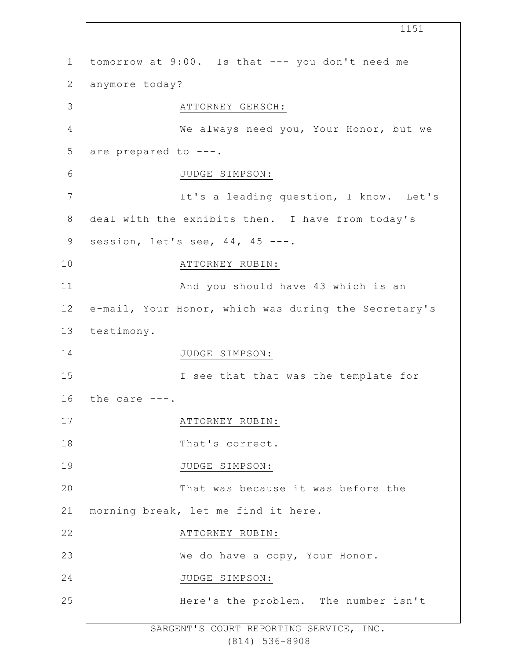1 2 3 4 5 6 7 8 9 10 11 12 13 14 15 16 17 18 19 20 21 22 23 24 25 1151 tomorrow at 9:00. Is that --- you don't need me anymore today? ATTORNEY GERSCH: We always need you, Your Honor, but we are prepared to ---. JUDGE SIMPSON: It's a leading question, I know. Let's deal with the exhibits then. I have from today's session, let's see,  $44$ ,  $45$  ---. ATTORNEY RUBIN: And you should have 43 which is an e-mail, Your Honor, which was during the Secretary's testimony. JUDGE SIMPSON: I see that that was the template for the care ---. ATTORNEY RUBIN: That's correct. JUDGE SIMPSON: That was because it was before the morning break, let me find it here. ATTORNEY RUBIN: We do have a copy, Your Honor. JUDGE SIMPSON: Here's the problem. The number isn't

> SARGENT'S COURT REPORTING SERVICE, INC. (814) 536-8908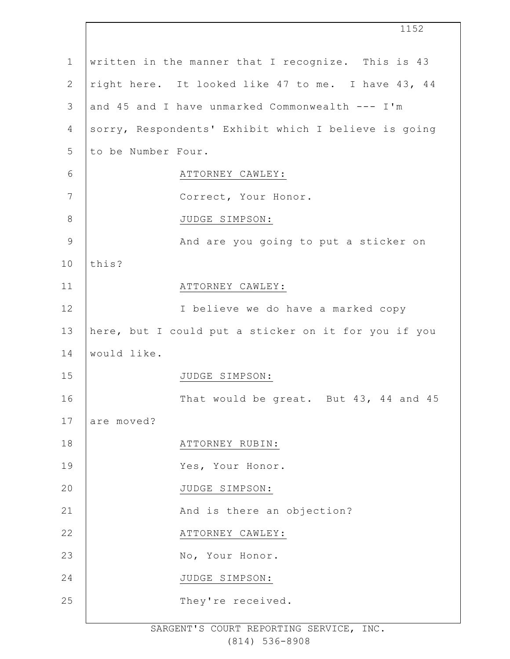|                | 1152                                                 |
|----------------|------------------------------------------------------|
| $\mathbf 1$    | written in the manner that I recognize. This is 43   |
| $\mathbf{2}$   | right here. It looked like 47 to me. I have 43, 44   |
| 3              | and 45 and I have unmarked Commonwealth --- I'm      |
| $\overline{4}$ | sorry, Respondents' Exhibit which I believe is going |
| 5              | to be Number Four.                                   |
| $6\,$          | ATTORNEY CAWLEY:                                     |
| $\overline{7}$ | Correct, Your Honor.                                 |
| $8\,$          | JUDGE SIMPSON:                                       |
| $\mathsf 9$    | And are you going to put a sticker on                |
| 10             | this?                                                |
| 11             | ATTORNEY CAWLEY:                                     |
| 12             | I believe we do have a marked copy                   |
| 13             | here, but I could put a sticker on it for you if you |
| 14             | would like.                                          |
| 15             | JUDGE SIMPSON:                                       |
| 16             | That would be great. But 43, 44 and 45               |
| 17             | are moved?                                           |
| 18             | ATTORNEY RUBIN:                                      |
| 19             | Yes, Your Honor.                                     |
| 20             | JUDGE SIMPSON:                                       |
| 21             | And is there an objection?                           |
| 22             | ATTORNEY CAWLEY:                                     |
| 23             | No, Your Honor.                                      |
| 24             | JUDGE SIMPSON:                                       |
| 25             | They're received.                                    |
|                |                                                      |

 $\Gamma$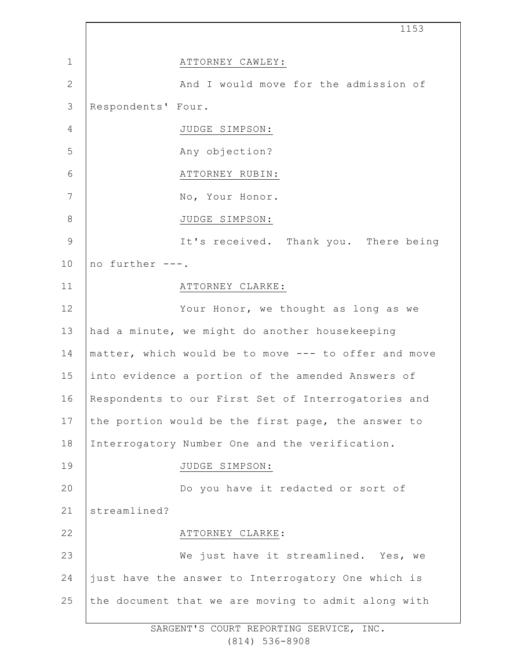1 2 3 4 5 6 7 8 9 10 11 12 13 14 15 16 17 18 19 20 21 22 23 24 25 1153 ATTORNEY CAWLEY: And I would move for the admission of Respondents' Four. JUDGE SIMPSON: Any objection? ATTORNEY RUBIN: No, Your Honor. JUDGE SIMPSON: It's received. Thank you. There being no further ---. ATTORNEY CLARKE: Your Honor, we thought as long as we had a minute, we might do another housekeeping matter, which would be to move --- to offer and move into evidence a portion of the amended Answers of Respondents to our First Set of Interrogatories and the portion would be the first page, the answer to Interrogatory Number One and the verification. JUDGE SIMPSON: Do you have it redacted or sort of streamlined? ATTORNEY CLARKE: We just have it streamlined. Yes, we just have the answer to Interrogatory One which is the document that we are moving to admit along with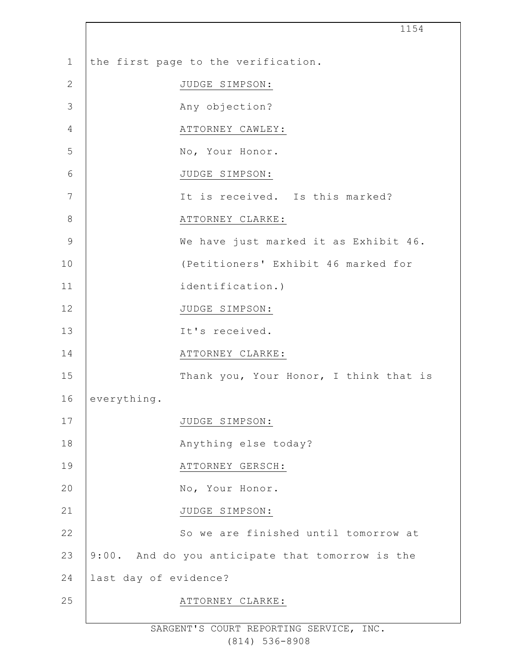|                | 1154                                             |
|----------------|--------------------------------------------------|
| $\mathbf 1$    | the first page to the verification.              |
| $\mathbf{2}$   | JUDGE SIMPSON:                                   |
| 3              | Any objection?                                   |
| $\overline{4}$ | ATTORNEY CAWLEY:                                 |
| 5              | No, Your Honor.                                  |
| $6\,$          | JUDGE SIMPSON:                                   |
| 7              | It is received. Is this marked?                  |
| $\,8\,$        | ATTORNEY CLARKE:                                 |
| $\mathsf 9$    | We have just marked it as Exhibit 46.            |
| 10             | (Petitioners' Exhibit 46 marked for              |
| 11             | identification.)                                 |
| 12             | JUDGE SIMPSON:                                   |
| 13             | It's received.                                   |
| 14             | ATTORNEY CLARKE:                                 |
| 15             | Thank you, Your Honor, I think that is           |
| 16             | everything.                                      |
| 17             | JUDGE SIMPSON:                                   |
| 18             | Anything else today?                             |
| 19             | ATTORNEY GERSCH:                                 |
| 20             | No, Your Honor.                                  |
| 21             | JUDGE SIMPSON:                                   |
| 22             | So we are finished until tomorrow at             |
| 23             | 9:00. And do you anticipate that tomorrow is the |
| 24             | last day of evidence?                            |
| 25             | ATTORNEY CLARKE:                                 |
|                |                                                  |

 $\Gamma$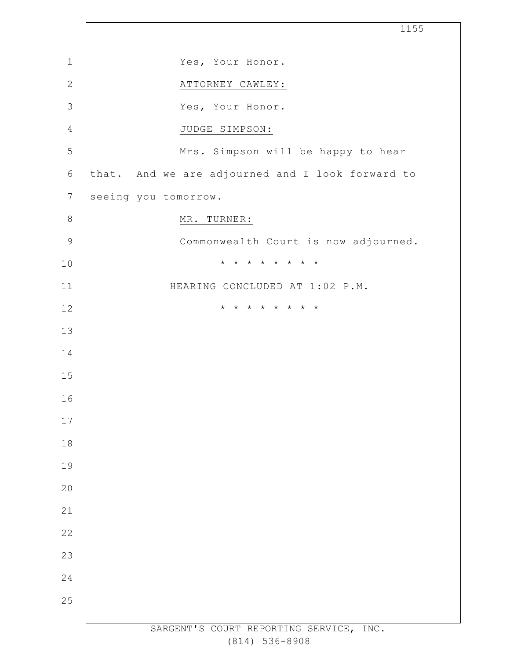|                  | 1155                                             |
|------------------|--------------------------------------------------|
| $\mathbf 1$      | Yes, Your Honor.                                 |
| $\mathbf{2}$     | ATTORNEY CAWLEY:                                 |
| $\mathcal{S}$    | Yes, Your Honor.                                 |
| 4                | JUDGE SIMPSON:                                   |
| 5                | Mrs. Simpson will be happy to hear               |
| $\sqrt{6}$       | that. And we are adjourned and I look forward to |
| $\boldsymbol{7}$ | seeing you tomorrow.                             |
| $\,8\,$          | MR. TURNER:                                      |
| $\mathsf 9$      | Commonwealth Court is now adjourned.             |
| 10               | * * * * * * * *                                  |
| 11               | HEARING CONCLUDED AT 1:02 P.M.                   |
| 12               | * * * * * * * *                                  |
| 13               |                                                  |
| 14               |                                                  |
| 15               |                                                  |
| 16               |                                                  |
| 17               |                                                  |
| 18               |                                                  |
| 19               |                                                  |
| 20               |                                                  |
| 21               |                                                  |
| 22               |                                                  |
| 23               |                                                  |
| 24               |                                                  |
| 25               |                                                  |
|                  | SARGENT'S COURT REPORTING SERVICE, INC.          |